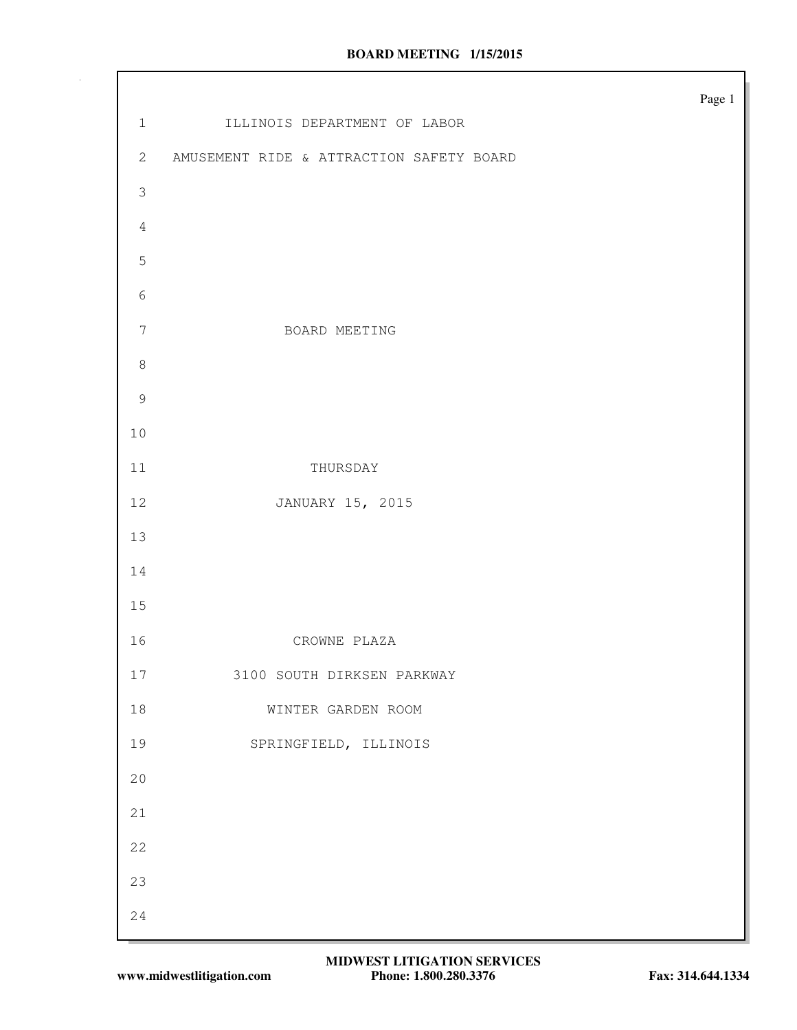|                  |                                          | Page $1\,$ |
|------------------|------------------------------------------|------------|
| $1\,$            | ILLINOIS DEPARTMENT OF LABOR             |            |
| $\mathbf{2}$     | AMUSEMENT RIDE & ATTRACTION SAFETY BOARD |            |
| $\mathfrak{Z}$   |                                          |            |
| $\sqrt{4}$       |                                          |            |
| $\overline{5}$   |                                          |            |
| $\sqrt{6}$       |                                          |            |
| $\boldsymbol{7}$ | BOARD MEETING                            |            |
| $\,8\,$          |                                          |            |
| $\overline{9}$   |                                          |            |
| $10$             |                                          |            |
| 11               | THURSDAY                                 |            |
| 12               | JANUARY 15, 2015                         |            |
| 13               |                                          |            |
| $14$             |                                          |            |
| 15               |                                          |            |
| 16               | CROWNE PLAZA                             |            |
| $17$             | 3100 SOUTH DIRKSEN PARKWAY               |            |
| $18\,$           | WINTER GARDEN ROOM                       |            |
| 19               | SPRINGFIELD, ILLINOIS                    |            |
| $20$             |                                          |            |
| 21               |                                          |            |
| 22               |                                          |            |
| 23               |                                          |            |
| 24               |                                          |            |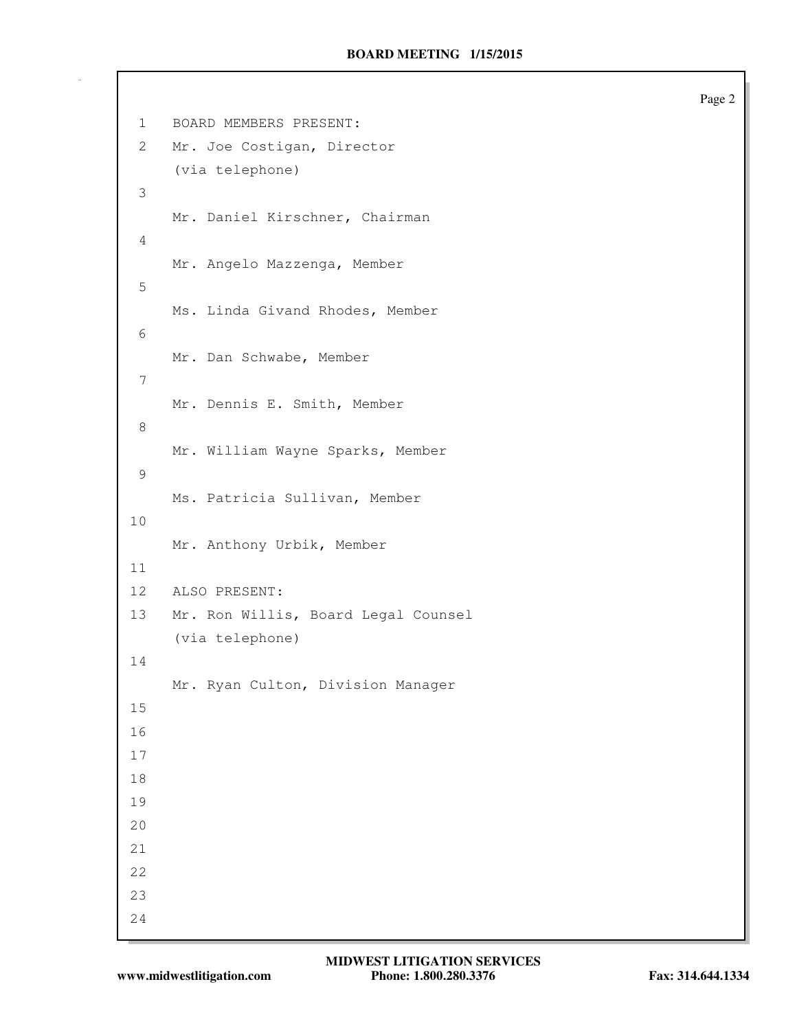1 BOARD MEMBERS PRESENT: 2 Mr. Joe Costigan, Director (via telephone) 3 Mr. Daniel Kirschner, Chairman 4 Mr. Angelo Mazzenga, Member 5 Ms. Linda Givand Rhodes, Member 6 Mr. Dan Schwabe, Member 7 Mr. Dennis E. Smith, Member 8 Mr. William Wayne Sparks, Member 9 Ms. Patricia Sullivan, Member 10 Mr. Anthony Urbik, Member 11 12 ALSO PRESENT: 13 Mr. Ron Willis, Board Legal Counsel (via telephone) 14 Mr. Ryan Culton, Division Manager 15 16 17 18 19 20 21 22 23 24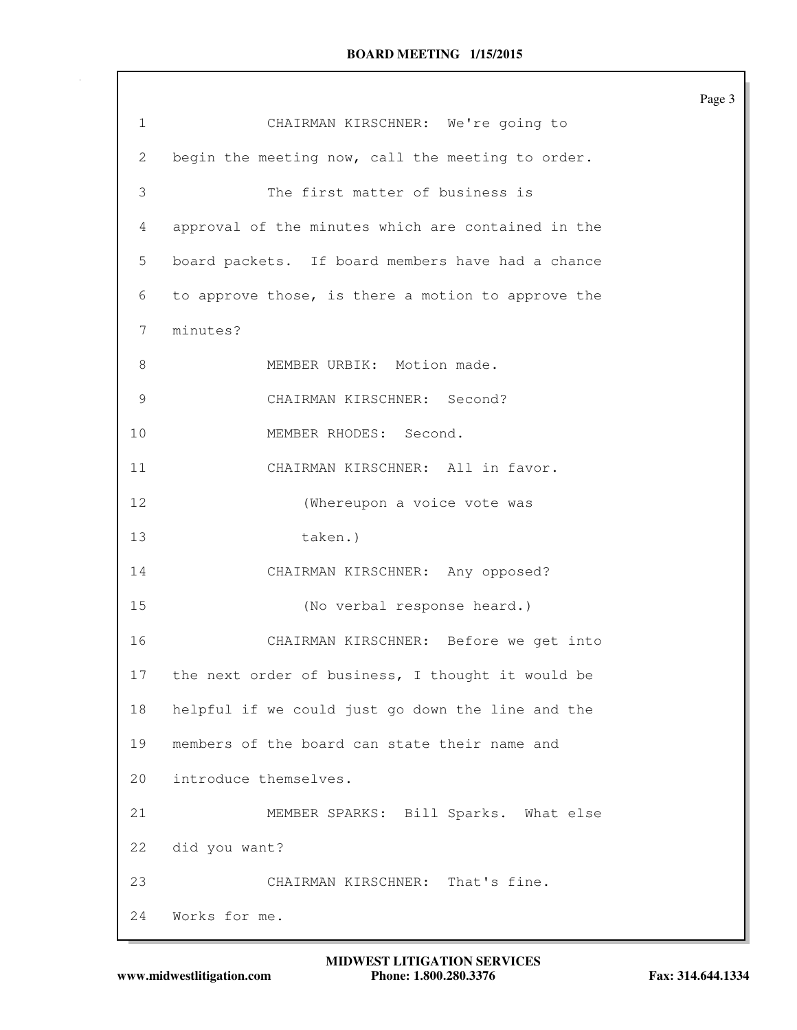|              |                                                    | Page 3 |
|--------------|----------------------------------------------------|--------|
| $\mathbf{1}$ | CHAIRMAN KIRSCHNER: We're going to                 |        |
| 2            | begin the meeting now, call the meeting to order.  |        |
| 3            | The first matter of business is                    |        |
| 4            | approval of the minutes which are contained in the |        |
| 5            | board packets. If board members have had a chance  |        |
| 6            | to approve those, is there a motion to approve the |        |
| 7            | minutes?                                           |        |
| 8            | MEMBER URBIK: Motion made.                         |        |
| 9            | CHAIRMAN KIRSCHNER: Second?                        |        |
| 10           | MEMBER RHODES: Second.                             |        |
| 11           | CHAIRMAN KIRSCHNER: All in favor.                  |        |
| 12           | (Whereupon a voice vote was                        |        |
| 13           | taken.)                                            |        |
| 14           | CHAIRMAN KIRSCHNER: Any opposed?                   |        |
| 15           | (No verbal response heard.)                        |        |
| 16           | CHAIRMAN KIRSCHNER: Before we get into             |        |
| 17           | the next order of business, I thought it would be  |        |
| 18           | helpful if we could just go down the line and the  |        |
| 19           | members of the board can state their name and      |        |
| 20           | introduce themselves.                              |        |
| 21           | MEMBER SPARKS: Bill Sparks. What else              |        |
| 22           | did you want?                                      |        |
| 23           | CHAIRMAN KIRSCHNER: That's fine.                   |        |
| 24           | Works for me.                                      |        |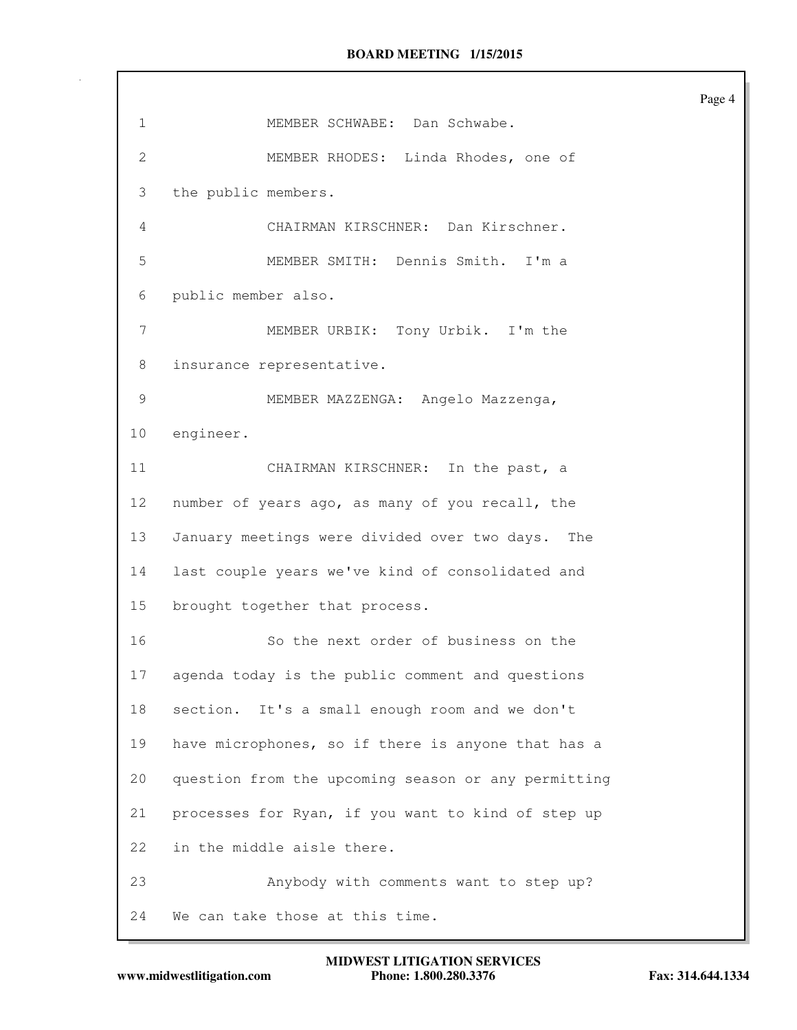| 1            | MEMBER SCHWABE: Dan Schwabe.                        |
|--------------|-----------------------------------------------------|
| $\mathbf{2}$ | MEMBER RHODES: Linda Rhodes, one of                 |
| 3            | the public members.                                 |
| 4            | CHAIRMAN KIRSCHNER: Dan Kirschner.                  |
| 5            | MEMBER SMITH: Dennis Smith.<br>I'm a                |
| 6            | public member also.                                 |
| 7            | MEMBER URBIK: Tony Urbik. I'm the                   |
| 8            | insurance representative.                           |
| 9            | MEMBER MAZZENGA: Angelo Mazzenga,                   |
| 10           | engineer.                                           |
| 11           | CHAIRMAN KIRSCHNER: In the past, a                  |
| 12           | number of years ago, as many of you recall, the     |
| 13           | January meetings were divided over two days.<br>The |
| 14           | last couple years we've kind of consolidated and    |
| 15           | brought together that process.                      |
| 16           | So the next order of business on the                |
| $17-$        | agenda today is the public comment and questions    |
| 18           | section. It's a small enough room and we don't      |
| 19           | have microphones, so if there is anyone that has a  |
| 20           | question from the upcoming season or any permitting |
| 21           | processes for Ryan, if you want to kind of step up  |
| 22           | in the middle aisle there.                          |
| 23           | Anybody with comments want to step up?              |
| 24           | We can take those at this time.                     |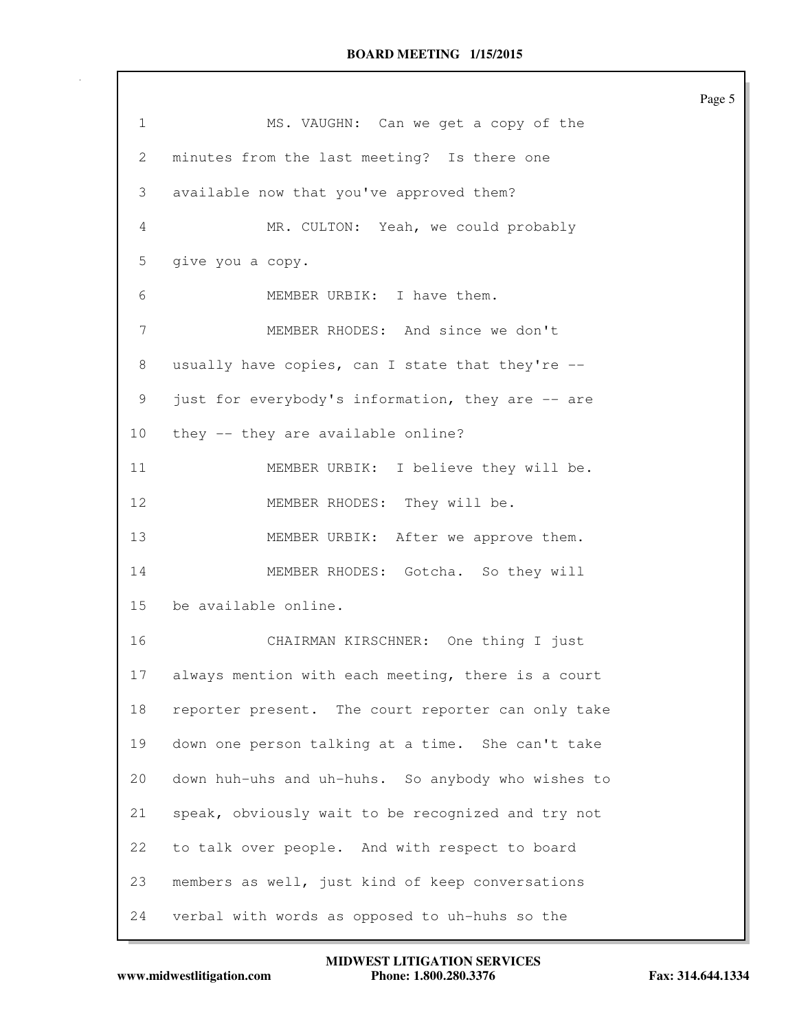| $\mathbf{1}$   | MS. VAUGHN: Can we get a copy of the               |
|----------------|----------------------------------------------------|
| $\overline{2}$ | minutes from the last meeting? Is there one        |
| 3              | available now that you've approved them?           |
| 4              | MR. CULTON: Yeah, we could probably                |
| 5              | give you a copy.                                   |
| 6              | MEMBER URBIK: I have them.                         |
| 7              | MEMBER RHODES: And since we don't                  |
| 8              | usually have copies, can I state that they're --   |
| 9              | just for everybody's information, they are -- are  |
| 10             | they -- they are available online?                 |
| 11             | MEMBER URBIK: I believe they will be.              |
| 12             | MEMBER RHODES: They will be.                       |
| 13             | MEMBER URBIK: After we approve them.               |
| 14             | MEMBER RHODES: Gotcha. So they will                |
| 15             | be available online.                               |
| 16             | CHAIRMAN KIRSCHNER: One thing I just               |
| 17             | always mention with each meeting, there is a court |
| 18             | reporter present. The court reporter can only take |
| 19             | down one person talking at a time. She can't take  |
| 20             | down huh-uhs and uh-huhs. So anybody who wishes to |
| 21             | speak, obviously wait to be recognized and try not |
| 22             | to talk over people. And with respect to board     |
| 23             | members as well, just kind of keep conversations   |
| 24             | verbal with words as opposed to uh-huhs so the     |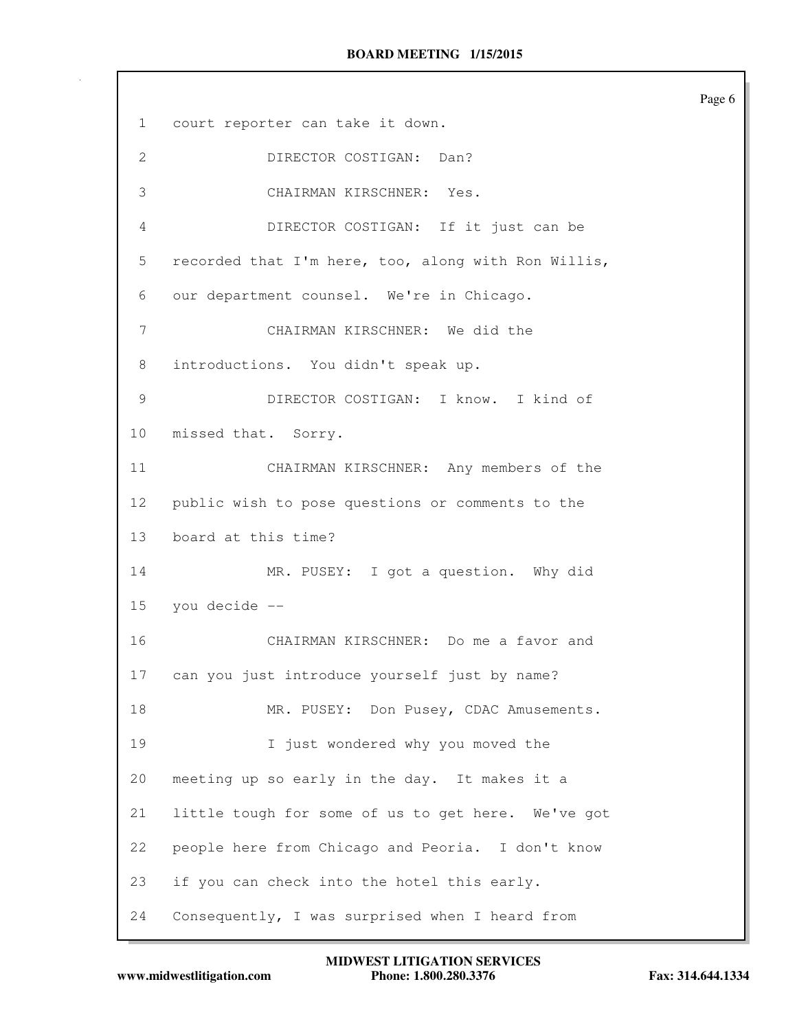Page 6 1 court reporter can take it down. 2 DIRECTOR COSTIGAN: Dan? 3 CHAIRMAN KIRSCHNER: Yes. 4 DIRECTOR COSTIGAN: If it just can be 5 recorded that I'm here, too, along with Ron Willis, 6 our department counsel. We're in Chicago. 7 CHAIRMAN KIRSCHNER: We did the 8 introductions. You didn't speak up. 9 DIRECTOR COSTIGAN: I know. I kind of 10 missed that. Sorry. 11 CHAIRMAN KIRSCHNER: Any members of the 12 public wish to pose questions or comments to the 13 board at this time? 14 MR. PUSEY: I got a question. Why did 15 you decide -- 16 CHAIRMAN KIRSCHNER: Do me a favor and 17 can you just introduce yourself just by name? 18 MR. PUSEY: Don Pusey, CDAC Amusements. 19 I just wondered why you moved the 20 meeting up so early in the day. It makes it a 21 little tough for some of us to get here. We've got 22 people here from Chicago and Peoria. I don't know 23 if you can check into the hotel this early. 24 Consequently, I was surprised when I heard from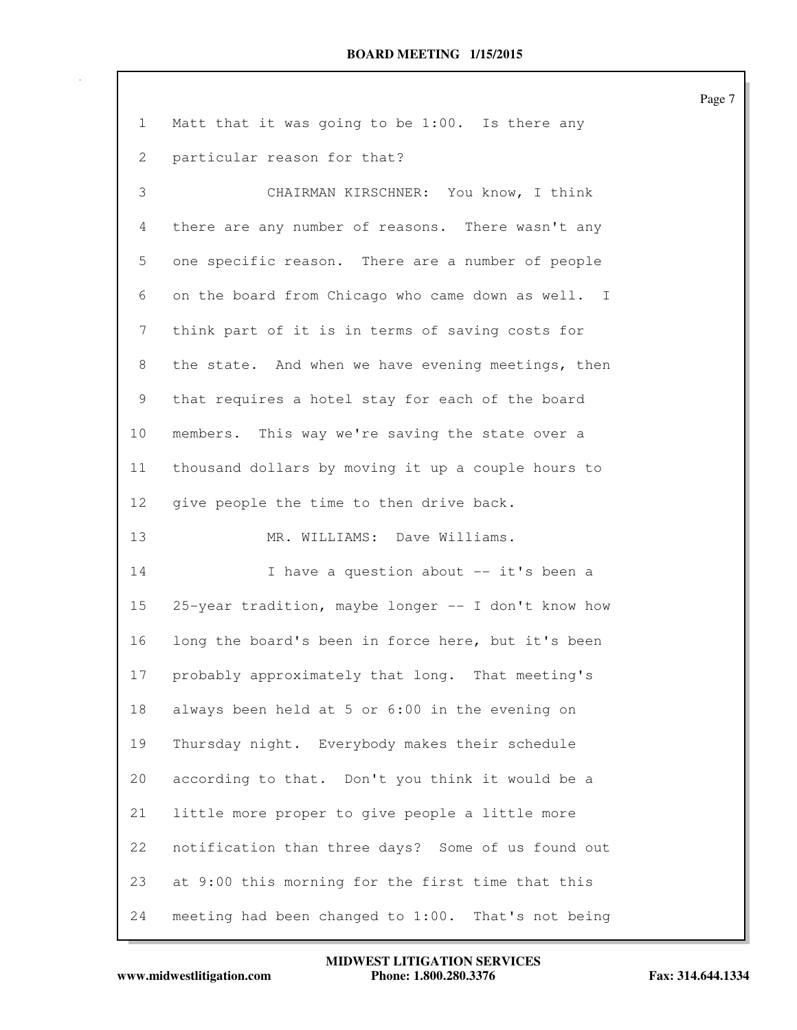| $\mathbf{1}$ | Matt that it was going to be 1:00. Is there any     |
|--------------|-----------------------------------------------------|
| 2            | particular reason for that?                         |
| 3            | CHAIRMAN KIRSCHNER: You know, I think               |
| 4            | there are any number of reasons. There wasn't any   |
| 5            | one specific reason. There are a number of people   |
| 6            | on the board from Chicago who came down as well. I  |
| 7            | think part of it is in terms of saving costs for    |
| 8            | the state. And when we have evening meetings, then  |
| 9            | that requires a hotel stay for each of the board    |
| 10           | members. This way we're saving the state over a     |
| 11           | thousand dollars by moving it up a couple hours to  |
| 12           | give people the time to then drive back.            |
| 13           | MR. WILLIAMS: Dave Williams.                        |
| 14           | I have a question about -- it's been a              |
| 15           | 25-year tradition, maybe longer -- I don't know how |
| 16           | long the board's been in force here, but it's been  |
| 17           | probably approximately that long. That meeting's    |
| 18           | always been held at 5 or 6:00 in the evening on     |
| 19           | Thursday night. Everybody makes their schedule      |
| 20           | according to that. Don't you think it would be a    |
| 21           | little more proper to give people a little more     |
| 22           | notification than three days? Some of us found out  |
| 23           | at 9:00 this morning for the first time that this   |
| 24           | meeting had been changed to 1:00. That's not being  |

www.midwestlitigation.com Phone: 1.800.280.3376 Fax: 314.644.1334 **MIDWEST LITIGATION SERVICES**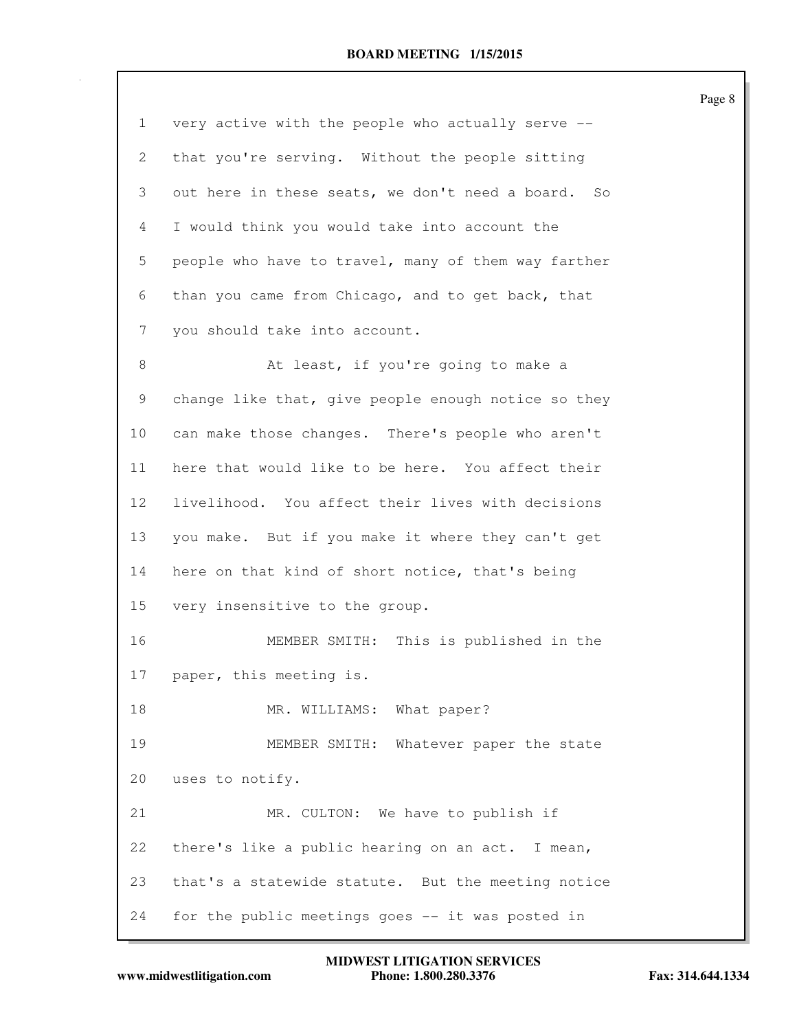|                 |                                                     | Page 8 |
|-----------------|-----------------------------------------------------|--------|
| $\mathbf{1}$    | very active with the people who actually serve --   |        |
| 2               | that you're serving. Without the people sitting     |        |
| 3               | out here in these seats, we don't need a board. So  |        |
| 4               | I would think you would take into account the       |        |
| 5               | people who have to travel, many of them way farther |        |
| 6               | than you came from Chicago, and to get back, that   |        |
| 7               | you should take into account.                       |        |
| 8               | At least, if you're going to make a                 |        |
| 9               | change like that, give people enough notice so they |        |
| 10              | can make those changes. There's people who aren't   |        |
| 11              | here that would like to be here. You affect their   |        |
| 12 <sup>°</sup> | livelihood. You affect their lives with decisions   |        |
| 13              | you make. But if you make it where they can't get   |        |
| 14              | here on that kind of short notice, that's being     |        |
| 15              | very insensitive to the group.                      |        |
| 16              | MEMBER SMITH: This is published in the              |        |
| 17              | paper, this meeting is.                             |        |
| 18              | MR. WILLIAMS: What paper?                           |        |
| 19              | MEMBER SMITH: Whatever paper the state              |        |
| 20              | uses to notify.                                     |        |
| 21              | MR. CULTON: We have to publish if                   |        |
| 22              | there's like a public hearing on an act. I mean,    |        |
| 23              | that's a statewide statute. But the meeting notice  |        |
| 24              | for the public meetings goes -- it was posted in    |        |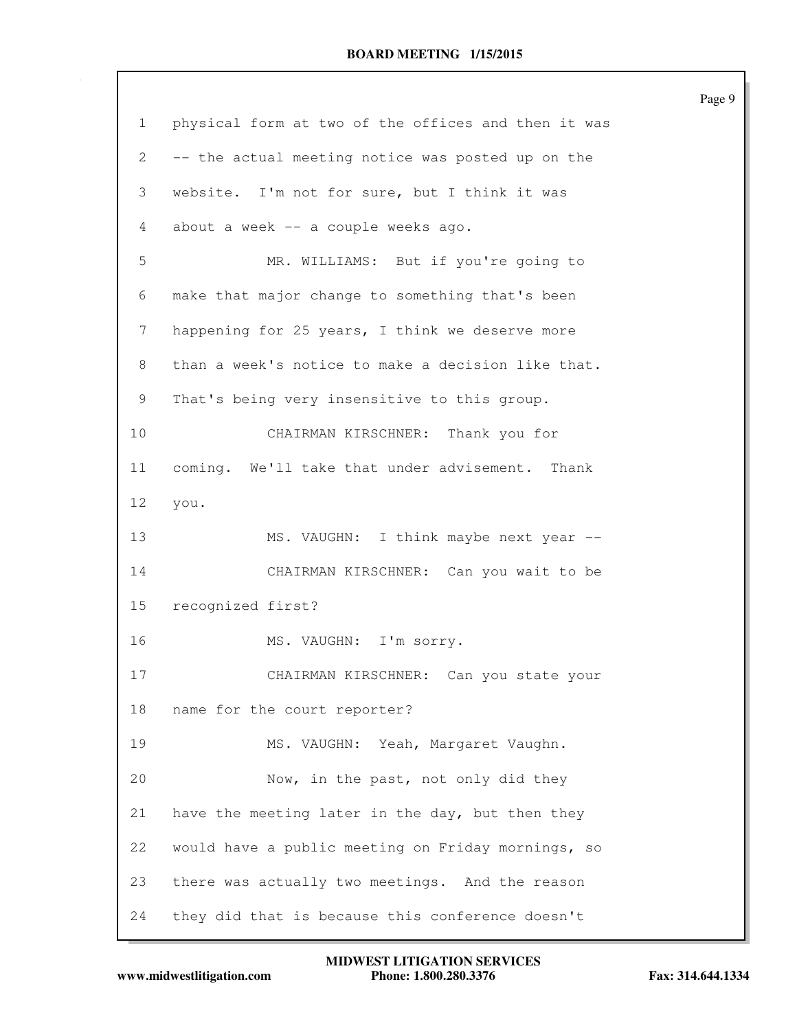|              |                                                     | Page 9 |
|--------------|-----------------------------------------------------|--------|
| $\mathbf{1}$ | physical form at two of the offices and then it was |        |
| 2            | -- the actual meeting notice was posted up on the   |        |
| 3            | website. I'm not for sure, but I think it was       |        |
| 4            | about a week -- a couple weeks ago.                 |        |
| 5            | MR. WILLIAMS: But if you're going to                |        |
| 6            | make that major change to something that's been     |        |
| 7            | happening for 25 years, I think we deserve more     |        |
| 8            | than a week's notice to make a decision like that.  |        |
| 9            | That's being very insensitive to this group.        |        |
| 10           | CHAIRMAN KIRSCHNER: Thank you for                   |        |
| 11           | coming. We'll take that under advisement. Thank     |        |
| 12           | you.                                                |        |
| 13           | MS. VAUGHN: I think maybe next year --              |        |
| 14           | CHAIRMAN KIRSCHNER: Can you wait to be              |        |
| 15           | recognized first?                                   |        |
| 16           | MS. VAUGHN: I'm sorry.                              |        |
| 17           | CHAIRMAN KIRSCHNER: Can you state your              |        |
| 18           | name for the court reporter?                        |        |
| 19           | MS. VAUGHN: Yeah, Margaret Vaughn.                  |        |
| 20           | Now, in the past, not only did they                 |        |
| 21           | have the meeting later in the day, but then they    |        |
| 22           | would have a public meeting on Friday mornings, so  |        |
| 23           | there was actually two meetings. And the reason     |        |
| 24           | they did that is because this conference doesn't    |        |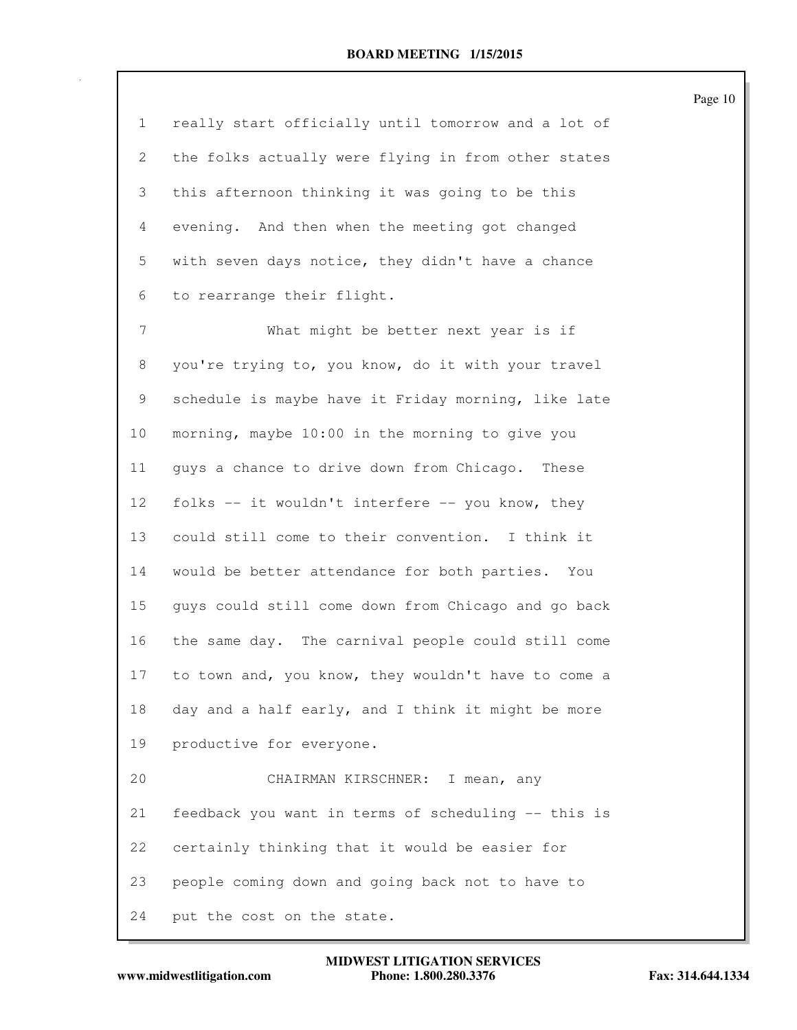1 really start officially until tomorrow and a lot of 2 the folks actually were flying in from other states 3 this afternoon thinking it was going to be this 4 evening. And then when the meeting got changed 5 with seven days notice, they didn't have a chance 6 to rearrange their flight. 7 What might be better next year is if 8 you're trying to, you know, do it with your travel 9 schedule is maybe have it Friday morning, like late 10 morning, maybe 10:00 in the morning to give you 11 guys a chance to drive down from Chicago. These 12 folks -- it wouldn't interfere -- you know, they 13 could still come to their convention. I think it 14 would be better attendance for both parties. You 15 guys could still come down from Chicago and go back 16 the same day. The carnival people could still come 17 to town and, you know, they wouldn't have to come a 18 day and a half early, and I think it might be more 19 productive for everyone. 20 CHAIRMAN KIRSCHNER: I mean, any 21 feedback you want in terms of scheduling -- this is 22 certainly thinking that it would be easier for 23 people coming down and going back not to have to 24 put the cost on the state.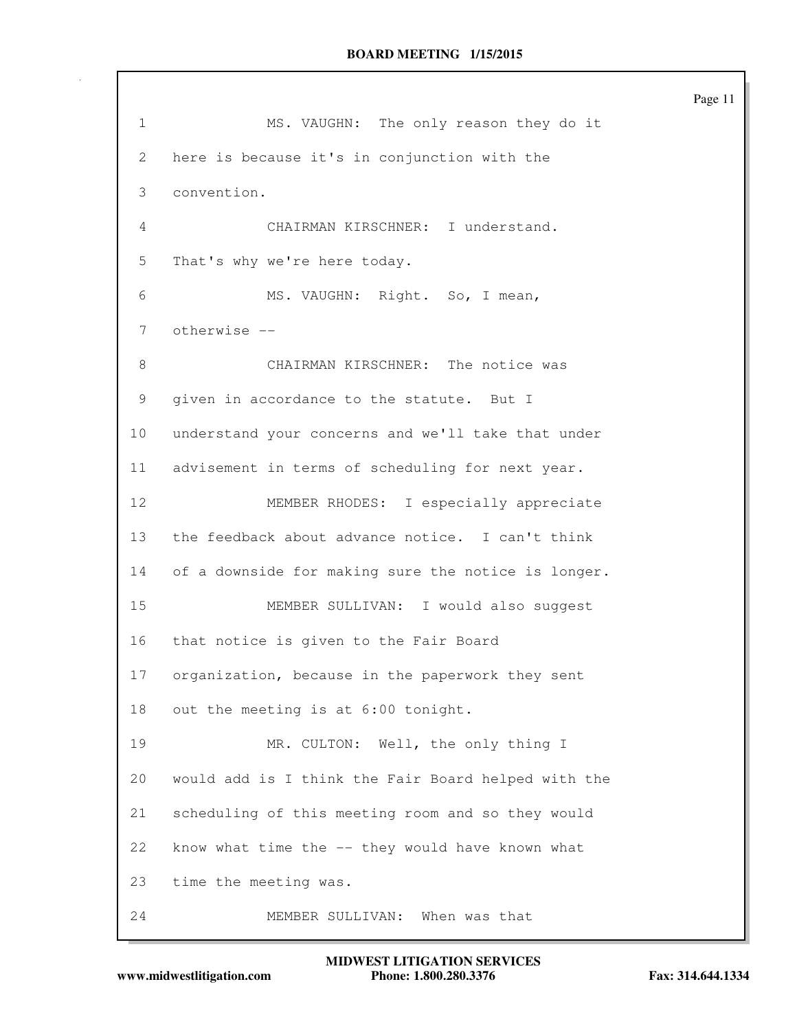Page 11 1 MS. VAUGHN: The only reason they do it 2 here is because it's in conjunction with the 3 convention. 4 CHAIRMAN KIRSCHNER: I understand. 5 That's why we're here today. 6 MS. VAUGHN: Right. So, I mean, 7 otherwise -- 8 CHAIRMAN KIRSCHNER: The notice was 9 given in accordance to the statute. But I 10 understand your concerns and we'll take that under 11 advisement in terms of scheduling for next year. 12 MEMBER RHODES: I especially appreciate 13 the feedback about advance notice. I can't think 14 of a downside for making sure the notice is longer. 15 MEMBER SULLIVAN: I would also suggest 16 that notice is given to the Fair Board 17 organization, because in the paperwork they sent 18 out the meeting is at 6:00 tonight. 19 MR. CULTON: Well, the only thing I 20 would add is I think the Fair Board helped with the 21 scheduling of this meeting room and so they would 22 know what time the -- they would have known what 23 time the meeting was. 24 MEMBER SULLIVAN: When was that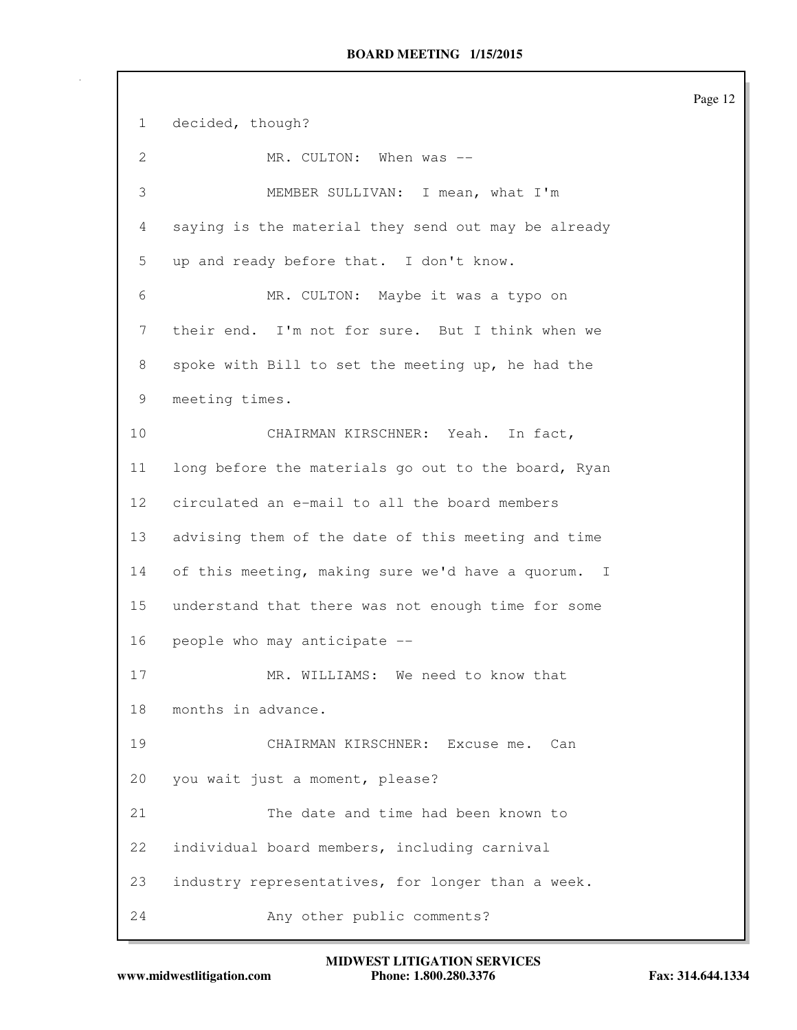Page 12 1 decided, though? 2 MR. CULTON: When was --3 MEMBER SULLIVAN: I mean, what I'm 4 saying is the material they send out may be already 5 up and ready before that. I don't know. 6 MR. CULTON: Maybe it was a typo on 7 their end. I'm not for sure. But I think when we 8 spoke with Bill to set the meeting up, he had the 9 meeting times. 10 CHAIRMAN KIRSCHNER: Yeah. In fact, 11 long before the materials go out to the board, Ryan 12 circulated an e-mail to all the board members 13 advising them of the date of this meeting and time 14 of this meeting, making sure we'd have a quorum. I 15 understand that there was not enough time for some 16 people who may anticipate -- 17 MR. WILLIAMS: We need to know that 18 months in advance. 19 CHAIRMAN KIRSCHNER: Excuse me. Can 20 you wait just a moment, please? 21 The date and time had been known to 22 individual board members, including carnival 23 industry representatives, for longer than a week. 24 Any other public comments?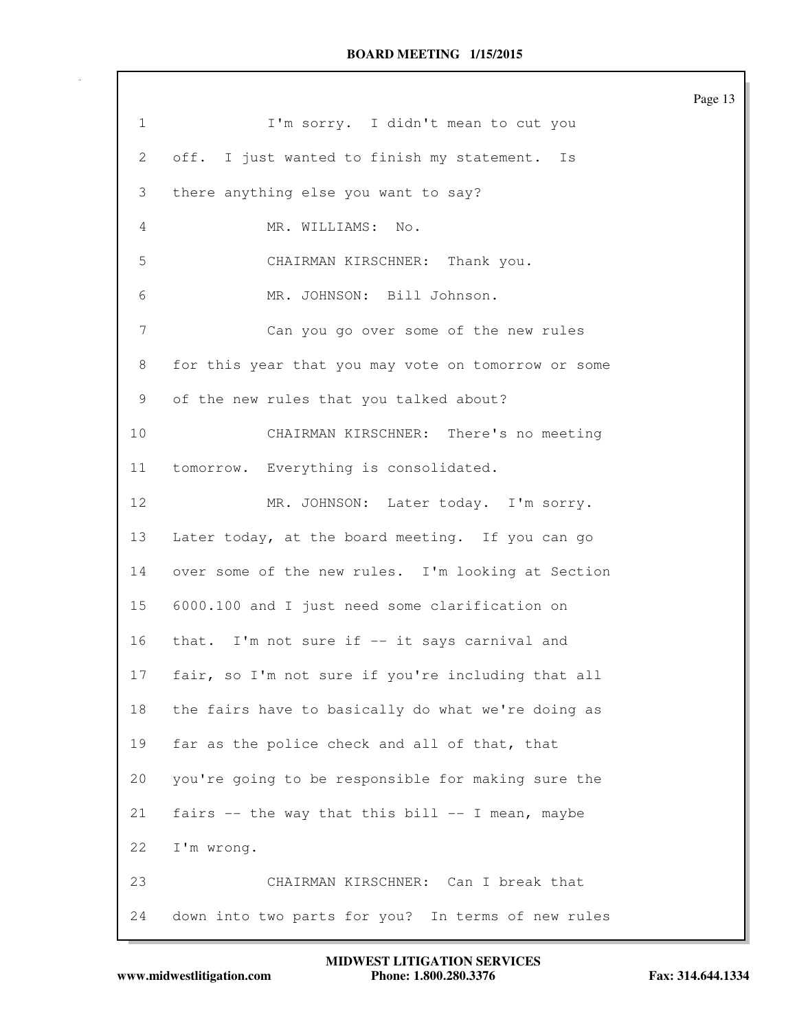|                   |                                                     | Page 13 |
|-------------------|-----------------------------------------------------|---------|
| $\mathbf{1}$      | I'm sorry. I didn't mean to cut you                 |         |
| 2                 | off. I just wanted to finish my statement. Is       |         |
| 3                 | there anything else you want to say?                |         |
| 4                 | MR. WILLIAMS: No.                                   |         |
| 5                 | CHAIRMAN KIRSCHNER: Thank you.                      |         |
| 6                 | MR. JOHNSON: Bill Johnson.                          |         |
| 7                 | Can you go over some of the new rules               |         |
| 8                 | for this year that you may vote on tomorrow or some |         |
| 9                 | of the new rules that you talked about?             |         |
| 10                | CHAIRMAN KIRSCHNER: There's no meeting              |         |
| 11                | tomorrow. Everything is consolidated.               |         |
| $12 \overline{ }$ | MR. JOHNSON: Later today. I'm sorry.                |         |
| 13                | Later today, at the board meeting. If you can go    |         |
| 14                | over some of the new rules. I'm looking at Section  |         |
| 15                | 6000.100 and I just need some clarification on      |         |
| 16                | that. I'm not sure if -- it says carnival and       |         |
| 17                | fair, so I'm not sure if you're including that all  |         |
| 18                | the fairs have to basically do what we're doing as  |         |
| 19                | far as the police check and all of that, that       |         |
| 20                | you're going to be responsible for making sure the  |         |
| 21                | fairs -- the way that this bill -- I mean, maybe    |         |
| 22                | I'm wrong.                                          |         |
| 23                | CHAIRMAN KIRSCHNER: Can I break that                |         |
| 24                | down into two parts for you? In terms of new rules  |         |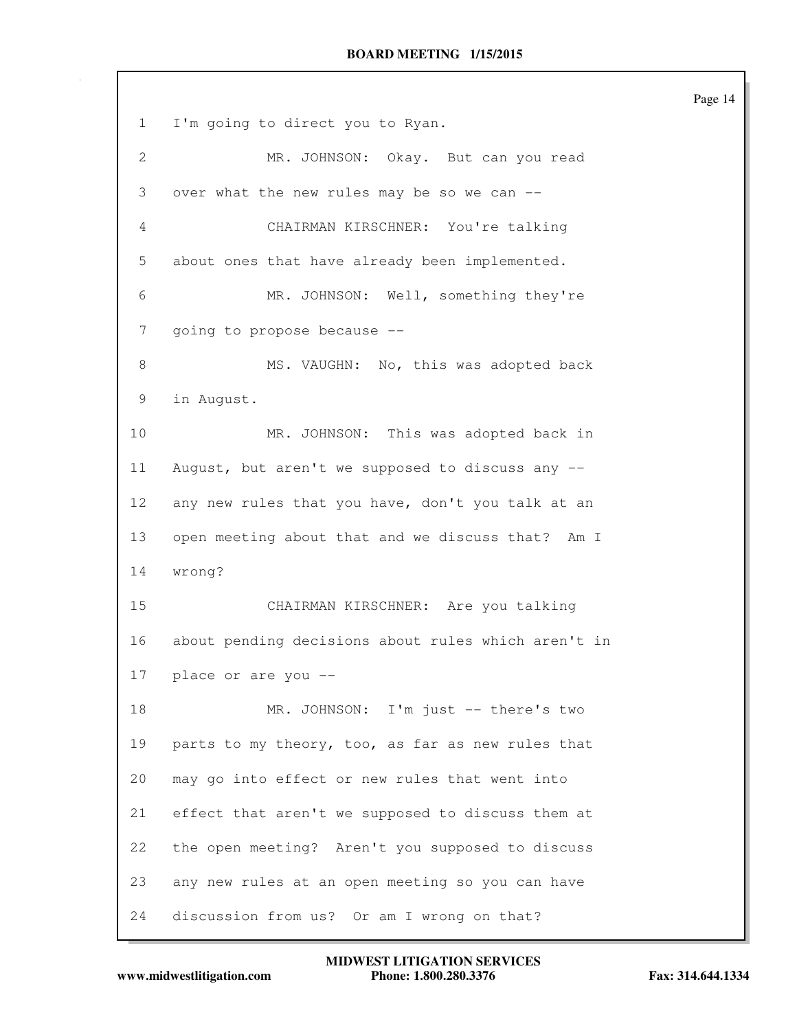Page 14 1 I'm going to direct you to Ryan. 2 MR. JOHNSON: Okay. But can you read 3 over what the new rules may be so we can -- 4 CHAIRMAN KIRSCHNER: You're talking 5 about ones that have already been implemented. 6 MR. JOHNSON: Well, something they're 7 going to propose because -- 8 MS. VAUGHN: No, this was adopted back 9 in August. 10 MR. JOHNSON: This was adopted back in 11 August, but aren't we supposed to discuss any -- 12 any new rules that you have, don't you talk at an 13 open meeting about that and we discuss that? Am I 14 wrong? 15 CHAIRMAN KIRSCHNER: Are you talking 16 about pending decisions about rules which aren't in 17 place or are you -- 18 MR. JOHNSON: I'm just -- there's two 19 parts to my theory, too, as far as new rules that 20 may go into effect or new rules that went into 21 effect that aren't we supposed to discuss them at 22 the open meeting? Aren't you supposed to discuss 23 any new rules at an open meeting so you can have 24 discussion from us? Or am I wrong on that?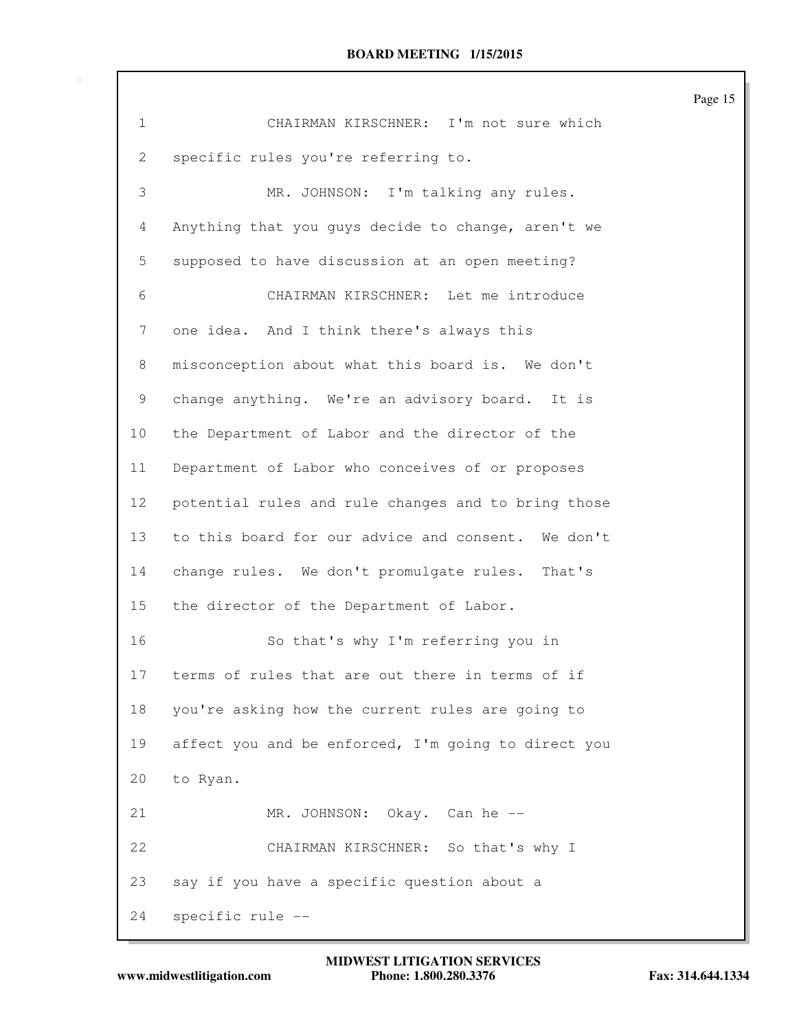| $\mathbf 1$     | CHAIRMAN KIRSCHNER: I'm not sure which              |
|-----------------|-----------------------------------------------------|
| $\overline{2}$  | specific rules you're referring to.                 |
| 3               | MR. JOHNSON: I'm talking any rules.                 |
| 4               | Anything that you guys decide to change, aren't we  |
| 5               | supposed to have discussion at an open meeting?     |
| 6               | CHAIRMAN KIRSCHNER: Let me introduce                |
| $7\phantom{.}$  | one idea. And I think there's always this           |
| 8               | misconception about what this board is. We don't    |
| 9               | change anything. We're an advisory board. It is     |
| 10              | the Department of Labor and the director of the     |
| 11              | Department of Labor who conceives of or proposes    |
| 12 <sup>°</sup> | potential rules and rule changes and to bring those |
| 13              | to this board for our advice and consent. We don't  |
| 14              | change rules. We don't promulgate rules. That's     |
| 15              | the director of the Department of Labor.            |
| 16              | So that's why I'm referring you in                  |
| 17              | terms of rules that are out there in terms of if    |
| 18              | you're asking how the current rules are going to    |
| 19              | affect you and be enforced, I'm going to direct you |
| 20              | to Ryan.                                            |
| 21              | MR. JOHNSON: Okay. Can he --                        |
| 22              | CHAIRMAN KIRSCHNER: So that's why I                 |
| 23              | say if you have a specific question about a         |
| 24              | specific rule --                                    |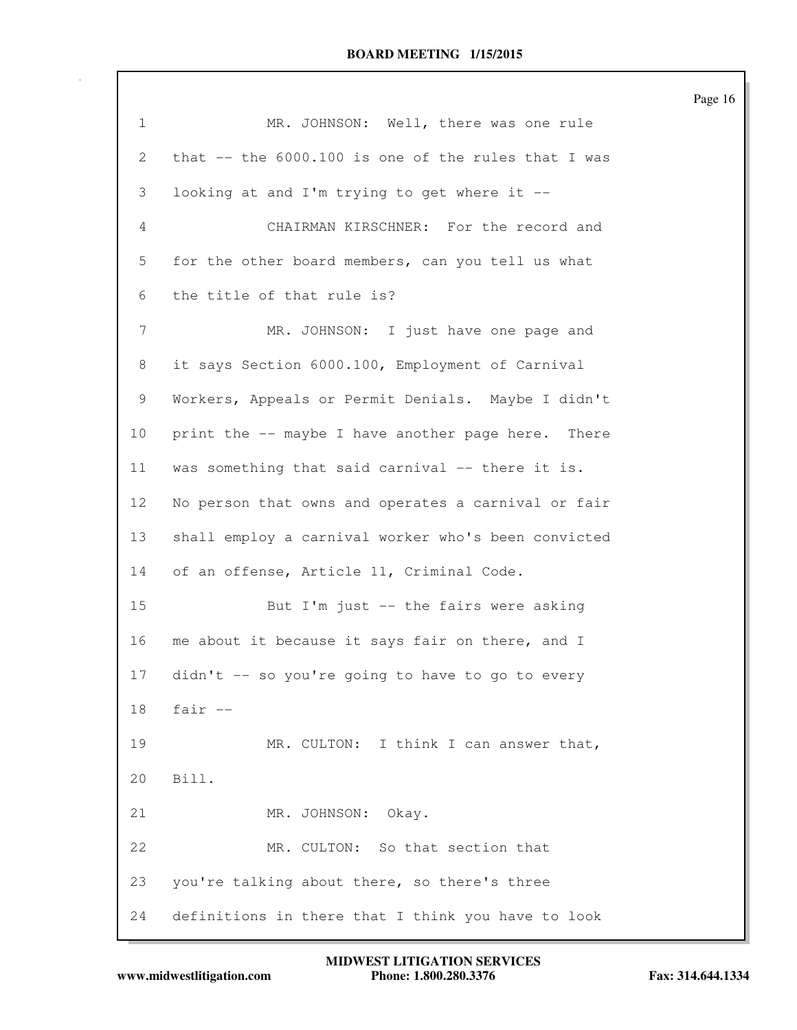| $\mathbf 1$    | MR. JOHNSON: Well, there was one rule               |
|----------------|-----------------------------------------------------|
| 2              | that -- the 6000.100 is one of the rules that I was |
| 3              | looking at and I'm trying to get where it --        |
| 4              | CHAIRMAN KIRSCHNER: For the record and              |
| 5              | for the other board members, can you tell us what   |
| 6              | the title of that rule is?                          |
| $\overline{7}$ | MR. JOHNSON: I just have one page and               |
| 8              | it says Section 6000.100, Employment of Carnival    |
| 9              | Workers, Appeals or Permit Denials. Maybe I didn't  |
| 10             | print the -- maybe I have another page here. There  |
| 11             | was something that said carnival -- there it is.    |
| 12             | No person that owns and operates a carnival or fair |
| 13             | shall employ a carnival worker who's been convicted |
| 14             | of an offense, Article 11, Criminal Code.           |
| 15             | But I'm just -- the fairs were asking               |
| 16             | me about it because it says fair on there, and I    |
| 17             | didn't -- so you're going to have to go to every    |
| 18             | fair $--$                                           |
| 19             | MR. CULTON: I think I can answer that,              |
| 20             | Bill.                                               |
| 21             | MR. JOHNSON: Okay.                                  |
| 22             | MR. CULTON: So that section that                    |
| 23             | you're talking about there, so there's three        |
| 24             | definitions in there that I think you have to look  |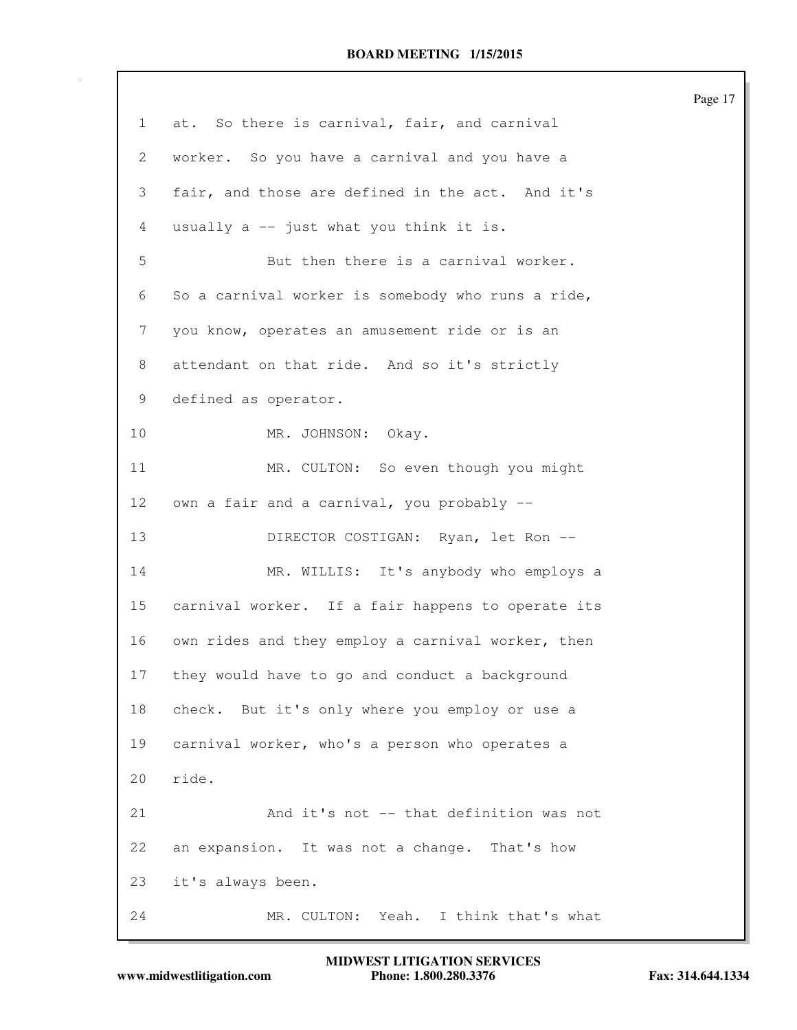|                |                                                   | Page 17 |
|----------------|---------------------------------------------------|---------|
| $\mathbf{1}$   | at. So there is carnival, fair, and carnival      |         |
| 2              | worker. So you have a carnival and you have a     |         |
| 3              | fair, and those are defined in the act. And it's  |         |
| $\overline{4}$ | usually a -- just what you think it is.           |         |
| 5              | But then there is a carnival worker.              |         |
| 6              | So a carnival worker is somebody who runs a ride, |         |
| 7              | you know, operates an amusement ride or is an     |         |
| 8              | attendant on that ride. And so it's strictly      |         |
| 9              | defined as operator.                              |         |
| 10             | MR. JOHNSON: Okay.                                |         |
| 11             | MR. CULTON: So even though you might              |         |
| 12             | own a fair and a carnival, you probably --        |         |
| 13             | DIRECTOR COSTIGAN: Ryan, let Ron --               |         |
| 14             | MR. WILLIS: It's anybody who employs a            |         |
| 15             | carnival worker. If a fair happens to operate its |         |
| 16             | own rides and they employ a carnival worker, then |         |
| 17             | they would have to go and conduct a background    |         |
| 18             | check. But it's only where you employ or use a    |         |
| 19             | carnival worker, who's a person who operates a    |         |
| 20             | ride.                                             |         |
| 21             | And it's not -- that definition was not           |         |
| 22             | an expansion. It was not a change. That's how     |         |
| 23             | it's always been.                                 |         |
| 24             | MR. CULTON: Yeah. I think that's what             |         |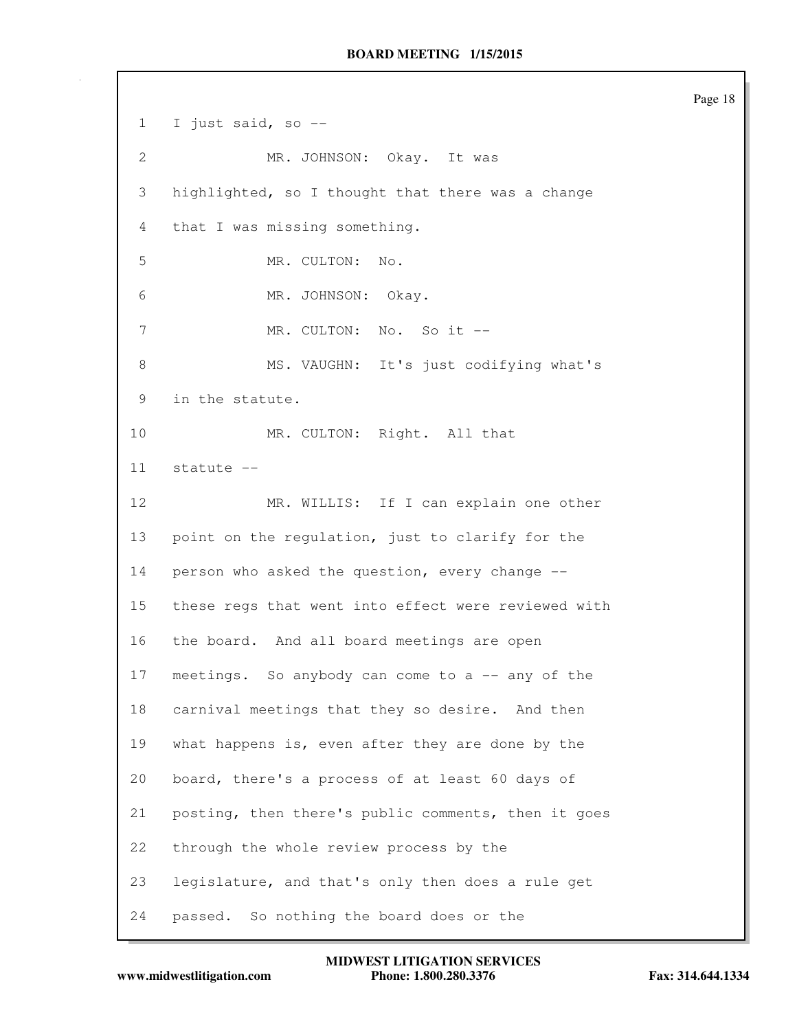1 I just said, so -- 2 MR. JOHNSON: Okay. It was 3 highlighted, so I thought that there was a change 4 that I was missing something. 5 MR. CULTON: No. 6 MR. JOHNSON: Okay. 7 MR. CULTON: No. So it --8 MS. VAUGHN: It's just codifying what's 9 in the statute. 10 MR. CULTON: Right. All that 11 statute -- 12 MR. WILLIS: If I can explain one other 13 point on the regulation, just to clarify for the 14 person who asked the question, every change -- 15 these regs that went into effect were reviewed with 16 the board. And all board meetings are open 17 meetings. So anybody can come to a -- any of the 18 carnival meetings that they so desire. And then 19 what happens is, even after they are done by the 20 board, there's a process of at least 60 days of 21 posting, then there's public comments, then it goes 22 through the whole review process by the 23 legislature, and that's only then does a rule get 24 passed. So nothing the board does or the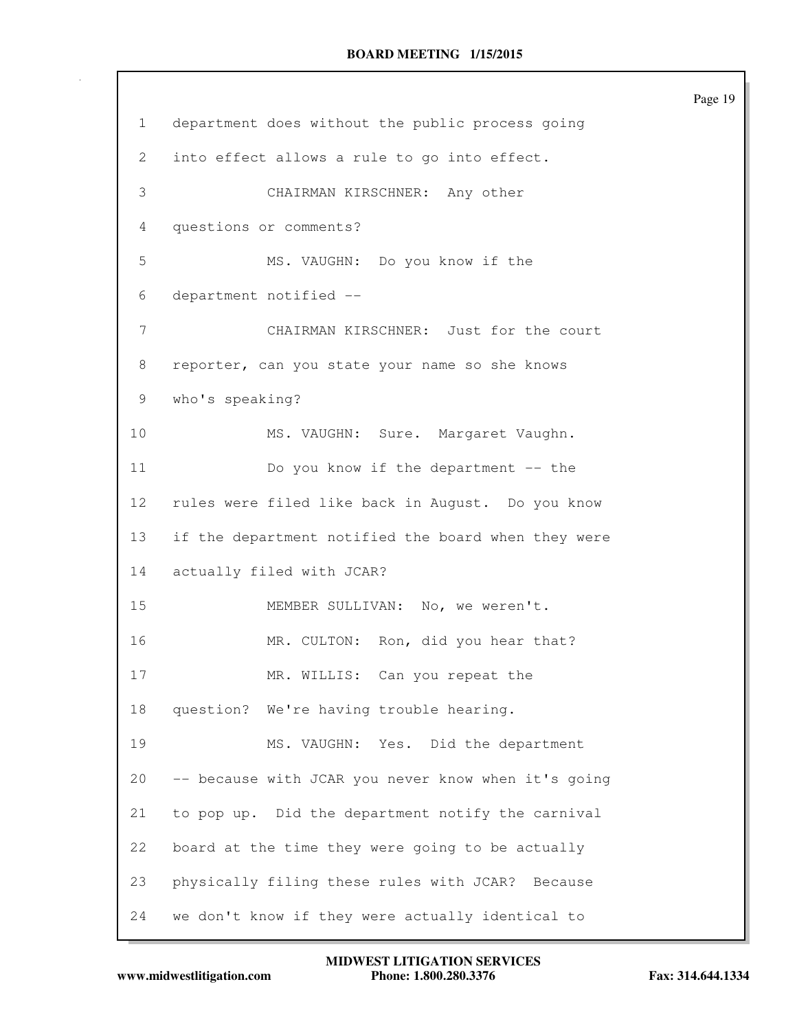|                 |                                                     | Page |
|-----------------|-----------------------------------------------------|------|
| $\mathbf{1}$    | department does without the public process going    |      |
| 2               | into effect allows a rule to go into effect.        |      |
| 3               | CHAIRMAN KIRSCHNER: Any other                       |      |
| 4               | questions or comments?                              |      |
| 5               | MS. VAUGHN: Do you know if the                      |      |
| 6               | department notified --                              |      |
| 7               | CHAIRMAN KIRSCHNER: Just for the court              |      |
| 8               | reporter, can you state your name so she knows      |      |
| 9               | who's speaking?                                     |      |
| 10              | MS. VAUGHN: Sure. Margaret Vaughn.                  |      |
| 11              | Do you know if the department -- the                |      |
| 12 <sup>°</sup> | rules were filed like back in August. Do you know   |      |
| 13              | if the department notified the board when they were |      |
| 14              | actually filed with JCAR?                           |      |
| 15              | MEMBER SULLIVAN: No, we weren't.                    |      |
| 16              | MR. CULTON: Ron, did you hear that?                 |      |
| 17              | MR. WILLIS: Can you repeat the                      |      |
| 18              | question? We're having trouble hearing.             |      |
| 19              | MS. VAUGHN: Yes. Did the department                 |      |
| 20              | -- because with JCAR you never know when it's going |      |
| 21              | to pop up. Did the department notify the carnival   |      |
| 22              | board at the time they were going to be actually    |      |
| 23              | physically filing these rules with JCAR? Because    |      |
| 24              | we don't know if they were actually identical to    |      |

19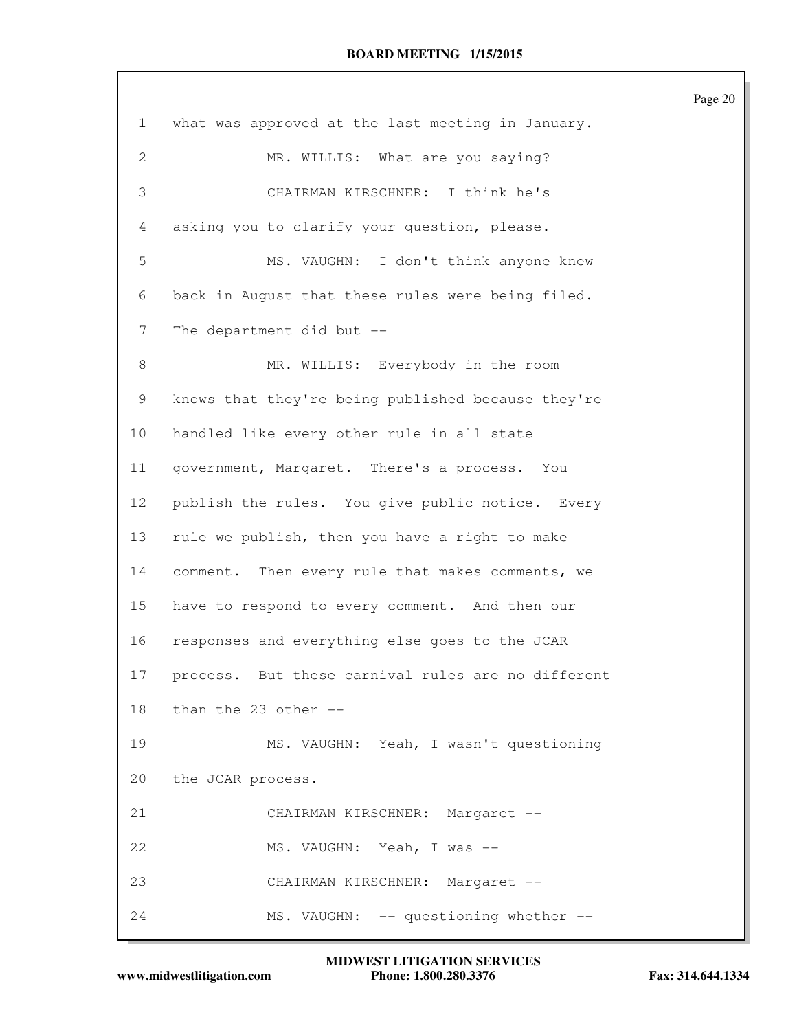| $\mathbf{1}$    | what was approved at the last meeting in January.  |
|-----------------|----------------------------------------------------|
| $\mathbf{2}$    | MR. WILLIS: What are you saying?                   |
| 3               | CHAIRMAN KIRSCHNER: I think he's                   |
| 4               | asking you to clarify your question, please.       |
| 5               | MS. VAUGHN: I don't think anyone knew              |
| 6               | back in August that these rules were being filed.  |
| 7               | The department did but --                          |
| $\,8\,$         | MR. WILLIS: Everybody in the room                  |
| 9               | knows that they're being published because they're |
| 10              | handled like every other rule in all state         |
| 11              | government, Margaret. There's a process. You       |
| 12 <sup>°</sup> | publish the rules. You give public notice. Every   |
| 13              | rule we publish, then you have a right to make     |
| 14              | comment. Then every rule that makes comments, we   |
| 15              | have to respond to every comment. And then our     |
| 16              | responses and everything else goes to the JCAR     |
| 17              | process. But these carnival rules are no different |
| 18              | than the 23 other $-$ -                            |
| 19              | MS. VAUGHN: Yeah, I wasn't questioning             |
| 20              | the JCAR process.                                  |
| 21              | CHAIRMAN KIRSCHNER: Margaret --                    |
| 22              | MS. VAUGHN: Yeah, I was --                         |
| 23              | CHAIRMAN KIRSCHNER: Margaret --                    |
| 24              | MS. VAUGHN: -- questioning whether --              |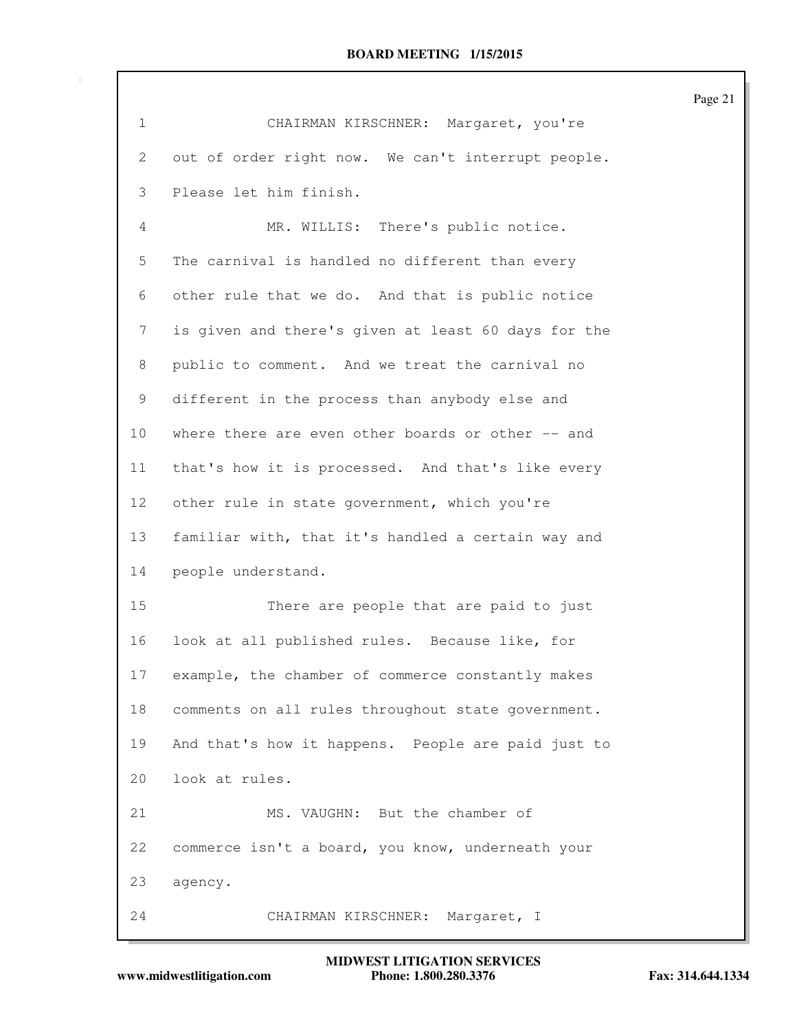| $\mathbf{1}$ | CHAIRMAN KIRSCHNER: Margaret, you're                |
|--------------|-----------------------------------------------------|
| 2            | out of order right now. We can't interrupt people.  |
| 3            | Please let him finish.                              |
| 4            | MR. WILLIS: There's public notice.                  |
| 5            | The carnival is handled no different than every     |
| 6            | other rule that we do. And that is public notice    |
| 7            | is given and there's given at least 60 days for the |
| 8            | public to comment. And we treat the carnival no     |
| 9            | different in the process than anybody else and      |
| 10           | where there are even other boards or other -- and   |
| 11           | that's how it is processed. And that's like every   |
| 12           | other rule in state government, which you're        |
| 13           | familiar with, that it's handled a certain way and  |
| 14           | people understand.                                  |
| 15           | There are people that are paid to just              |
| 16           | look at all published rules. Because like, for      |
| $17\,$       | example, the chamber of commerce constantly makes   |
| 18           | comments on all rules throughout state government.  |
| 19           | And that's how it happens. People are paid just to  |
| 20           | look at rules.                                      |
| 21           | MS. VAUGHN: But the chamber of                      |
| 22           | commerce isn't a board, you know, underneath your   |
| 23           | agency.                                             |
| 24           | CHAIRMAN KIRSCHNER: Margaret, I                     |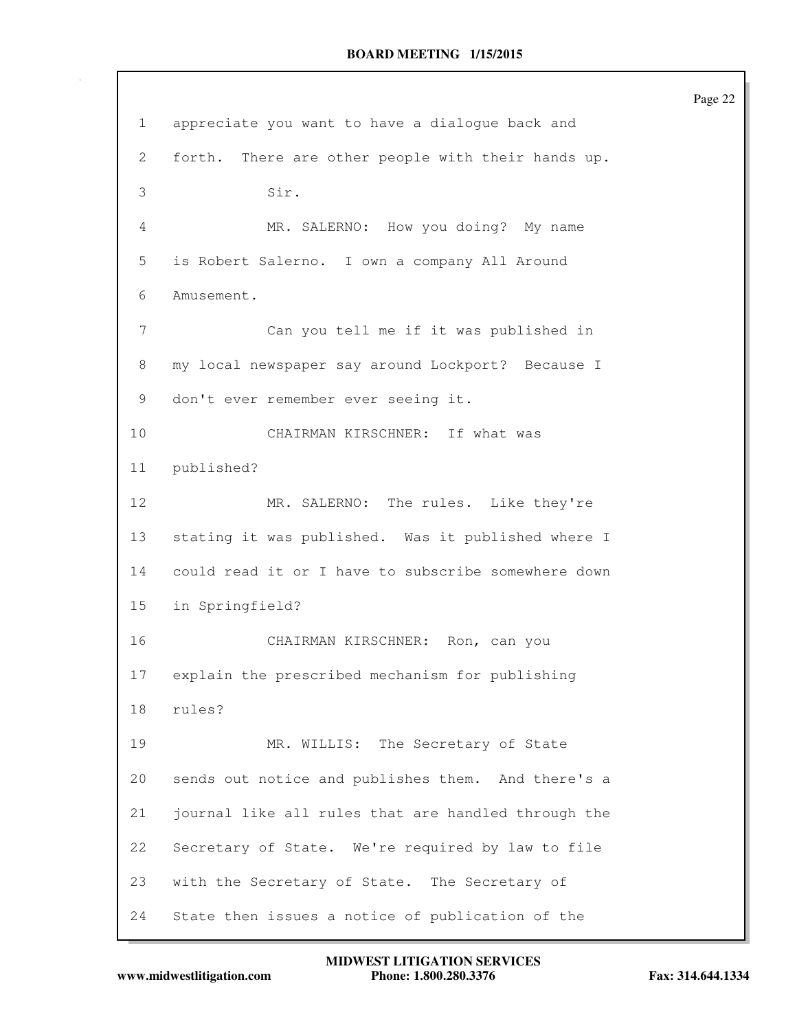1 appreciate you want to have a dialogue back and 2 forth. There are other people with their hands up. 3 Sir. 4 MR. SALERNO: How you doing? My name 5 is Robert Salerno. I own a company All Around 6 Amusement. 7 Can you tell me if it was published in 8 my local newspaper say around Lockport? Because I 9 don't ever remember ever seeing it. 10 CHAIRMAN KIRSCHNER: If what was 11 published? 12 MR. SALERNO: The rules. Like they're 13 stating it was published. Was it published where I 14 could read it or I have to subscribe somewhere down 15 in Springfield? 16 CHAIRMAN KIRSCHNER: Ron, can you 17 explain the prescribed mechanism for publishing 18 rules? 19 MR. WILLIS: The Secretary of State 20 sends out notice and publishes them. And there's a 21 journal like all rules that are handled through the 22 Secretary of State. We're required by law to file 23 with the Secretary of State. The Secretary of 24 State then issues a notice of publication of the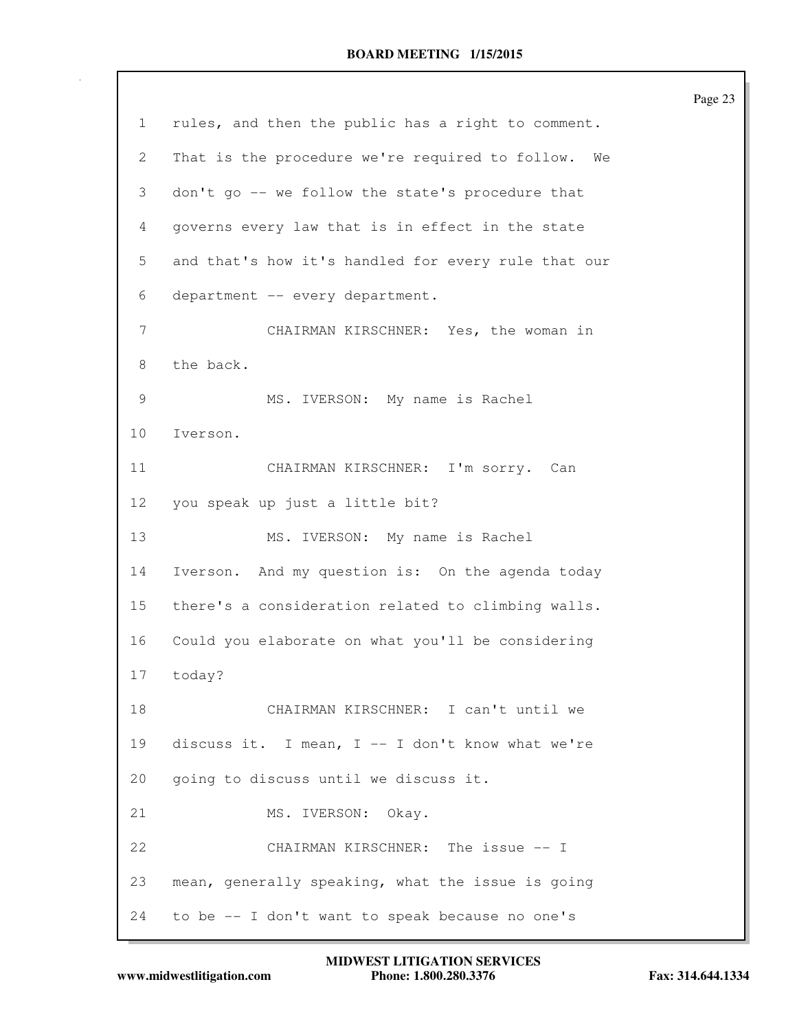|                 | Page 23                                             |
|-----------------|-----------------------------------------------------|
| $\mathbf{1}$    | rules, and then the public has a right to comment.  |
| 2               | That is the procedure we're required to follow. We  |
| 3               | don't go -- we follow the state's procedure that    |
| 4               | governs every law that is in effect in the state    |
| 5               | and that's how it's handled for every rule that our |
| 6               | department -- every department.                     |
| 7               | CHAIRMAN KIRSCHNER: Yes, the woman in               |
| 8               | the back.                                           |
| 9               | MS. IVERSON: My name is Rachel                      |
| 10 <sub>o</sub> | Iverson.                                            |
| 11              | CHAIRMAN KIRSCHNER: I'm sorry. Can                  |
| 12              | you speak up just a little bit?                     |
| 13              | MS. IVERSON: My name is Rachel                      |
| 14              | Iverson. And my question is: On the agenda today    |
| 15              | there's a consideration related to climbing walls.  |
| 16              | Could you elaborate on what you'll be considering   |
| 17              | today?                                              |
| 18              | CHAIRMAN KIRSCHNER: I can't until we                |
| 19              | discuss it. I mean, I -- I don't know what we're    |
| 20              | going to discuss until we discuss it.               |
| 21              | MS. IVERSON: Okay.                                  |
| 22              | CHAIRMAN KIRSCHNER: The issue -- I                  |
| 23              | mean, generally speaking, what the issue is going   |
| 24              | to be -- I don't want to speak because no one's     |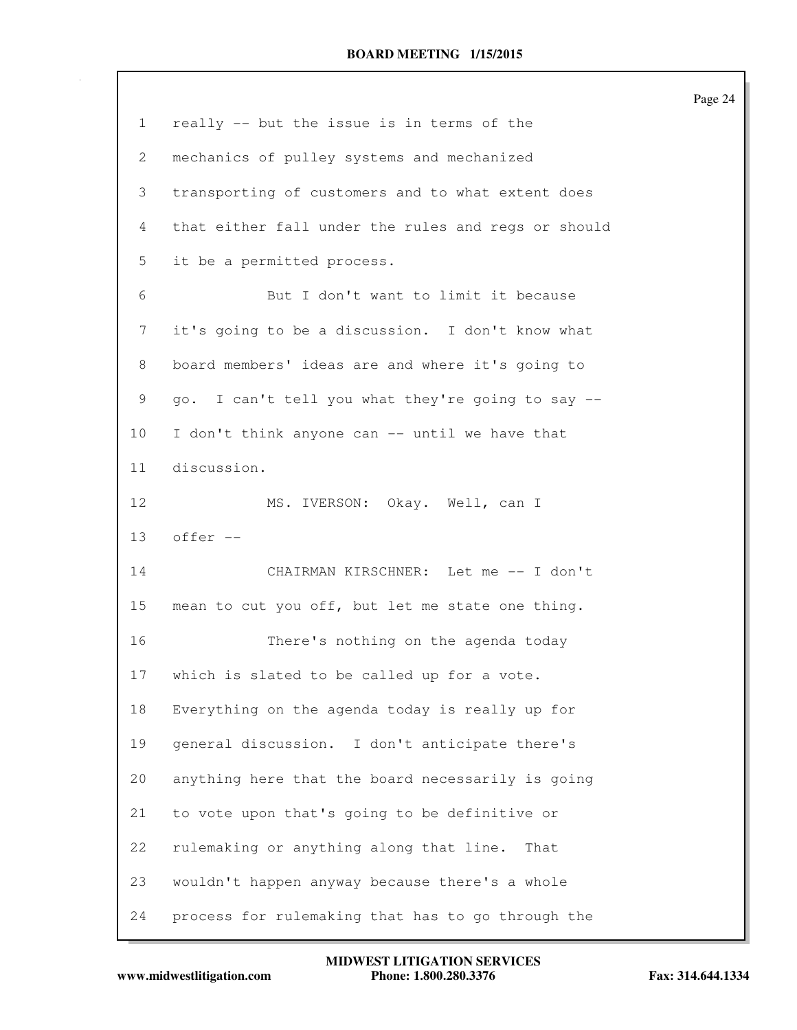|              |                                                     | Page 24 |
|--------------|-----------------------------------------------------|---------|
| $\mathbf{1}$ | really -- but the issue is in terms of the          |         |
| 2            | mechanics of pulley systems and mechanized          |         |
| 3            | transporting of customers and to what extent does   |         |
| 4            | that either fall under the rules and regs or should |         |
| 5            | it be a permitted process.                          |         |
| 6            | But I don't want to limit it because                |         |
| 7            | it's going to be a discussion. I don't know what    |         |
| 8            | board members' ideas are and where it's going to    |         |
| 9            | go. I can't tell you what they're going to say --   |         |
| 10           | I don't think anyone can -- until we have that      |         |
| 11           | discussion.                                         |         |
| 12           | MS. IVERSON: Okay. Well, can I                      |         |
| 13           | offer --                                            |         |
| 14           | CHAIRMAN KIRSCHNER: Let me -- I don't               |         |
| 15           | mean to cut you off, but let me state one thing.    |         |
| 16           | There's nothing on the agenda today                 |         |
| 17           | which is slated to be called up for a vote.         |         |
| 18           | Everything on the agenda today is really up for     |         |
| 19           | general discussion. I don't anticipate there's      |         |
| 20           | anything here that the board necessarily is going   |         |
| 21           | to vote upon that's going to be definitive or       |         |
| 22           | rulemaking or anything along that line.<br>That     |         |
| 23           | wouldn't happen anyway because there's a whole      |         |
| 24           | process for rulemaking that has to go through the   |         |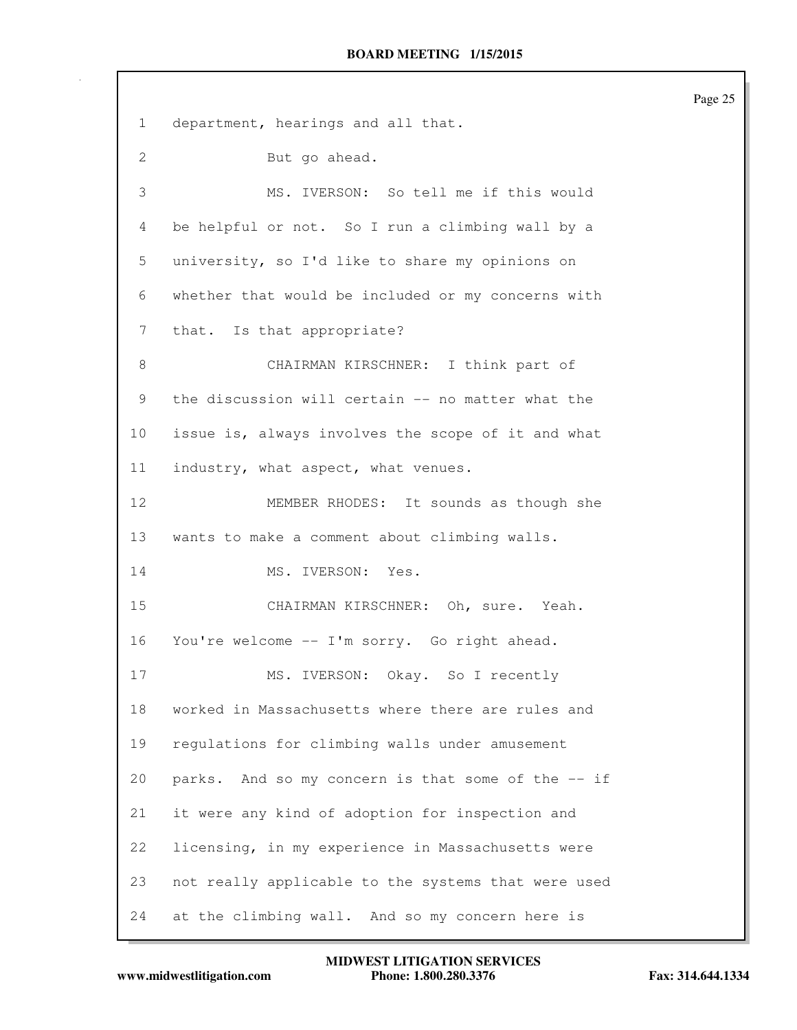1 department, hearings and all that. 2 But go ahead. 3 MS. IVERSON: So tell me if this would 4 be helpful or not. So I run a climbing wall by a 5 university, so I'd like to share my opinions on 6 whether that would be included or my concerns with 7 that. Is that appropriate? 8 CHAIRMAN KIRSCHNER: I think part of 9 the discussion will certain -- no matter what the 10 issue is, always involves the scope of it and what 11 industry, what aspect, what venues. 12 MEMBER RHODES: It sounds as though she 13 wants to make a comment about climbing walls. 14 MS. IVERSON: Yes. 15 CHAIRMAN KIRSCHNER: Oh, sure. Yeah. 16 You're welcome -- I'm sorry. Go right ahead. 17 MS. IVERSON: Okay. So I recently 18 worked in Massachusetts where there are rules and 19 regulations for climbing walls under amusement 20 parks. And so my concern is that some of the -- if 21 it were any kind of adoption for inspection and 22 licensing, in my experience in Massachusetts were 23 not really applicable to the systems that were used 24 at the climbing wall. And so my concern here is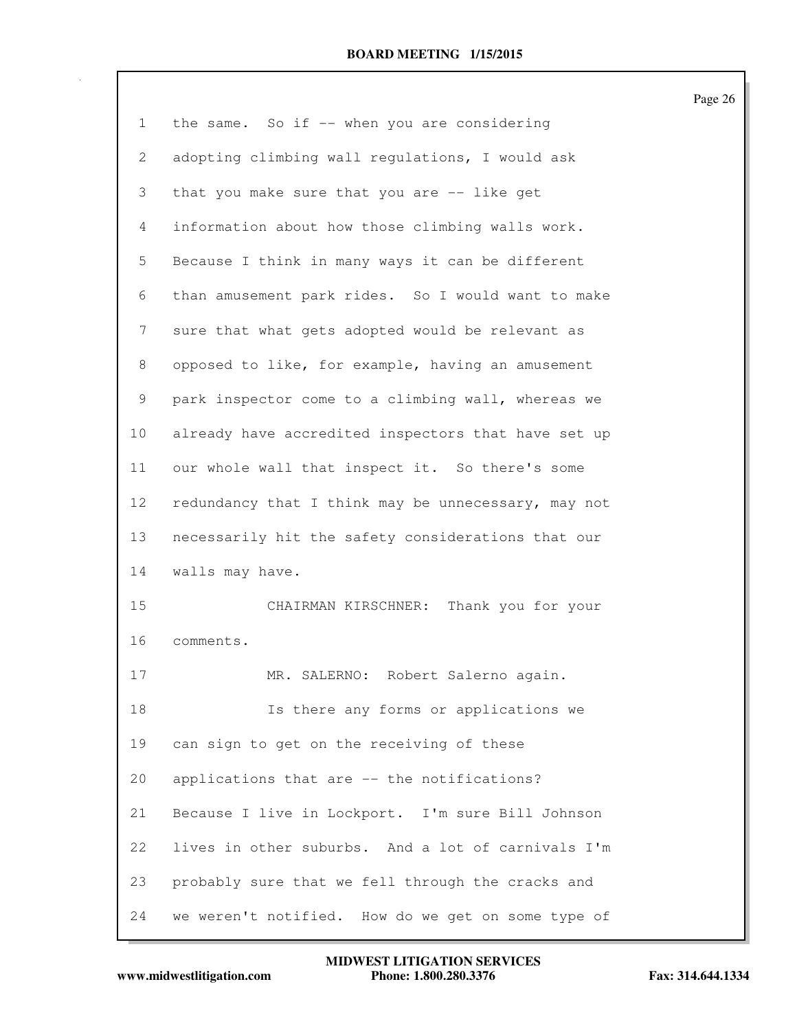1 the same. So if -- when you are considering 2 adopting climbing wall regulations, I would ask 3 that you make sure that you are -- like get 4 information about how those climbing walls work. 5 Because I think in many ways it can be different 6 than amusement park rides. So I would want to make 7 sure that what gets adopted would be relevant as 8 opposed to like, for example, having an amusement 9 park inspector come to a climbing wall, whereas we 10 already have accredited inspectors that have set up 11 our whole wall that inspect it. So there's some 12 redundancy that I think may be unnecessary, may not 13 necessarily hit the safety considerations that our 14 walls may have. 15 CHAIRMAN KIRSCHNER: Thank you for your 16 comments. 17 MR. SALERNO: Robert Salerno again. 18 Is there any forms or applications we 19 can sign to get on the receiving of these 20 applications that are -- the notifications? 21 Because I live in Lockport. I'm sure Bill Johnson 22 lives in other suburbs. And a lot of carnivals I'm 23 probably sure that we fell through the cracks and 24 we weren't notified. How do we get on some type of

**www.midwestlitigation.com Phone: 1.800.280.3376 Fax: 314.644.1334 MIDWEST LITIGATION SERVICES**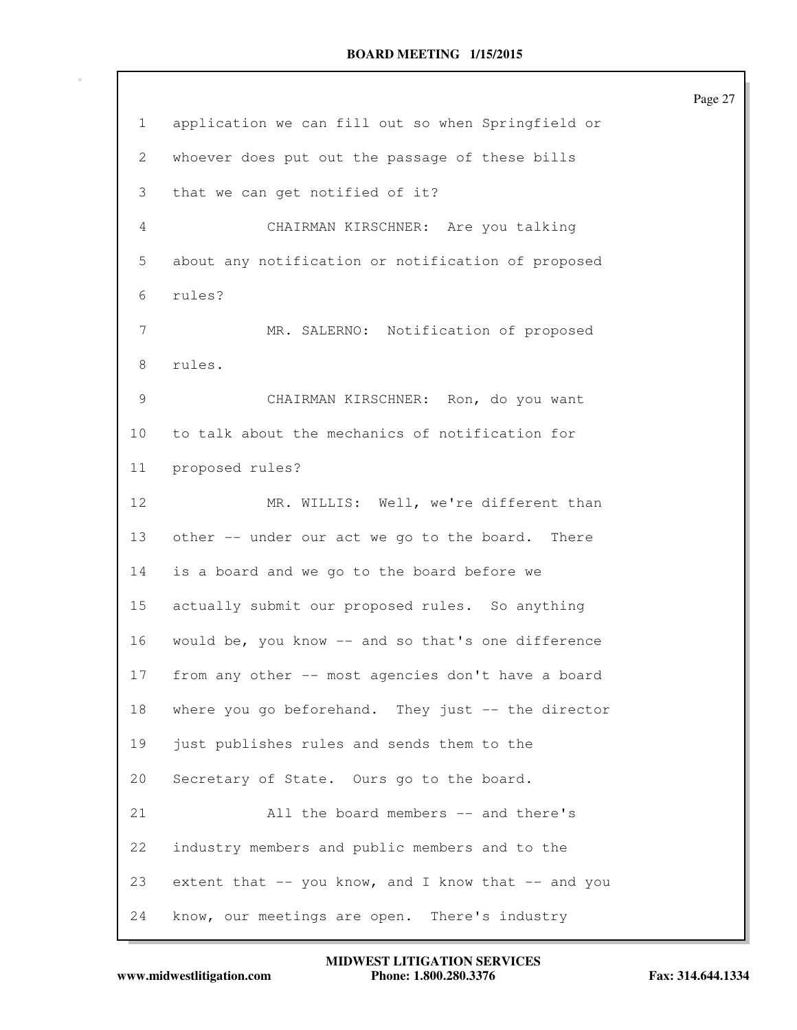| $\mathbf 1$ | application we can fill out so when Springfield or  |
|-------------|-----------------------------------------------------|
| 2           | whoever does put out the passage of these bills     |
| 3           | that we can get notified of it?                     |
| 4           | CHAIRMAN KIRSCHNER: Are you talking                 |
| 5           | about any notification or notification of proposed  |
| 6           | rules?                                              |
| 7           | MR. SALERNO: Notification of proposed               |
| 8           | rules.                                              |
| 9           | CHAIRMAN KIRSCHNER: Ron, do you want                |
| 10          | to talk about the mechanics of notification for     |
| 11          | proposed rules?                                     |
| 12          | MR. WILLIS: Well, we're different than              |
| 13          | other -- under our act we go to the board. There    |
| 14          | is a board and we go to the board before we         |
| 15          | actually submit our proposed rules. So anything     |
| 16          | would be, you know -- and so that's one difference  |
| $17\,$      | from any other -- most agencies don't have a board  |
| 18          | where you go beforehand. They just -- the director  |
| 19          | just publishes rules and sends them to the          |
| 20          | Secretary of State. Ours go to the board.           |
| 21          | All the board members -- and there's                |
| 22          | industry members and public members and to the      |
| 23          | extent that -- you know, and I know that -- and you |
| 24          | know, our meetings are open.<br>There's industry    |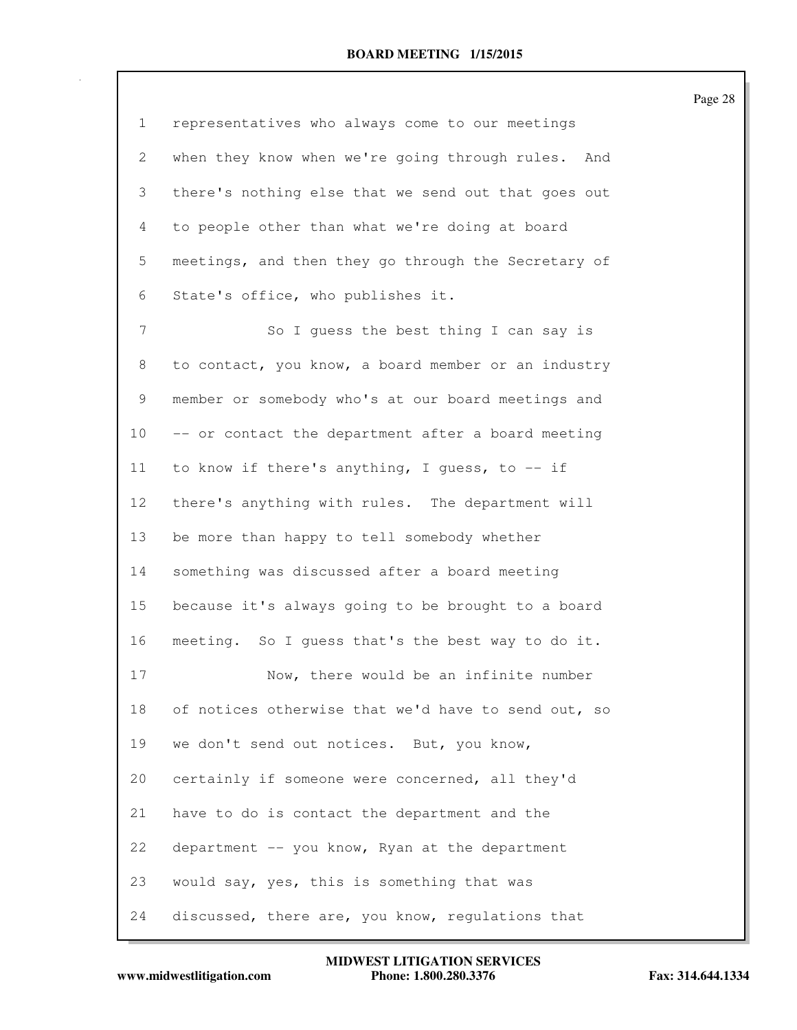| $\mathbf{1}$   | representatives who always come to our meetings     |
|----------------|-----------------------------------------------------|
| 2              | when they know when we're going through rules. And  |
| 3              | there's nothing else that we send out that goes out |
| 4              | to people other than what we're doing at board      |
| 5              | meetings, and then they go through the Secretary of |
| 6              | State's office, who publishes it.                   |
| $\overline{7}$ | So I guess the best thing I can say is              |
| 8              | to contact, you know, a board member or an industry |
| 9              | member or somebody who's at our board meetings and  |
| 10             | -- or contact the department after a board meeting  |
| 11             | to know if there's anything, I quess, to $-$ if     |
| 12             | there's anything with rules. The department will    |
| 13             | be more than happy to tell somebody whether         |
| 14             | something was discussed after a board meeting       |
| 15             | because it's always going to be brought to a board  |
| 16             | meeting. So I quess that's the best way to do it.   |
| 17             | Now, there would be an infinite number              |
| 18             | of notices otherwise that we'd have to send out, so |
| 19             | we don't send out notices. But, you know,           |
| 20             | certainly if someone were concerned, all they'd     |
| 21             | have to do is contact the department and the        |
| 22             | department -- you know, Ryan at the department      |
| 23             | would say, yes, this is something that was          |
| 24             | discussed, there are, you know, regulations that    |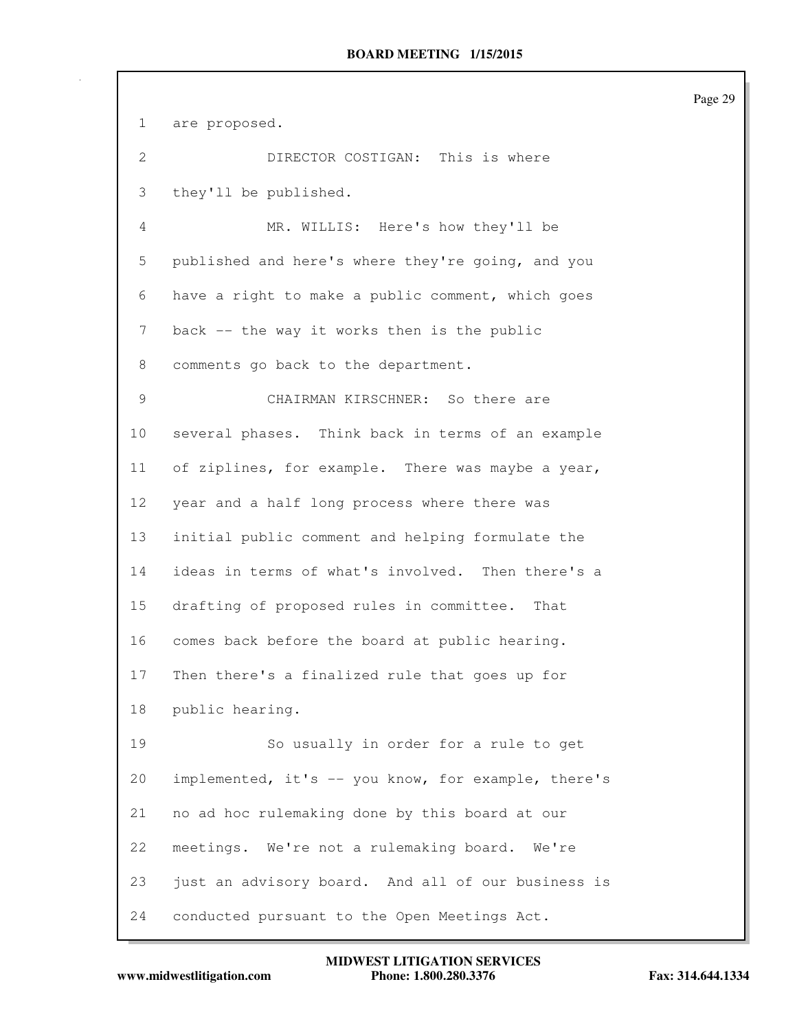1 are proposed. 2 DIRECTOR COSTIGAN: This is where 3 they'll be published. 4 MR. WILLIS: Here's how they'll be 5 published and here's where they're going, and you 6 have a right to make a public comment, which goes 7 back -- the way it works then is the public 8 comments go back to the department. 9 CHAIRMAN KIRSCHNER: So there are 10 several phases. Think back in terms of an example 11 of ziplines, for example. There was maybe a year, 12 year and a half long process where there was 13 initial public comment and helping formulate the 14 ideas in terms of what's involved. Then there's a 15 drafting of proposed rules in committee. That 16 comes back before the board at public hearing. 17 Then there's a finalized rule that goes up for 18 public hearing. 19 So usually in order for a rule to get 20 implemented, it's -- you know, for example, there's 21 no ad hoc rulemaking done by this board at our 22 meetings. We're not a rulemaking board. We're 23 just an advisory board. And all of our business is 24 conducted pursuant to the Open Meetings Act.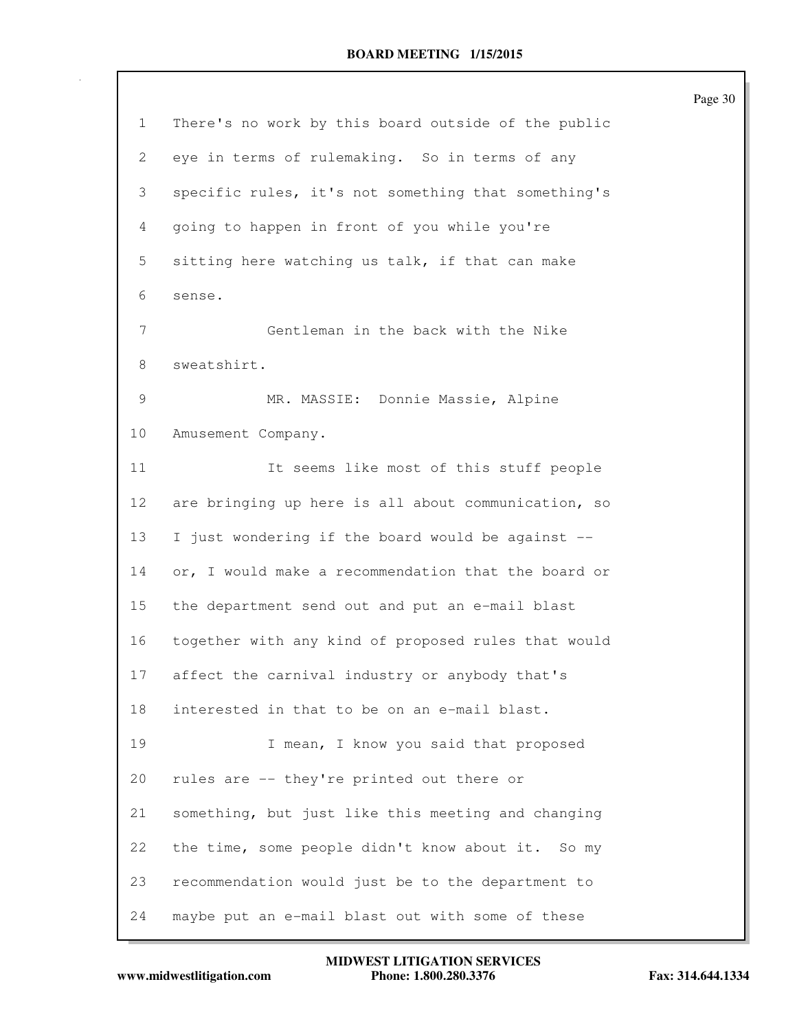|                |                                                     | Page 30 |
|----------------|-----------------------------------------------------|---------|
| $\mathbf{1}$   | There's no work by this board outside of the public |         |
| 2              | eye in terms of rulemaking. So in terms of any      |         |
| 3              | specific rules, it's not something that something's |         |
| $\overline{4}$ | going to happen in front of you while you're        |         |
| 5              | sitting here watching us talk, if that can make     |         |
| 6              | sense.                                              |         |
| 7              | Gentleman in the back with the Nike                 |         |
| 8              | sweatshirt.                                         |         |
| 9              | MR. MASSIE: Donnie Massie, Alpine                   |         |
| 10             | Amusement Company.                                  |         |
| 11             | It seems like most of this stuff people             |         |
| 12             | are bringing up here is all about communication, so |         |
| 13             | I just wondering if the board would be against --   |         |
| 14             | or, I would make a recommendation that the board or |         |
| 15             | the department send out and put an e-mail blast     |         |
| 16             | together with any kind of proposed rules that would |         |
| 17             | affect the carnival industry or anybody that's      |         |
| 18             | interested in that to be on an e-mail blast.        |         |
| 19             | I mean, I know you said that proposed               |         |
| 20             | rules are -- they're printed out there or           |         |
| 21             | something, but just like this meeting and changing  |         |
| 22             | the time, some people didn't know about it. So my   |         |
| 23             | recommendation would just be to the department to   |         |
| 24             | maybe put an e-mail blast out with some of these    |         |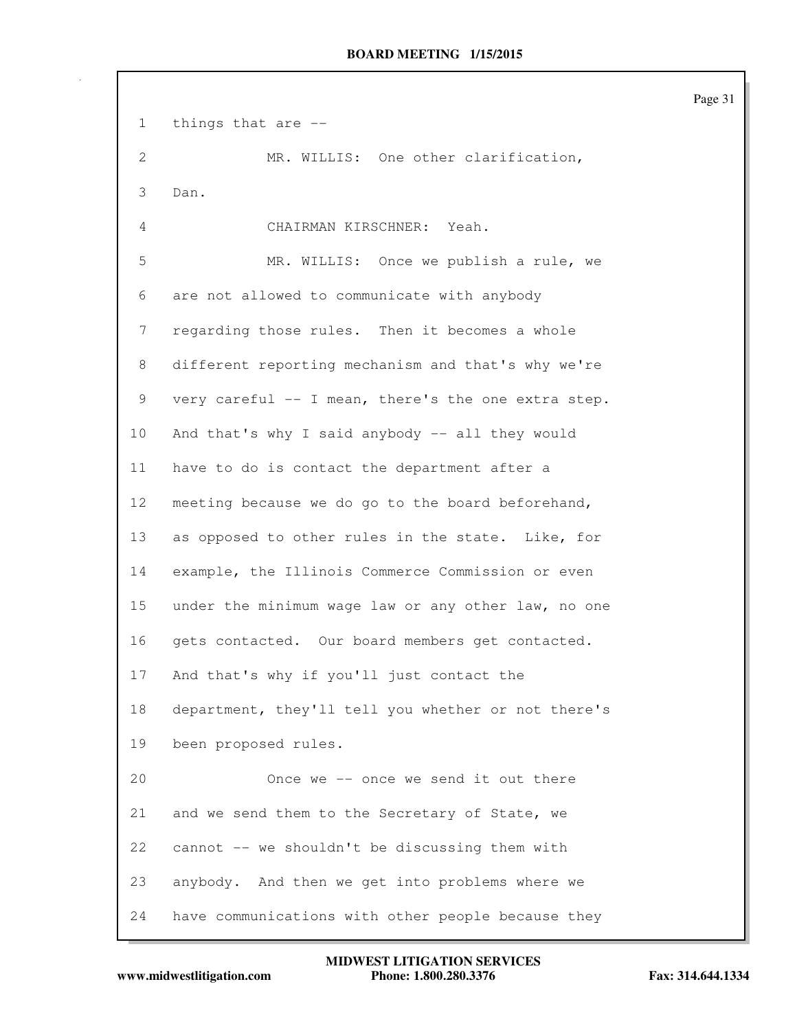1 things that are -- 2 MR. WILLIS: One other clarification, 3 Dan. 4 CHAIRMAN KIRSCHNER: Yeah. 5 MR. WILLIS: Once we publish a rule, we 6 are not allowed to communicate with anybody 7 regarding those rules. Then it becomes a whole 8 different reporting mechanism and that's why we're 9 very careful -- I mean, there's the one extra step. 10 And that's why I said anybody -- all they would 11 have to do is contact the department after a 12 meeting because we do go to the board beforehand, 13 as opposed to other rules in the state. Like, for 14 example, the Illinois Commerce Commission or even 15 under the minimum wage law or any other law, no one 16 gets contacted. Our board members get contacted. 17 And that's why if you'll just contact the 18 department, they'll tell you whether or not there's 19 been proposed rules. 20 Once we -- once we send it out there 21 and we send them to the Secretary of State, we 22 cannot -- we shouldn't be discussing them with 23 anybody. And then we get into problems where we 24 have communications with other people because they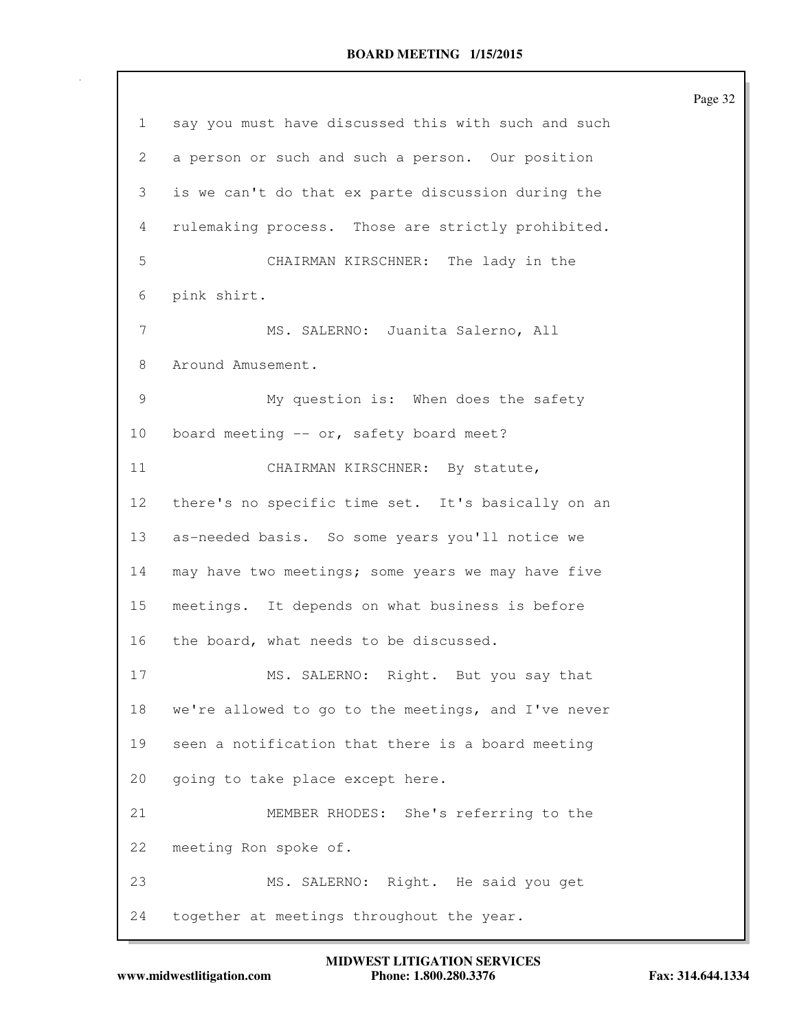|                |                                                     | Page 32 |
|----------------|-----------------------------------------------------|---------|
| $\mathbf{1}$   | say you must have discussed this with such and such |         |
| 2              | a person or such and such a person. Our position    |         |
| 3              | is we can't do that ex parte discussion during the  |         |
| 4              | rulemaking process. Those are strictly prohibited.  |         |
| 5              | CHAIRMAN KIRSCHNER: The lady in the                 |         |
| 6              | pink shirt.                                         |         |
| $\overline{7}$ | MS. SALERNO: Juanita Salerno, All                   |         |
| 8              | Around Amusement.                                   |         |
| 9              | My question is: When does the safety                |         |
| 10             | board meeting $--$ or, safety board meet?           |         |
| 11             | CHAIRMAN KIRSCHNER: By statute,                     |         |
| 12             | there's no specific time set. It's basically on an  |         |
| 13             | as-needed basis. So some years you'll notice we     |         |
| 14             | may have two meetings; some years we may have five  |         |
| 15             | meetings. It depends on what business is before     |         |
| 16             | the board, what needs to be discussed.              |         |
| 17             | MS. SALERNO: Right. But you say that                |         |
| 18             | we're allowed to go to the meetings, and I've never |         |
| 19             | seen a notification that there is a board meeting   |         |
| 20             | going to take place except here.                    |         |
| 21             | MEMBER RHODES: She's referring to the               |         |
| 22             | meeting Ron spoke of.                               |         |
| 23             | MS. SALERNO: Right. He said you get                 |         |
| 24             | together at meetings throughout the year.           |         |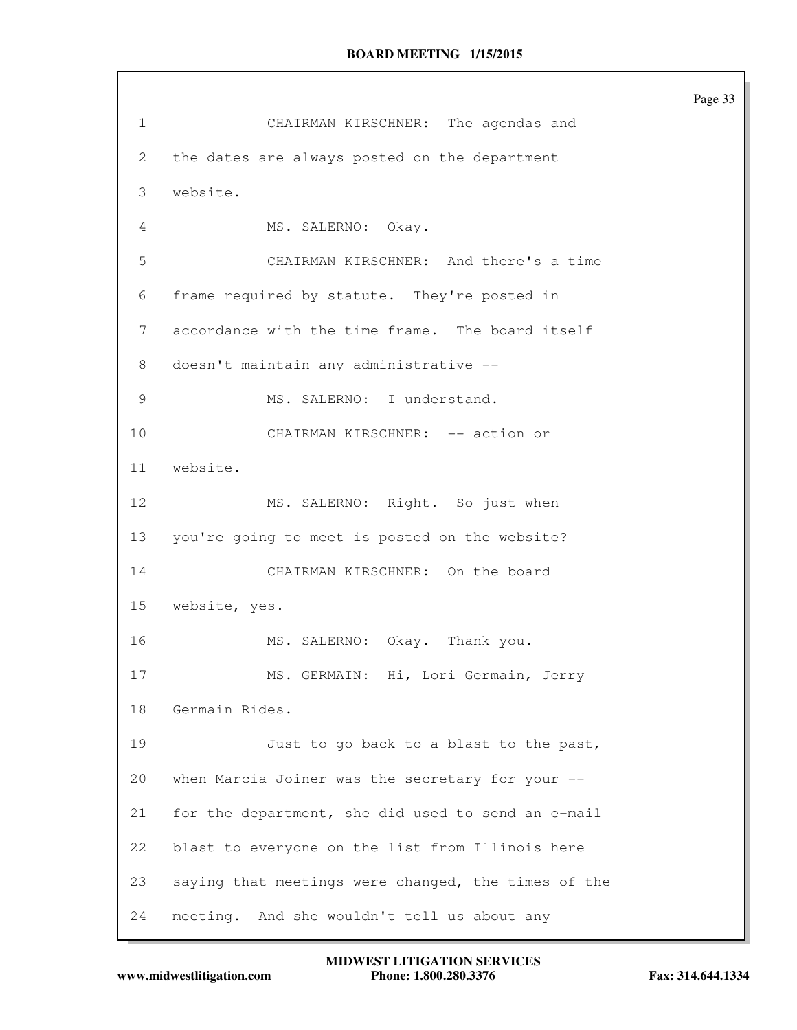Page 33 1 CHAIRMAN KIRSCHNER: The agendas and 2 the dates are always posted on the department 3 website. 4 MS. SALERNO: Okay. 5 CHAIRMAN KIRSCHNER: And there's a time 6 frame required by statute. They're posted in 7 accordance with the time frame. The board itself 8 doesn't maintain any administrative -- 9 MS. SALERNO: I understand. 10 CHAIRMAN KIRSCHNER: -- action or 11 website. 12 MS. SALERNO: Right. So just when 13 you're going to meet is posted on the website? 14 CHAIRMAN KIRSCHNER: On the board 15 website, yes. 16 MS. SALERNO: Okay. Thank you. 17 MS. GERMAIN: Hi, Lori Germain, Jerry 18 Germain Rides. 19 Just to go back to a blast to the past, 20 when Marcia Joiner was the secretary for your -- 21 for the department, she did used to send an e-mail 22 blast to everyone on the list from Illinois here 23 saying that meetings were changed, the times of the 24 meeting. And she wouldn't tell us about any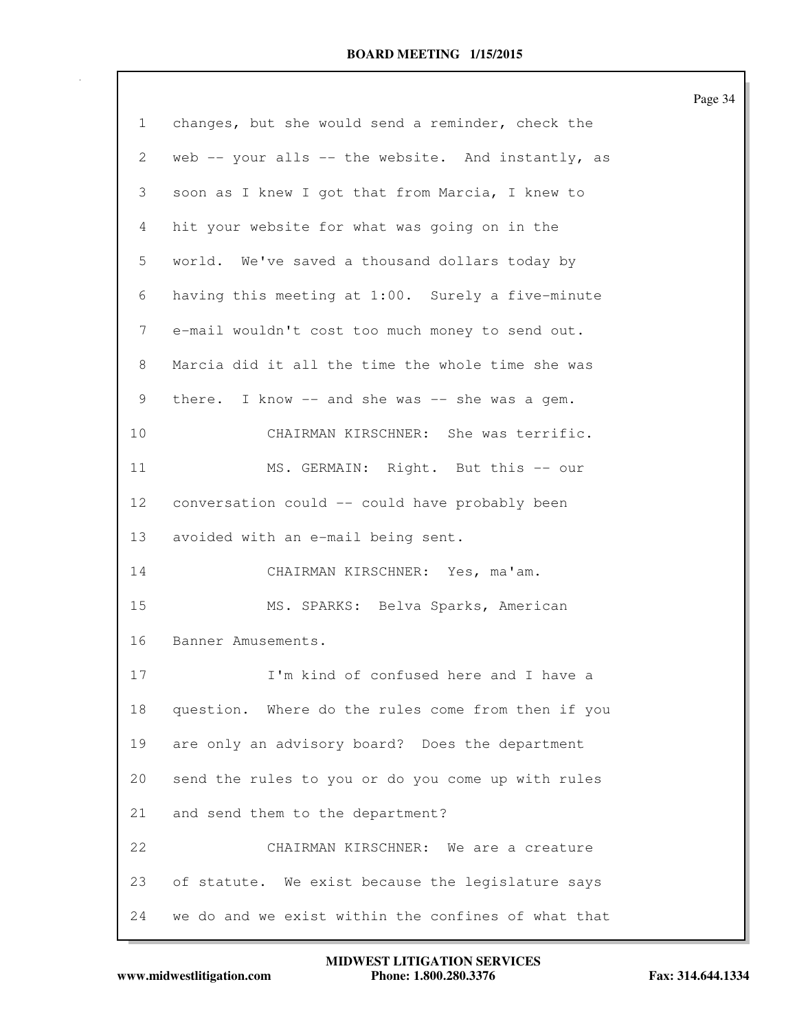|                 |                                                     | Page 34 |
|-----------------|-----------------------------------------------------|---------|
| $\mathbf{1}$    | changes, but she would send a reminder, check the   |         |
| $\mathbf{2}$    | web -- your alls -- the website. And instantly, as  |         |
| 3               | soon as I knew I got that from Marcia, I knew to    |         |
| 4               | hit your website for what was going on in the       |         |
| 5               | world. We've saved a thousand dollars today by      |         |
| 6               | having this meeting at 1:00. Surely a five-minute   |         |
| 7               | e-mail wouldn't cost too much money to send out.    |         |
| 8               | Marcia did it all the time the whole time she was   |         |
| 9               | there. I know $--$ and she was $--$ she was a gem.  |         |
| 10              | CHAIRMAN KIRSCHNER: She was terrific.               |         |
| 11              | MS. GERMAIN: Right. But this -- our                 |         |
| 12 <sup>°</sup> | conversation could -- could have probably been      |         |
| 13              | avoided with an e-mail being sent.                  |         |
| 14              | CHAIRMAN KIRSCHNER: Yes, ma'am.                     |         |
| 15              | MS. SPARKS: Belva Sparks, American                  |         |
| 16              | Banner Amusements.                                  |         |
| 17              | I'm kind of confused here and I have a              |         |
| 18              | question. Where do the rules come from then if you  |         |
| 19              | are only an advisory board? Does the department     |         |
| 20              | send the rules to you or do you come up with rules  |         |
| 21              | and send them to the department?                    |         |
| 22              | CHAIRMAN KIRSCHNER: We are a creature               |         |
| 23              | of statute. We exist because the legislature says   |         |
| 24              | we do and we exist within the confines of what that |         |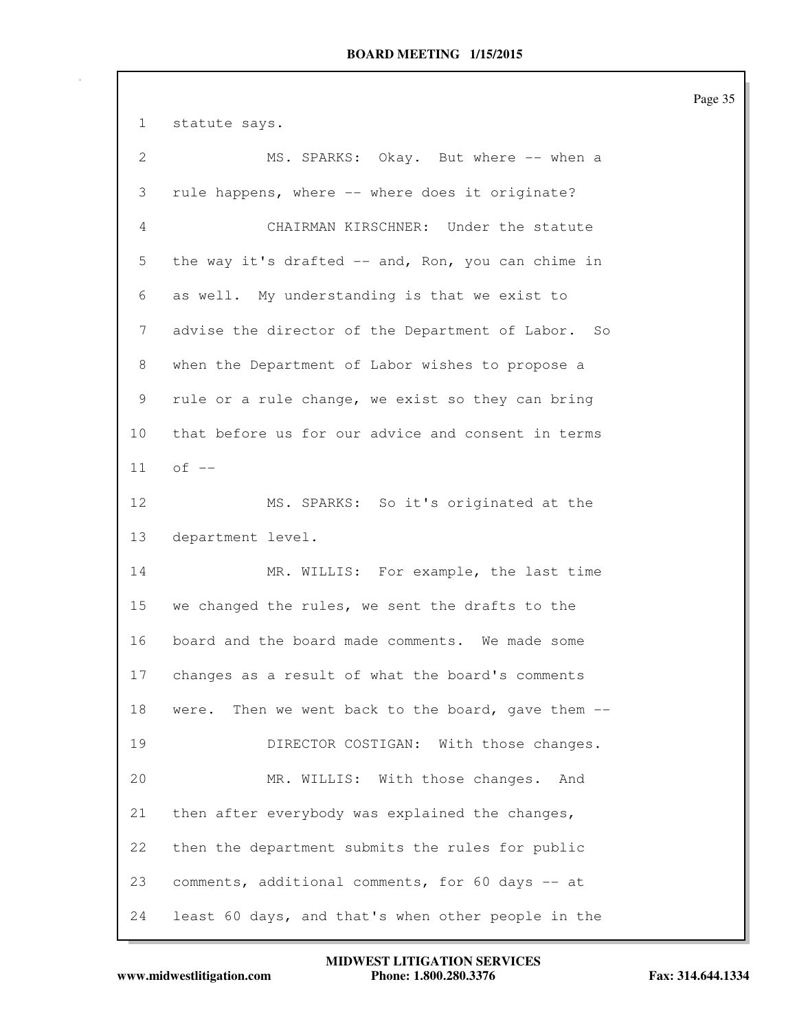1 statute says. 2 MS. SPARKS: Okay. But where -- when a 3 rule happens, where -- where does it originate? 4 CHAIRMAN KIRSCHNER: Under the statute 5 the way it's drafted -- and, Ron, you can chime in 6 as well. My understanding is that we exist to 7 advise the director of the Department of Labor. So 8 when the Department of Labor wishes to propose a 9 rule or a rule change, we exist so they can bring 10 that before us for our advice and consent in terms  $11$  of  $-$ 12 MS. SPARKS: So it's originated at the 13 department level. 14 MR. WILLIS: For example, the last time 15 we changed the rules, we sent the drafts to the 16 board and the board made comments. We made some 17 changes as a result of what the board's comments 18 were. Then we went back to the board, gave them -- 19 DIRECTOR COSTIGAN: With those changes. 20 MR. WILLIS: With those changes. And 21 then after everybody was explained the changes, 22 then the department submits the rules for public 23 comments, additional comments, for 60 days -- at 24 least 60 days, and that's when other people in the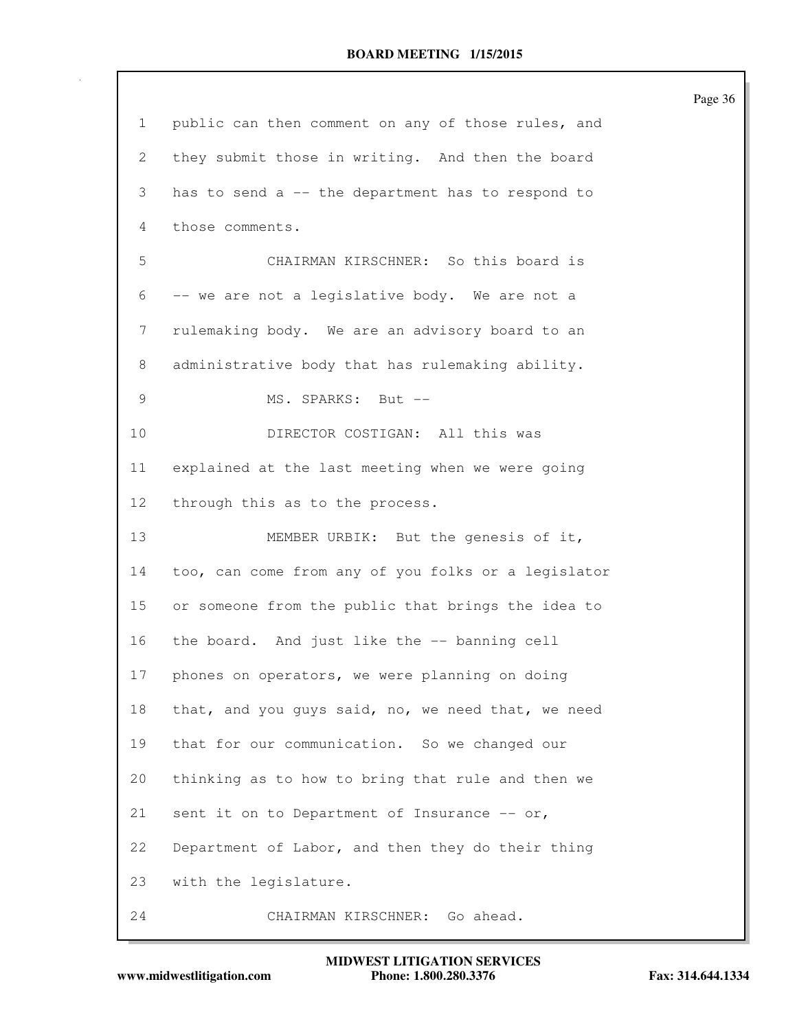| $\mathbf{1}$              | public can then comment on any of those rules, and  |
|---------------------------|-----------------------------------------------------|
| $\mathbf{2}^{\mathsf{I}}$ | they submit those in writing. And then the board    |
| 3                         | has to send a -- the department has to respond to   |
| 4                         | those comments.                                     |
| 5                         | CHAIRMAN KIRSCHNER: So this board is                |
| 6                         | -- we are not a legislative body. We are not a      |
| 7                         | rulemaking body. We are an advisory board to an     |
| 8                         | administrative body that has rulemaking ability.    |
| 9                         | MS. SPARKS: But --                                  |
| 10                        | DIRECTOR COSTIGAN: All this was                     |
| 11                        | explained at the last meeting when we were going    |
| 12 <sup>°</sup>           | through this as to the process.                     |
| 13                        | MEMBER URBIK: But the genesis of it,                |
| 14                        | too, can come from any of you folks or a legislator |
| 15                        | or someone from the public that brings the idea to  |
| 16                        | the board. And just like the -- banning cell        |
| 17                        | phones on operators, we were planning on doing      |
| 18                        | that, and you guys said, no, we need that, we need  |
| 19                        | that for our communication. So we changed our       |
| 20                        | thinking as to how to bring that rule and then we   |
| 21                        | sent it on to Department of Insurance $--$ or,      |
| 22                        | Department of Labor, and then they do their thing   |
| 23                        | with the legislature.                               |
| 24                        | CHAIRMAN KIRSCHNER: Go ahead.                       |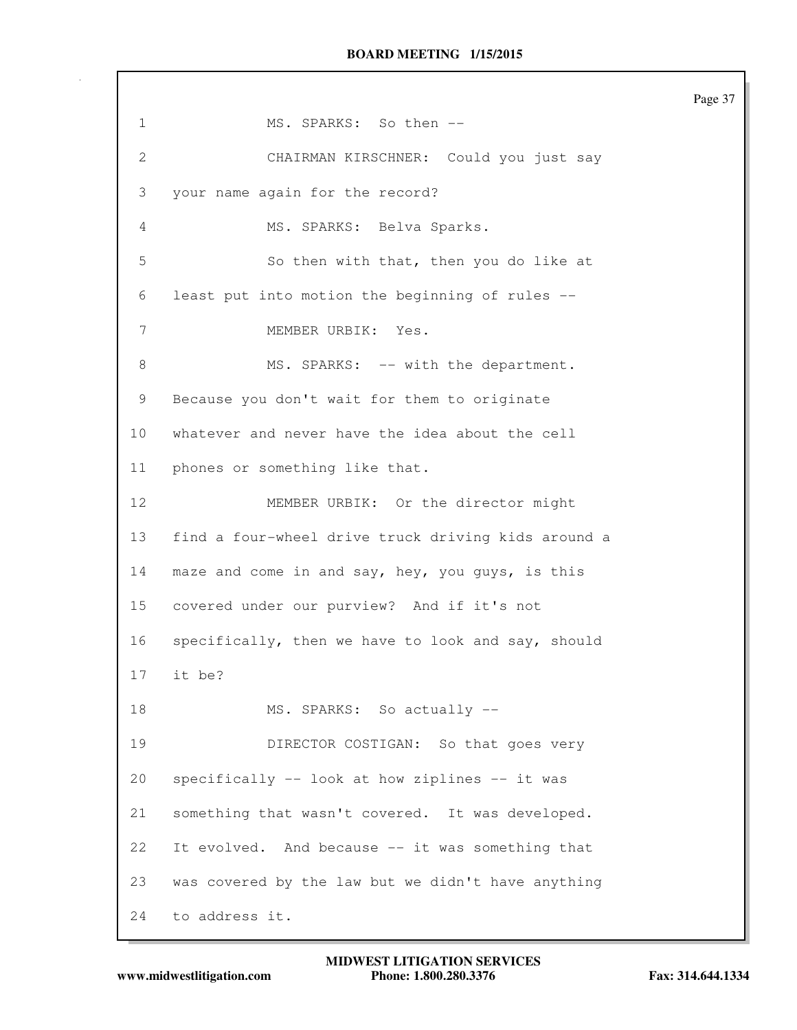1 MS. SPARKS: So then -- 2 CHAIRMAN KIRSCHNER: Could you just say 3 your name again for the record? 4 MS. SPARKS: Belva Sparks. 5 So then with that, then you do like at 6 least put into motion the beginning of rules -- 7 MEMBER URBIK: Yes. 8 MS. SPARKS: -- with the department. 9 Because you don't wait for them to originate 10 whatever and never have the idea about the cell 11 phones or something like that. 12 MEMBER URBIK: Or the director might 13 find a four-wheel drive truck driving kids around a 14 maze and come in and say, hey, you guys, is this 15 covered under our purview? And if it's not 16 specifically, then we have to look and say, should 17 it be? 18 MS. SPARKS: So actually --19 DIRECTOR COSTIGAN: So that goes very 20 specifically -- look at how ziplines -- it was 21 something that wasn't covered. It was developed. 22 It evolved. And because -- it was something that 23 was covered by the law but we didn't have anything 24 to address it.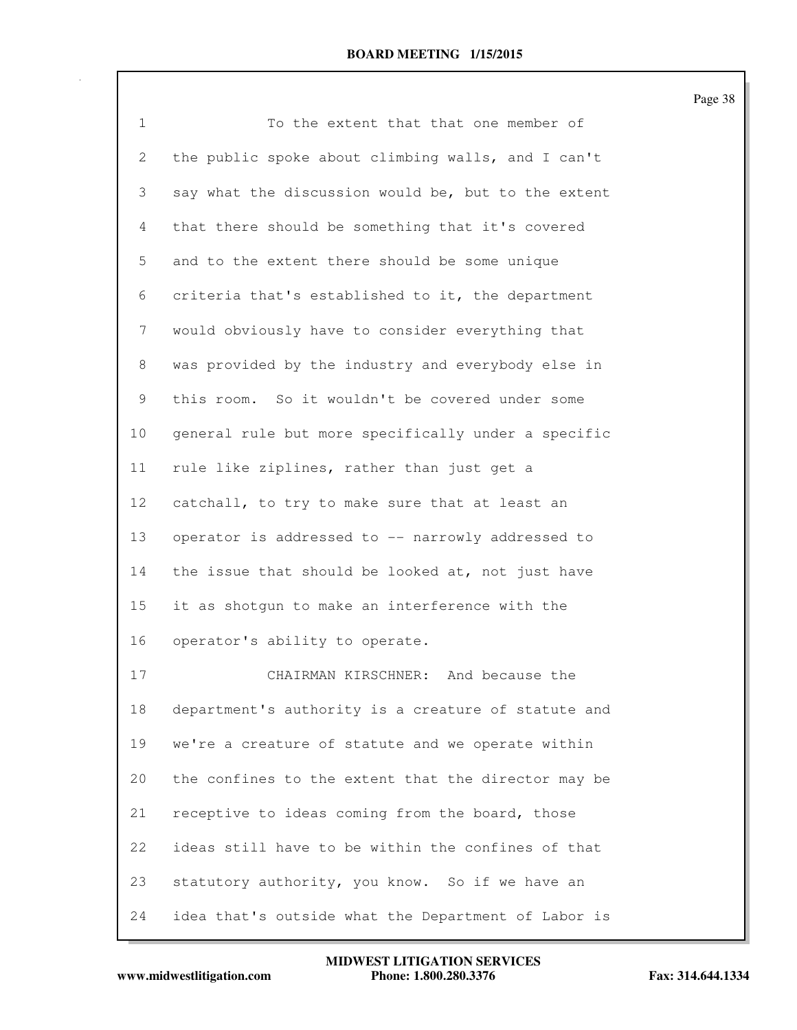| $\mathbf 1$ | To the extent that that one member of               |
|-------------|-----------------------------------------------------|
| 2           | the public spoke about climbing walls, and I can't  |
| 3           | say what the discussion would be, but to the extent |
| 4           | that there should be something that it's covered    |
| 5           | and to the extent there should be some unique       |
| 6           | criteria that's established to it, the department   |
| 7           | would obviously have to consider everything that    |
| 8           | was provided by the industry and everybody else in  |
| 9           | this room. So it wouldn't be covered under some     |
| 10          | general rule but more specifically under a specific |
| 11          | rule like ziplines, rather than just get a          |
| 12          | catchall, to try to make sure that at least an      |
| 13          | operator is addressed to -- narrowly addressed to   |
| 14          | the issue that should be looked at, not just have   |
| 15          | it as shotgun to make an interference with the      |
| 16          | operator's ability to operate.                      |
| 17          | CHAIRMAN KIRSCHNER:<br>And because the              |
| 18          | department's authority is a creature of statute and |
| 19          | we're a creature of statute and we operate within   |
| 20          | the confines to the extent that the director may be |
| 21          | receptive to ideas coming from the board, those     |
| 22          | ideas still have to be within the confines of that  |
| 23          | statutory authority, you know. So if we have an     |
| 24          | idea that's outside what the Department of Labor is |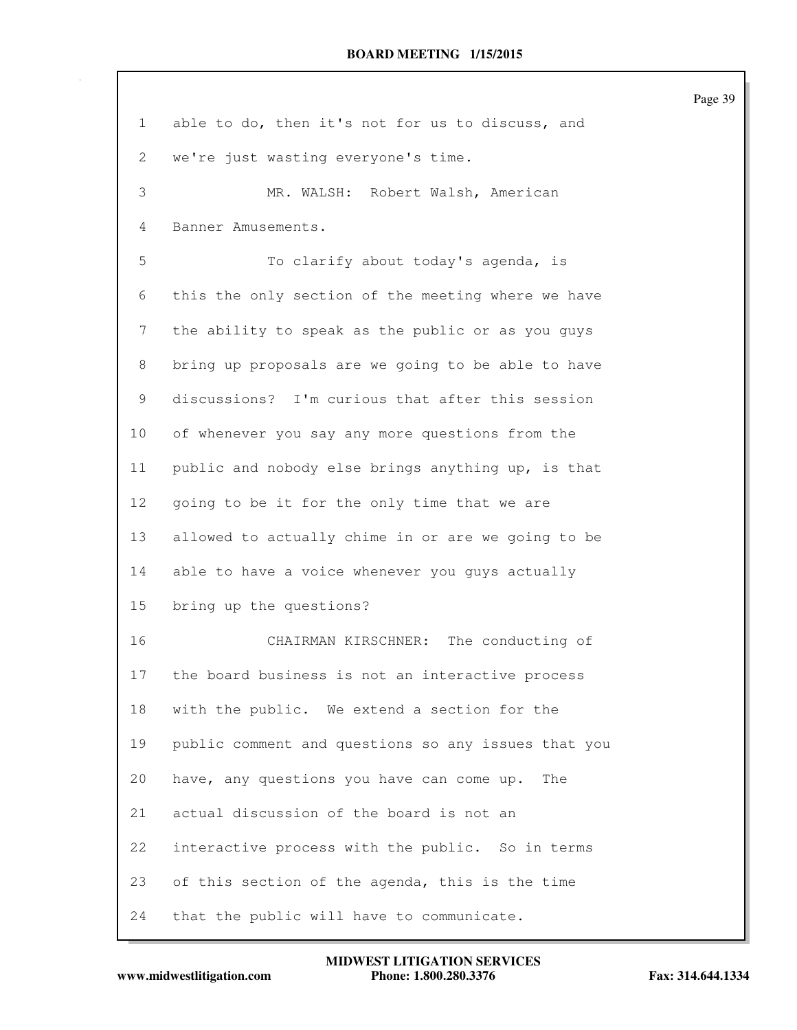| $\mathbf{1}$ | able to do, then it's not for us to discuss, and    |
|--------------|-----------------------------------------------------|
| 2            | we're just wasting everyone's time.                 |
| 3            | MR. WALSH: Robert Walsh, American                   |
| 4            | Banner Amusements.                                  |
| 5            | To clarify about today's agenda, is                 |
| 6            | this the only section of the meeting where we have  |
| 7            | the ability to speak as the public or as you guys   |
| 8            | bring up proposals are we going to be able to have  |
| 9            | discussions? I'm curious that after this session    |
| 10           | of whenever you say any more questions from the     |
| 11           | public and nobody else brings anything up, is that  |
| 12           | going to be it for the only time that we are        |
| 13           | allowed to actually chime in or are we going to be  |
| 14           | able to have a voice whenever you guys actually     |
| 15           | bring up the questions?                             |
| 16           | CHAIRMAN KIRSCHNER: The conducting of               |
| 17           | the board business is not an interactive process    |
| 18           | with the public. We extend a section for the        |
| 19           | public comment and questions so any issues that you |
| 20           | have, any questions you have can come up.<br>The    |
| 21           | actual discussion of the board is not an            |
| 22           | interactive process with the public. So in terms    |
| 23           | of this section of the agenda, this is the time     |
| 24           | that the public will have to communicate.           |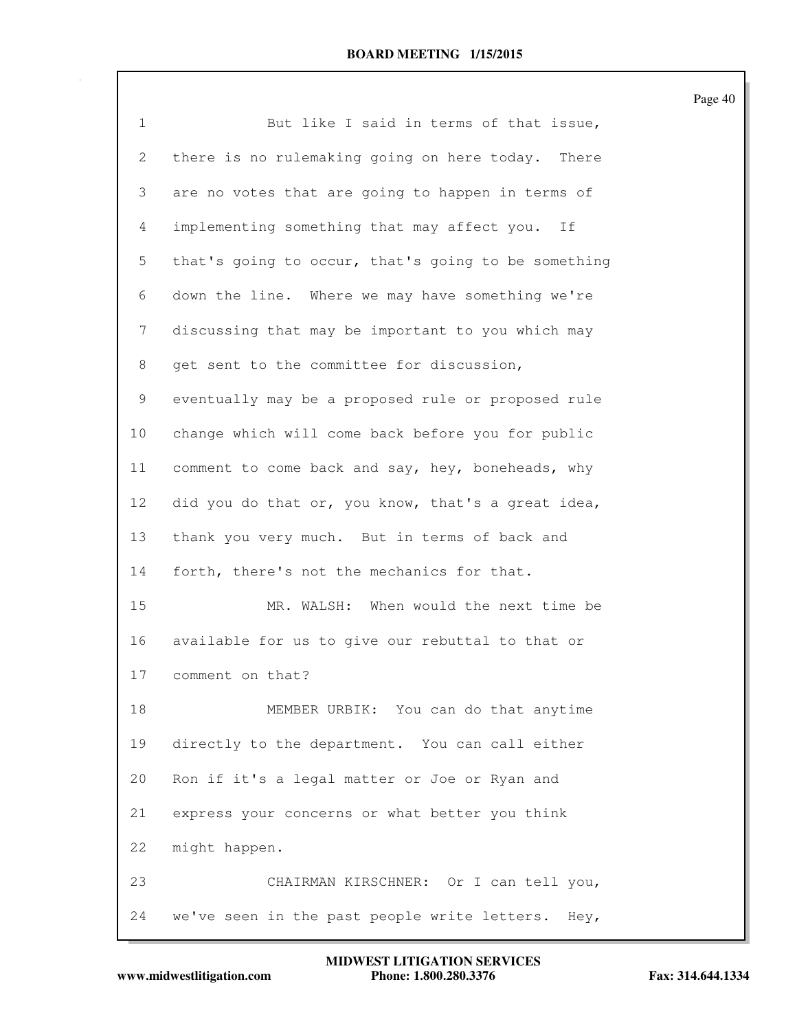| $\mathbf{1}$   | But like I said in terms of that issue,              |
|----------------|------------------------------------------------------|
| 2              | there is no rulemaking going on here today.<br>There |
| 3              | are no votes that are going to happen in terms of    |
| $\overline{4}$ | implementing something that may affect you.<br>If    |
| 5              | that's going to occur, that's going to be something  |
| 6              | down the line. Where we may have something we're     |
| 7              | discussing that may be important to you which may    |
| 8              | get sent to the committee for discussion,            |
| 9              | eventually may be a proposed rule or proposed rule   |
| 10             | change which will come back before you for public    |
| 11             | comment to come back and say, hey, boneheads, why    |
| 12             | did you do that or, you know, that's a great idea,   |
| 13             | thank you very much. But in terms of back and        |
| 14             | forth, there's not the mechanics for that.           |
| 15             | MR. WALSH: When would the next time be               |
| 16             | available for us to give our rebuttal to that or     |
| 17             | comment on that?                                     |
| 18             | MEMBER URBIK: You can do that anytime                |
| 19             | directly to the department. You can call either      |
| 20             | Ron if it's a legal matter or Joe or Ryan and        |
| 21             | express your concerns or what better you think       |
| 22             | might happen.                                        |
| 23             | CHAIRMAN KIRSCHNER: Or I can tell you,               |
| 24             | we've seen in the past people write letters. Hey,    |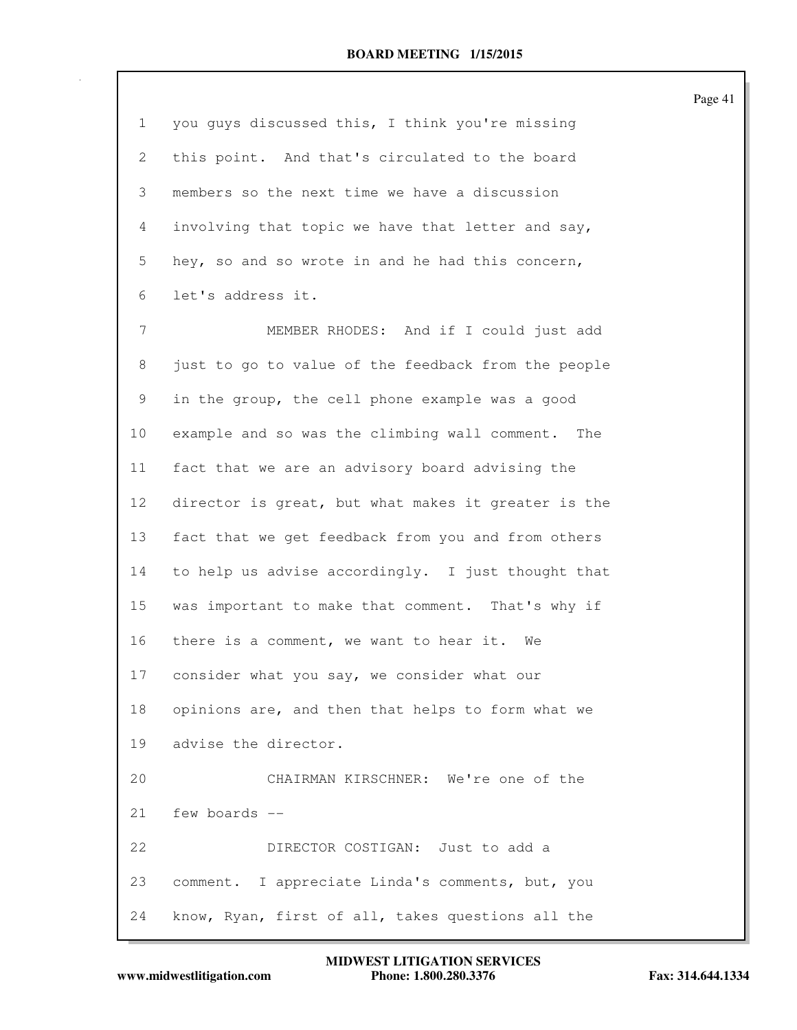| $\mathbf 1$ | you guys discussed this, I think you're missing     |
|-------------|-----------------------------------------------------|
| 2           | this point. And that's circulated to the board      |
| 3           | members so the next time we have a discussion       |
| 4           | involving that topic we have that letter and say,   |
| 5           | hey, so and so wrote in and he had this concern,    |
| 6           | let's address it.                                   |
| 7           | MEMBER RHODES: And if I could just add              |
| 8           | just to go to value of the feedback from the people |
| 9           | in the group, the cell phone example was a good     |
| 10          | example and so was the climbing wall comment. The   |
| 11          | fact that we are an advisory board advising the     |
| 12          | director is great, but what makes it greater is the |
| 13          | fact that we get feedback from you and from others  |
| 14          | to help us advise accordingly. I just thought that  |
| 15          | was important to make that comment. That's why if   |
| 16          | there is a comment, we want to hear it. We          |
| 17          | consider what you say, we consider what our         |
| 18          | opinions are, and then that helps to form what we   |
| 19          | advise the director.                                |
| 20          | CHAIRMAN KIRSCHNER: We're one of the                |
| 21          | few boards --                                       |
| 22          | DIRECTOR COSTIGAN: Just to add a                    |
| 23          | comment. I appreciate Linda's comments, but, you    |
| 24          | know, Ryan, first of all, takes questions all the   |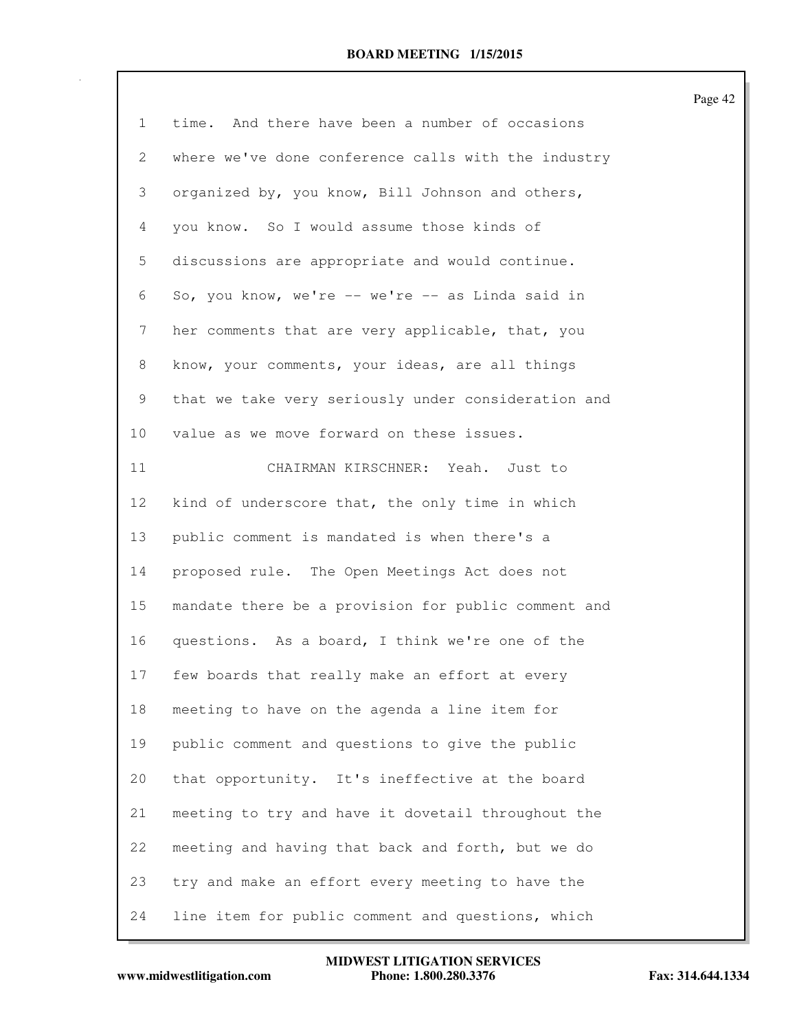| 1               | time. And there have been a number of occasions     |
|-----------------|-----------------------------------------------------|
|                 |                                                     |
| 2               | where we've done conference calls with the industry |
| 3               | organized by, you know, Bill Johnson and others,    |
| 4               | you know. So I would assume those kinds of          |
| 5               | discussions are appropriate and would continue.     |
| 6               | So, you know, we're -- we're -- as Linda said in    |
| 7               | her comments that are very applicable, that, you    |
| 8               | know, your comments, your ideas, are all things     |
| 9               | that we take very seriously under consideration and |
| 10              | value as we move forward on these issues.           |
| 11              | CHAIRMAN KIRSCHNER: Yeah. Just to                   |
| 12 <sub>2</sub> | kind of underscore that, the only time in which     |
| 13              | public comment is mandated is when there's a        |
| 14              | proposed rule. The Open Meetings Act does not       |
| 15              | mandate there be a provision for public comment and |
| 16              | questions. As a board, I think we're one of the     |
| 17              | few boards that really make an effort at every      |
| 18              | meeting to have on the agenda a line item for       |
| 19              | public comment and questions to give the public     |
| 20              | that opportunity. It's ineffective at the board     |
| 21              | meeting to try and have it dovetail throughout the  |
| 22              | meeting and having that back and forth, but we do   |
| 23              | try and make an effort every meeting to have the    |
| 24              | line item for public comment and questions, which   |

www.midwestlitigation.com Phone: 1.800.280.3376 Fax: 314.644.1334 **MIDWEST LITIGATION SERVICES**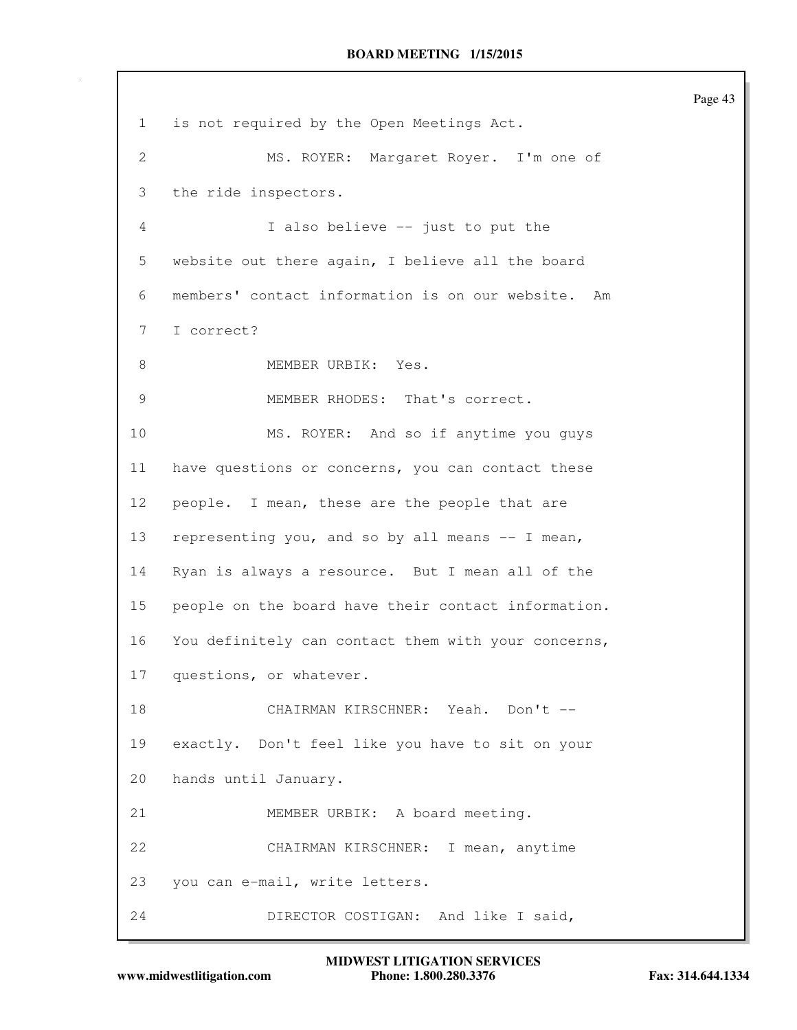1 is not required by the Open Meetings Act. 2 MS. ROYER: Margaret Royer. I'm one of 3 the ride inspectors. 4 I also believe -- just to put the 5 website out there again, I believe all the board 6 members' contact information is on our website. Am 7 I correct? 8 MEMBER URBIK: Yes. 9 MEMBER RHODES: That's correct. 10 MS. ROYER: And so if anytime you guys 11 have questions or concerns, you can contact these 12 people. I mean, these are the people that are 13 representing you, and so by all means -- I mean, 14 Ryan is always a resource. But I mean all of the 15 people on the board have their contact information. 16 You definitely can contact them with your concerns, 17 questions, or whatever. 18 CHAIRMAN KIRSCHNER: Yeah. Don't --19 exactly. Don't feel like you have to sit on your 20 hands until January. 21 MEMBER URBIK: A board meeting. 22 CHAIRMAN KIRSCHNER: I mean, anytime 23 you can e-mail, write letters. 24 DIRECTOR COSTIGAN: And like I said,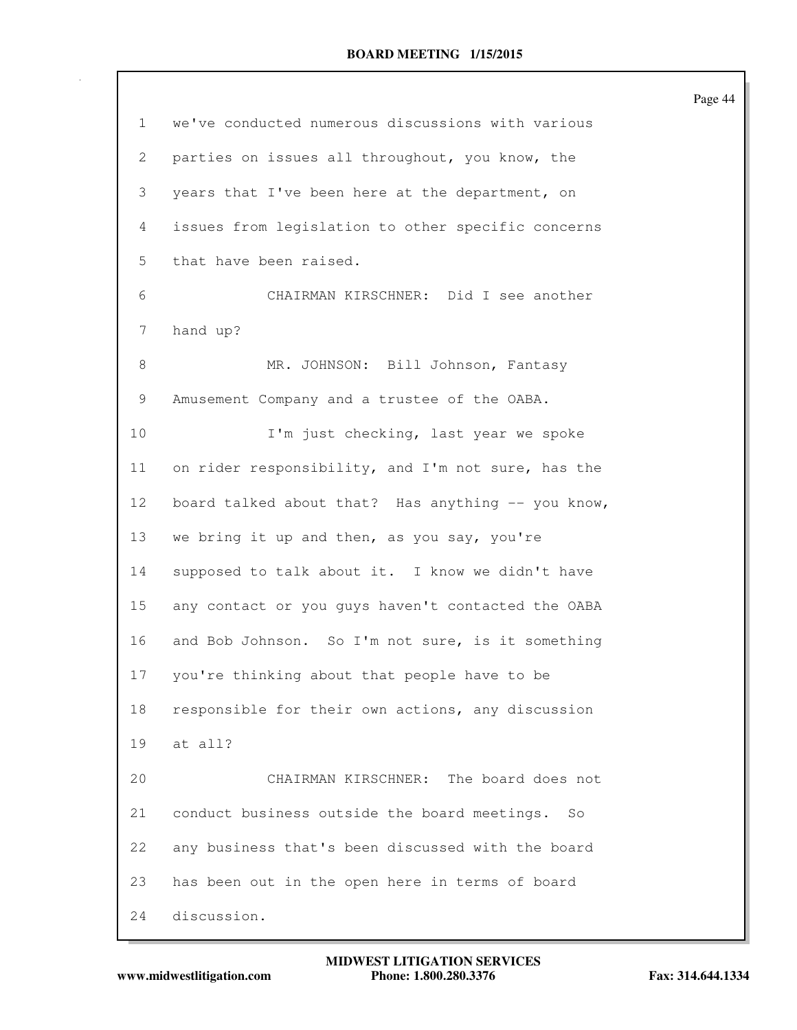| $\mathbf{1}$    | we've conducted numerous discussions with various  |
|-----------------|----------------------------------------------------|
| 2               | parties on issues all throughout, you know, the    |
| 3               | years that I've been here at the department, on    |
| 4               | issues from legislation to other specific concerns |
| 5               | that have been raised.                             |
| 6               | CHAIRMAN KIRSCHNER: Did I see another              |
| 7               | hand up?                                           |
| 8               | MR. JOHNSON: Bill Johnson, Fantasy                 |
| 9               | Amusement Company and a trustee of the OABA.       |
| 10              | I'm just checking, last year we spoke              |
| 11              | on rider responsibility, and I'm not sure, has the |
| 12 <sup>°</sup> | board talked about that? Has anything -- you know, |
| 13              | we bring it up and then, as you say, you're        |
| 14              | supposed to talk about it. I know we didn't have   |
| 15              | any contact or you guys haven't contacted the OABA |
| 16              | and Bob Johnson. So I'm not sure, is it something  |
| 17              | you're thinking about that people have to be       |
| 18              | responsible for their own actions, any discussion  |
| 19              | at all?                                            |
| 20              | CHAIRMAN KIRSCHNER: The board does not             |
| 21              | conduct business outside the board meetings.<br>So |
| 22              | any business that's been discussed with the board  |
| 23              | has been out in the open here in terms of board    |
| 24              | discussion.                                        |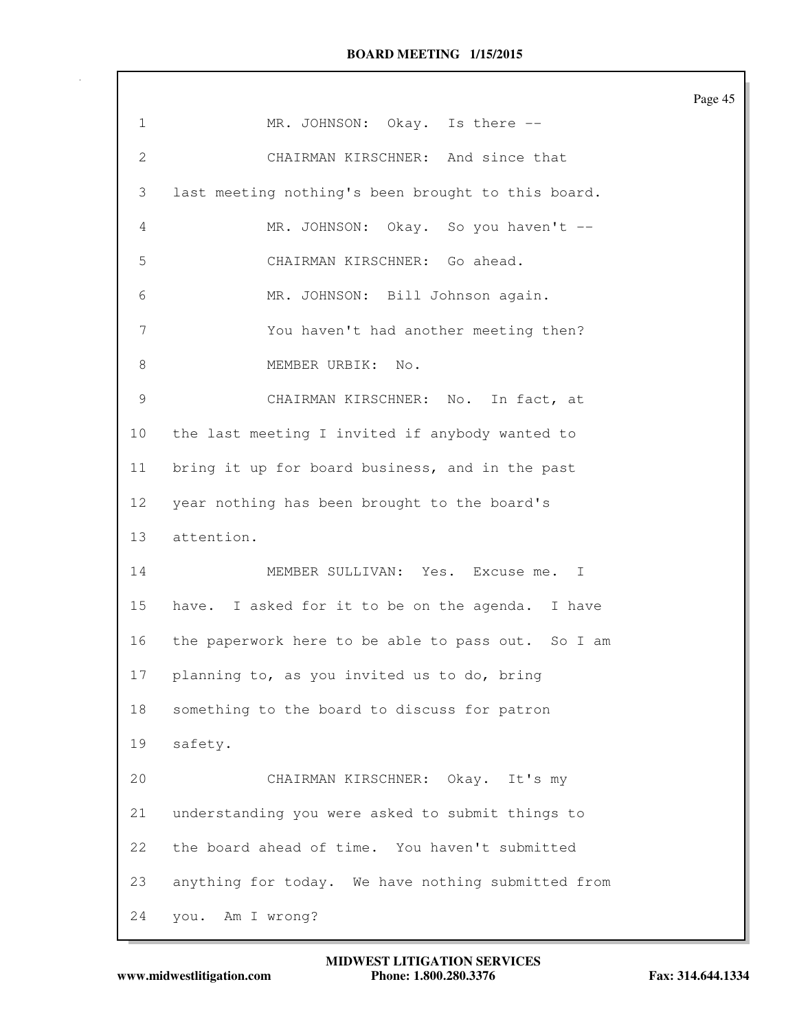|                |                                                    | Page 45 |
|----------------|----------------------------------------------------|---------|
| $\mathbf{1}$   | MR. JOHNSON: Okay. Is there --                     |         |
| $\mathbf{2}$   | CHAIRMAN KIRSCHNER: And since that                 |         |
| 3              | last meeting nothing's been brought to this board. |         |
| 4              | MR. JOHNSON: Okay. So you haven't --               |         |
| 5              | CHAIRMAN KIRSCHNER: Go ahead.                      |         |
| 6              | MR. JOHNSON: Bill Johnson again.                   |         |
| $\overline{7}$ | You haven't had another meeting then?              |         |
| 8              | MEMBER URBIK:<br>No.                               |         |
| 9              | CHAIRMAN KIRSCHNER: No. In fact, at                |         |
| 10             | the last meeting I invited if anybody wanted to    |         |
| 11             | bring it up for board business, and in the past    |         |
| 12             | year nothing has been brought to the board's       |         |
| 13             | attention.                                         |         |
| 14             | MEMBER SULLIVAN: Yes. Excuse me.<br>I              |         |
| 15             | have. I asked for it to be on the agenda. I have   |         |
| 16             | the paperwork here to be able to pass out. So I am |         |
| 17             | planning to, as you invited us to do, bring        |         |
| 18             | something to the board to discuss for patron       |         |
| 19             | safety.                                            |         |
| 20             | CHAIRMAN KIRSCHNER: Okay. It's my                  |         |
| 21             | understanding you were asked to submit things to   |         |
| 22             | the board ahead of time. You haven't submitted     |         |
| 23             | anything for today. We have nothing submitted from |         |
| 24             | Am I wrong?<br>you.                                |         |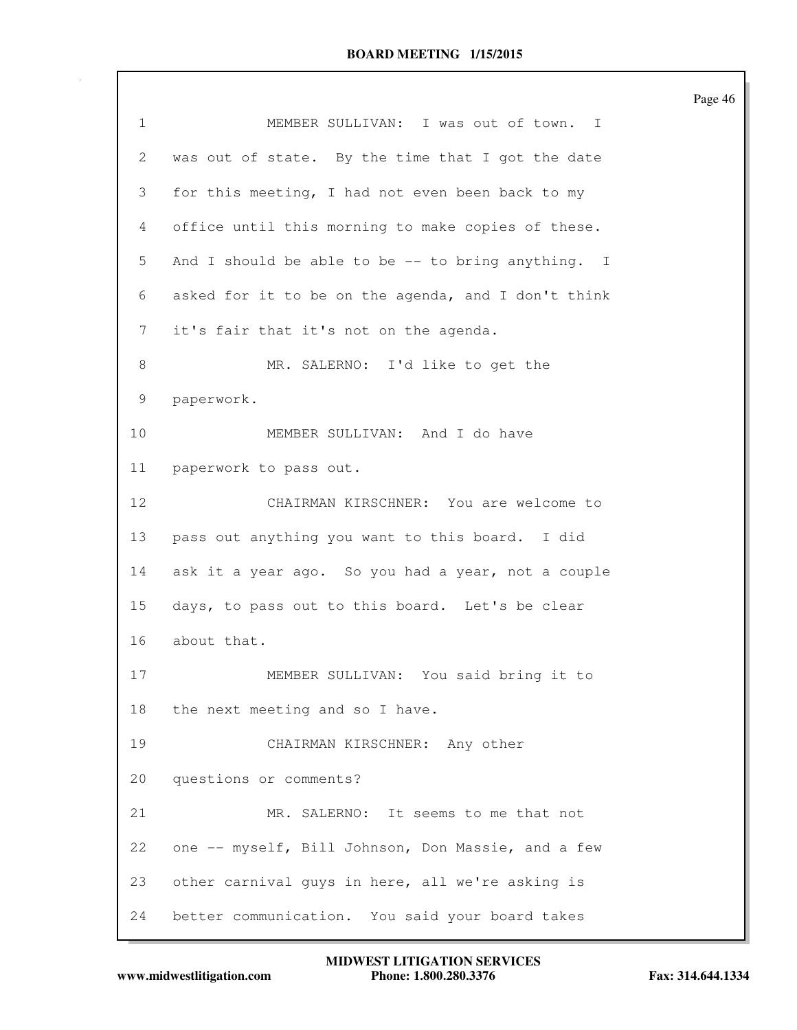|              |                                                     | Page 46 |
|--------------|-----------------------------------------------------|---------|
| $\mathbf{1}$ | MEMBER SULLIVAN: I was out of town. I               |         |
| $\mathbf{2}$ | was out of state. By the time that I got the date   |         |
| 3            | for this meeting, I had not even been back to my    |         |
| 4            | office until this morning to make copies of these.  |         |
| 5            | And I should be able to be $-$ to bring anything. I |         |
| 6            | asked for it to be on the agenda, and I don't think |         |
| 7            | it's fair that it's not on the agenda.              |         |
| 8            | MR. SALERNO: I'd like to get the                    |         |
| 9            | paperwork.                                          |         |
| 10           | MEMBER SULLIVAN: And I do have                      |         |
| 11           | paperwork to pass out.                              |         |
| 12           | CHAIRMAN KIRSCHNER: You are welcome to              |         |
| 13           | pass out anything you want to this board. I did     |         |
| 14           | ask it a year ago. So you had a year, not a couple  |         |
| 15           | days, to pass out to this board. Let's be clear     |         |
| 16           | about that.                                         |         |
| 17           | MEMBER SULLIVAN: You said bring it to               |         |
| 18           | the next meeting and so I have.                     |         |
| 19           | CHAIRMAN KIRSCHNER: Any other                       |         |
| 20           | questions or comments?                              |         |
| 21           | MR. SALERNO: It seems to me that not                |         |
| 22           | one -- myself, Bill Johnson, Don Massie, and a few  |         |
| 23           | other carnival guys in here, all we're asking is    |         |
| 24           | better communication. You said your board takes     |         |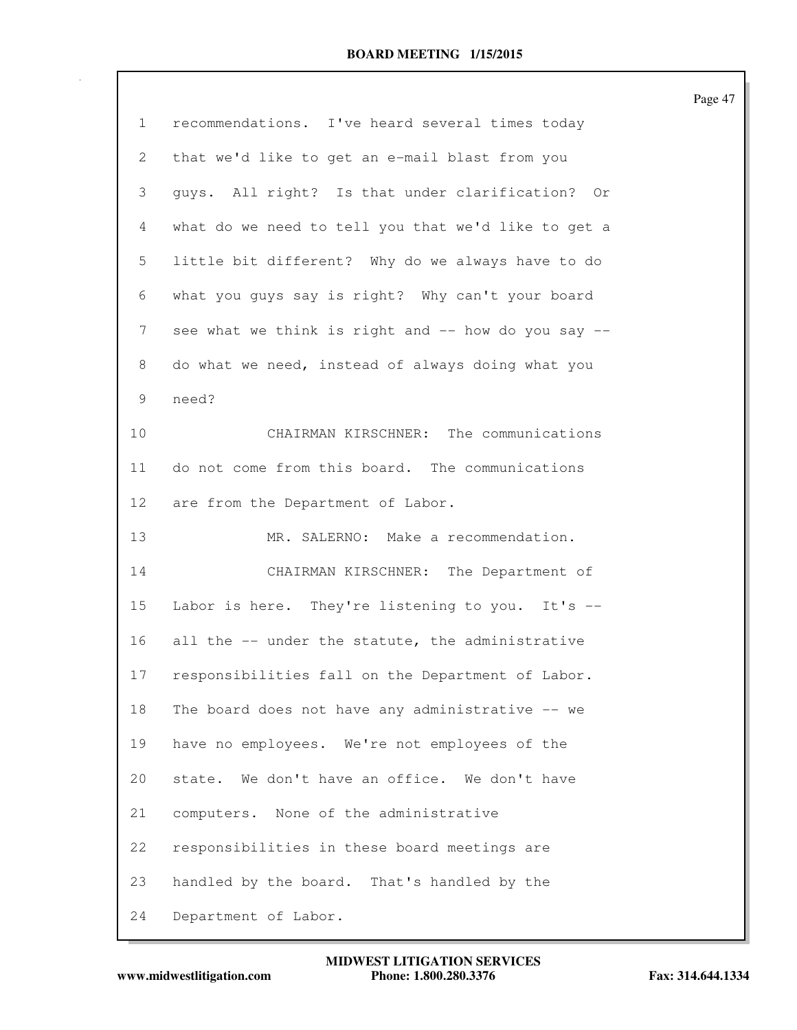|                 |                                                     | Page 47 |
|-----------------|-----------------------------------------------------|---------|
| $\mathbf{1}$    | recommendations. I've heard several times today     |         |
| $\mathbf{2}$    | that we'd like to get an e-mail blast from you      |         |
| 3               | guys. All right? Is that under clarification? Or    |         |
| 4               | what do we need to tell you that we'd like to get a |         |
| 5               | little bit different? Why do we always have to do   |         |
| 6               | what you guys say is right? Why can't your board    |         |
| 7               | see what we think is right and -- how do you say -- |         |
| 8               | do what we need, instead of always doing what you   |         |
| 9               | need?                                               |         |
| 10              | CHAIRMAN KIRSCHNER: The communications              |         |
| 11              | do not come from this board. The communications     |         |
| 12 <sup>°</sup> | are from the Department of Labor.                   |         |
| 13              | MR. SALERNO: Make a recommendation.                 |         |
| 14              | CHAIRMAN KIRSCHNER: The Department of               |         |
| 15              | Labor is here. They're listening to you. It's --    |         |
| 16              | all the -- under the statute, the administrative    |         |
| 17              | responsibilities fall on the Department of Labor.   |         |
| 18              | The board does not have any administrative -- we    |         |
| 19              | have no employees. We're not employees of the       |         |
| 20              | state. We don't have an office. We don't have       |         |
| 21              | computers. None of the administrative               |         |
| 22              | responsibilities in these board meetings are        |         |
| 23              | handled by the board. That's handled by the         |         |
| 24              | Department of Labor.                                |         |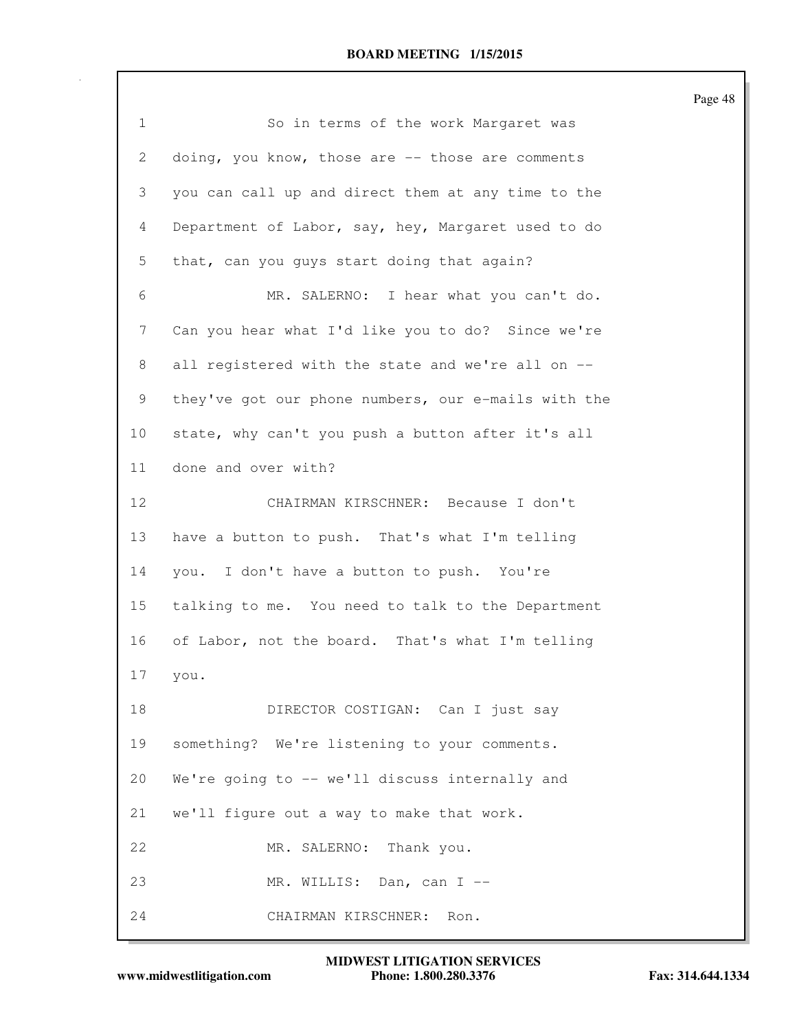| $\mathbf 1$    | So in terms of the work Margaret was                |
|----------------|-----------------------------------------------------|
| $\overline{2}$ | doing, you know, those are -- those are comments    |
| 3              | you can call up and direct them at any time to the  |
| $\overline{4}$ | Department of Labor, say, hey, Margaret used to do  |
| 5              | that, can you guys start doing that again?          |
| 6              | MR. SALERNO: I hear what you can't do.              |
| $\overline{7}$ | Can you hear what I'd like you to do? Since we're   |
| 8              | all registered with the state and we're all on --   |
| 9              | they've got our phone numbers, our e-mails with the |
| 10             | state, why can't you push a button after it's all   |
| 11             | done and over with?                                 |
| 12             | CHAIRMAN KIRSCHNER: Because I don't                 |
| 13             | have a button to push. That's what I'm telling      |
| 14             | you. I don't have a button to push. You're          |
| 15             | talking to me. You need to talk to the Department   |
| 16             | of Labor, not the board. That's what I'm telling    |
| 17             | you.                                                |
| 18             | DIRECTOR COSTIGAN: Can I just say                   |
| 19             | something? We're listening to your comments.        |
| 20             | We're going to -- we'll discuss internally and      |
| 21             | we'll figure out a way to make that work.           |
| 22             | MR. SALERNO: Thank you.                             |
| 23             | MR. WILLIS: Dan, can I --                           |
| 24             | CHAIRMAN KIRSCHNER:<br>Ron.                         |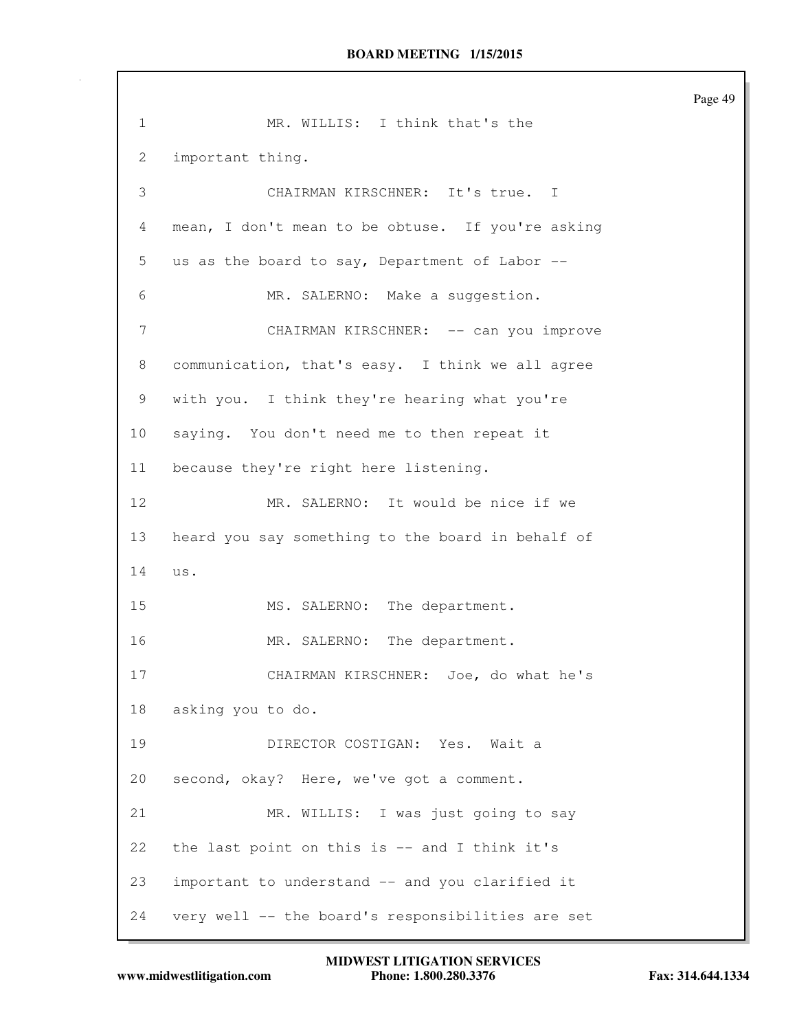Page 49 1 MR. WILLIS: I think that's the 2 important thing. 3 CHAIRMAN KIRSCHNER: It's true. I 4 mean, I don't mean to be obtuse. If you're asking 5 us as the board to say, Department of Labor -- 6 MR. SALERNO: Make a suggestion. 7 CHAIRMAN KIRSCHNER: -- can you improve 8 communication, that's easy. I think we all agree 9 with you. I think they're hearing what you're 10 saying. You don't need me to then repeat it 11 because they're right here listening. 12 MR. SALERNO: It would be nice if we 13 heard you say something to the board in behalf of 14 us. 15 MS. SALERNO: The department. 16 MR. SALERNO: The department. 17 CHAIRMAN KIRSCHNER: Joe, do what he's 18 asking you to do. 19 DIRECTOR COSTIGAN: Yes. Wait a 20 second, okay? Here, we've got a comment. 21 MR. WILLIS: I was just going to say 22 the last point on this is -- and I think it's 23 important to understand -- and you clarified it 24 very well -- the board's responsibilities are set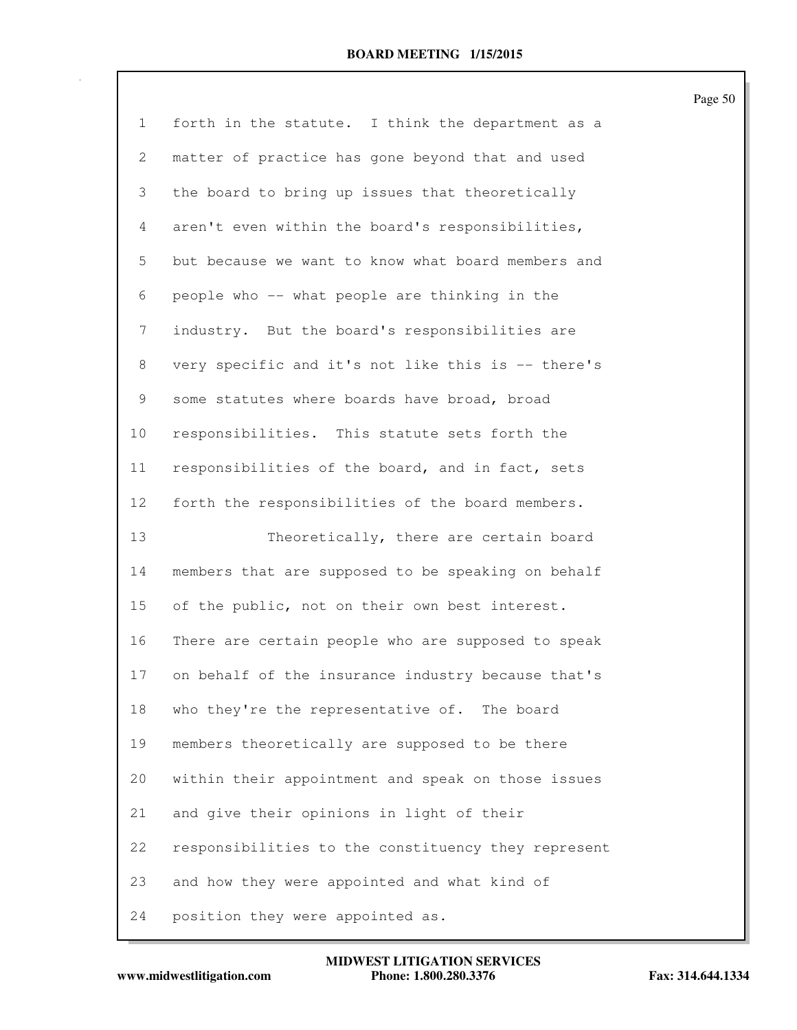| $\mathbf{1}$ | forth in the statute. I think the department as a   |
|--------------|-----------------------------------------------------|
| 2            | matter of practice has gone beyond that and used    |
| 3            | the board to bring up issues that theoretically     |
| 4            | aren't even within the board's responsibilities,    |
| 5            | but because we want to know what board members and  |
| 6            | people who -- what people are thinking in the       |
| 7            | industry. But the board's responsibilities are      |
| 8            | very specific and it's not like this is -- there's  |
| 9            | some statutes where boards have broad, broad        |
| 10           | responsibilities. This statute sets forth the       |
| 11           | responsibilities of the board, and in fact, sets    |
| 12           | forth the responsibilities of the board members.    |
|              |                                                     |
| 13           | Theoretically, there are certain board              |
| 14           | members that are supposed to be speaking on behalf  |
| 15           | of the public, not on their own best interest.      |
| 16           | There are certain people who are supposed to speak  |
| 17           | on behalf of the insurance industry because that's  |
| 18           | who they're the representative of. The board        |
| 19           | members theoretically are supposed to be there      |
| 20           | within their appointment and speak on those issues  |
| 21           | and give their opinions in light of their           |
| 22           | responsibilities to the constituency they represent |
| 23           | and how they were appointed and what kind of        |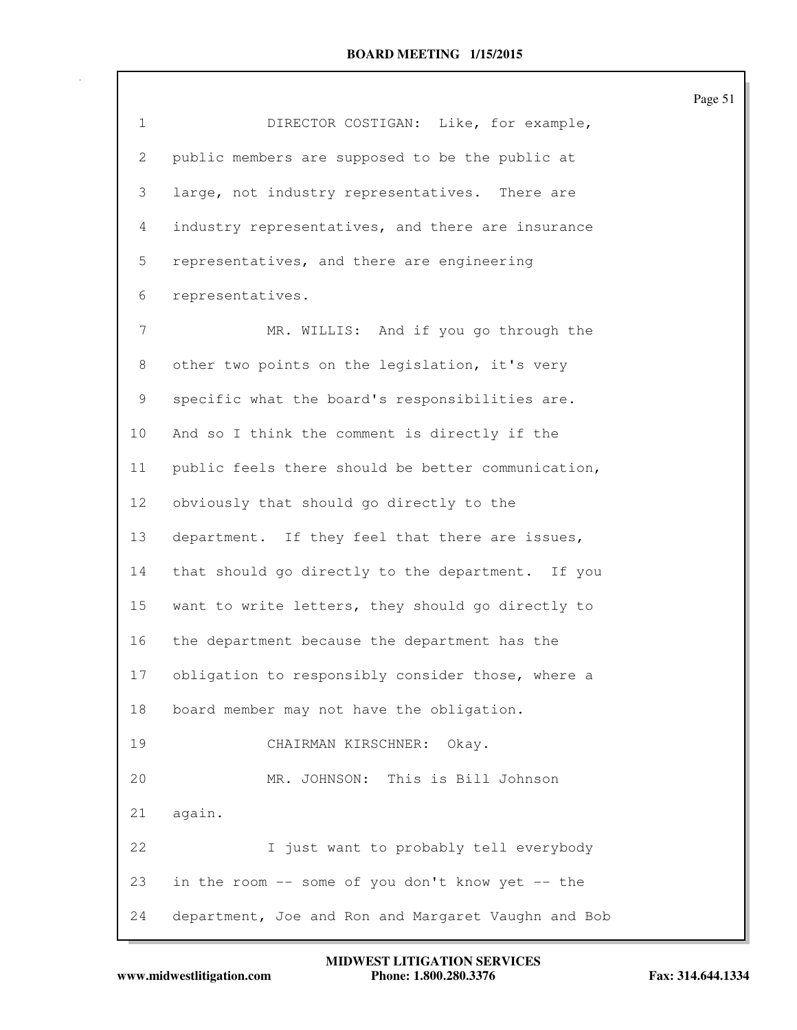| $\mathbf{1}$    | DIRECTOR COSTIGAN: Like, for example,               |
|-----------------|-----------------------------------------------------|
| $\overline{2}$  | public members are supposed to be the public at     |
| 3               | large, not industry representatives. There are      |
| 4               | industry representatives, and there are insurance   |
|                 |                                                     |
| 5               | representatives, and there are engineering          |
| 6               | representatives.                                    |
| 7               | MR. WILLIS: And if you go through the               |
| 8               | other two points on the legislation, it's very      |
| 9               | specific what the board's responsibilities are.     |
| 10              | And so I think the comment is directly if the       |
| 11              | public feels there should be better communication,  |
| 12 <sup>°</sup> | obviously that should go directly to the            |
| 13              | department. If they feel that there are issues,     |
| 14              | that should go directly to the department. If you   |
| 15              | want to write letters, they should go directly to   |
| 16              | the department because the department has the       |
| 17              | obligation to responsibly consider those, where a   |
| 18              | board member may not have the obligation.           |
| 19              | CHAIRMAN KIRSCHNER: Okay.                           |
| 20              | MR. JOHNSON: This is Bill Johnson                   |
| 21              | again.                                              |
| 22              | I just want to probably tell everybody              |
| 23              | in the room -- some of you don't know yet -- the    |
| 24              | department, Joe and Ron and Margaret Vaughn and Bob |

```
www.midwestlitigation.com Phone: 1.800.280.3376 Fax: 314.644.1334
          MIDWEST LITIGATION SERVICES
```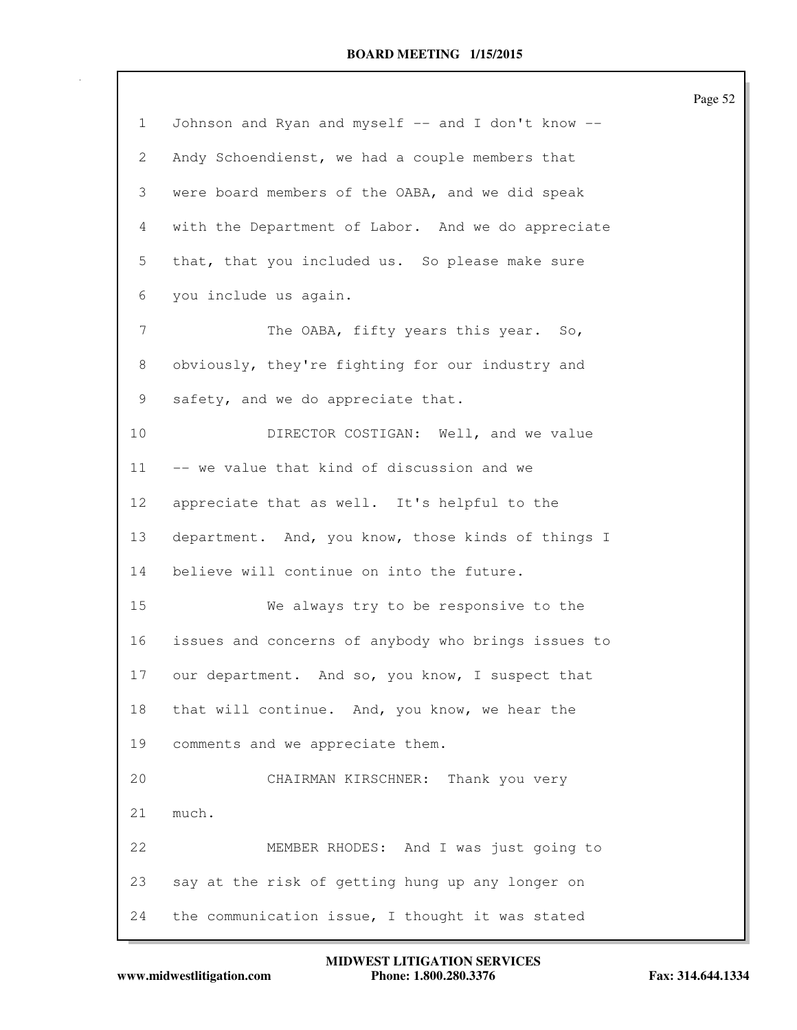|              |                                                     | Page 52 |
|--------------|-----------------------------------------------------|---------|
| $\mathbf{1}$ | Johnson and Ryan and myself -- and I don't know --  |         |
| 2            | Andy Schoendienst, we had a couple members that     |         |
| 3            | were board members of the OABA, and we did speak    |         |
| 4            | with the Department of Labor. And we do appreciate  |         |
| 5            | that, that you included us. So please make sure     |         |
| 6            | you include us again.                               |         |
| 7            | The OABA, fifty years this year. So,                |         |
| 8            | obviously, they're fighting for our industry and    |         |
| 9            | safety, and we do appreciate that.                  |         |
| 10           | DIRECTOR COSTIGAN: Well, and we value               |         |
| 11           | -- we value that kind of discussion and we          |         |
| 12           | appreciate that as well. It's helpful to the        |         |
| 13           | department. And, you know, those kinds of things I  |         |
| 14           | believe will continue on into the future.           |         |
| 15           | We always try to be responsive to the               |         |
| 16           | issues and concerns of anybody who brings issues to |         |
| 17           | our department. And so, you know, I suspect that    |         |
| 18           | that will continue. And, you know, we hear the      |         |
| 19           | comments and we appreciate them.                    |         |
| 20           | CHAIRMAN KIRSCHNER: Thank you very                  |         |
| 21           | much.                                               |         |
| 22           | MEMBER RHODES: And I was just going to              |         |
| 23           | say at the risk of getting hung up any longer on    |         |
| 24           | the communication issue, I thought it was stated    |         |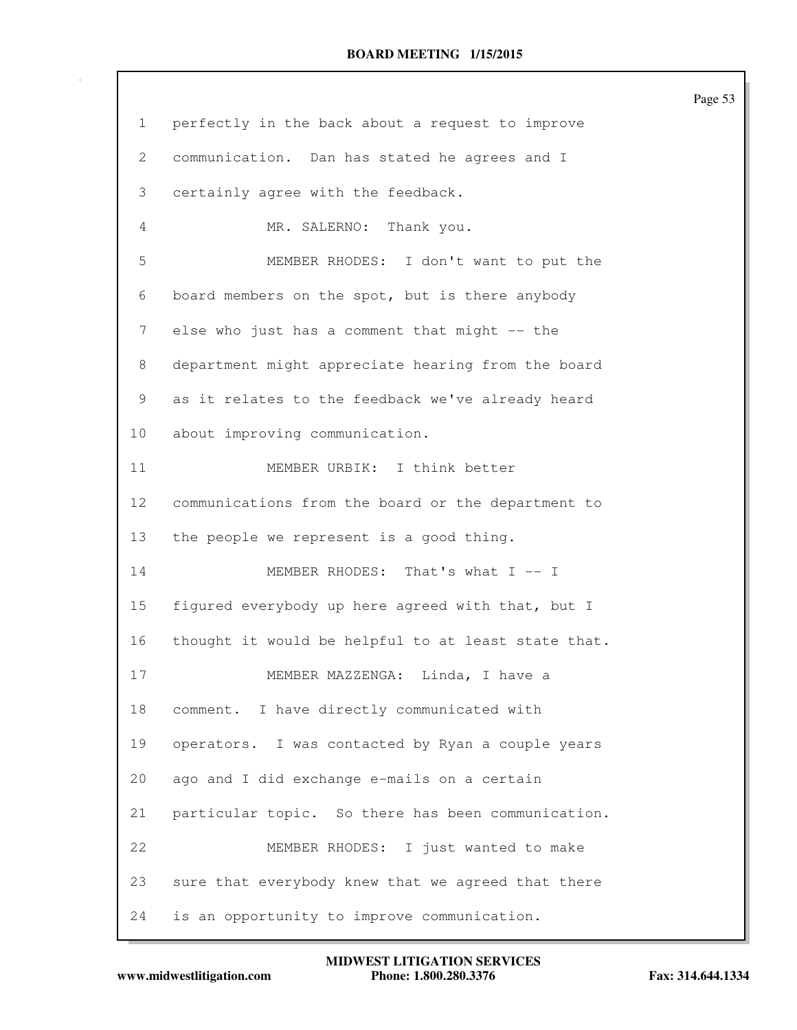| $\mathbf{1}$ | perfectly in the back about a request to improve    |
|--------------|-----------------------------------------------------|
| $\mathbf{2}$ | communication. Dan has stated he agrees and I       |
| 3            | certainly agree with the feedback.                  |
| 4            | MR. SALERNO: Thank you.                             |
| 5            | MEMBER RHODES: I don't want to put the              |
| 6            | board members on the spot, but is there anybody     |
| 7            | else who just has a comment that might -- the       |
| 8            | department might appreciate hearing from the board  |
| 9            | as it relates to the feedback we've already heard   |
| 10           | about improving communication.                      |
| 11           | MEMBER URBIK: I think better                        |
| 12           | communications from the board or the department to  |
| 13           | the people we represent is a good thing.            |
| 14           | MEMBER RHODES: That's what I -- I                   |
| 15           | figured everybody up here agreed with that, but I   |
| 16           | thought it would be helpful to at least state that. |
| 17           | Linda, I have a<br>MEMBER MAZZENGA:                 |
| 18           | comment. I have directly communicated with          |
| 19           | operators. I was contacted by Ryan a couple years   |
| 20           | ago and I did exchange e-mails on a certain         |
| 21           | particular topic. So there has been communication.  |
| 22           | MEMBER RHODES: I just wanted to make                |
| 23           | sure that everybody knew that we agreed that there  |
| 24           | is an opportunity to improve communication.         |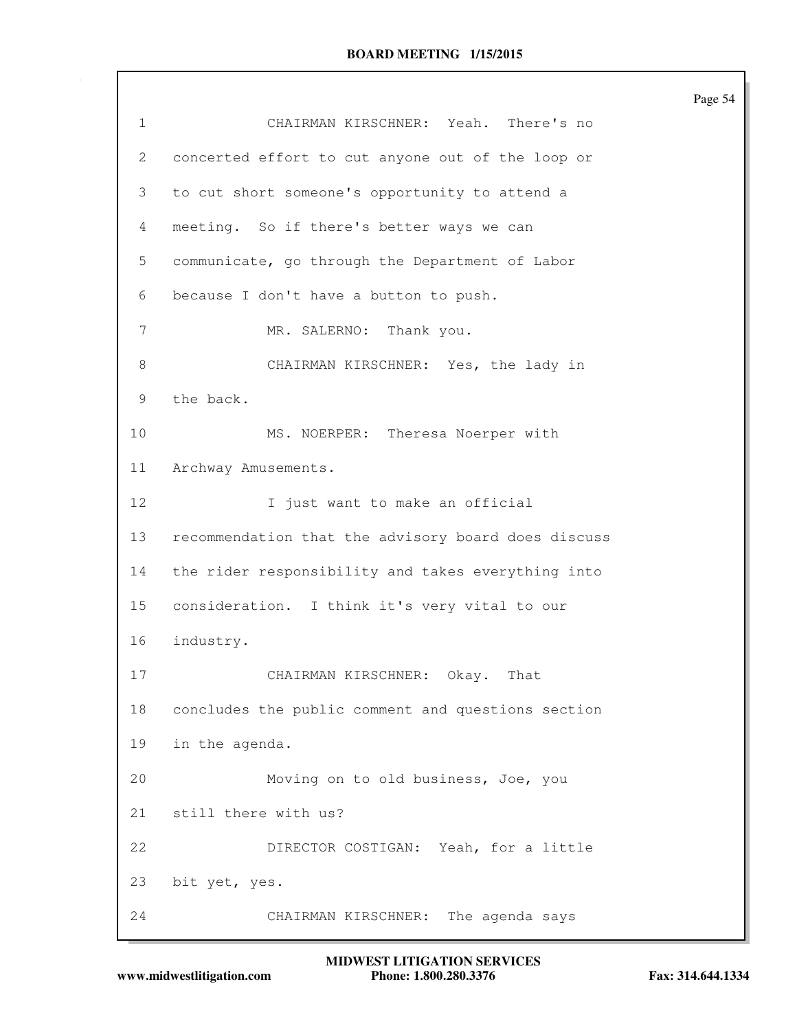| 1  | CHAIRMAN KIRSCHNER: Yeah. There's no                |
|----|-----------------------------------------------------|
| 2  | concerted effort to cut anyone out of the loop or   |
| 3  | to cut short someone's opportunity to attend a      |
| 4  | meeting. So if there's better ways we can           |
| 5  | communicate, go through the Department of Labor     |
| 6  | because I don't have a button to push.              |
| 7  | MR. SALERNO:<br>Thank you.                          |
| 8  | CHAIRMAN KIRSCHNER: Yes, the lady in                |
| 9  | the back.                                           |
| 10 | MS. NOERPER: Theresa Noerper with                   |
| 11 | Archway Amusements.                                 |
| 12 | I just want to make an official                     |
| 13 | recommendation that the advisory board does discuss |
| 14 | the rider responsibility and takes everything into  |
| 15 | consideration. I think it's very vital to our       |
| 16 | industry.                                           |
| 17 | That<br>CHAIRMAN KIRSCHNER:<br>Okay.                |
| 18 | concludes the public comment and questions section  |
| 19 | in the agenda.                                      |
| 20 | Moving on to old business, Joe, you                 |
| 21 | still there with us?                                |
| 22 | DIRECTOR COSTIGAN: Yeah, for a little               |
| 23 | bit yet, yes.                                       |
| 24 | The agenda says<br>CHAIRMAN KIRSCHNER:              |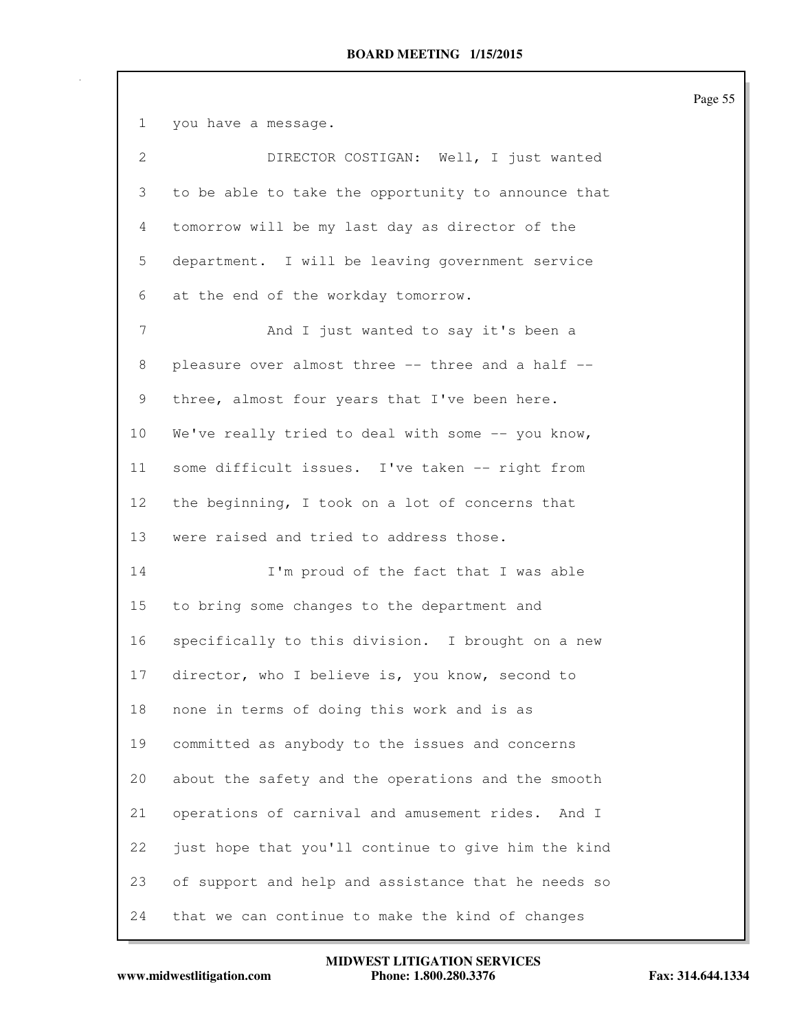1 you have a message. 2 DIRECTOR COSTIGAN: Well, I just wanted 3 to be able to take the opportunity to announce that 4 tomorrow will be my last day as director of the 5 department. I will be leaving government service 6 at the end of the workday tomorrow. 7 And I just wanted to say it's been a 8 pleasure over almost three -- three and a half --9 three, almost four years that I've been here. 10 We've really tried to deal with some -- you know, 11 some difficult issues. I've taken -- right from 12 the beginning, I took on a lot of concerns that 13 were raised and tried to address those. 14 I'm proud of the fact that I was able 15 to bring some changes to the department and 16 specifically to this division. I brought on a new 17 director, who I believe is, you know, second to 18 none in terms of doing this work and is as 19 committed as anybody to the issues and concerns 20 about the safety and the operations and the smooth 21 operations of carnival and amusement rides. And I 22 just hope that you'll continue to give him the kind 23 of support and help and assistance that he needs so 24 that we can continue to make the kind of changes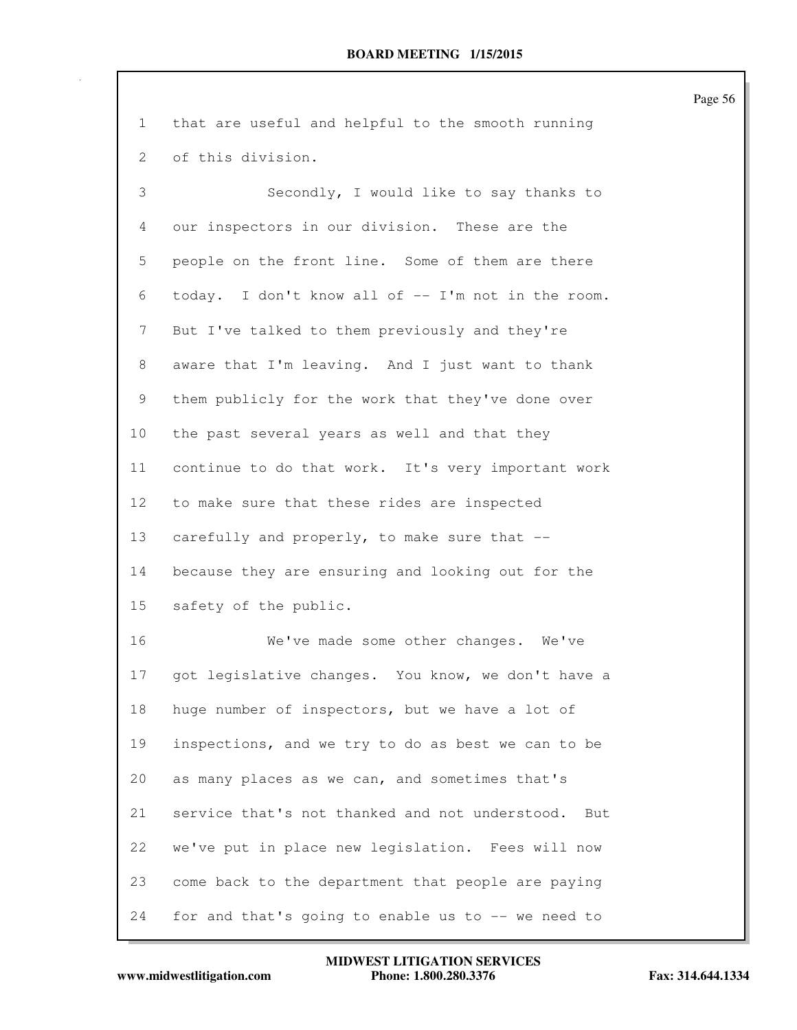| $\mathbf 1$ | that are useful and helpful to the smooth running     |
|-------------|-------------------------------------------------------|
| 2           | of this division.                                     |
| 3           | Secondly, I would like to say thanks to               |
| 4           | our inspectors in our division. These are the         |
| 5           | people on the front line. Some of them are there      |
| 6           | today. I don't know all of -- I'm not in the room.    |
| 7           | But I've talked to them previously and they're        |
| 8           | aware that I'm leaving. And I just want to thank      |
| 9           | them publicly for the work that they've done over     |
| 10          | the past several years as well and that they          |
| 11          | continue to do that work. It's very important work    |
| 12          | to make sure that these rides are inspected           |
| 13          | carefully and properly, to make sure that --          |
| 14          | because they are ensuring and looking out for the     |
| 15          | safety of the public.                                 |
| 16          | We've made some other changes. We've                  |
| 17          | got legislative changes. You know, we don't have a    |
| 18          | huge number of inspectors, but we have a lot of       |
| 19          | inspections, and we try to do as best we can to be    |
| 20          | as many places as we can, and sometimes that's        |
| 21          | service that's not thanked and not understood.<br>But |
| 22          | we've put in place new legislation. Fees will now     |
| 23          | come back to the department that people are paying    |
| 24          | for and that's going to enable us to -- we need to    |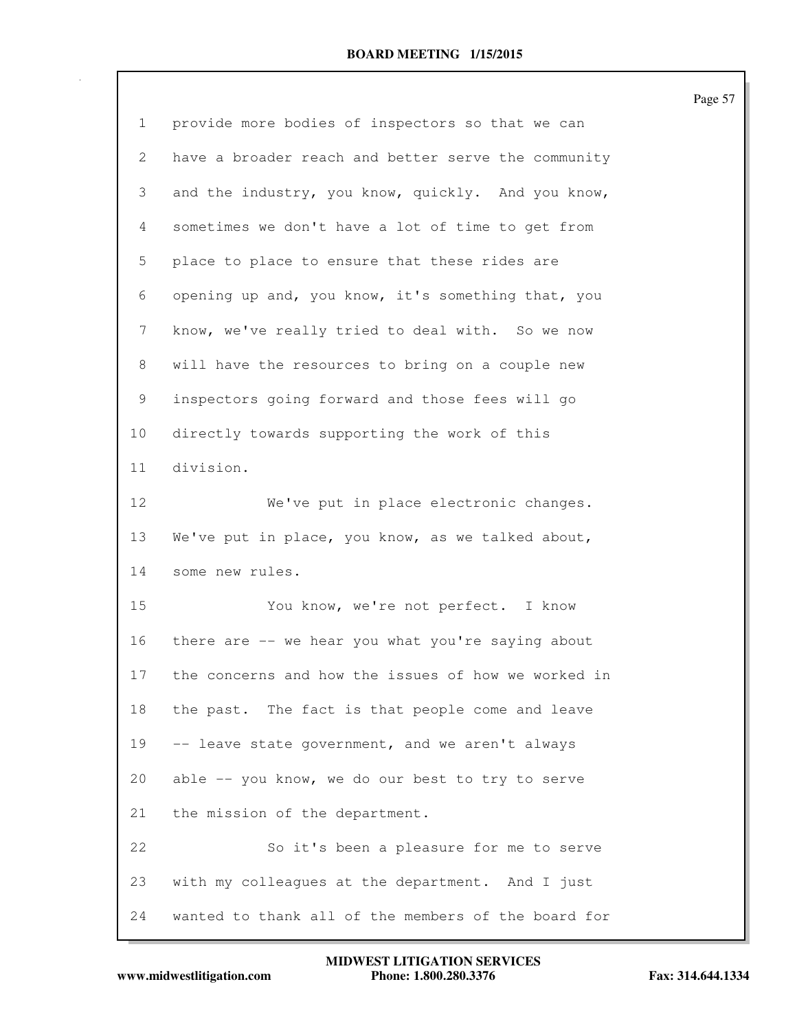| 1  | provide more bodies of inspectors so that we can    |
|----|-----------------------------------------------------|
| 2  | have a broader reach and better serve the community |
| 3  | and the industry, you know, quickly. And you know,  |
| 4  | sometimes we don't have a lot of time to get from   |
| 5  | place to place to ensure that these rides are       |
| 6  | opening up and, you know, it's something that, you  |
| 7  | know, we've really tried to deal with. So we now    |
| 8  | will have the resources to bring on a couple new    |
| 9  | inspectors going forward and those fees will go     |
| 10 | directly towards supporting the work of this        |
| 11 | division.                                           |
| 12 | We've put in place electronic changes.              |
| 13 | We've put in place, you know, as we talked about,   |
| 14 | some new rules.                                     |
| 15 | You know, we're not perfect. I know                 |
| 16 | there are -- we hear you what you're saying about   |
| 17 | the concerns and how the issues of how we worked in |
| 18 | the past. The fact is that people come and leave    |
| 19 | -- leave state government, and we aren't always     |
| 20 | able -- you know, we do our best to try to serve    |
| 21 | the mission of the department.                      |
| 22 | So it's been a pleasure for me to serve             |
| 23 | with my colleagues at the department. And I just    |
| 24 | wanted to thank all of the members of the board for |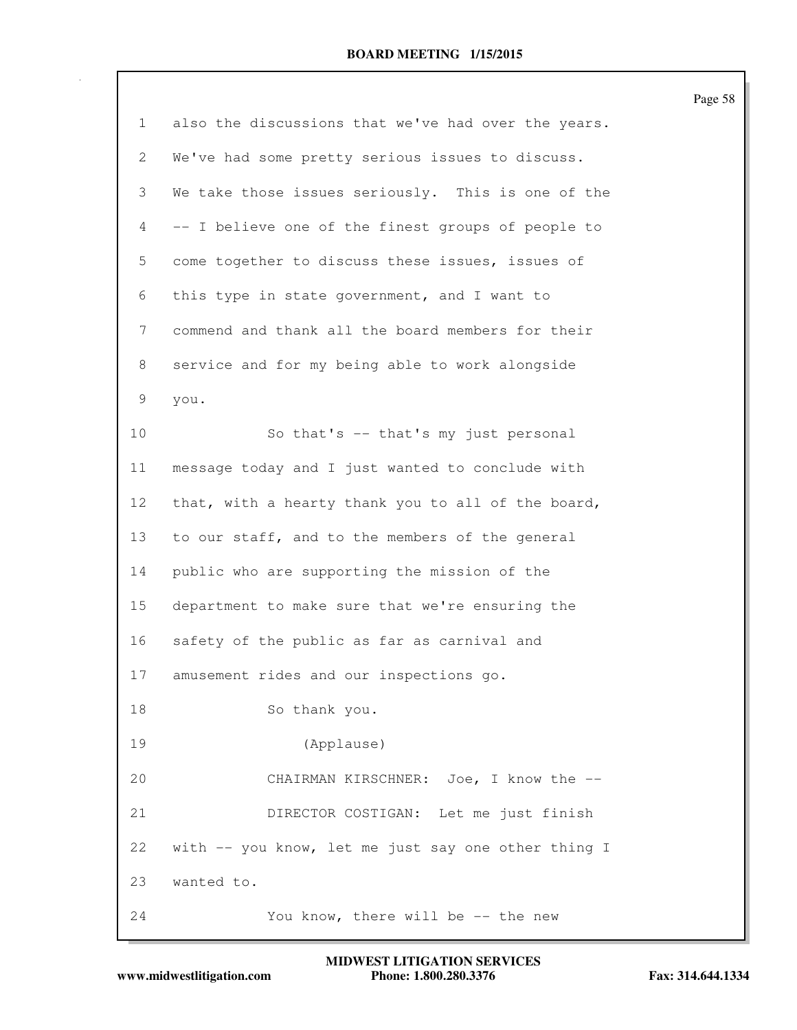|              |                                                     | Page 58 |
|--------------|-----------------------------------------------------|---------|
| $\mathbf{1}$ | also the discussions that we've had over the years. |         |
| 2            | We've had some pretty serious issues to discuss.    |         |
| 3            | We take those issues seriously. This is one of the  |         |
| 4            | -- I believe one of the finest groups of people to  |         |
| 5            | come together to discuss these issues, issues of    |         |
| 6            | this type in state government, and I want to        |         |
| 7            | commend and thank all the board members for their   |         |
| 8            | service and for my being able to work alongside     |         |
| 9            | you.                                                |         |
| 10           | So that's -- that's my just personal                |         |
| 11           | message today and I just wanted to conclude with    |         |
| 12           | that, with a hearty thank you to all of the board,  |         |
| 13           | to our staff, and to the members of the general     |         |
| 14           | public who are supporting the mission of the        |         |
| 15           | department to make sure that we're ensuring the     |         |
| 16           | safety of the public as far as carnival and         |         |
| 17           | amusement rides and our inspections go.             |         |
| 18           | So thank you.                                       |         |
| 19           | (Applause)                                          |         |
| 20           | CHAIRMAN KIRSCHNER: Joe, I know the --              |         |
| 21           | DIRECTOR COSTIGAN: Let me just finish               |         |
| 22           | with -- you know, let me just say one other thing I |         |
| 23           | wanted to.                                          |         |
| 24           | You know, there will be -- the new                  |         |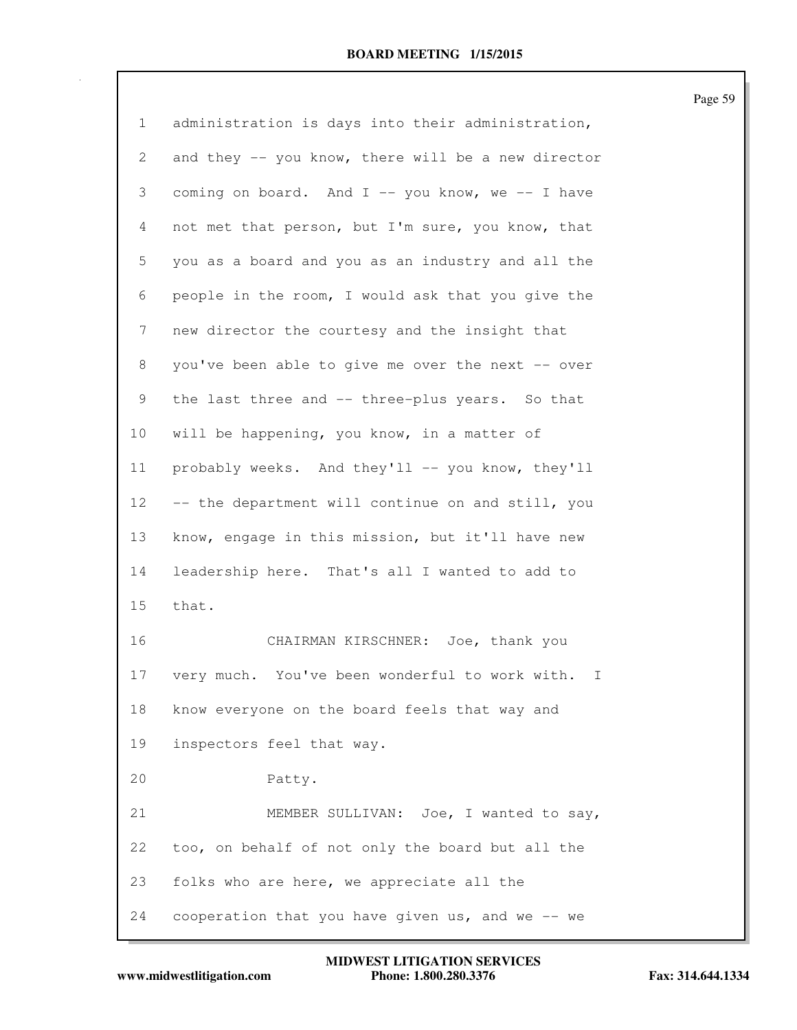| 1               | administration is days into their administration,  |
|-----------------|----------------------------------------------------|
| $\mathbf{2}$    | and they -- you know, there will be a new director |
| 3               | coming on board. And I -- you know, we -- I have   |
| 4               | not met that person, but I'm sure, you know, that  |
| 5               | you as a board and you as an industry and all the  |
| 6               | people in the room, I would ask that you give the  |
| $7\phantom{.}$  | new director the courtesy and the insight that     |
| 8               | you've been able to give me over the next -- over  |
| 9               | the last three and -- three-plus years. So that    |
| 10              | will be happening, you know, in a matter of        |
| 11              | probably weeks. And they'll -- you know, they'll   |
| 12 <sup>°</sup> | -- the department will continue on and still, you  |
| 13              | know, engage in this mission, but it'll have new   |
| 14              | leadership here. That's all I wanted to add to     |
| 15              | that.                                              |
| 16              | CHAIRMAN KIRSCHNER: Joe, thank you                 |
| 17              | very much. You've been wonderful to work with. I   |
| 18              | know everyone on the board feels that way and      |
| 19              | inspectors feel that way.                          |
| 20              | Patty.                                             |
| 21              | MEMBER SULLIVAN: Joe, I wanted to say,             |
| 22              | too, on behalf of not only the board but all the   |
| 23              | folks who are here, we appreciate all the          |
| 24              | cooperation that you have given us, and we -- we   |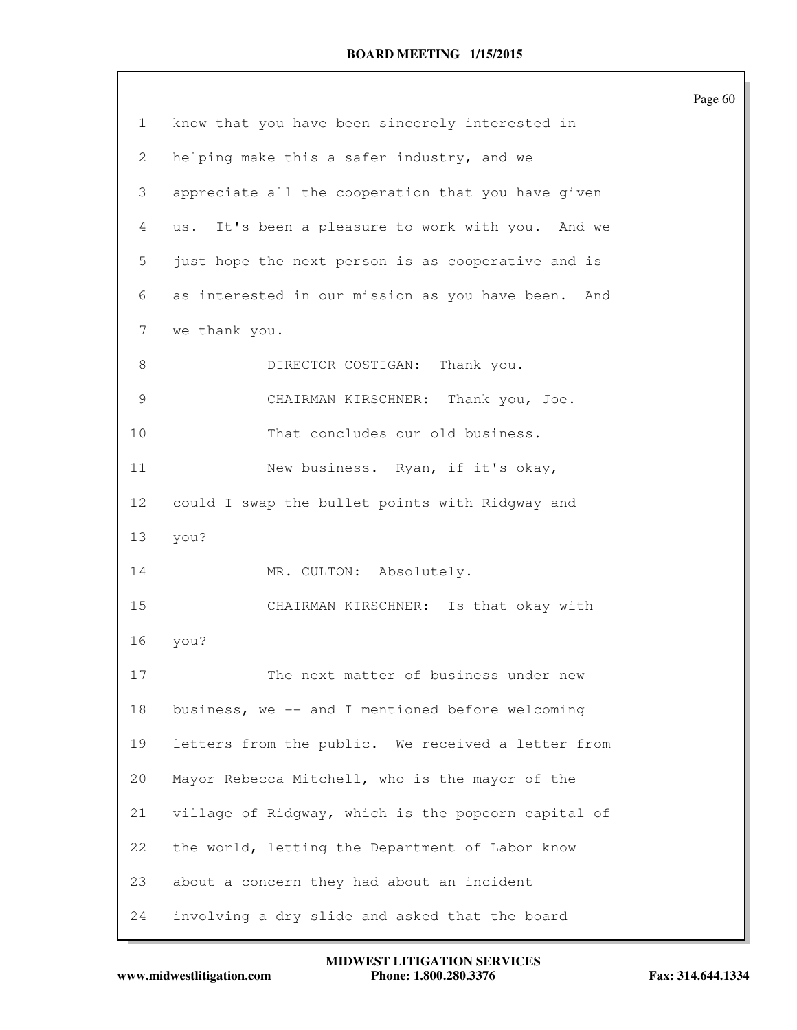|              |                                                     | Page 60 |
|--------------|-----------------------------------------------------|---------|
| $\mathbf{1}$ | know that you have been sincerely interested in     |         |
| 2            | helping make this a safer industry, and we          |         |
| 3            | appreciate all the cooperation that you have given  |         |
| 4            | us. It's been a pleasure to work with you. And we   |         |
| 5            | just hope the next person is as cooperative and is  |         |
| 6            | as interested in our mission as you have been. And  |         |
| 7            | we thank you.                                       |         |
| 8            | Thank you.<br>DIRECTOR COSTIGAN:                    |         |
| 9            | CHAIRMAN KIRSCHNER: Thank you, Joe.                 |         |
| 10           | That concludes our old business.                    |         |
| 11           | New business. Ryan, if it's okay,                   |         |
| 12           | could I swap the bullet points with Ridgway and     |         |
| 13           | you?                                                |         |
| 14           | MR. CULTON: Absolutely.                             |         |
| 15           | CHAIRMAN KIRSCHNER: Is that okay with               |         |
| 16           | you?                                                |         |
| 17           | The next matter of business under new               |         |
| 18           | business, we -- and I mentioned before welcoming    |         |
| 19           | letters from the public. We received a letter from  |         |
| 20           | Mayor Rebecca Mitchell, who is the mayor of the     |         |
| 21           | village of Ridgway, which is the popcorn capital of |         |
| 22           | the world, letting the Department of Labor know     |         |
| 23           | about a concern they had about an incident          |         |
| 24           | involving a dry slide and asked that the board      |         |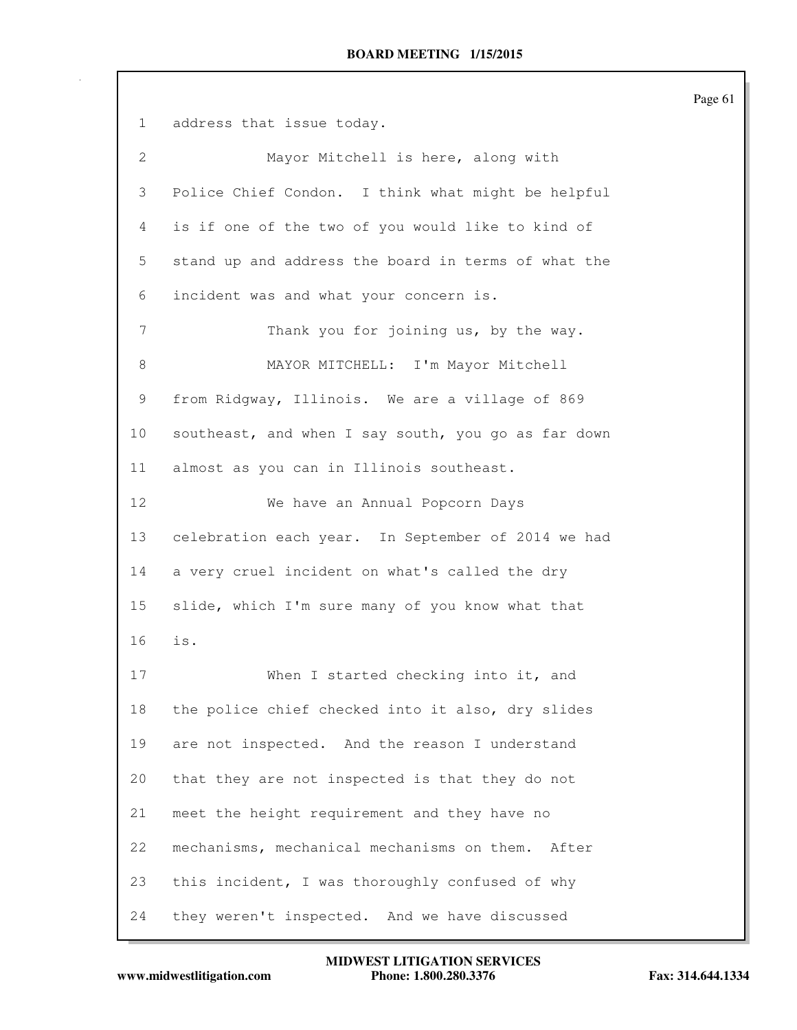Page 61 1 address that issue today. 2 Mayor Mitchell is here, along with 3 Police Chief Condon. I think what might be helpful 4 is if one of the two of you would like to kind of 5 stand up and address the board in terms of what the 6 incident was and what your concern is. 7 Thank you for joining us, by the way. 8 MAYOR MITCHELL: I'm Mayor Mitchell 9 from Ridgway, Illinois. We are a village of 869 10 southeast, and when I say south, you go as far down 11 almost as you can in Illinois southeast. 12 We have an Annual Popcorn Days 13 celebration each year. In September of 2014 we had 14 a very cruel incident on what's called the dry 15 slide, which I'm sure many of you know what that 16 is. 17 When I started checking into it, and 18 the police chief checked into it also, dry slides 19 are not inspected. And the reason I understand 20 that they are not inspected is that they do not 21 meet the height requirement and they have no 22 mechanisms, mechanical mechanisms on them. After 23 this incident, I was thoroughly confused of why 24 they weren't inspected. And we have discussed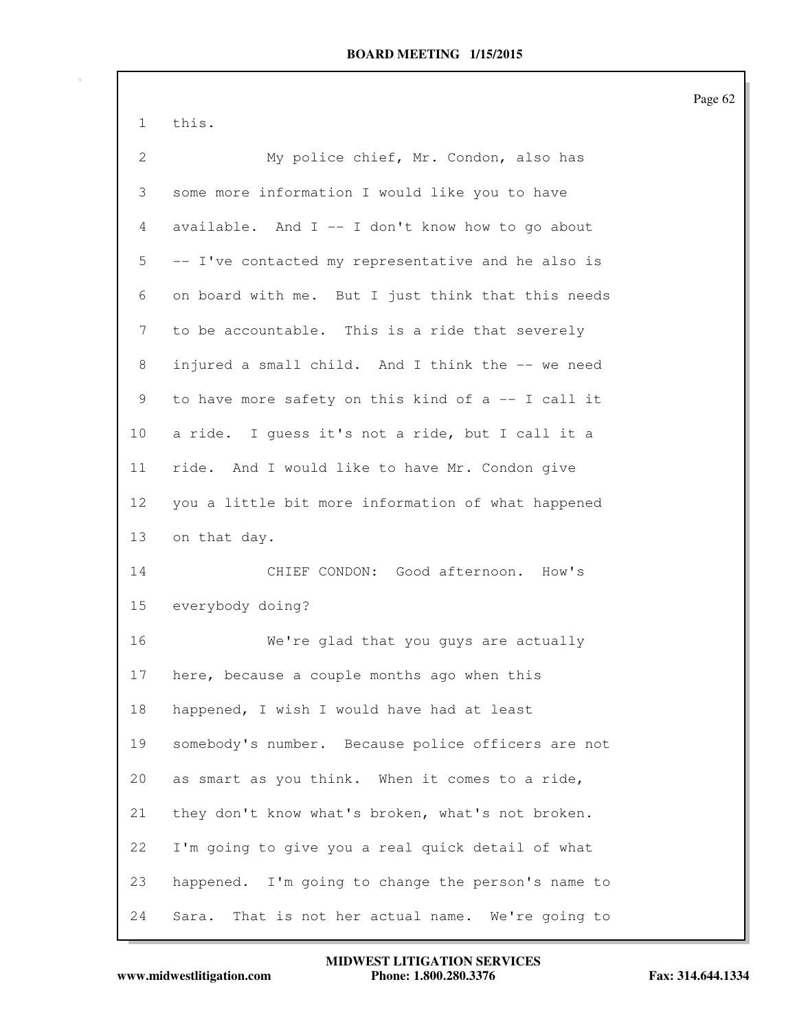1 this.

| $\overline{2}$ | My police chief, Mr. Condon, also has                |
|----------------|------------------------------------------------------|
| 3              | some more information I would like you to have       |
| 4              | available. And I -- I don't know how to go about     |
| 5              | -- I've contacted my representative and he also is   |
| 6              | on board with me. But I just think that this needs   |
| 7              | to be accountable. This is a ride that severely      |
| 8              | injured a small child. And I think the -- we need    |
| 9              | to have more safety on this kind of a -- I call it   |
| 10             | a ride. I guess it's not a ride, but I call it a     |
| 11             | ride. And I would like to have Mr. Condon give       |
| 12             | you a little bit more information of what happened   |
| 13             | on that day.                                         |
| 14             | CHIEF CONDON: Good afternoon. How's                  |
| 15             | everybody doing?                                     |
| 16             | We're glad that you guys are actually                |
| 17             | here, because a couple months ago when this          |
| 18             | happened, I wish I would have had at least           |
| 19             | somebody's number. Because police officers are not   |
| 20             | as smart as you think. When it comes to a ride,      |
| 21             | they don't know what's broken, what's not broken.    |
| 22             | I'm going to give you a real quick detail of what    |
| 23             | happened. I'm going to change the person's name to   |
| 24             | That is not her actual name. We're going to<br>Sara. |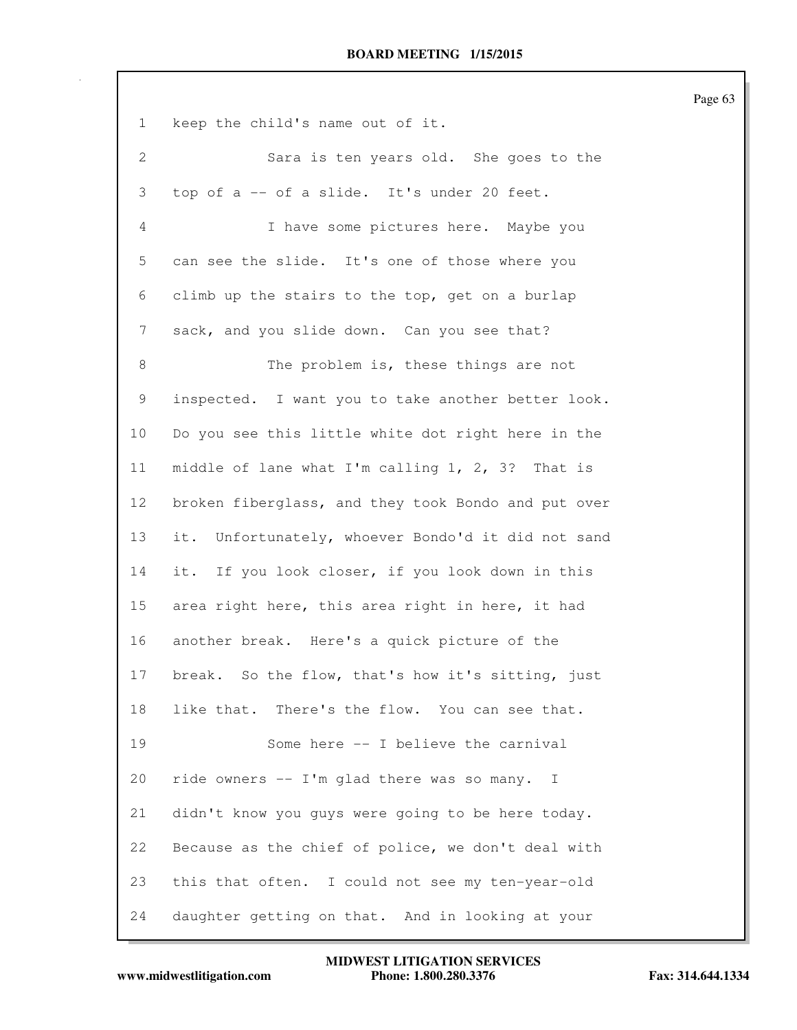|                |                                                     | Page 63 |
|----------------|-----------------------------------------------------|---------|
| $\mathbf{1}$   | keep the child's name out of it.                    |         |
| $\mathbf{2}$   | Sara is ten years old. She goes to the              |         |
| 3              | top of a -- of a slide. It's under 20 feet.         |         |
| $\overline{4}$ | I have some pictures here. Maybe you                |         |
| 5              | can see the slide. It's one of those where you      |         |
| 6              | climb up the stairs to the top, get on a burlap     |         |
| 7              | sack, and you slide down. Can you see that?         |         |
| 8              | The problem is, these things are not                |         |
| 9              | inspected. I want you to take another better look.  |         |
| 10             | Do you see this little white dot right here in the  |         |
| 11             | middle of lane what I'm calling 1, 2, 3? That is    |         |
| 12             | broken fiberglass, and they took Bondo and put over |         |
| 13             | it. Unfortunately, whoever Bondo'd it did not sand  |         |
| 14             | it. If you look closer, if you look down in this    |         |
| 15             | area right here, this area right in here, it had    |         |
| 16             | another break. Here's a quick picture of the        |         |
| 17             | break. So the flow, that's how it's sitting, just   |         |
| 18             | like that. There's the flow. You can see that.      |         |
| 19             | Some here -- I believe the carnival                 |         |
| 20             | ride owners -- I'm glad there was so many. I        |         |
| 21             | didn't know you guys were going to be here today.   |         |
| 22             | Because as the chief of police, we don't deal with  |         |
| 23             | this that often. I could not see my ten-year-old    |         |
| 24             | daughter getting on that. And in looking at your    |         |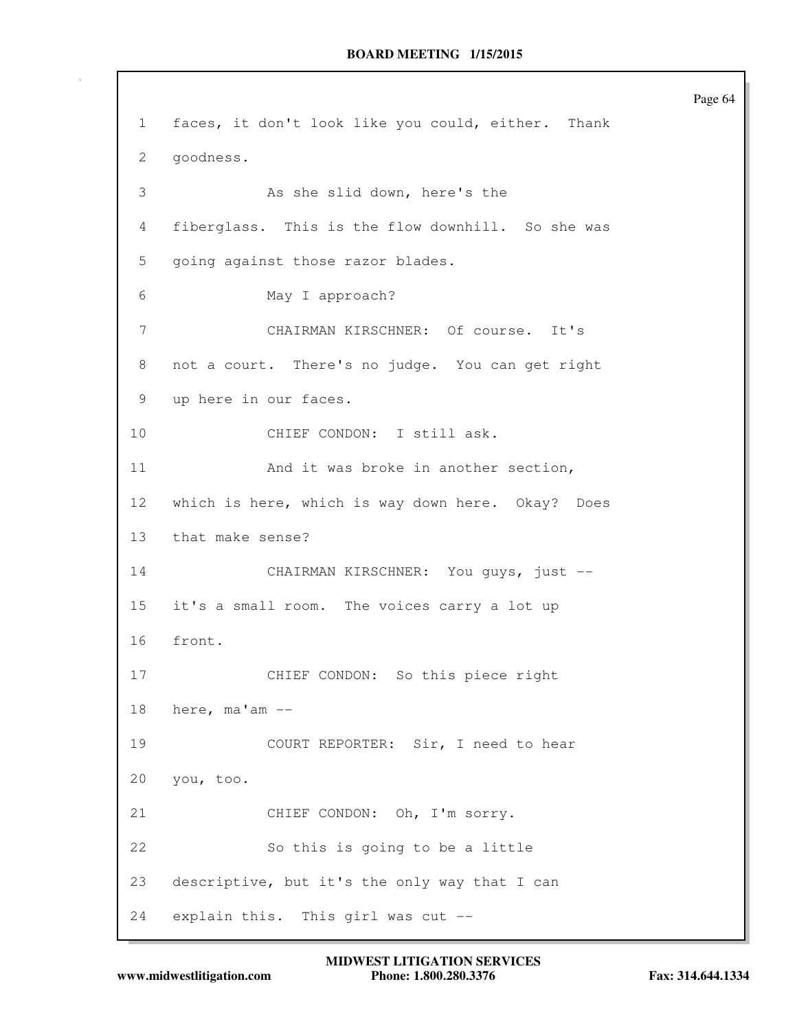Page 64 1 faces, it don't look like you could, either. Thank 2 goodness. 3 As she slid down, here's the 4 fiberglass. This is the flow downhill. So she was 5 going against those razor blades. 6 May I approach? 7 CHAIRMAN KIRSCHNER: Of course. It's 8 not a court. There's no judge. You can get right 9 up here in our faces. 10 CHIEF CONDON: I still ask. 11 And it was broke in another section, 12 which is here, which is way down here. Okay? Does 13 that make sense? 14 CHAIRMAN KIRSCHNER: You guys, just -- 15 it's a small room. The voices carry a lot up 16 front. 17 CHIEF CONDON: So this piece right 18 here, ma'am -- 19 COURT REPORTER: Sir, I need to hear 20 you, too. 21 CHIEF CONDON: Oh, I'm sorry. 22 So this is going to be a little 23 descriptive, but it's the only way that I can 24 explain this. This girl was cut --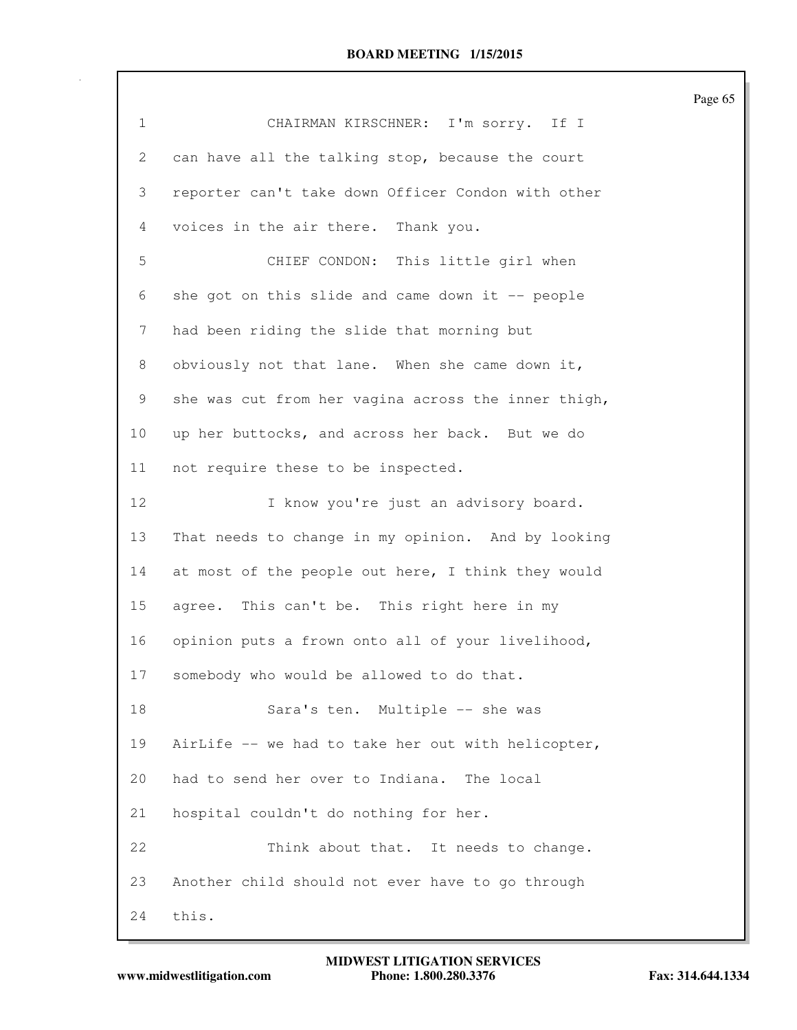| $\mathbf 1$     | CHAIRMAN KIRSCHNER: I'm sorry. If I                 |
|-----------------|-----------------------------------------------------|
| 2               | can have all the talking stop, because the court    |
| 3               | reporter can't take down Officer Condon with other  |
| 4               | voices in the air there. Thank you.                 |
| 5               | CHIEF CONDON: This little girl when                 |
| 6               | she got on this slide and came down it -- people    |
| 7               | had been riding the slide that morning but          |
| 8               | obviously not that lane. When she came down it,     |
| 9               | she was cut from her vagina across the inner thigh, |
| 10 <sub>o</sub> | up her buttocks, and across her back. But we do     |
| 11              | not require these to be inspected.                  |
| 12              | I know you're just an advisory board.               |
| 13              | That needs to change in my opinion. And by looking  |
| 14              | at most of the people out here, I think they would  |
| 15              | agree. This can't be. This right here in my         |
| 16              | opinion puts a frown onto all of your livelihood,   |
| 17              | somebody who would be allowed to do that.           |
| 18              | Sara's ten. Multiple -- she was                     |
| 19              | AirLife -- we had to take her out with helicopter,  |
| 20              | had to send her over to Indiana. The local          |
| 21              | hospital couldn't do nothing for her.               |
| 22              | Think about that. It needs to change.               |
| 23              | Another child should not ever have to go through    |
| 24              | this.                                               |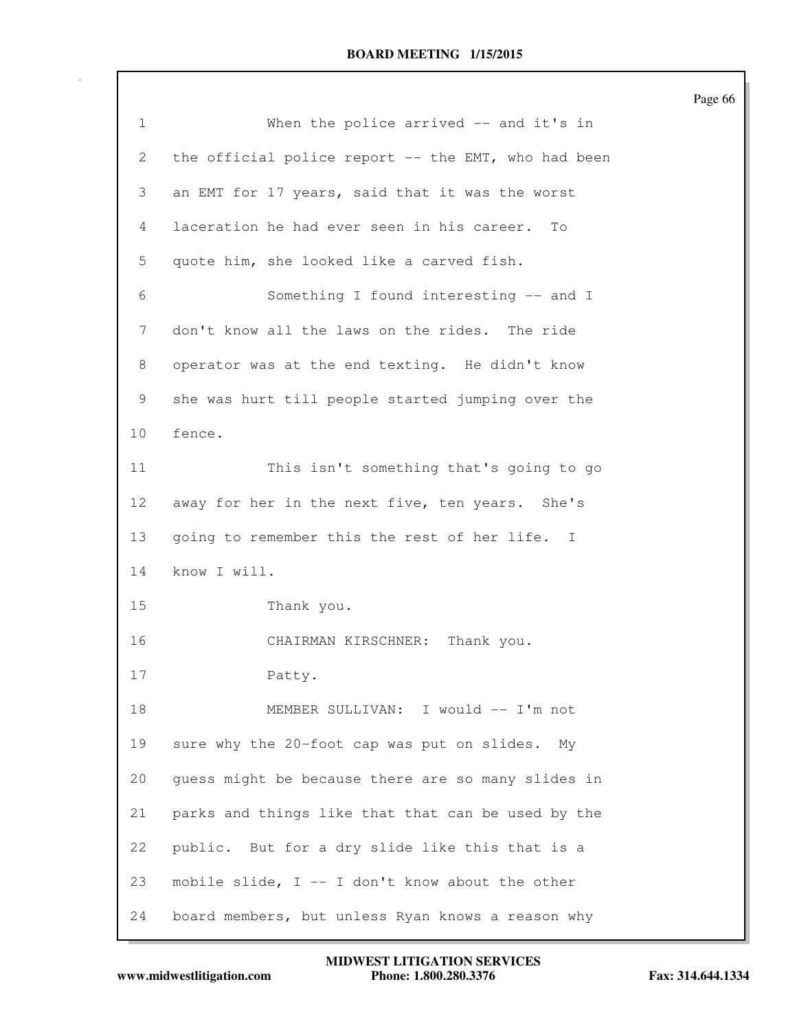|                 |                                                     | Page 66 |
|-----------------|-----------------------------------------------------|---------|
| $\mathbf{1}$    | When the police arrived -- and it's in              |         |
| 2               | the official police report -- the EMT, who had been |         |
| 3               | an EMT for 17 years, said that it was the worst     |         |
| 4               | laceration he had ever seen in his career.<br>To    |         |
| 5               | quote him, she looked like a carved fish.           |         |
| 6               | Something I found interesting -- and I              |         |
| 7               | don't know all the laws on the rides. The ride      |         |
| 8               | operator was at the end texting. He didn't know     |         |
| 9               | she was hurt till people started jumping over the   |         |
| 10 <sub>o</sub> | fence.                                              |         |
| 11              | This isn't something that's going to go             |         |
| 12              | away for her in the next five, ten years. She's     |         |
| 13              | going to remember this the rest of her life. I      |         |
| 14              | know I will.                                        |         |
| 15              | Thank you.                                          |         |
| 16              | Thank you.<br>CHAIRMAN KIRSCHNER:                   |         |
| 17              | Patty.                                              |         |
| 18              | MEMBER SULLIVAN: I would -- I'm not                 |         |
| 19              | sure why the 20-foot cap was put on slides. My      |         |
| 20              | guess might be because there are so many slides in  |         |
| 21              | parks and things like that that can be used by the  |         |
| 22              | public. But for a dry slide like this that is a     |         |
| 23              | mobile slide, I -- I don't know about the other     |         |
| 24              | board members, but unless Ryan knows a reason why   |         |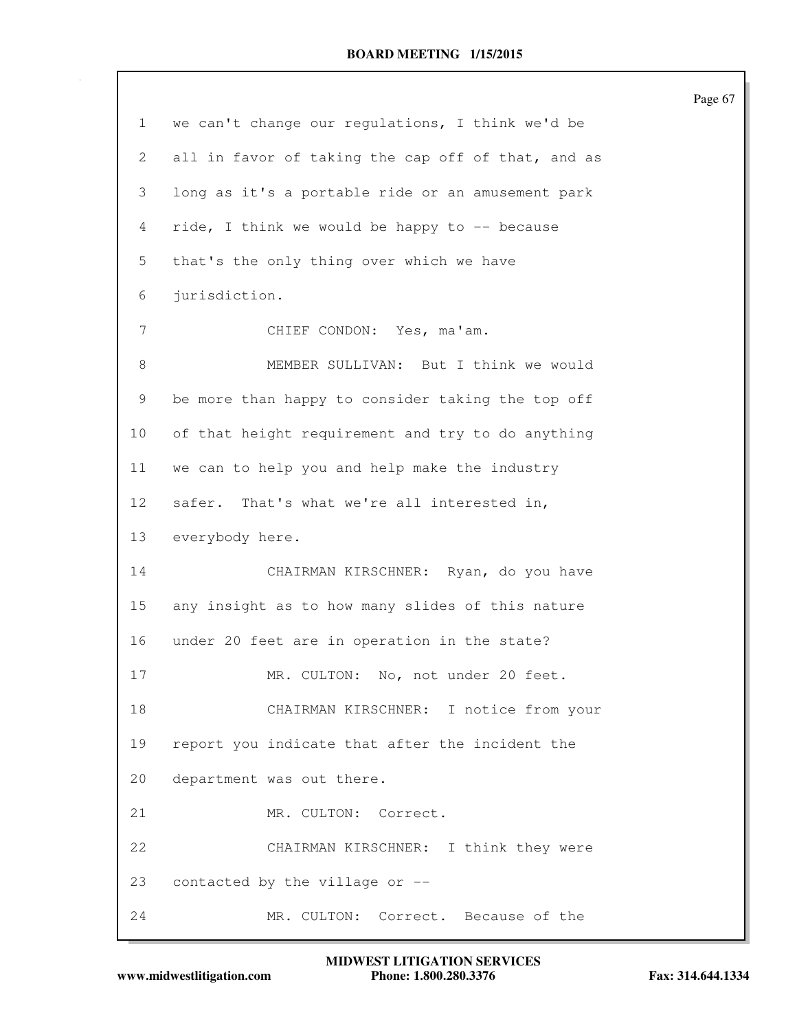| $\mathbf 1$     | we can't change our regulations, I think we'd be   |
|-----------------|----------------------------------------------------|
| 2               | all in favor of taking the cap off of that, and as |
| 3               | long as it's a portable ride or an amusement park  |
| $\overline{4}$  | ride, I think we would be happy to -- because      |
| 5               | that's the only thing over which we have           |
| 6               | jurisdiction.                                      |
| 7               | CHIEF CONDON: Yes, ma'am.                          |
| $\,8\,$         | MEMBER SULLIVAN: But I think we would              |
| 9               | be more than happy to consider taking the top off  |
| 10              | of that height requirement and try to do anything  |
| 11              | we can to help you and help make the industry      |
| 12 <sup>°</sup> | safer. That's what we're all interested in,        |
| 13              | everybody here.                                    |
| 14              | CHAIRMAN KIRSCHNER: Ryan, do you have              |
| 15              | any insight as to how many slides of this nature   |
| 16              | under 20 feet are in operation in the state?       |
| 17              | MR. CULTON: No, not under 20 feet.                 |
| 18              | CHAIRMAN KIRSCHNER: I notice from your             |
| 19              | report you indicate that after the incident the    |
| 20              | department was out there.                          |
| 21              | MR. CULTON: Correct.                               |
| 22              | CHAIRMAN KIRSCHNER: I think they were              |
| 23              | contacted by the village or --                     |
| 24              | MR. CULTON:<br>Correct. Because of the             |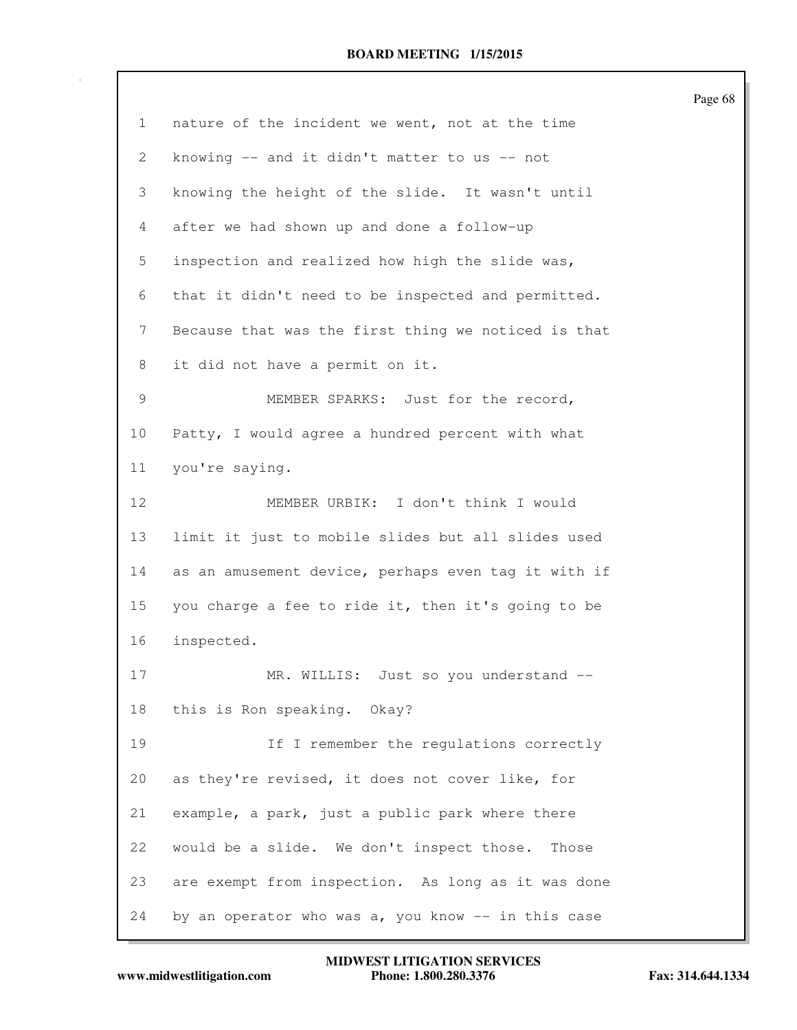|    |                                                     | Page 68 |
|----|-----------------------------------------------------|---------|
| 1  | nature of the incident we went, not at the time     |         |
| 2  | knowing -- and it didn't matter to us -- not        |         |
| 3  | knowing the height of the slide. It wasn't until    |         |
| 4  | after we had shown up and done a follow-up          |         |
| 5  | inspection and realized how high the slide was,     |         |
| 6  | that it didn't need to be inspected and permitted.  |         |
| 7  | Because that was the first thing we noticed is that |         |
| 8  | it did not have a permit on it.                     |         |
| 9  | MEMBER SPARKS: Just for the record,                 |         |
| 10 | Patty, I would agree a hundred percent with what    |         |
| 11 | you're saying.                                      |         |
| 12 | MEMBER URBIK: I don't think I would                 |         |
| 13 | limit it just to mobile slides but all slides used  |         |
| 14 | as an amusement device, perhaps even tag it with if |         |
| 15 | you charge a fee to ride it, then it's going to be  |         |
| 16 | inspected.                                          |         |
| 17 | MR. WILLIS: Just so you understand --               |         |
| 18 | this is Ron speaking. Okay?                         |         |
| 19 | If I remember the regulations correctly             |         |
| 20 | as they're revised, it does not cover like, for     |         |
| 21 | example, a park, just a public park where there     |         |
| 22 | would be a slide. We don't inspect those.<br>Those  |         |
| 23 | are exempt from inspection. As long as it was done  |         |
| 24 | by an operator who was a, you know -- in this case  |         |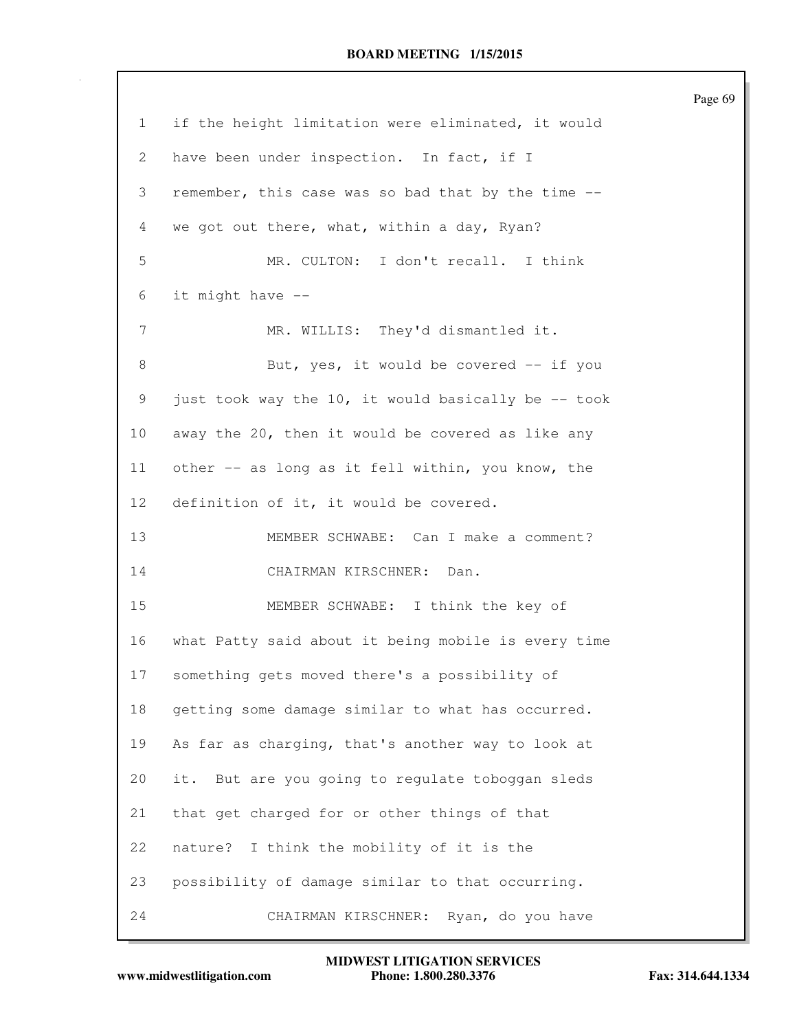|                 |                                                     | Page 69 |
|-----------------|-----------------------------------------------------|---------|
| 1               | if the height limitation were eliminated, it would  |         |
| 2               | have been under inspection. In fact, if I           |         |
| 3               | remember, this case was so bad that by the time --  |         |
| 4               | we got out there, what, within a day, Ryan?         |         |
| 5               | MR. CULTON: I don't recall. I think                 |         |
| 6               | it might have --                                    |         |
| 7               | MR. WILLIS: They'd dismantled it.                   |         |
| 8               | But, yes, it would be covered -- if you             |         |
| 9               | just took way the 10, it would basically be -- took |         |
| 10 <sub>o</sub> | away the 20, then it would be covered as like any   |         |
| 11              | other -- as long as it fell within, you know, the   |         |
| 12 <sup>°</sup> | definition of it, it would be covered.              |         |
| 13              | MEMBER SCHWABE: Can I make a comment?               |         |
| 14              | CHAIRMAN KIRSCHNER:<br>Dan.                         |         |
| 15              | MEMBER SCHWABE: I think the key of                  |         |
| 16              | what Patty said about it being mobile is every time |         |
| 17              | something gets moved there's a possibility of       |         |
| 18              | getting some damage similar to what has occurred.   |         |
| 19              | As far as charging, that's another way to look at   |         |
| 20              | it. But are you going to regulate toboggan sleds    |         |
| 21              | that get charged for or other things of that        |         |
| 22              | I think the mobility of it is the<br>nature?        |         |
| 23              | possibility of damage similar to that occurring.    |         |
| 24              | CHAIRMAN KIRSCHNER: Ryan, do you have               |         |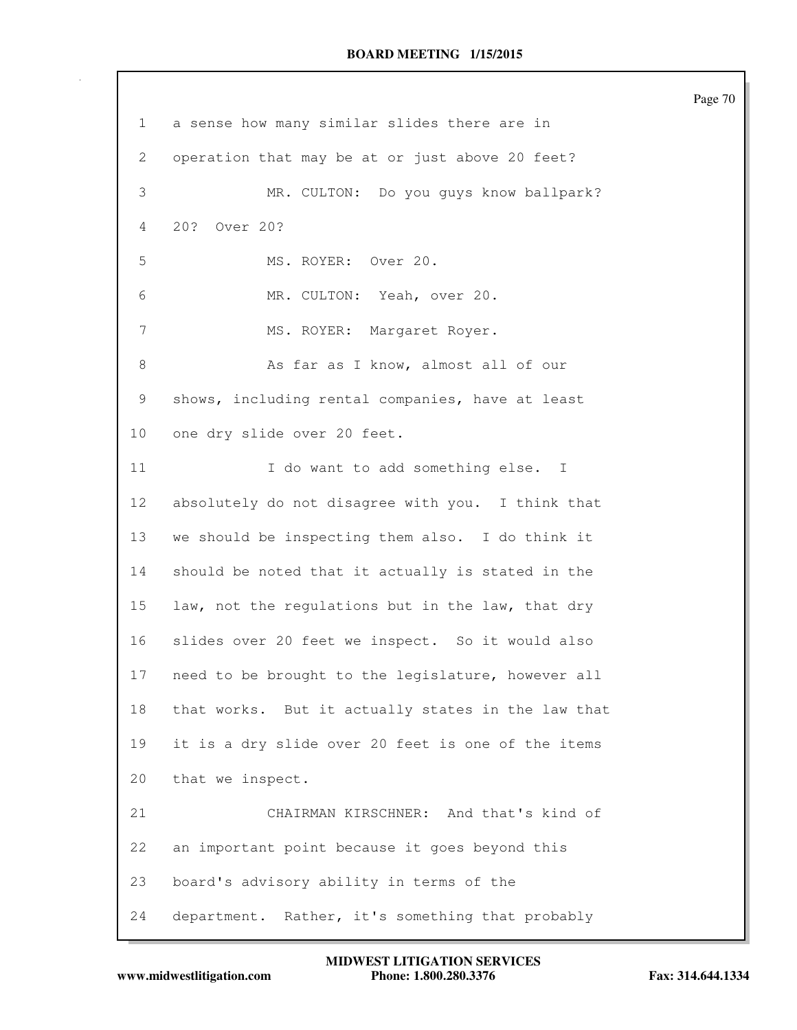| $\mathbf 1$    | a sense how many similar slides there are in       |
|----------------|----------------------------------------------------|
| 2              | operation that may be at or just above 20 feet?    |
| 3              | MR. CULTON: Do you guys know ballpark?             |
| 4              | 20? Over 20?                                       |
| 5              | MS. ROYER: Over 20.                                |
| 6              | MR. CULTON: Yeah, over 20.                         |
| $\overline{7}$ | MS. ROYER: Margaret Royer.                         |
| 8              | As far as I know, almost all of our                |
| 9              | shows, including rental companies, have at least   |
| 10             | one dry slide over 20 feet.                        |
| 11             | I do want to add something else. I                 |
| 12             | absolutely do not disagree with you. I think that  |
| 13             | we should be inspecting them also. I do think it   |
| 14             | should be noted that it actually is stated in the  |
| 15             | law, not the regulations but in the law, that dry  |
| 16             | slides over 20 feet we inspect. So it would also   |
| 17             | need to be brought to the legislature, however all |
| 18             | that works. But it actually states in the law that |
| 19             | it is a dry slide over 20 feet is one of the items |
| 20             | that we inspect.                                   |
| 21             | CHAIRMAN KIRSCHNER: And that's kind of             |
| 22             | an important point because it goes beyond this     |
| 23             | board's advisory ability in terms of the           |
| 24             | department. Rather, it's something that probably   |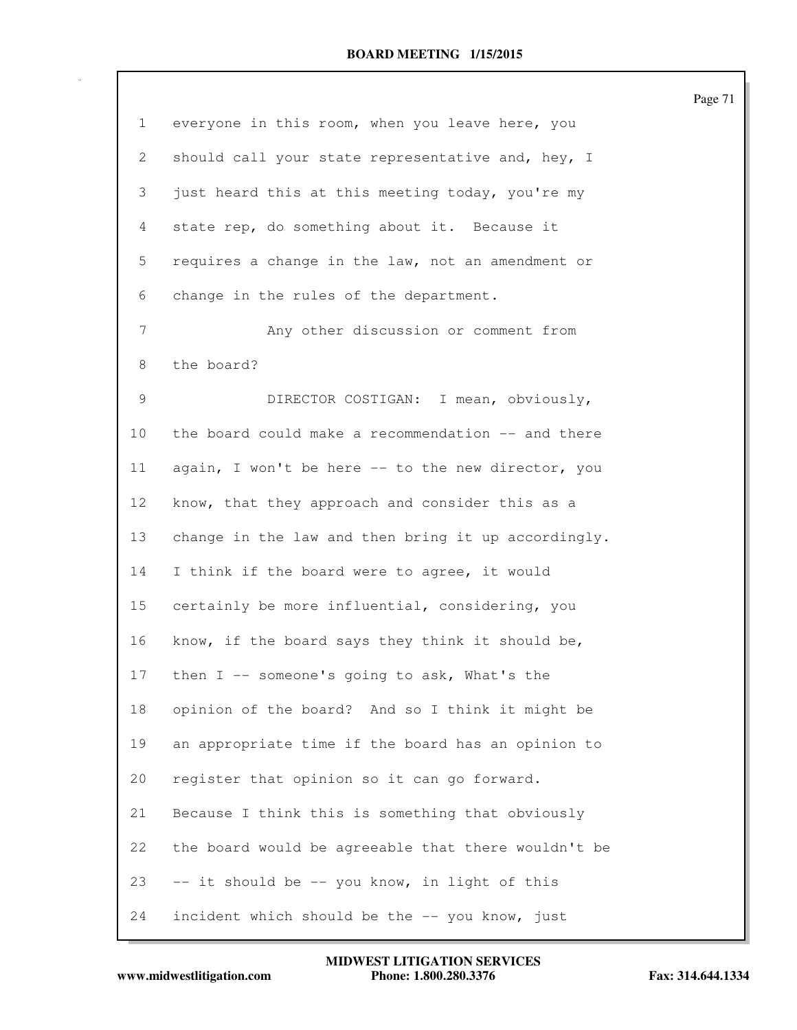| $\mathbf{1}$    | everyone in this room, when you leave here, you     |
|-----------------|-----------------------------------------------------|
| 2               | should call your state representative and, hey, I   |
| 3               | just heard this at this meeting today, you're my    |
| 4               | state rep, do something about it. Because it        |
| 5               | requires a change in the law, not an amendment or   |
| 6               | change in the rules of the department.              |
| 7               | Any other discussion or comment from                |
| 8               | the board?                                          |
| 9               | DIRECTOR COSTIGAN: I mean, obviously,               |
| 10 <sub>o</sub> | the board could make a recommendation -- and there  |
| 11              | again, I won't be here -- to the new director, you  |
| 12              | know, that they approach and consider this as a     |
| 13              | change in the law and then bring it up accordingly. |
| 14              | I think if the board were to agree, it would        |
| 15              | certainly be more influential, considering, you     |
| 16              | know, if the board says they think it should be,    |
| 17              | then I -- someone's going to ask, What's the        |
| 18              | opinion of the board? And so I think it might be    |
| 19              | an appropriate time if the board has an opinion to  |
| 20              | register that opinion so it can go forward.         |
| 21              | Because I think this is something that obviously    |
| 22              | the board would be agreeable that there wouldn't be |
| 23              | -- it should be -- you know, in light of this       |
| 24              | incident which should be the -- you know, just      |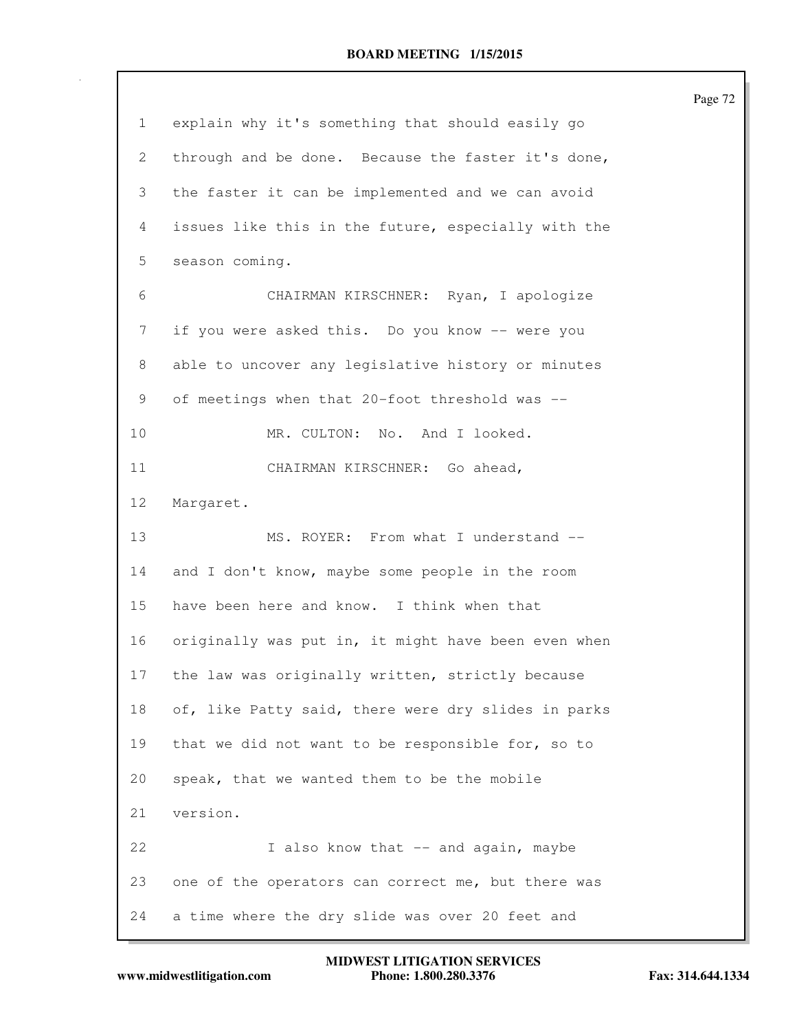|    |                                                     | Page 72 |
|----|-----------------------------------------------------|---------|
| 1  | explain why it's something that should easily go    |         |
| 2  | through and be done. Because the faster it's done,  |         |
| 3  | the faster it can be implemented and we can avoid   |         |
| 4  | issues like this in the future, especially with the |         |
| 5  | season coming.                                      |         |
| 6  | CHAIRMAN KIRSCHNER: Ryan, I apologize               |         |
| 7  | if you were asked this. Do you know -- were you     |         |
| 8  | able to uncover any legislative history or minutes  |         |
| 9  | of meetings when that 20-foot threshold was --      |         |
| 10 | MR. CULTON: No. And I looked.                       |         |
| 11 | CHAIRMAN KIRSCHNER: Go ahead,                       |         |
| 12 | Margaret.                                           |         |
| 13 | MS. ROYER: From what I understand --                |         |
| 14 | and I don't know, maybe some people in the room     |         |
| 15 | have been here and know. I think when that          |         |
| 16 | originally was put in, it might have been even when |         |
| 17 | the law was originally written, strictly because    |         |
| 18 | of, like Patty said, there were dry slides in parks |         |
| 19 | that we did not want to be responsible for, so to   |         |
| 20 | speak, that we wanted them to be the mobile         |         |
| 21 | version.                                            |         |
| 22 | I also know that -- and again, maybe                |         |
| 23 | one of the operators can correct me, but there was  |         |
| 24 | a time where the dry slide was over 20 feet and     |         |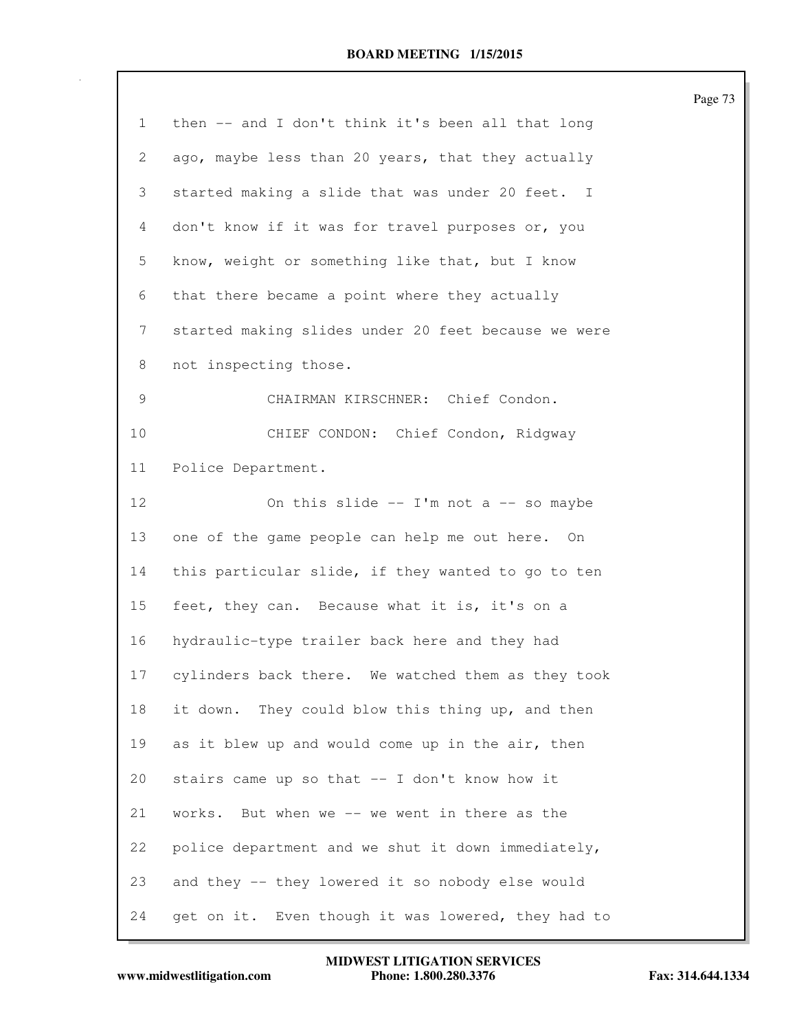|    |                                                     | Page 73 |
|----|-----------------------------------------------------|---------|
| 1  | then -- and I don't think it's been all that long   |         |
| 2  | ago, maybe less than 20 years, that they actually   |         |
| 3  | started making a slide that was under 20 feet. I    |         |
| 4  | don't know if it was for travel purposes or, you    |         |
| 5  | know, weight or something like that, but I know     |         |
| 6  | that there became a point where they actually       |         |
| 7  | started making slides under 20 feet because we were |         |
| 8  | not inspecting those.                               |         |
| 9  | CHAIRMAN KIRSCHNER: Chief Condon.                   |         |
| 10 | CHIEF CONDON: Chief Condon, Ridgway                 |         |
| 11 | Police Department.                                  |         |
| 12 | On this slide $--$ I'm not a $--$ so maybe          |         |
| 13 | one of the game people can help me out here. On     |         |
| 14 | this particular slide, if they wanted to go to ten  |         |
| 15 | feet, they can. Because what it is, it's on a       |         |
| 16 | hydraulic-type trailer back here and they had       |         |
| 17 | cylinders back there. We watched them as they took  |         |
| 18 | They could blow this thing up, and then<br>it down. |         |
| 19 | as it blew up and would come up in the air, then    |         |
| 20 | stairs came up so that -- I don't know how it       |         |
| 21 | works. But when we -- we went in there as the       |         |
| 22 | police department and we shut it down immediately,  |         |
| 23 | and they -- they lowered it so nobody else would    |         |
| 24 | get on it. Even though it was lowered, they had to  |         |

www.midwestlitigation.com Phone: 1.800.280.3376 Fax: 314.644.1334 **MIDWEST LITIGATION SERVICES**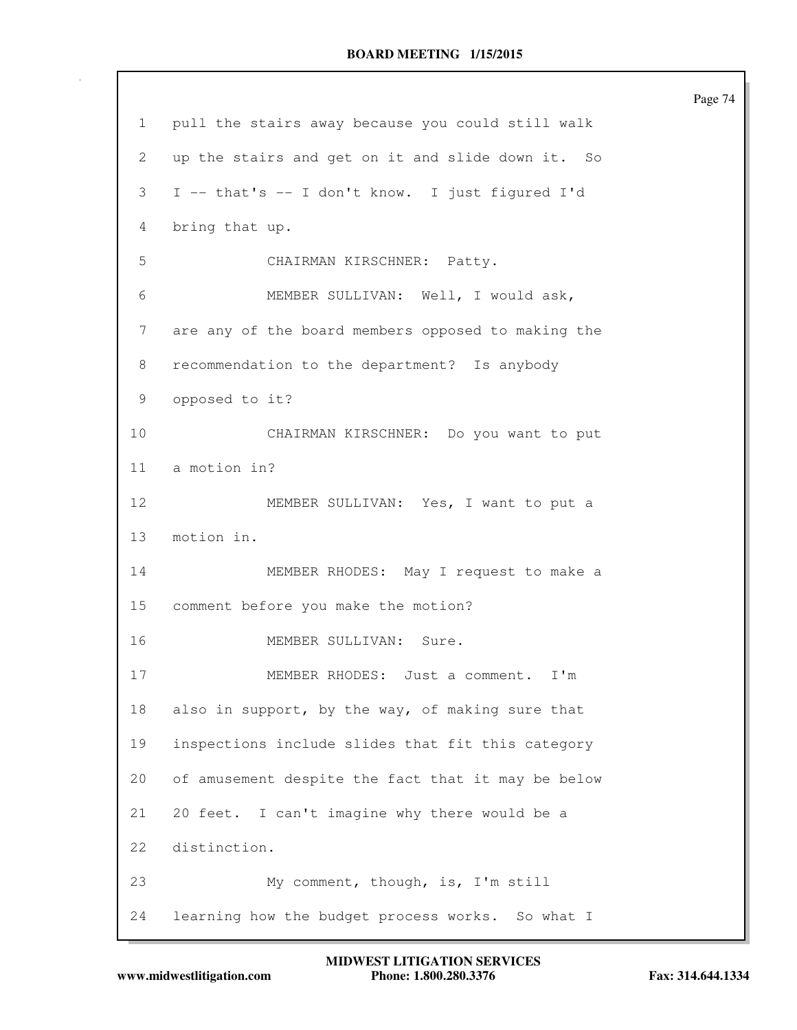1 pull the stairs away because you could still walk 2 up the stairs and get on it and slide down it. So 3 I -- that's -- I don't know. I just figured I'd 4 bring that up. 5 CHAIRMAN KIRSCHNER: Patty. 6 MEMBER SULLIVAN: Well, I would ask, 7 are any of the board members opposed to making the 8 recommendation to the department? Is anybody 9 opposed to it? 10 CHAIRMAN KIRSCHNER: Do you want to put 11 a motion in? 12 MEMBER SULLIVAN: Yes, I want to put a 13 motion in. 14 MEMBER RHODES: May I request to make a 15 comment before you make the motion? 16 MEMBER SULLIVAN: Sure. 17 MEMBER RHODES: Just a comment. I'm 18 also in support, by the way, of making sure that 19 inspections include slides that fit this category 20 of amusement despite the fact that it may be below 21 20 feet. I can't imagine why there would be a 22 distinction. 23 My comment, though, is, I'm still 24 learning how the budget process works. So what I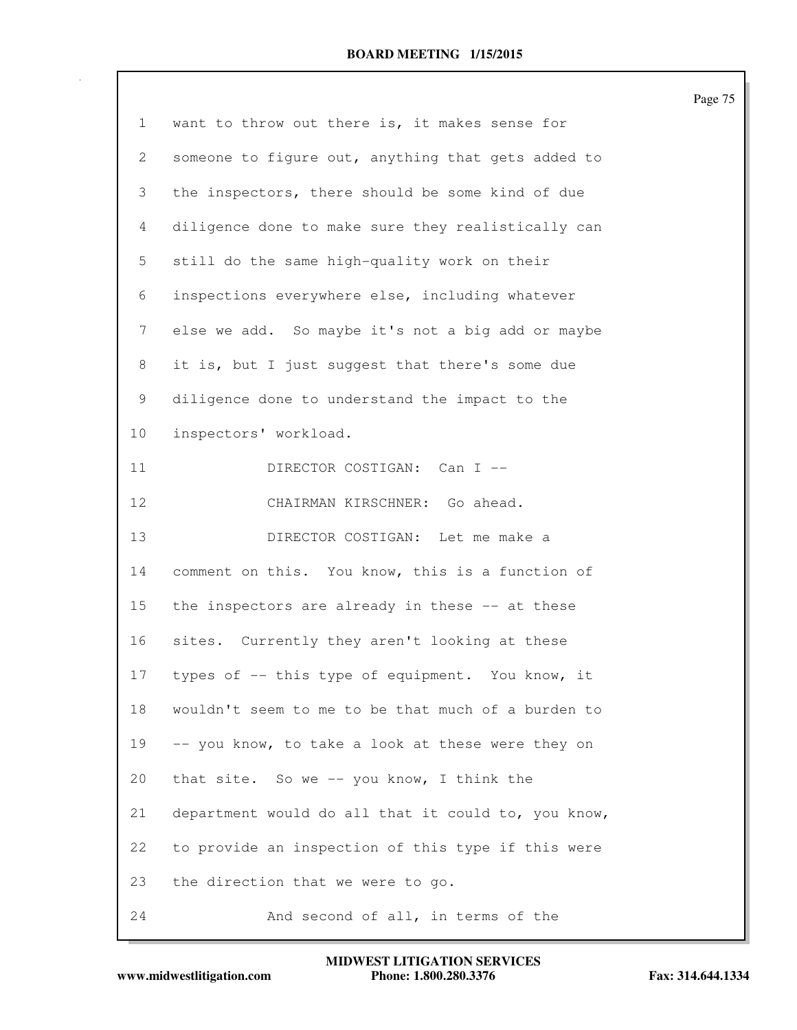|                |                                                     | Page 75 |
|----------------|-----------------------------------------------------|---------|
| $\mathbf{1}$   | want to throw out there is, it makes sense for      |         |
| 2              | someone to figure out, anything that gets added to  |         |
| 3              | the inspectors, there should be some kind of due    |         |
| $\overline{4}$ | diligence done to make sure they realistically can  |         |
| 5              | still do the same high-quality work on their        |         |
| 6              | inspections everywhere else, including whatever     |         |
| 7              | else we add. So maybe it's not a big add or maybe   |         |
| 8              | it is, but I just suggest that there's some due     |         |
| 9              | diligence done to understand the impact to the      |         |
| 10             | inspectors' workload.                               |         |
| 11             | DIRECTOR COSTIGAN: Can I --                         |         |
| 12             | CHAIRMAN KIRSCHNER: Go ahead.                       |         |
| 13             | DIRECTOR COSTIGAN: Let me make a                    |         |
| 14             | comment on this. You know, this is a function of    |         |
| 15             | the inspectors are already in these -- at these     |         |
| 16             | sites. Currently they aren't looking at these       |         |
| 17             | types of -- this type of equipment. You know, it    |         |
| 18             | wouldn't seem to me to be that much of a burden to  |         |
| 19             | -- you know, to take a look at these were they on   |         |
| 20             | that site. So we -- you know, I think the           |         |
| 21             | department would do all that it could to, you know, |         |
| 22             | to provide an inspection of this type if this were  |         |
| 23             | the direction that we were to go.                   |         |
| 24             | And second of all, in terms of the                  |         |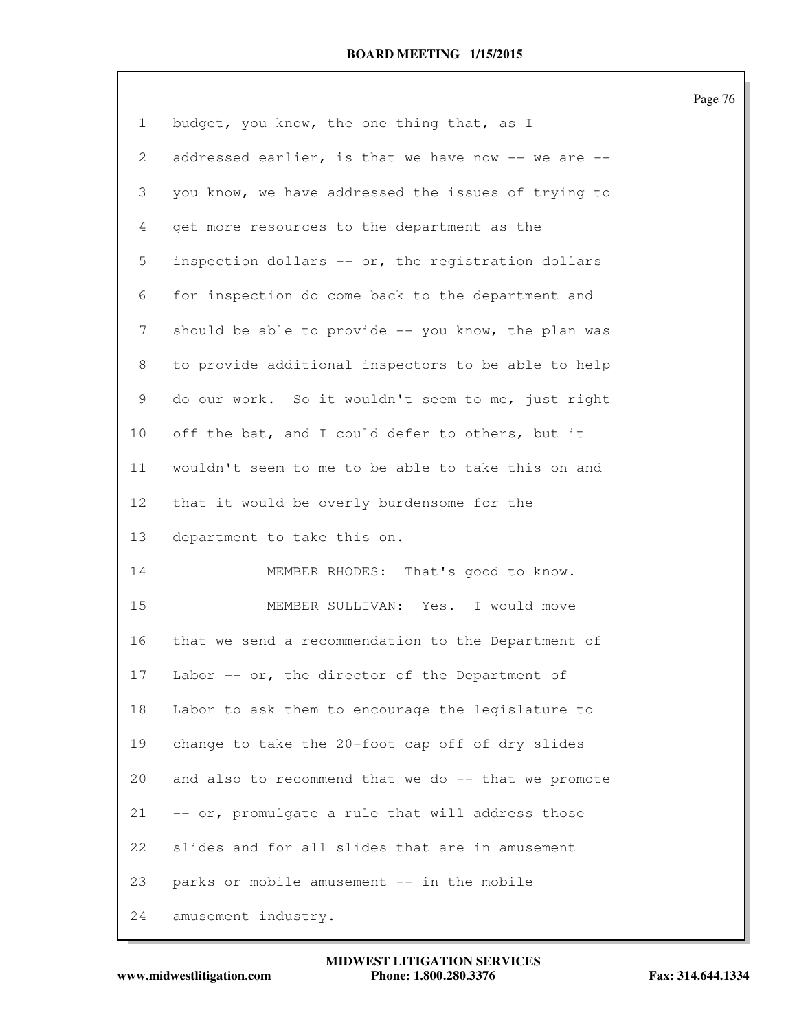| $\mathbf{1}$ | budget, you know, the one thing that, as I          |
|--------------|-----------------------------------------------------|
| 2            | addressed earlier, is that we have now -- we are -- |
| 3            | you know, we have addressed the issues of trying to |
| 4            | get more resources to the department as the         |
| 5            | inspection dollars -- or, the registration dollars  |
| 6            | for inspection do come back to the department and   |
| 7            | should be able to provide -- you know, the plan was |
| 8            | to provide additional inspectors to be able to help |
| 9            | do our work. So it wouldn't seem to me, just right  |
| 10           | off the bat, and I could defer to others, but it    |
| 11           | wouldn't seem to me to be able to take this on and  |
| 12           | that it would be overly burdensome for the          |
| 13           | department to take this on.                         |
| 14           | MEMBER RHODES: That's good to know.                 |
| 15           | MEMBER SULLIVAN: Yes. I would move                  |
| 16           | that we send a recommendation to the Department of  |
| 17           | Labor -- or, the director of the Department of      |
| 18           | Labor to ask them to encourage the legislature to   |
| 19           | change to take the 20-foot cap off of dry slides    |
| 20           | and also to recommend that we do -- that we promote |
| 21           | -- or, promulgate a rule that will address those    |
| 22           | slides and for all slides that are in amusement     |
| 23           | parks or mobile amusement -- in the mobile          |
| 24           | amusement industry.                                 |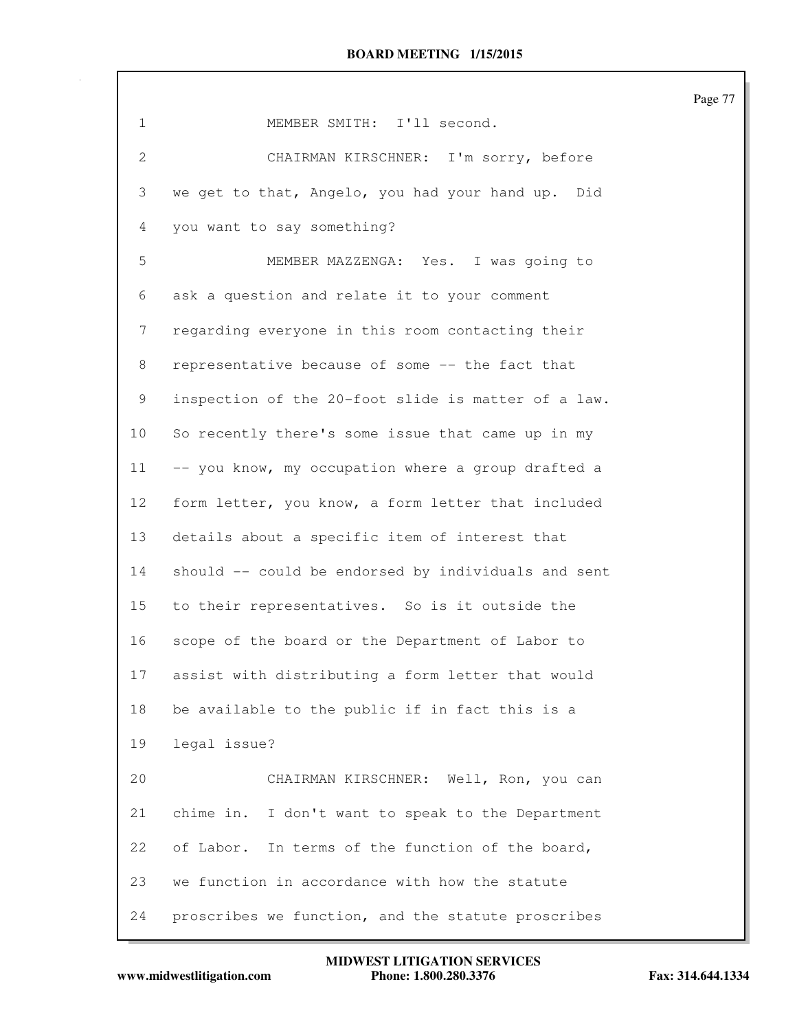|                |                                                      | Page 77 |
|----------------|------------------------------------------------------|---------|
| $\mathbf{1}$   | MEMBER SMITH: I'll second.                           |         |
| $\overline{2}$ | CHAIRMAN KIRSCHNER: I'm sorry, before                |         |
| 3              | we get to that, Angelo, you had your hand up. Did    |         |
| 4              | you want to say something?                           |         |
| 5              | MEMBER MAZZENGA: Yes. I was going to                 |         |
| 6              | ask a question and relate it to your comment         |         |
| 7              | regarding everyone in this room contacting their     |         |
| 8              | representative because of some -- the fact that      |         |
| 9              | inspection of the 20-foot slide is matter of a law.  |         |
| 10             | So recently there's some issue that came up in my    |         |
| 11             | -- you know, my occupation where a group drafted a   |         |
| 12             | form letter, you know, a form letter that included   |         |
| 13             | details about a specific item of interest that       |         |
| 14             | should -- could be endorsed by individuals and sent  |         |
| 15             | to their representatives. So is it outside the       |         |
| 16             | scope of the board or the Department of Labor to     |         |
| 17             | assist with distributing a form letter that would    |         |
| 18             | be available to the public if in fact this is a      |         |
| 19             | legal issue?                                         |         |
| 20             | CHAIRMAN KIRSCHNER: Well, Ron, you can               |         |
| 21             | chime in.<br>I don't want to speak to the Department |         |
| 22             | of Labor.<br>In terms of the function of the board,  |         |
| 23             | we function in accordance with how the statute       |         |
| 24             | proscribes we function, and the statute proscribes   |         |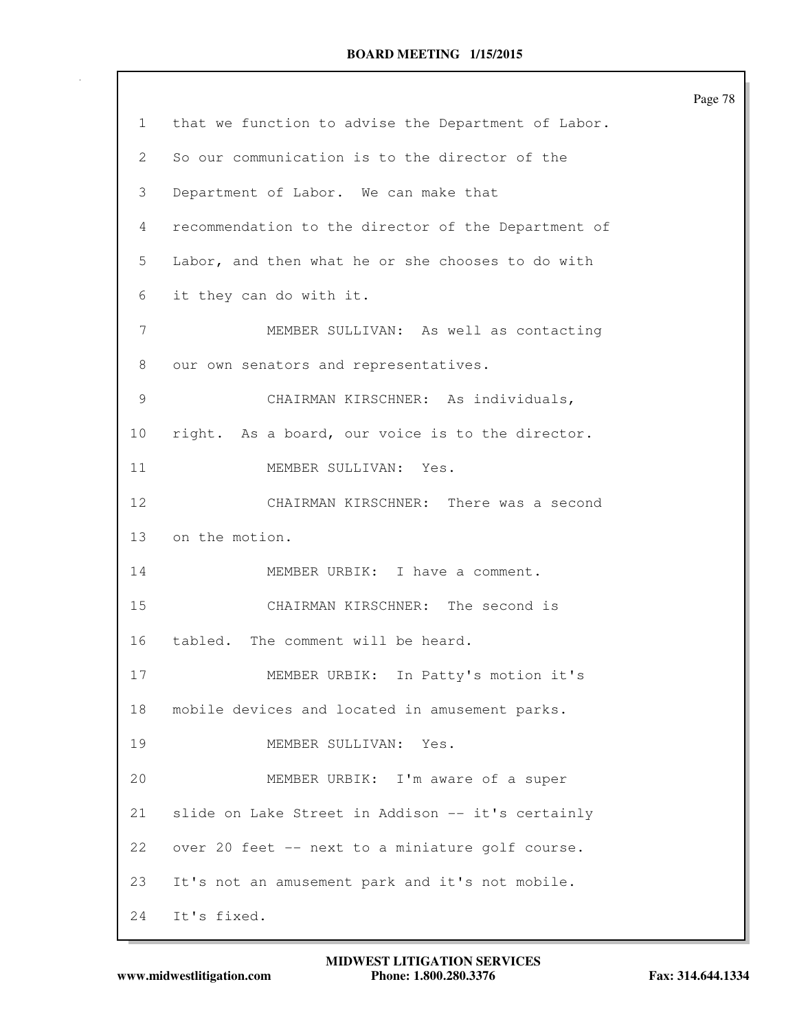|              |                                                     | Page 78 |
|--------------|-----------------------------------------------------|---------|
| $\mathbf{1}$ | that we function to advise the Department of Labor. |         |
| 2            | So our communication is to the director of the      |         |
| 3            | Department of Labor. We can make that               |         |
| 4            | recommendation to the director of the Department of |         |
| 5            | Labor, and then what he or she chooses to do with   |         |
| 6            | it they can do with it.                             |         |
| 7            | MEMBER SULLIVAN: As well as contacting              |         |
| 8            | our own senators and representatives.               |         |
| 9            | CHAIRMAN KIRSCHNER: As individuals,                 |         |
| 10           | right. As a board, our voice is to the director.    |         |
| 11           | MEMBER SULLIVAN: Yes.                               |         |
| 12           | CHAIRMAN KIRSCHNER: There was a second              |         |
| 13           | on the motion.                                      |         |
| 14           | MEMBER URBIK: I have a comment.                     |         |
| 15           | CHAIRMAN KIRSCHNER: The second is                   |         |
| 16           | The comment will be heard.<br>tabled.               |         |
| 17           | MEMBER URBIK: In Patty's motion it's                |         |
| 18           | mobile devices and located in amusement parks.      |         |
| 19           | MEMBER SULLIVAN:<br>Yes.                            |         |
| 20           | MEMBER URBIK: I'm aware of a super                  |         |
| 21           | slide on Lake Street in Addison -- it's certainly   |         |
| 22           | over 20 feet -- next to a miniature golf course.    |         |
| 23           | It's not an amusement park and it's not mobile.     |         |
| 24           | It's fixed.                                         |         |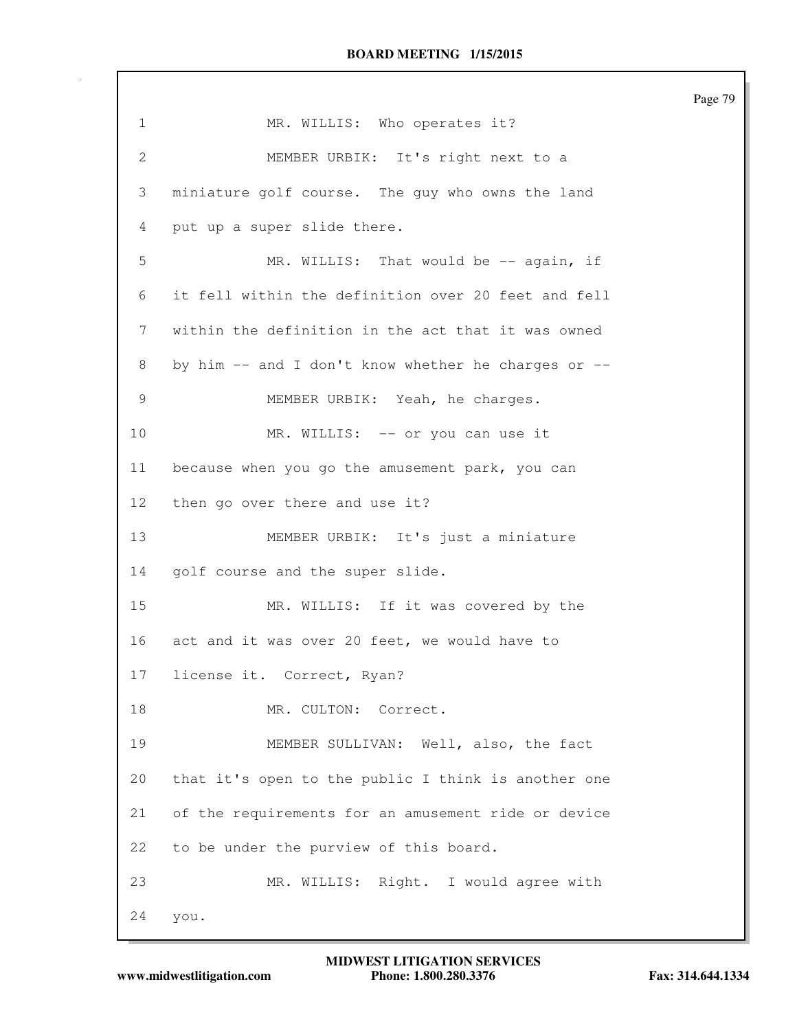1 MR. WILLIS: Who operates it? 2 MEMBER URBIK: It's right next to a 3 miniature golf course. The guy who owns the land 4 put up a super slide there. 5 MR. WILLIS: That would be -- again, if 6 it fell within the definition over 20 feet and fell 7 within the definition in the act that it was owned 8 by him -- and I don't know whether he charges or -- 9 MEMBER URBIK: Yeah, he charges. 10 MR. WILLIS: -- or you can use it 11 because when you go the amusement park, you can 12 then go over there and use it? 13 MEMBER URBIK: It's just a miniature 14 golf course and the super slide. 15 MR. WILLIS: If it was covered by the 16 act and it was over 20 feet, we would have to 17 license it. Correct, Ryan? 18 MR. CULTON: Correct. 19 MEMBER SULLIVAN: Well, also, the fact 20 that it's open to the public I think is another one 21 of the requirements for an amusement ride or device 22 to be under the purview of this board. 23 MR. WILLIS: Right. I would agree with 24 you.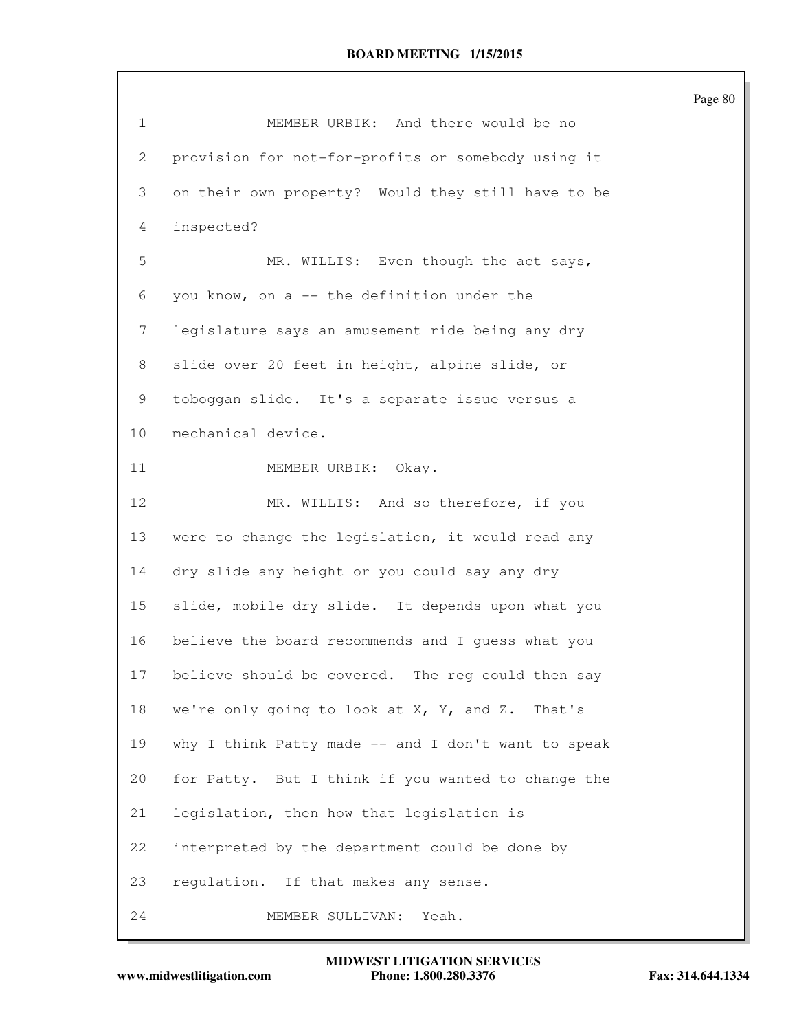|              |                                                     | Page 80 |
|--------------|-----------------------------------------------------|---------|
| $\mathbf{1}$ | MEMBER URBIK: And there would be no                 |         |
| 2            | provision for not-for-profits or somebody using it  |         |
| 3            | on their own property? Would they still have to be  |         |
| 4            | inspected?                                          |         |
| 5            | MR. WILLIS: Even though the act says,               |         |
| 6            | you know, on a -- the definition under the          |         |
| 7            | legislature says an amusement ride being any dry    |         |
| 8            | slide over 20 feet in height, alpine slide, or      |         |
| 9            | toboggan slide. It's a separate issue versus a      |         |
| 10           | mechanical device.                                  |         |
| 11           | MEMBER URBIK: Okay.                                 |         |
| 12           | MR. WILLIS: And so therefore, if you                |         |
| 13           | were to change the legislation, it would read any   |         |
| 14           | dry slide any height or you could say any dry       |         |
| 15           | slide, mobile dry slide. It depends upon what you   |         |
| 16           | believe the board recommends and I quess what you   |         |
| 17           | believe should be covered. The reg could then say   |         |
| 18           | we're only going to look at X, Y, and Z. That's     |         |
| 19           | why I think Patty made -- and I don't want to speak |         |
| 20           | for Patty. But I think if you wanted to change the  |         |
| 21           | legislation, then how that legislation is           |         |
| 22           | interpreted by the department could be done by      |         |
| 23           | regulation. If that makes any sense.                |         |
| 24           | MEMBER SULLIVAN: Yeah.                              |         |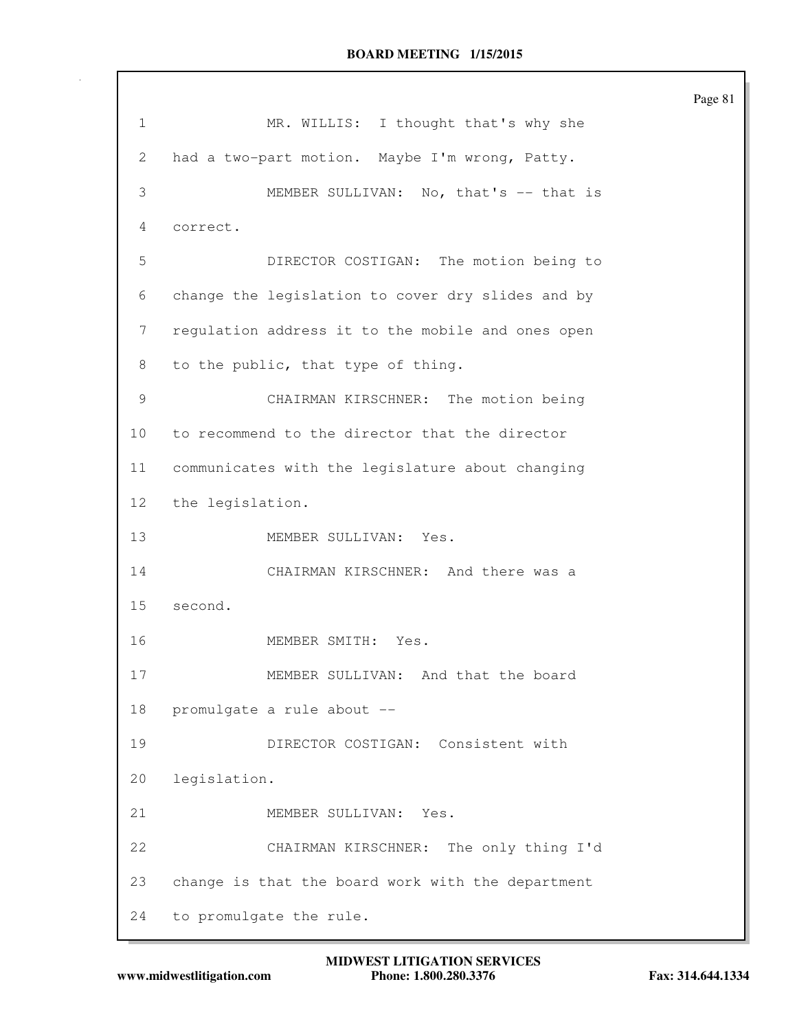|                 |                                                   | Page 81 |
|-----------------|---------------------------------------------------|---------|
| 1               | MR. WILLIS: I thought that's why she              |         |
| 2               | had a two-part motion. Maybe I'm wrong, Patty.    |         |
| 3               | MEMBER SULLIVAN: No, that's -- that is            |         |
| 4               | correct.                                          |         |
| 5               | DIRECTOR COSTIGAN: The motion being to            |         |
| 6               | change the legislation to cover dry slides and by |         |
| 7               | regulation address it to the mobile and ones open |         |
| 8               | to the public, that type of thing.                |         |
| 9               | CHAIRMAN KIRSCHNER: The motion being              |         |
| 10 <sub>o</sub> | to recommend to the director that the director    |         |
| 11              | communicates with the legislature about changing  |         |
| 12              | the legislation.                                  |         |
| 13              | MEMBER SULLIVAN: Yes.                             |         |
| 14              | CHAIRMAN KIRSCHNER: And there was a               |         |
| 15              | second.                                           |         |
| 16              | MEMBER SMITH:<br>Yes.                             |         |
| 17              | MEMBER SULLIVAN: And that the board               |         |
| 18              | promulgate a rule about --                        |         |
| 19              | DIRECTOR COSTIGAN: Consistent with                |         |
| 20              | legislation.                                      |         |
| 21              | MEMBER SULLIVAN: Yes.                             |         |
| 22              | The only thing I'd<br>CHAIRMAN KIRSCHNER:         |         |
| 23              | change is that the board work with the department |         |
| 24              | to promulgate the rule.                           |         |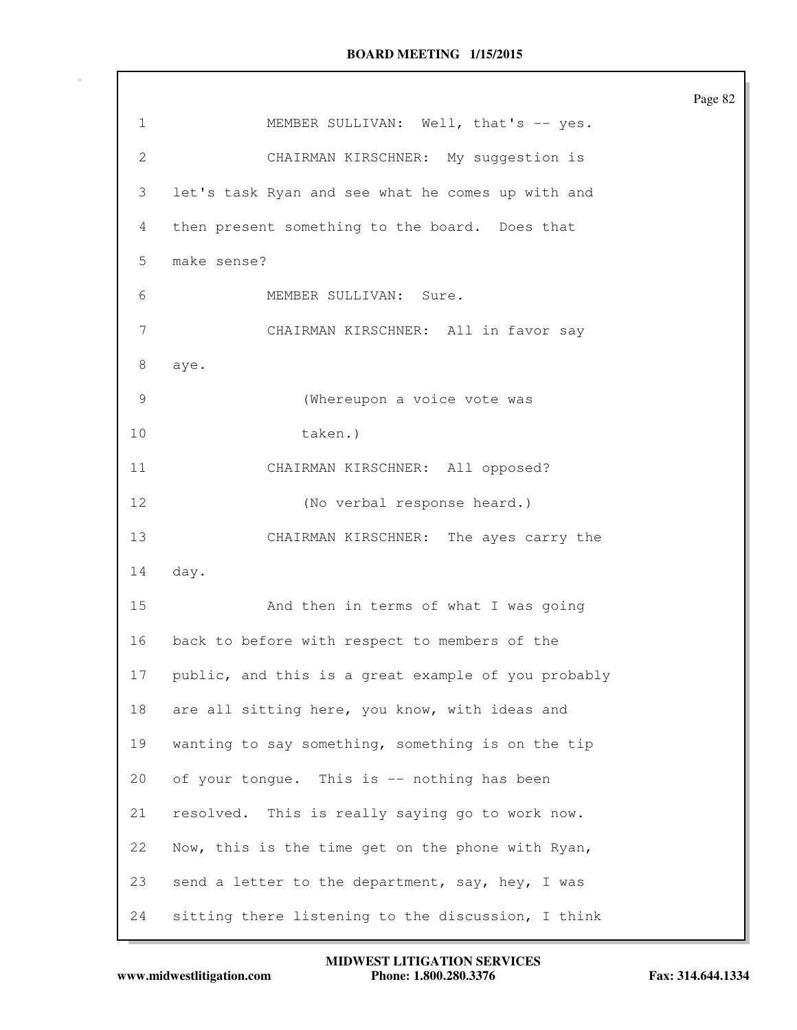|              |                                                     | Page 82 |
|--------------|-----------------------------------------------------|---------|
| 1            | MEMBER SULLIVAN: Well, that's -- yes.               |         |
| $\mathbf{2}$ | CHAIRMAN KIRSCHNER: My suggestion is                |         |
| 3            | let's task Ryan and see what he comes up with and   |         |
| 4            | then present something to the board. Does that      |         |
| 5            | make sense?                                         |         |
| 6            | MEMBER SULLIVAN: Sure.                              |         |
| 7            | CHAIRMAN KIRSCHNER: All in favor say                |         |
| 8            | aye.                                                |         |
| 9            | (Whereupon a voice vote was                         |         |
| 10           | taken.)                                             |         |
| 11           | CHAIRMAN KIRSCHNER: All opposed?                    |         |
| 12           | (No verbal response heard.)                         |         |
| 13           | CHAIRMAN KIRSCHNER: The ayes carry the              |         |
| 14           | day.                                                |         |
| 15           | And then in terms of what I was going               |         |
| 16           | back to before with respect to members of the       |         |
| 17           | public, and this is a great example of you probably |         |
| 18           | are all sitting here, you know, with ideas and      |         |
| 19           | wanting to say something, something is on the tip   |         |
| 20           | of your tongue. This is -- nothing has been         |         |
| 21           | resolved. This is really saying go to work now.     |         |
| 22           | Now, this is the time get on the phone with Ryan,   |         |
| 23           | send a letter to the department, say, hey, I was    |         |
| 24           | sitting there listening to the discussion, I think  |         |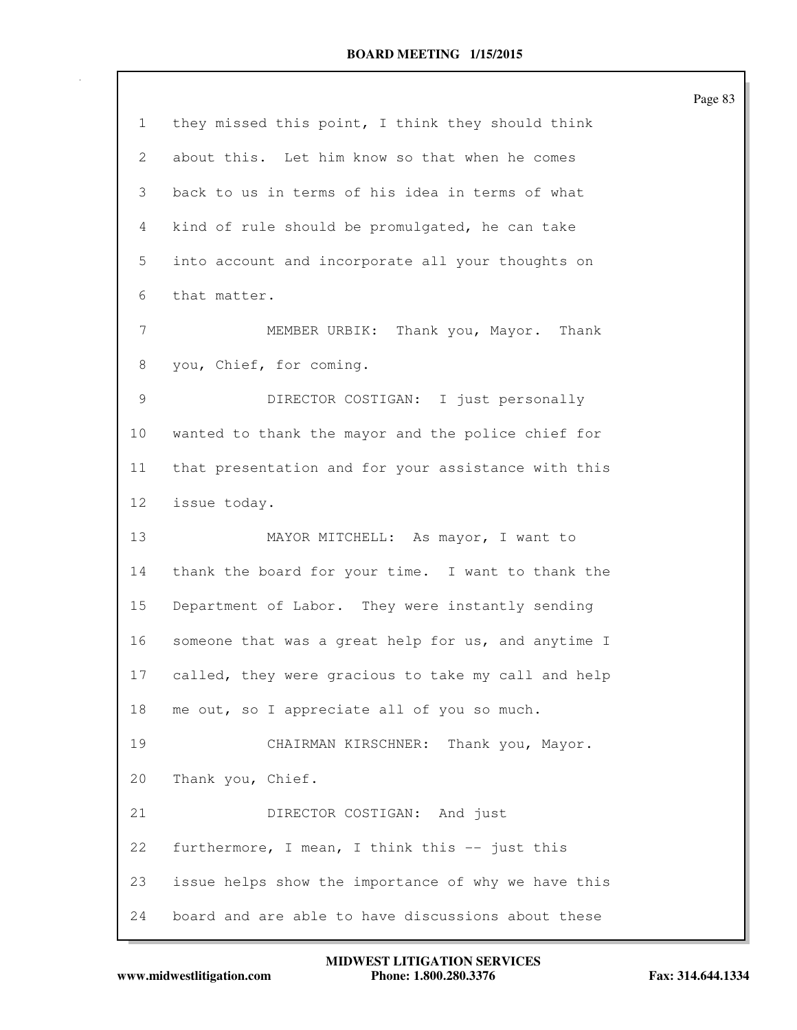| 1  | they missed this point, I think they should think   |
|----|-----------------------------------------------------|
| 2  | about this. Let him know so that when he comes      |
| 3  | back to us in terms of his idea in terms of what    |
| 4  | kind of rule should be promulgated, he can take     |
| 5  | into account and incorporate all your thoughts on   |
| 6  | that matter.                                        |
| 7  | Thank you, Mayor.<br>MEMBER URBIK:<br>Thank         |
| 8  | you, Chief, for coming.                             |
| 9  | DIRECTOR COSTIGAN: I just personally                |
| 10 | wanted to thank the mayor and the police chief for  |
| 11 | that presentation and for your assistance with this |
| 12 | issue today.                                        |
| 13 | MAYOR MITCHELL: As mayor, I want to                 |
| 14 | thank the board for your time. I want to thank the  |
| 15 | Department of Labor. They were instantly sending    |
| 16 | someone that was a great help for us, and anytime I |
| 17 | called, they were gracious to take my call and help |
| 18 | me out, so I appreciate all of you so much.         |
| 19 | CHAIRMAN KIRSCHNER: Thank you, Mayor.               |
| 20 | Thank you, Chief.                                   |
| 21 | DIRECTOR COSTIGAN: And just                         |
| 22 | furthermore, I mean, I think this -- just this      |
| 23 | issue helps show the importance of why we have this |
| 24 | board and are able to have discussions about these  |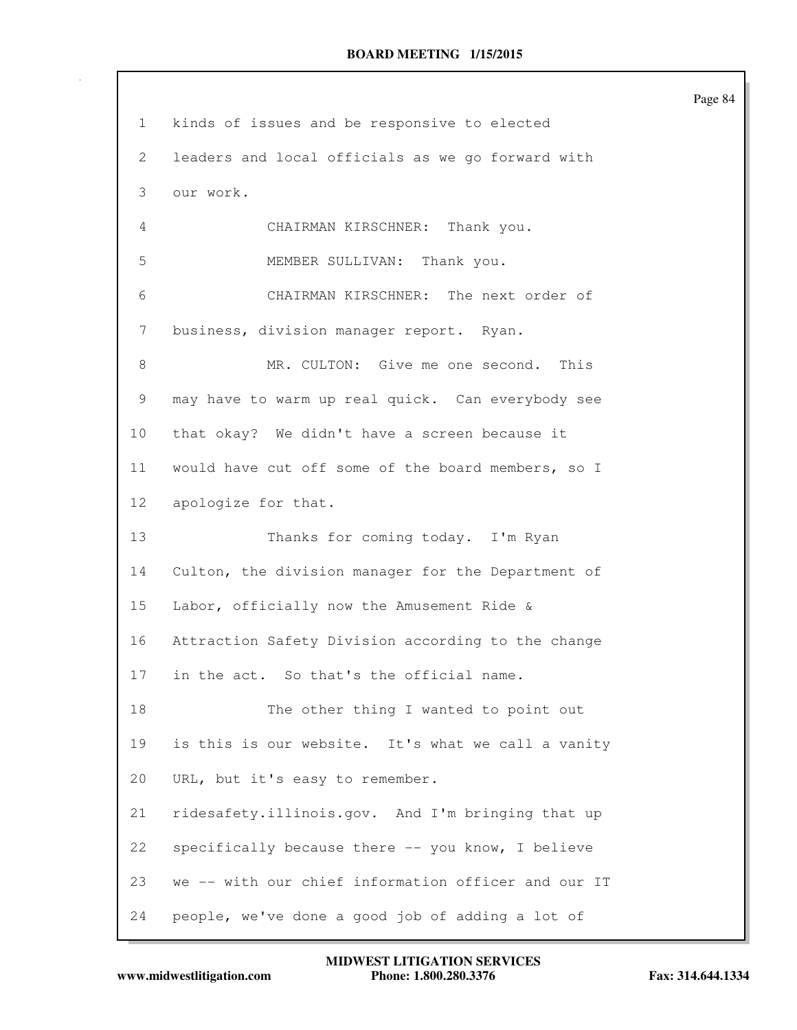| $\mathbf{1}$    | kinds of issues and be responsive to elected        |
|-----------------|-----------------------------------------------------|
| 2               | leaders and local officials as we go forward with   |
| 3               | our work.                                           |
| 4               | CHAIRMAN KIRSCHNER: Thank you.                      |
| 5               | MEMBER SULLIVAN: Thank you.                         |
| 6               | CHAIRMAN KIRSCHNER: The next order of               |
| 7               | business, division manager report. Ryan.            |
| 8               | MR. CULTON: Give me one second. This                |
| 9               | may have to warm up real quick. Can everybody see   |
| 10 <sub>o</sub> | that okay? We didn't have a screen because it       |
| 11              | would have cut off some of the board members, so I  |
| 12              | apologize for that.                                 |
| 13              | Thanks for coming today. I'm Ryan                   |
| 14              | Culton, the division manager for the Department of  |
| 15              | Labor, officially now the Amusement Ride &          |
| 16              | Attraction Safety Division according to the change  |
| 17              | in the act. So that's the official name.            |
| 18              | The other thing I wanted to point out               |
| 19              | is this is our website. It's what we call a vanity  |
| 20              | URL, but it's easy to remember.                     |
| 21              | ridesafety.illinois.gov. And I'm bringing that up   |
| 22              | specifically because there -- you know, I believe   |
| 23              | we -- with our chief information officer and our IT |
| 24              | people, we've done a good job of adding a lot of    |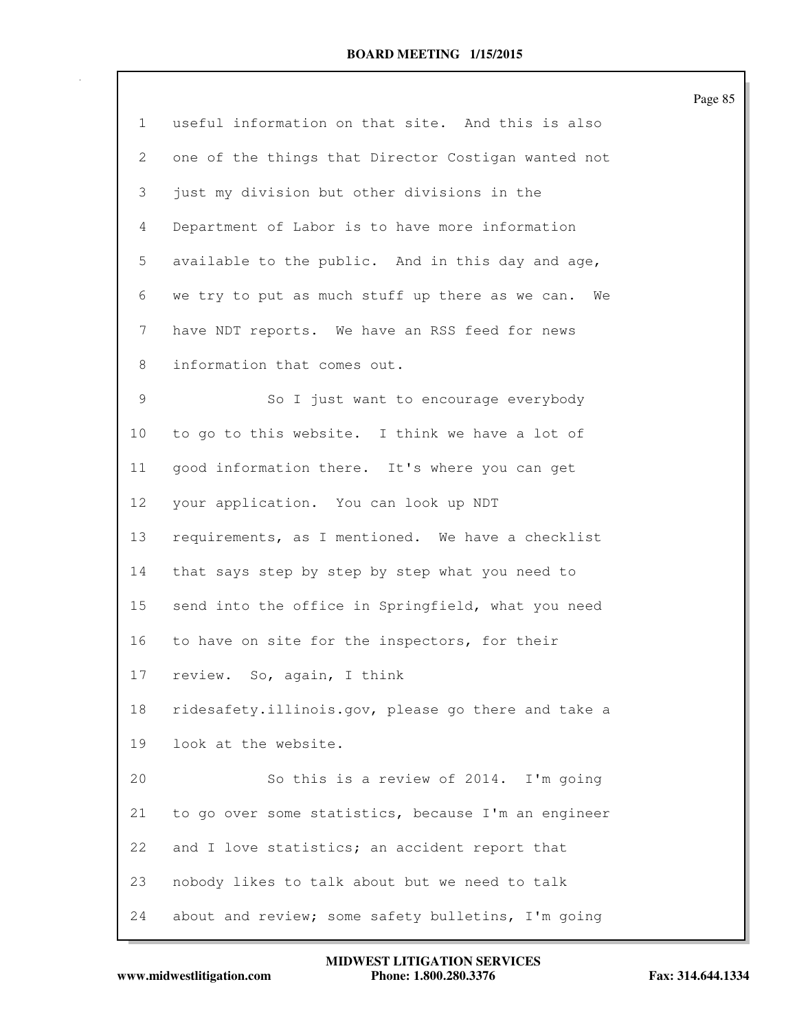|                |                                                     | Page 85 |
|----------------|-----------------------------------------------------|---------|
| $\mathbf{1}$   | useful information on that site. And this is also   |         |
| 2              | one of the things that Director Costigan wanted not |         |
| 3              | just my division but other divisions in the         |         |
| $\overline{4}$ | Department of Labor is to have more information     |         |
| 5              | available to the public. And in this day and age,   |         |
| 6              | we try to put as much stuff up there as we can. We  |         |
| 7              | have NDT reports. We have an RSS feed for news      |         |
| 8              | information that comes out.                         |         |
| 9              | So I just want to encourage everybody               |         |
| 10             | to go to this website. I think we have a lot of     |         |
| 11             | good information there. It's where you can get      |         |
| 12             | your application. You can look up NDT               |         |
| 13             | requirements, as I mentioned. We have a checklist   |         |
| 14             | that says step by step by step what you need to     |         |
| 15             | send into the office in Springfield, what you need  |         |
| 16             | to have on site for the inspectors, for their       |         |
| 17             | review. So, again, I think                          |         |
| 18             | ridesafety.illinois.gov, please go there and take a |         |
| 19             | look at the website.                                |         |
| 20             | So this is a review of 2014. I'm going              |         |
| 21             | to go over some statistics, because I'm an engineer |         |
| 22             | and I love statistics; an accident report that      |         |
| 23             | nobody likes to talk about but we need to talk      |         |
| 24             | about and review; some safety bulletins, I'm going  |         |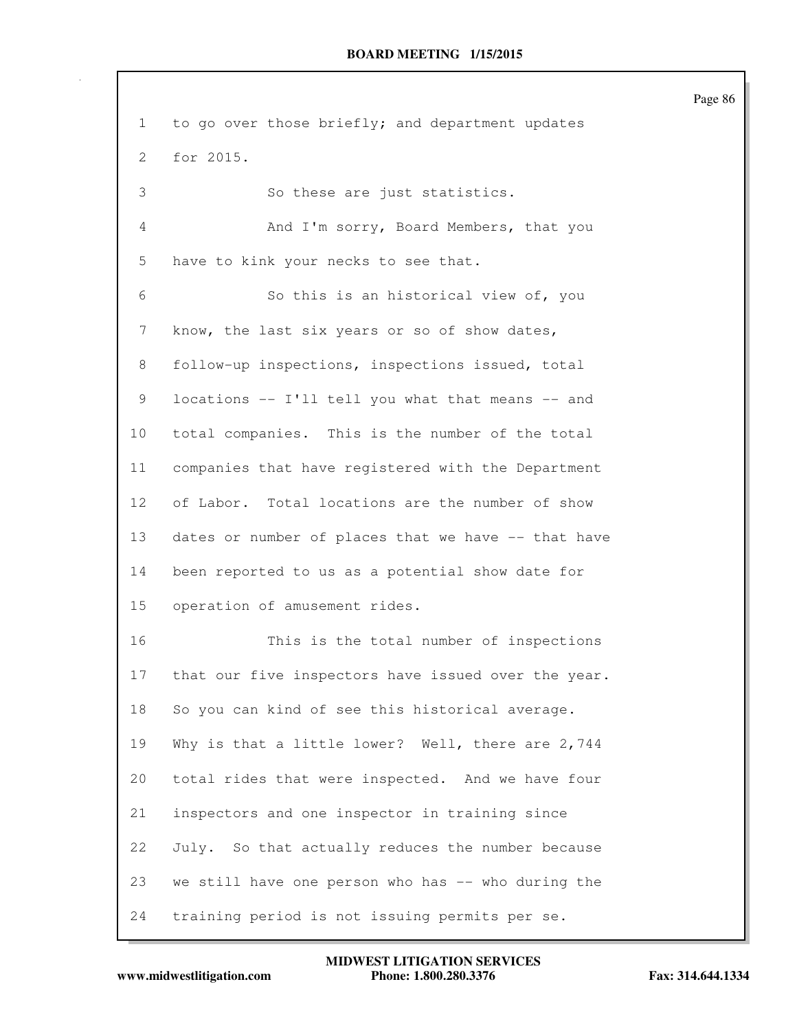1 to go over those briefly; and department updates 2 for 2015. 3 So these are just statistics. 4 And I'm sorry, Board Members, that you 5 have to kink your necks to see that. 6 So this is an historical view of, you 7 know, the last six years or so of show dates, 8 follow-up inspections, inspections issued, total 9 locations -- I'll tell you what that means -- and 10 total companies. This is the number of the total 11 companies that have registered with the Department 12 of Labor. Total locations are the number of show 13 dates or number of places that we have -- that have 14 been reported to us as a potential show date for 15 operation of amusement rides. 16 This is the total number of inspections 17 that our five inspectors have issued over the year. 18 So you can kind of see this historical average. 19 Why is that a little lower? Well, there are 2,744 20 total rides that were inspected. And we have four 21 inspectors and one inspector in training since 22 July. So that actually reduces the number because 23 we still have one person who has -- who during the 24 training period is not issuing permits per se.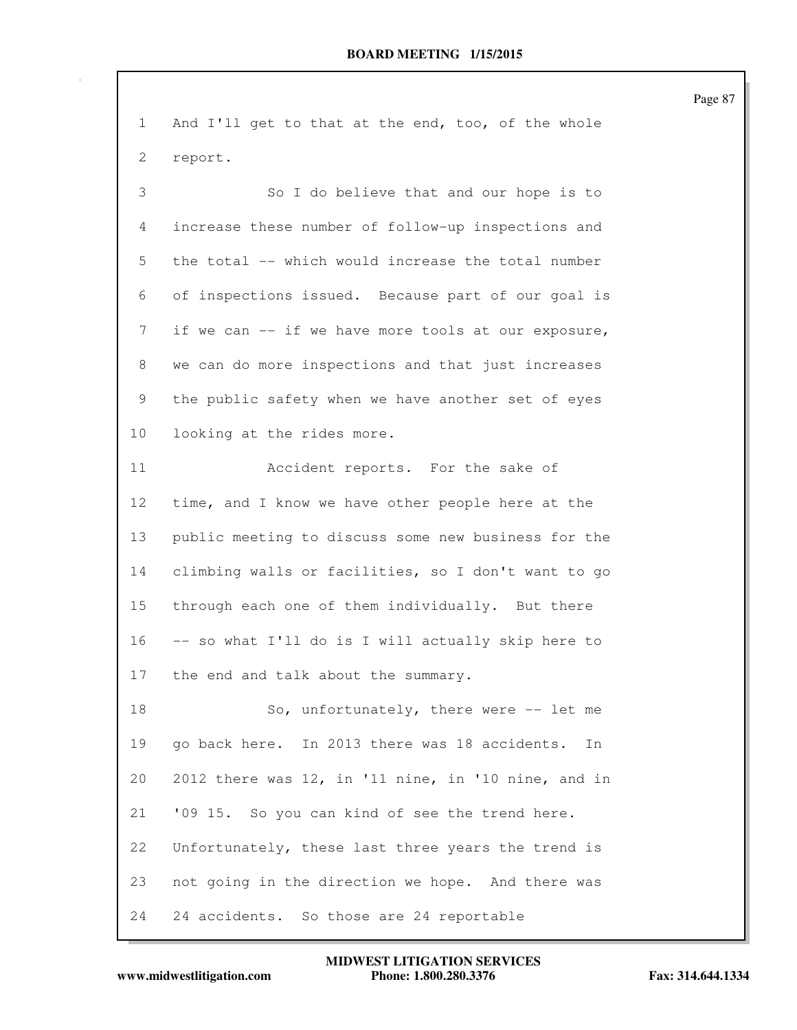| $\mathbf{1}$ | And I'll get to that at the end, too, of the whole  |
|--------------|-----------------------------------------------------|
| 2            | report.                                             |
| 3            | So I do believe that and our hope is to             |
| 4            | increase these number of follow-up inspections and  |
| 5            | the total -- which would increase the total number  |
| 6            | of inspections issued. Because part of our goal is  |
| 7            | if we can -- if we have more tools at our exposure, |
| 8            | we can do more inspections and that just increases  |
| 9            | the public safety when we have another set of eyes  |
| 10           | looking at the rides more.                          |
| 11           | Accident reports. For the sake of                   |
| 12           | time, and I know we have other people here at the   |
| 13           | public meeting to discuss some new business for the |
| 14           | climbing walls or facilities, so I don't want to go |
| 15           | through each one of them individually. But there    |
| 16           | -- so what I'll do is I will actually skip here to  |
| 17           | the end and talk about the summary.                 |
| 18           | So, unfortunately, there were -- let me             |
| 19           | go back here. In 2013 there was 18 accidents.<br>In |
| 20           | 2012 there was 12, in '11 nine, in '10 nine, and in |
| 21           | '09 15. So you can kind of see the trend here.      |
| 22           | Unfortunately, these last three years the trend is  |
| 23           | not going in the direction we hope. And there was   |
| 24           | 24 accidents. So those are 24 reportable            |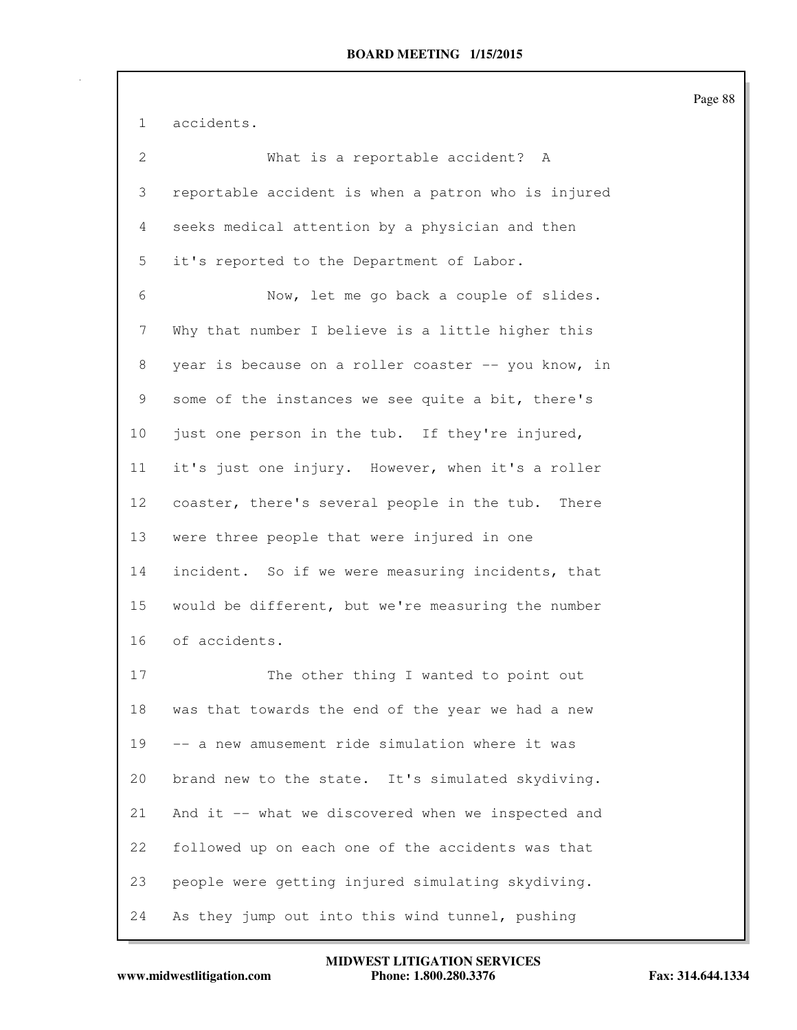1 accidents.

| $\overline{2}$ | What is a reportable accident? A                    |
|----------------|-----------------------------------------------------|
| 3              | reportable accident is when a patron who is injured |
| 4              | seeks medical attention by a physician and then     |
| 5              | it's reported to the Department of Labor.           |
| 6              | Now, let me go back a couple of slides.             |
| 7              | Why that number I believe is a little higher this   |
| 8              | year is because on a roller coaster -- you know, in |
| 9              | some of the instances we see quite a bit, there's   |
| 10             | just one person in the tub. If they're injured,     |
| 11             | it's just one injury. However, when it's a roller   |
| 12             | coaster, there's several people in the tub. There   |
| 13             | were three people that were injured in one          |
| 14             | incident. So if we were measuring incidents, that   |
| 15             | would be different, but we're measuring the number  |
| 16             | of accidents.                                       |
| 17             | The other thing I wanted to point out               |
| 18             | was that towards the end of the year we had a new   |
| 19             | -- a new amusement ride simulation where it was     |
| 20             | brand new to the state. It's simulated skydiving.   |
| 21             | And it -- what we discovered when we inspected and  |
| 22             | followed up on each one of the accidents was that   |
| 23             | people were getting injured simulating skydiving.   |
| 24             | As they jump out into this wind tunnel, pushing     |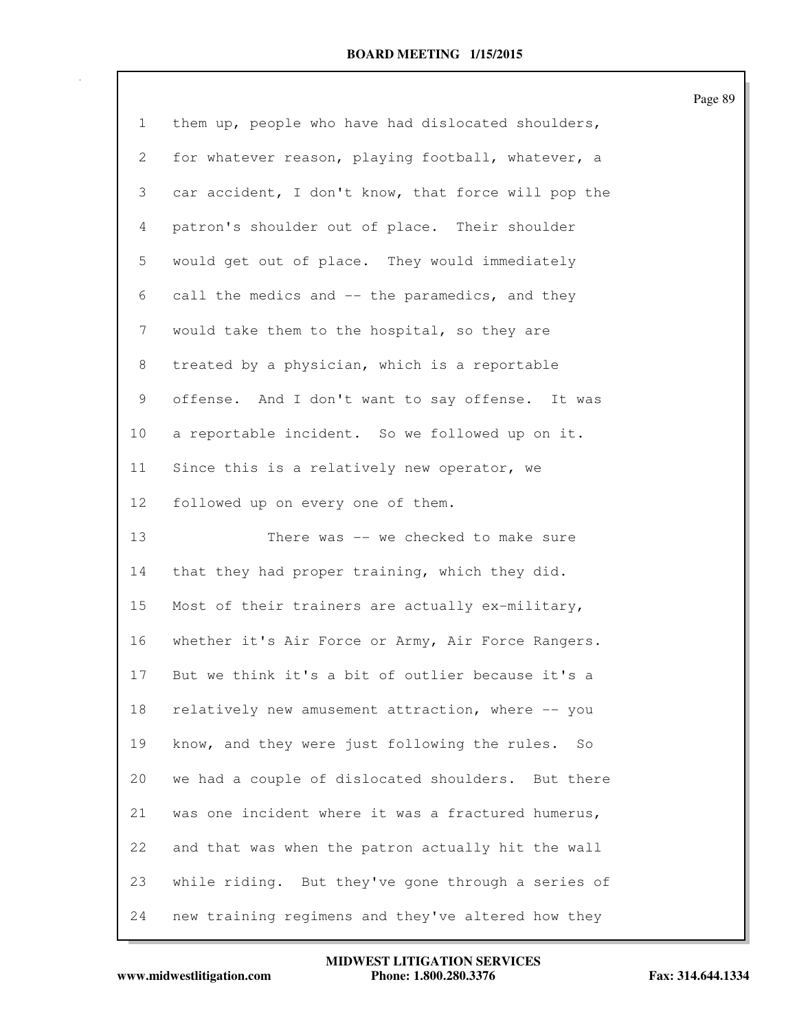| 1  | them up, people who have had dislocated shoulders,  |
|----|-----------------------------------------------------|
| 2  | for whatever reason, playing football, whatever, a  |
| 3  | car accident, I don't know, that force will pop the |
| 4  | patron's shoulder out of place. Their shoulder      |
| 5  | would get out of place. They would immediately      |
| 6  | call the medics and -- the paramedics, and they     |
| 7  | would take them to the hospital, so they are        |
| 8  | treated by a physician, which is a reportable       |
| 9  | offense. And I don't want to say offense. It was    |
| 10 | a reportable incident. So we followed up on it.     |
| 11 | Since this is a relatively new operator, we         |
| 12 | followed up on every one of them.                   |
|    |                                                     |
| 13 | There was -- we checked to make sure                |
| 14 | that they had proper training, which they did.      |
| 15 | Most of their trainers are actually ex-military,    |
| 16 | whether it's Air Force or Army, Air Force Rangers.  |
| 17 | But we think it's a bit of outlier because it's a   |
| 18 | relatively new amusement attraction, where -- you   |
| 19 | know, and they were just following the rules.<br>So |
| 20 | we had a couple of dislocated shoulders. But there  |
| 21 | was one incident where it was a fractured humerus,  |
| 22 | and that was when the patron actually hit the wall  |
| 23 | while riding. But they've gone through a series of  |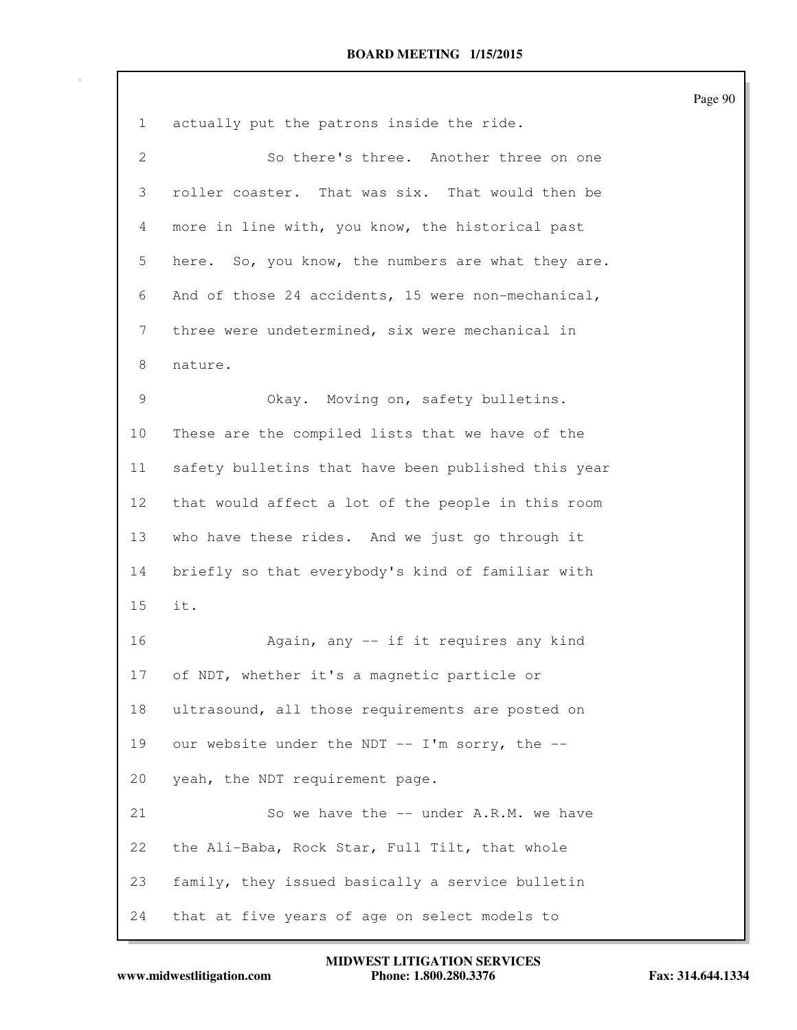| $\mathbf{1}$    | actually put the patrons inside the ride.           |
|-----------------|-----------------------------------------------------|
| $\mathbf{2}$    | So there's three. Another three on one              |
| 3               | roller coaster. That was six. That would then be    |
| 4               | more in line with, you know, the historical past    |
| 5               | here. So, you know, the numbers are what they are.  |
| 6               | And of those 24 accidents, 15 were non-mechanical,  |
| 7               | three were undetermined, six were mechanical in     |
| 8               | nature.                                             |
| $\mathcal{G}$   | Okay. Moving on, safety bulletins.                  |
| 10              | These are the compiled lists that we have of the    |
| 11              | safety bulletins that have been published this year |
| 12 <sup>°</sup> | that would affect a lot of the people in this room  |
| 13              | who have these rides. And we just go through it     |
| 14              | briefly so that everybody's kind of familiar with   |
| 15              | it.                                                 |
| 16              | Again, any -- if it requires any kind               |
| 17              | of NDT, whether it's a magnetic particle or         |
| 18              | ultrasound, all those requirements are posted on    |
| 19              | our website under the NDT -- I'm sorry, the --      |
| 20              | yeah, the NDT requirement page.                     |
| 21              | So we have the -- under A.R.M. we have              |
| 22              | the Ali-Baba, Rock Star, Full Tilt, that whole      |
| 23              | family, they issued basically a service bulletin    |
| 24              | that at five years of age on select models to       |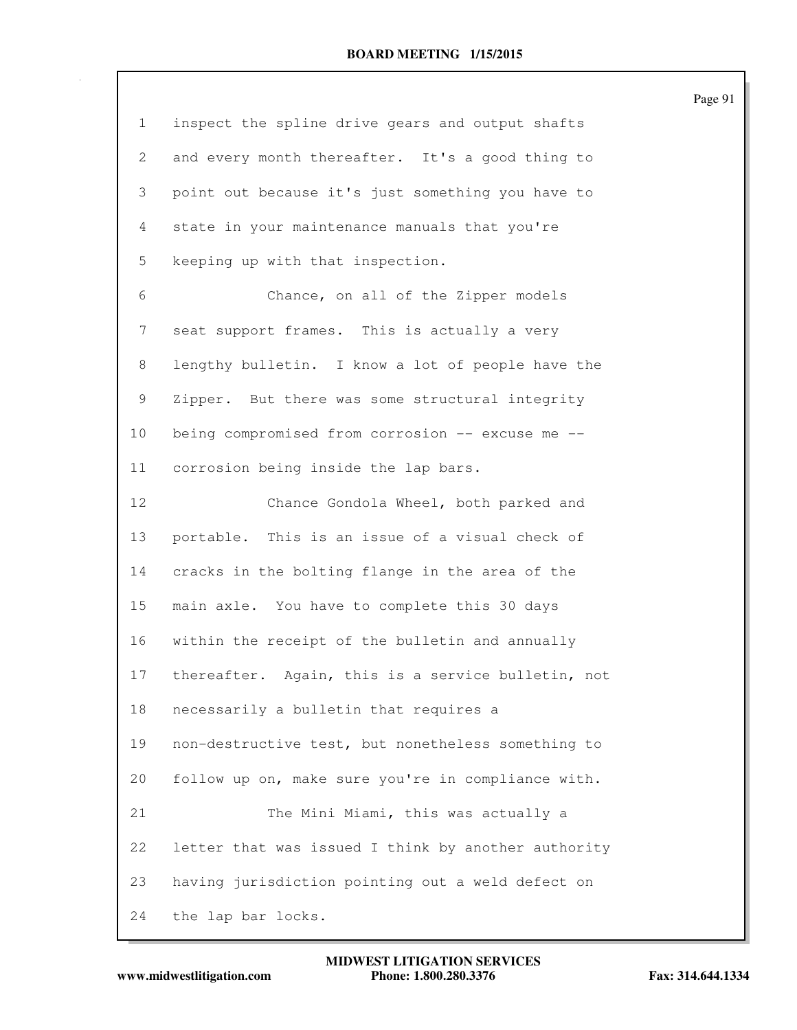| $\mathbf{1}$          | inspect the spline drive gears and output shafts    |
|-----------------------|-----------------------------------------------------|
| $\mathbf{2}^{\prime}$ | and every month thereafter. It's a good thing to    |
| 3                     | point out because it's just something you have to   |
| 4                     | state in your maintenance manuals that you're       |
| 5                     | keeping up with that inspection.                    |
| 6                     | Chance, on all of the Zipper models                 |
| 7                     | seat support frames. This is actually a very        |
| 8                     | lengthy bulletin. I know a lot of people have the   |
| 9                     | Zipper. But there was some structural integrity     |
| 10                    | being compromised from corrosion -- excuse me --    |
| 11                    | corrosion being inside the lap bars.                |
| 12                    | Chance Gondola Wheel, both parked and               |
| 13                    | portable. This is an issue of a visual check of     |
| 14                    | cracks in the bolting flange in the area of the     |
| 15                    | main axle. You have to complete this 30 days        |
| 16                    | within the receipt of the bulletin and annually     |
| 17                    | thereafter. Again, this is a service bulletin, not  |
| 18                    | necessarily a bulletin that requires a              |
| 19                    | non-destructive test, but nonetheless something to  |
| 20                    | follow up on, make sure you're in compliance with.  |
| 21                    | The Mini Miami, this was actually a                 |
| 22                    | letter that was issued I think by another authority |
| 23                    | having jurisdiction pointing out a weld defect on   |
| 24                    | the lap bar locks.                                  |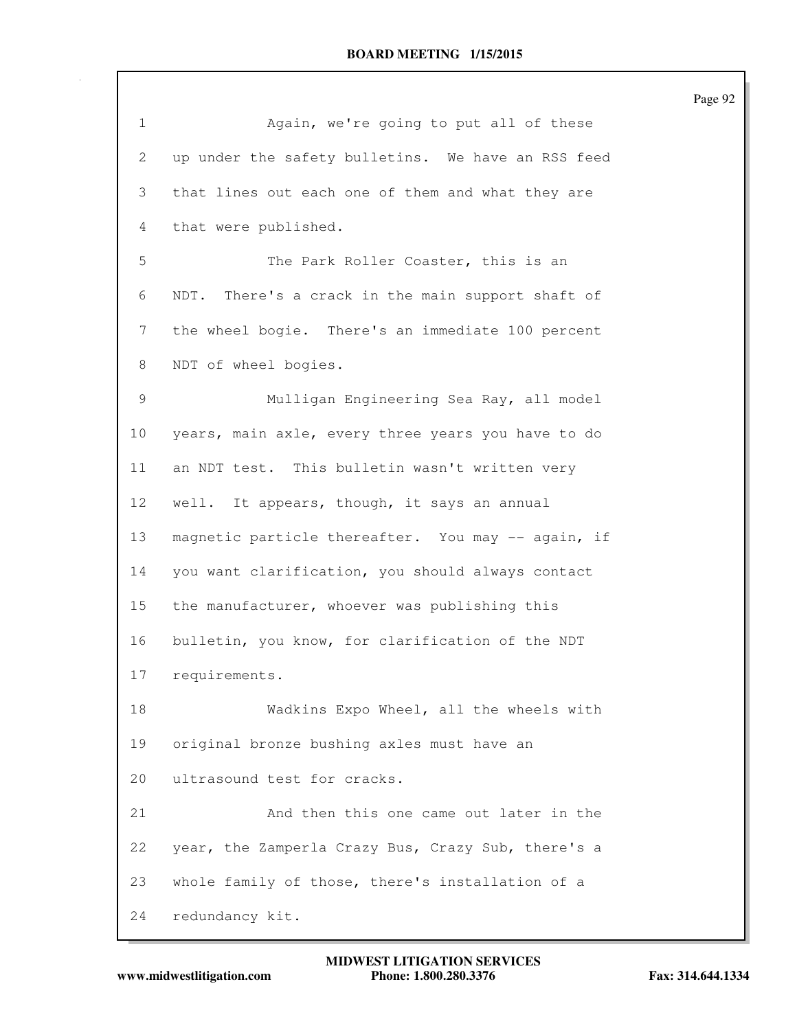| $\mathbf 1$ | Again, we're going to put all of these             |
|-------------|----------------------------------------------------|
| 2           | up under the safety bulletins. We have an RSS feed |
| 3           | that lines out each one of them and what they are  |
| 4           | that were published.                               |
| 5           | The Park Roller Coaster, this is an                |
| 6           | NDT. There's a crack in the main support shaft of  |
| 7           | the wheel bogie. There's an immediate 100 percent  |
| 8           | NDT of wheel bogies.                               |
| 9           | Mulligan Engineering Sea Ray, all model            |
| $10 \,$     | years, main axle, every three years you have to do |
| 11          | an NDT test. This bulletin wasn't written very     |
| 12          | well. It appears, though, it says an annual        |
| 13          | magnetic particle thereafter. You may -- again, if |
| 14          | you want clarification, you should always contact  |
| 15          | the manufacturer, whoever was publishing this      |
| 16          | bulletin, you know, for clarification of the NDT   |
| 17          | requirements.                                      |
| 18          | Wadkins Expo Wheel, all the wheels with            |
| 19          | original bronze bushing axles must have an         |
| 20          | ultrasound test for cracks.                        |
| 21          | And then this one came out later in the            |
| 22          | year, the Zamperla Crazy Bus, Crazy Sub, there's a |
| 23          | whole family of those, there's installation of a   |
| 24          | redundancy kit.                                    |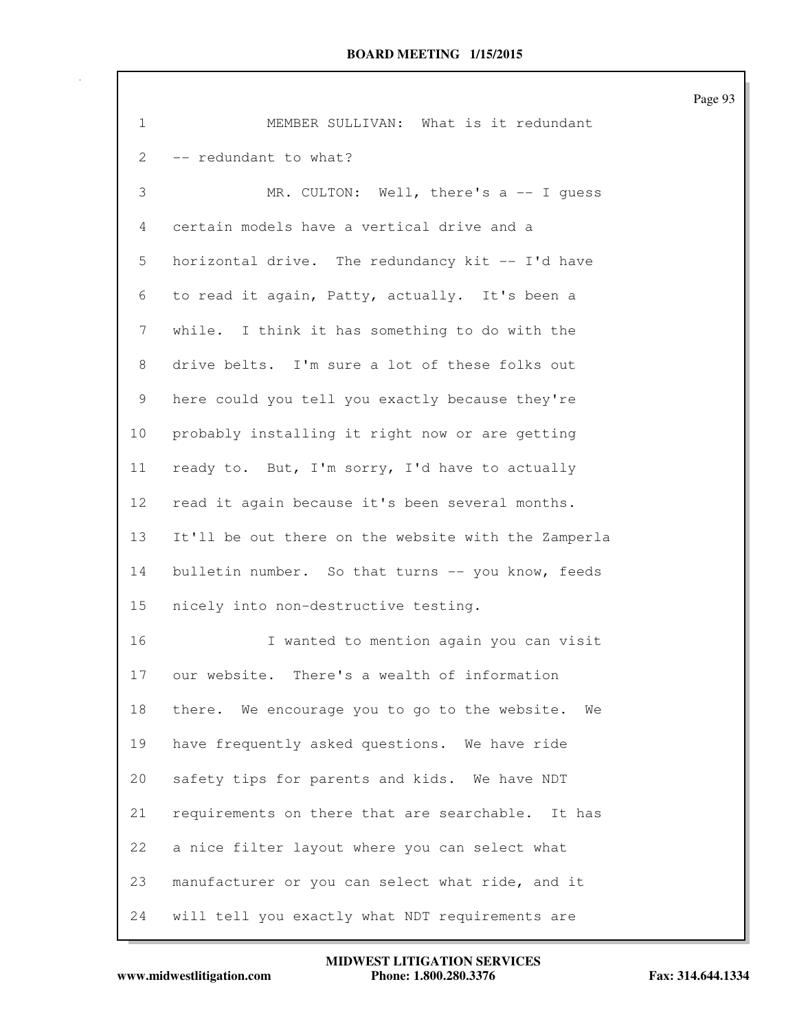| $\mathbf{1}$ | MEMBER SULLIVAN: What is it redundant               |
|--------------|-----------------------------------------------------|
| 2            | -- redundant to what?                               |
| 3            | MR. CULTON: Well, there's a -- I guess              |
| 4            | certain models have a vertical drive and a          |
| 5            | horizontal drive. The redundancy kit -- I'd have    |
| 6            | to read it again, Patty, actually. It's been a      |
| 7            | while. I think it has something to do with the      |
| 8            | drive belts. I'm sure a lot of these folks out      |
| 9            | here could you tell you exactly because they're     |
| 10           | probably installing it right now or are getting     |
| 11           | ready to. But, I'm sorry, I'd have to actually      |
| 12           | read it again because it's been several months.     |
| 13           | It'll be out there on the website with the Zamperla |
| 14           | bulletin number. So that turns -- you know, feeds   |
| 15           | nicely into non-destructive testing.                |
| 16           | I wanted to mention again you can visit             |
| 17           | There's a wealth of information<br>our website.     |
| 18           | there. We encourage you to go to the website.<br>We |
| 19           | have frequently asked questions. We have ride       |
| 20           | safety tips for parents and kids. We have NDT       |
| 21           | requirements on there that are searchable. It has   |
| 22           | a nice filter layout where you can select what      |
| 23           | manufacturer or you can select what ride, and it    |
| 24           | will tell you exactly what NDT requirements are     |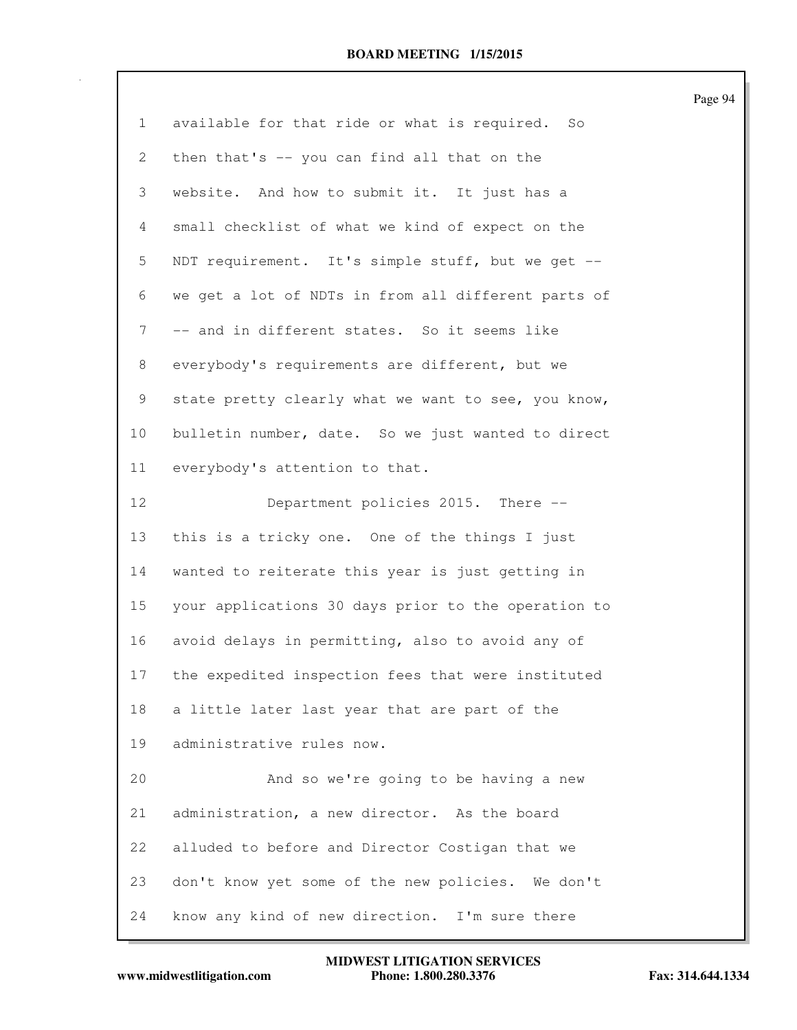| $\mathbf{1}$ | available for that ride or what is required. So     |
|--------------|-----------------------------------------------------|
| 2            | then that's -- you can find all that on the         |
| 3            | website. And how to submit it. It just has a        |
| 4            | small checklist of what we kind of expect on the    |
| 5            | NDT requirement. It's simple stuff, but we get --   |
| 6            | we get a lot of NDTs in from all different parts of |
| 7            | -- and in different states. So it seems like        |
| 8            | everybody's requirements are different, but we      |
| 9            | state pretty clearly what we want to see, you know, |
| 10           | bulletin number, date. So we just wanted to direct  |
| 11           | everybody's attention to that.                      |
| 12           | Department policies 2015. There --                  |
| 13           | this is a tricky one. One of the things I just      |
| 14           | wanted to reiterate this year is just getting in    |
| 15           | your applications 30 days prior to the operation to |
| 16           | avoid delays in permitting, also to avoid any of    |
| 17           | the expedited inspection fees that were instituted  |
| 18           | a little later last year that are part of the       |
| 19           | administrative rules now.                           |
| 20           | And so we're going to be having a new               |
| 21           | administration, a new director. As the board        |
| 22           | alluded to before and Director Costigan that we     |
| 23           | don't know yet some of the new policies. We don't   |
| 24           | know any kind of new direction. I'm sure there      |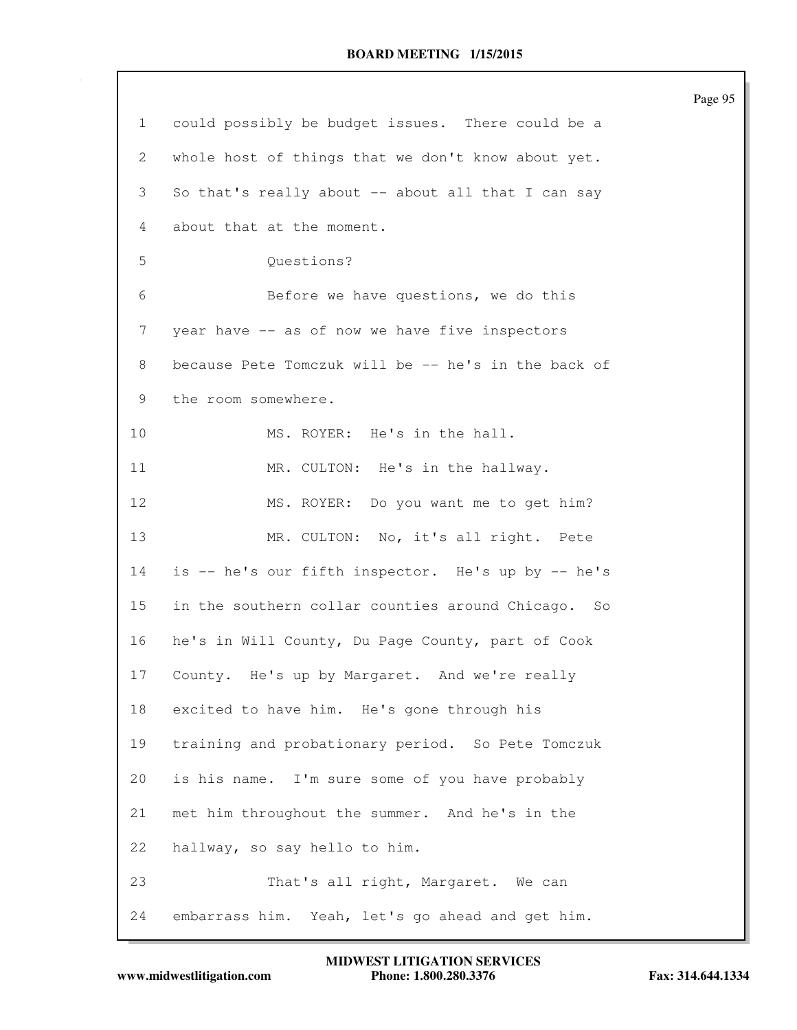|                |                                                     | Page 95 |
|----------------|-----------------------------------------------------|---------|
| $\mathbf{1}$   | could possibly be budget issues. There could be a   |         |
| 2              | whole host of things that we don't know about yet.  |         |
| 3              | So that's really about -- about all that I can say  |         |
| $\overline{4}$ | about that at the moment.                           |         |
| 5              | Questions?                                          |         |
| 6              | Before we have questions, we do this                |         |
| 7              | year have -- as of now we have five inspectors      |         |
| 8              | because Pete Tomczuk will be -- he's in the back of |         |
| 9              | the room somewhere.                                 |         |
| 10             | MS. ROYER: He's in the hall.                        |         |
| 11             | MR. CULTON: He's in the hallway.                    |         |
| 12             | MS. ROYER: Do you want me to get him?               |         |
| 13             | MR. CULTON: No, it's all right. Pete                |         |
| 14             | is -- he's our fifth inspector. He's up by -- he's  |         |
| 15             | in the southern collar counties around Chicago. So  |         |
| 16             | he's in Will County, Du Page County, part of Cook   |         |
| 17             | County. He's up by Margaret. And we're really       |         |
| 18             | excited to have him. He's gone through his          |         |
| 19             | training and probationary period. So Pete Tomczuk   |         |
| 20             | is his name. I'm sure some of you have probably     |         |
| 21             | met him throughout the summer. And he's in the      |         |
| 22             | hallway, so say hello to him.                       |         |
| 23             | That's all right, Margaret. We can                  |         |
| 24             | embarrass him. Yeah, let's go ahead and get him.    |         |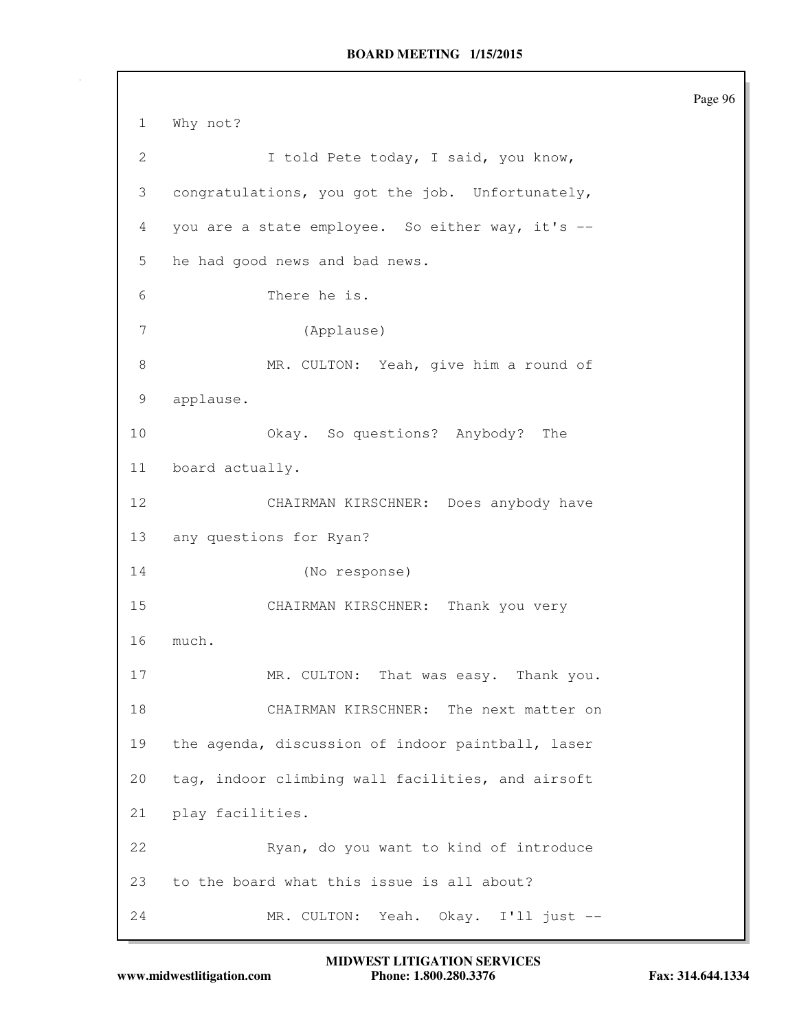1 Why not? 2 I told Pete today, I said, you know, 3 congratulations, you got the job. Unfortunately, 4 you are a state employee. So either way, it's -- 5 he had good news and bad news. 6 There he is. 7 (Applause) 8 MR. CULTON: Yeah, give him a round of 9 applause. 10 Okay. So questions? Anybody? The 11 board actually. 12 CHAIRMAN KIRSCHNER: Does anybody have 13 any questions for Ryan? 14 (No response) 15 CHAIRMAN KIRSCHNER: Thank you very 16 much. 17 MR. CULTON: That was easy. Thank you. 18 CHAIRMAN KIRSCHNER: The next matter on 19 the agenda, discussion of indoor paintball, laser 20 tag, indoor climbing wall facilities, and airsoft 21 play facilities. 22 Ryan, do you want to kind of introduce 23 to the board what this issue is all about? 24 MR. CULTON: Yeah. Okay. I'll just --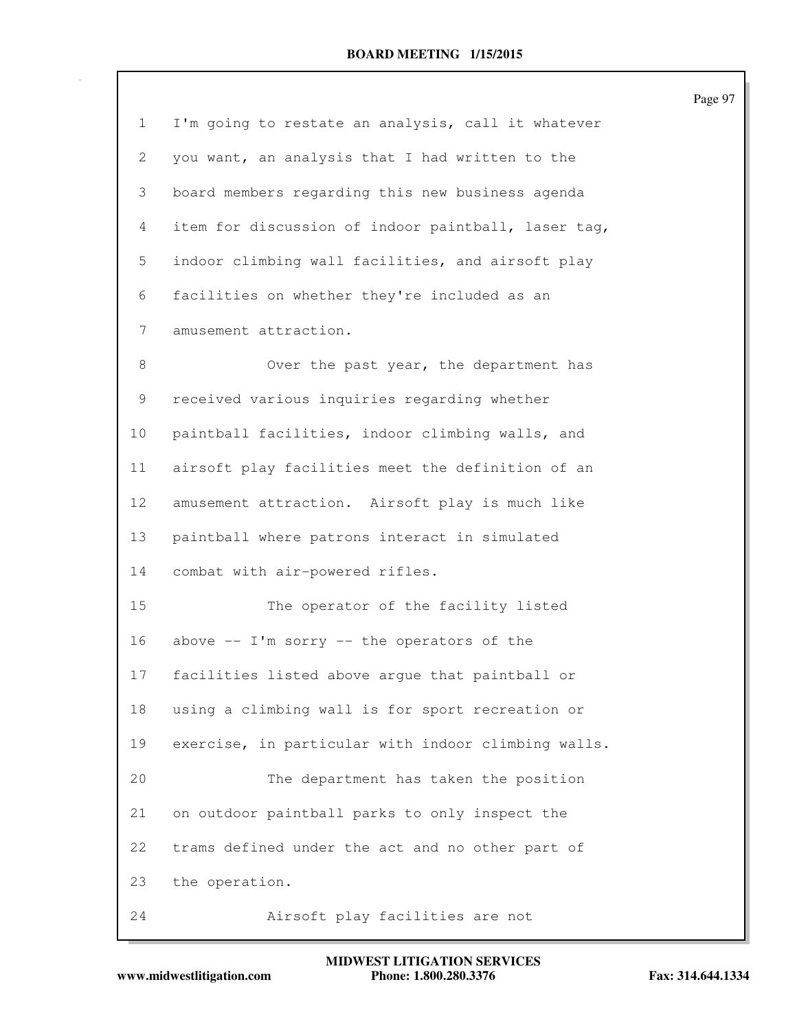| $\mathbf{1}$    | I'm going to restate an analysis, call it whatever  |
|-----------------|-----------------------------------------------------|
| 2               | you want, an analysis that I had written to the     |
| 3               | board members regarding this new business agenda    |
| 4               | item for discussion of indoor paintball, laser tag, |
| 5               | indoor climbing wall facilities, and airsoft play   |
| 6               | facilities on whether they're included as an        |
| 7               | amusement attraction.                               |
| 8               | Over the past year, the department has              |
| 9               | received various inquiries regarding whether        |
| 10              | paintball facilities, indoor climbing walls, and    |
| 11              | airsoft play facilities meet the definition of an   |
| 12 <sup>°</sup> | amusement attraction. Airsoft play is much like     |
| 13              | paintball where patrons interact in simulated       |
| 14              | combat with air-powered rifles.                     |
| 15              | The operator of the facility listed                 |
| 16              | above $--$ I'm sorry $--$ the operators of the      |
| 17              | facilities listed above argue that paintball or     |
| 18              | using a climbing wall is for sport recreation or    |
| 19              | exercise, in particular with indoor climbing walls. |
| 20              | The department has taken the position               |
| 21              | on outdoor paintball parks to only inspect the      |
| 22              | trams defined under the act and no other part of    |
| 23              | the operation.                                      |
| 24              | Airsoft play facilities are not                     |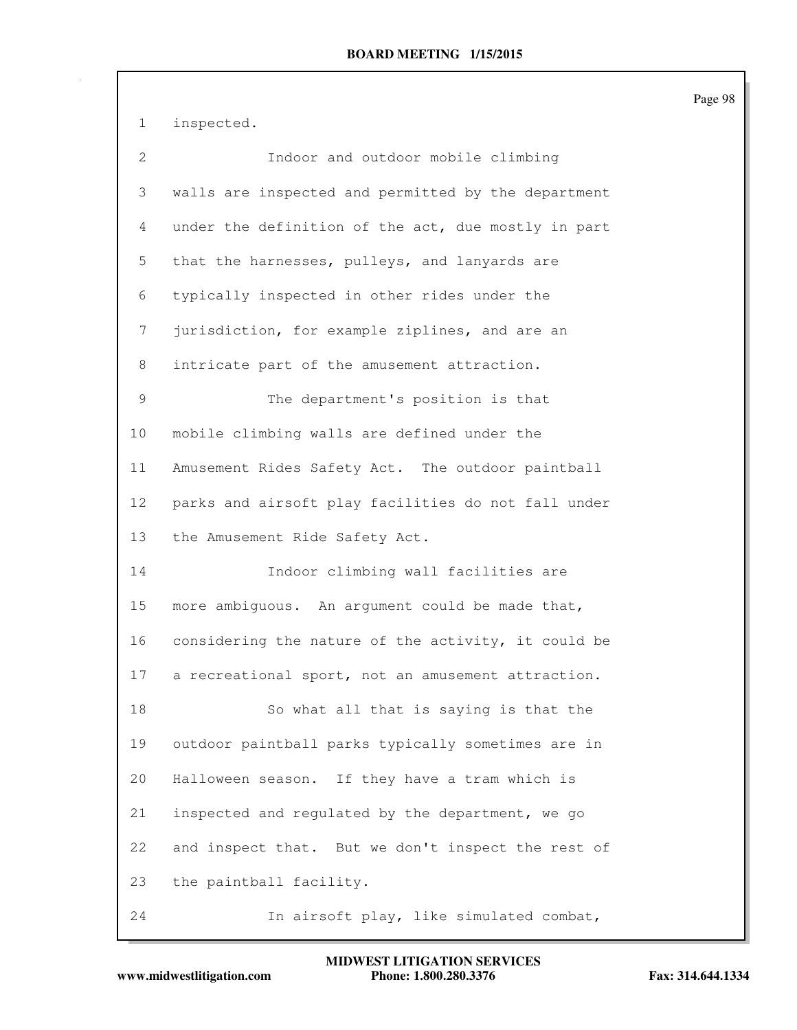1 inspected.

| $\overline{2}$ | Indoor and outdoor mobile climbing                  |
|----------------|-----------------------------------------------------|
| 3              | walls are inspected and permitted by the department |
| 4              | under the definition of the act, due mostly in part |
| 5              | that the harnesses, pulleys, and lanyards are       |
| 6              | typically inspected in other rides under the        |
| 7              | jurisdiction, for example ziplines, and are an      |
| 8              | intricate part of the amusement attraction.         |
| $\mathsf 9$    | The department's position is that                   |
| 10             | mobile climbing walls are defined under the         |
| 11             | Amusement Rides Safety Act. The outdoor paintball   |
| 12             | parks and airsoft play facilities do not fall under |
| 13             | the Amusement Ride Safety Act.                      |
| 14             | Indoor climbing wall facilities are                 |
| 15             | more ambiguous. An argument could be made that,     |
| 16             | considering the nature of the activity, it could be |
| 17             | a recreational sport, not an amusement attraction.  |
| 18             | So what all that is saying is that the              |
| 19             | outdoor paintball parks typically sometimes are in  |
| 20             | Halloween season. If they have a tram which is      |
| 21             | inspected and regulated by the department, we go    |
| 22             | and inspect that. But we don't inspect the rest of  |
| 23             | the paintball facility.                             |
| 24             | In airsoft play, like simulated combat,             |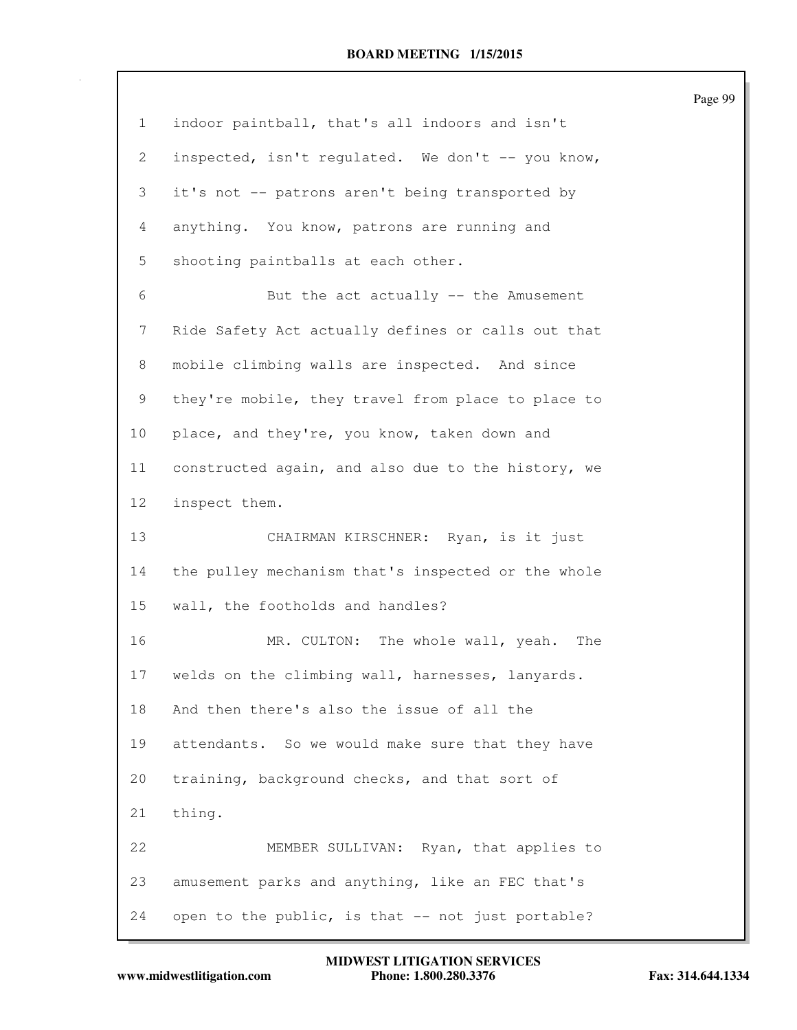| $\mathbf{1}$    | indoor paintball, that's all indoors and isn't     |
|-----------------|----------------------------------------------------|
| $\mathbf{2}$    | inspected, isn't regulated. We don't -- you know,  |
| 3               | it's not -- patrons aren't being transported by    |
| 4               | anything. You know, patrons are running and        |
| 5               | shooting paintballs at each other.                 |
| 6               | But the act actually -- the Amusement              |
| 7               | Ride Safety Act actually defines or calls out that |
| 8               | mobile climbing walls are inspected. And since     |
| 9               | they're mobile, they travel from place to place to |
| 10 <sub>o</sub> | place, and they're, you know, taken down and       |
| 11              | constructed again, and also due to the history, we |
| 12              | inspect them.                                      |
| 13              | CHAIRMAN KIRSCHNER: Ryan, is it just               |
| 14              | the pulley mechanism that's inspected or the whole |
| 15              | wall, the footholds and handles?                   |
| 16              | MR. CULTON: The whole wall, yeah.<br>The           |
| 17              | welds on the climbing wall, harnesses, lanyards.   |
| 18              | And then there's also the issue of all the         |
| 19              | attendants. So we would make sure that they have   |
| 20              | training, background checks, and that sort of      |
| 21              | thing.                                             |
| 22              | MEMBER SULLIVAN: Ryan, that applies to             |
| 23              | amusement parks and anything, like an FEC that's   |
| 24              | open to the public, is that -- not just portable?  |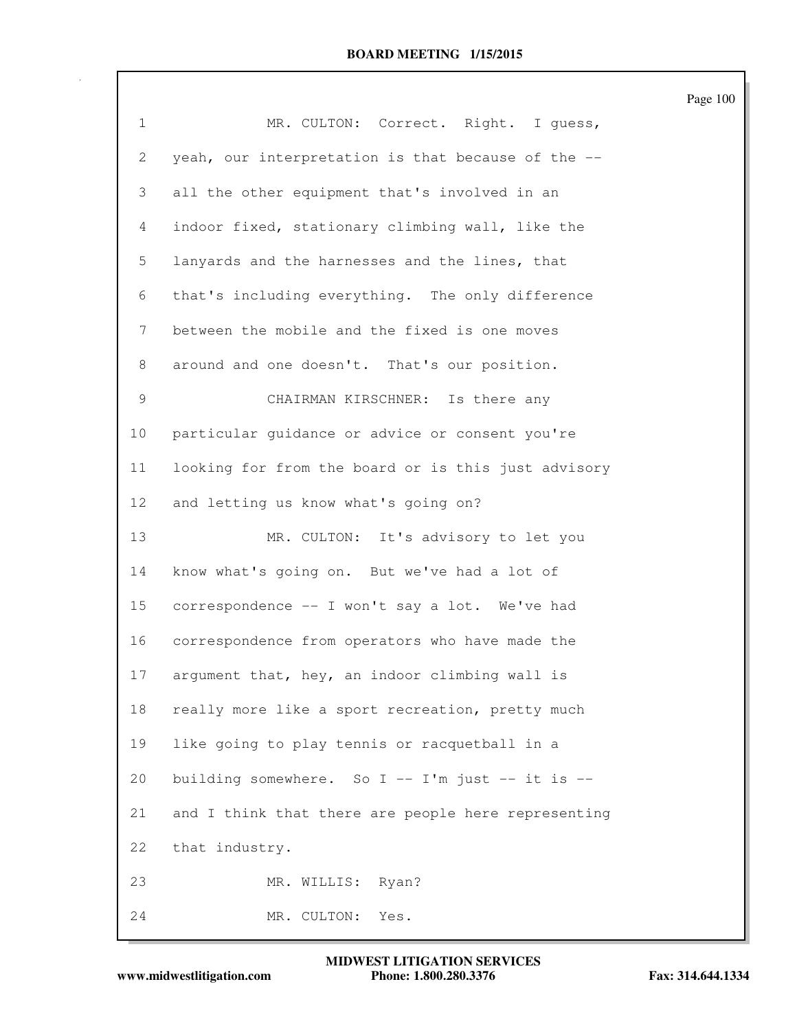| $\mathbf 1$     | MR. CULTON: Correct. Right. I guess,                 |
|-----------------|------------------------------------------------------|
| 2               | yeah, our interpretation is that because of the --   |
| 3               | all the other equipment that's involved in an        |
| 4               | indoor fixed, stationary climbing wall, like the     |
| 5               | lanyards and the harnesses and the lines, that       |
| 6               | that's including everything. The only difference     |
| 7               | between the mobile and the fixed is one moves        |
| 8               | around and one doesn't. That's our position.         |
| 9               | CHAIRMAN KIRSCHNER: Is there any                     |
| 10              | particular guidance or advice or consent you're      |
| 11              | looking for from the board or is this just advisory  |
| 12 <sup>°</sup> | and letting us know what's going on?                 |
| 13              | MR. CULTON: It's advisory to let you                 |
| 14              | know what's going on. But we've had a lot of         |
| 15              | correspondence -- I won't say a lot. We've had       |
| 16              | correspondence from operators who have made the      |
| 17              | argument that, hey, an indoor climbing wall is       |
| 18              | really more like a sport recreation, pretty much     |
| 19              | like going to play tennis or racquetball in a        |
| 20              | building somewhere. So $I$ -- $I'm$ just -- it is -- |
| 21              | and I think that there are people here representing  |
| 22              | that industry.                                       |
| 23              | MR. WILLIS: Ryan?                                    |
| 24              | MR. CULTON:<br>Yes.                                  |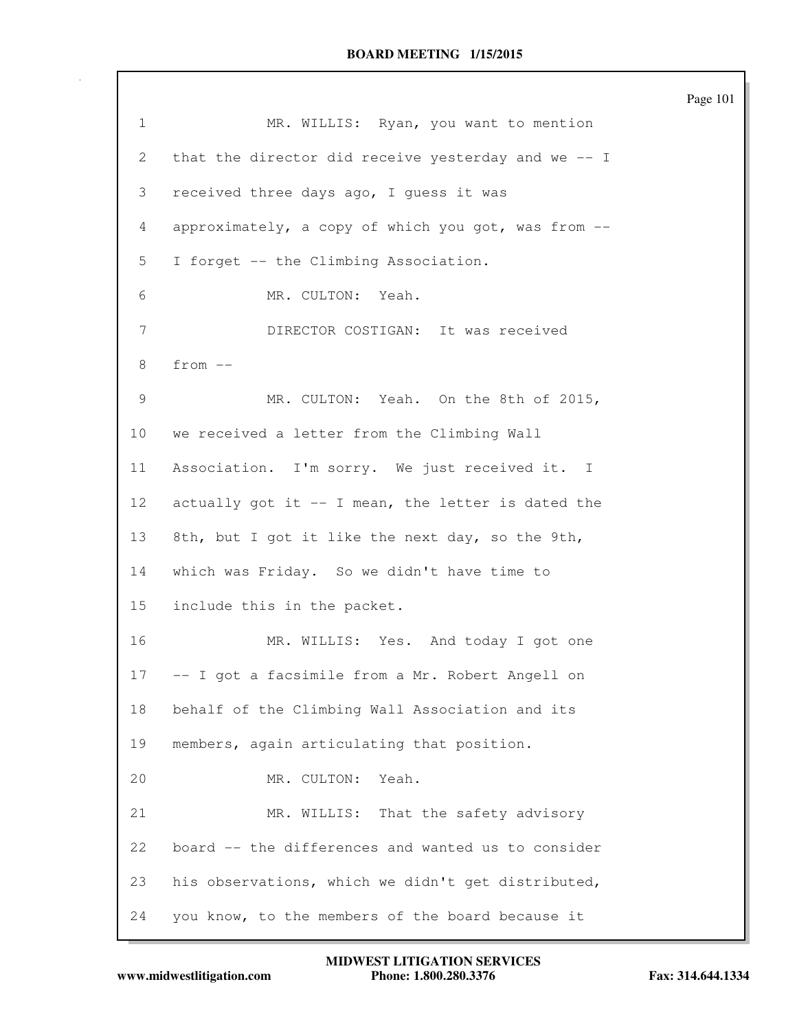|              |                                                     | Page 101 |
|--------------|-----------------------------------------------------|----------|
| $\mathbf{1}$ | MR. WILLIS: Ryan, you want to mention               |          |
| 2            | that the director did receive yesterday and we -- I |          |
| 3            | received three days ago, I guess it was             |          |
| 4            | approximately, a copy of which you got, was from -- |          |
| 5            | I forget -- the Climbing Association.               |          |
| 6            | MR. CULTON: Yeah.                                   |          |
| 7            | DIRECTOR COSTIGAN: It was received                  |          |
| 8            | $from --$                                           |          |
| 9            | MR. CULTON: Yeah. On the 8th of 2015,               |          |
| 10           | we received a letter from the Climbing Wall         |          |
| 11           | Association. I'm sorry. We just received it. I      |          |
| 12           | actually got it -- I mean, the letter is dated the  |          |
| 13           | 8th, but I got it like the next day, so the 9th,    |          |
| 14           | which was Friday. So we didn't have time to         |          |
| 15           | include this in the packet.                         |          |
| 16           | MR. WILLIS: Yes. And today I got one                |          |
| 17           | -- I got a facsimile from a Mr. Robert Angell on    |          |
| 18           | behalf of the Climbing Wall Association and its     |          |
| 19           | members, again articulating that position.          |          |
| 20           | MR. CULTON:<br>Yeah.                                |          |
| 21           | MR. WILLIS: That the safety advisory                |          |
| 22           | board -- the differences and wanted us to consider  |          |
| 23           | his observations, which we didn't get distributed,  |          |
| 24           | you know, to the members of the board because it    |          |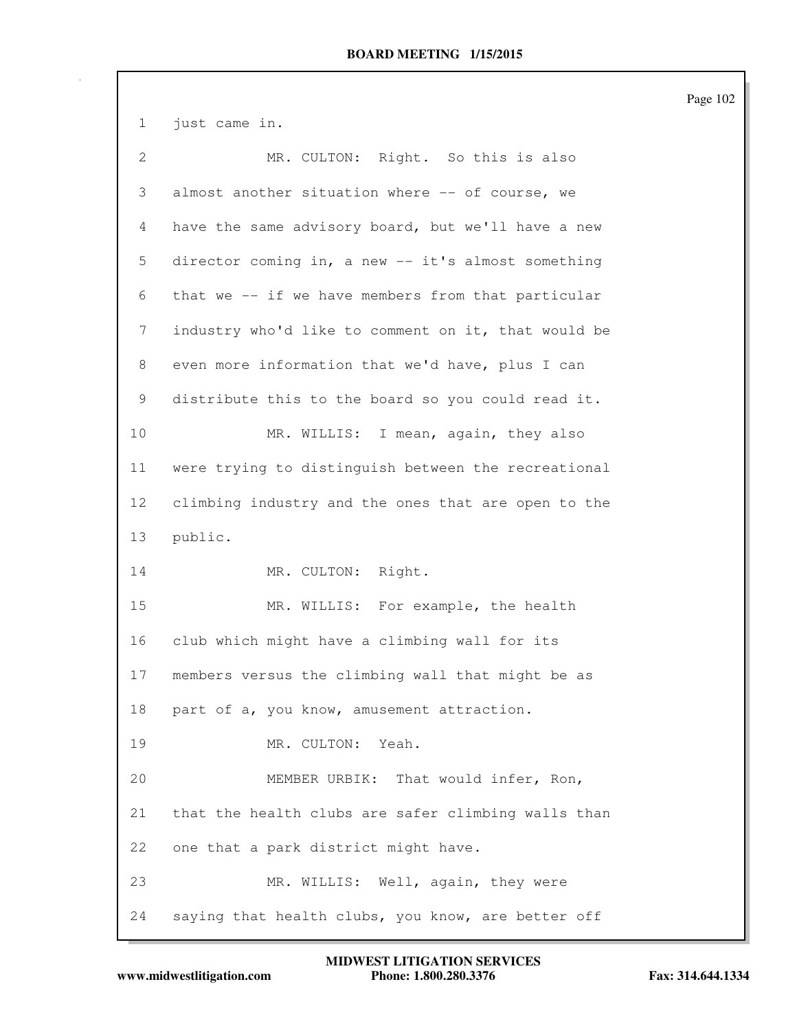1 just came in. 2 MR. CULTON: Right. So this is also 3 almost another situation where -- of course, we 4 have the same advisory board, but we'll have a new 5 director coming in, a new -- it's almost something 6 that we -- if we have members from that particular 7 industry who'd like to comment on it, that would be 8 even more information that we'd have, plus I can 9 distribute this to the board so you could read it. 10 MR. WILLIS: I mean, again, they also 11 were trying to distinguish between the recreational 12 climbing industry and the ones that are open to the 13 public. 14 MR. CULTON: Right. 15 MR. WILLIS: For example, the health 16 club which might have a climbing wall for its 17 members versus the climbing wall that might be as 18 part of a, you know, amusement attraction. 19 MR. CULTON: Yeah. 20 MEMBER URBIK: That would infer, Ron, 21 that the health clubs are safer climbing walls than 22 one that a park district might have. 23 MR. WILLIS: Well, again, they were 24 saying that health clubs, you know, are better off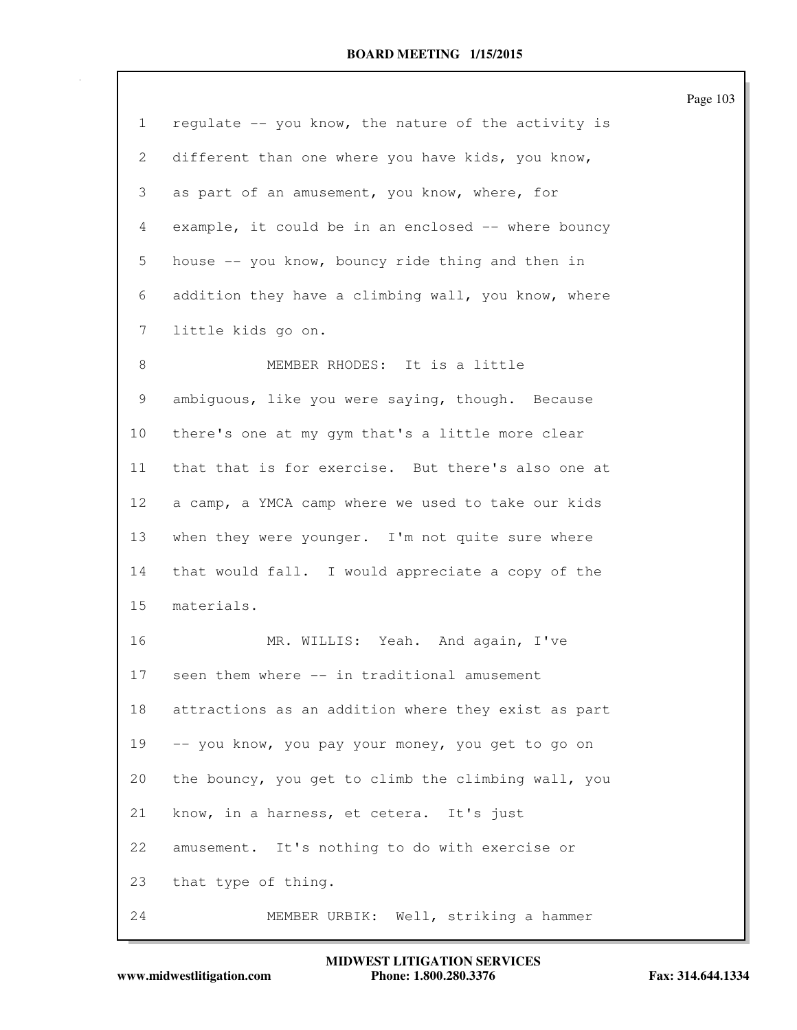|                 |                                                     | Page 103 |
|-----------------|-----------------------------------------------------|----------|
| $\mathbf{1}$    | regulate -- you know, the nature of the activity is |          |
| 2               | different than one where you have kids, you know,   |          |
| 3               | as part of an amusement, you know, where, for       |          |
| 4               | example, it could be in an enclosed -- where bouncy |          |
| 5               | house -- you know, bouncy ride thing and then in    |          |
| 6               | addition they have a climbing wall, you know, where |          |
| 7               | little kids go on.                                  |          |
| 8               | MEMBER RHODES: It is a little                       |          |
| 9               | ambiguous, like you were saying, though. Because    |          |
| 10              | there's one at my gym that's a little more clear    |          |
| 11              | that that is for exercise. But there's also one at  |          |
| 12 <sup>°</sup> | a camp, a YMCA camp where we used to take our kids  |          |
| 13              | when they were younger. I'm not quite sure where    |          |
| 14              | that would fall. I would appreciate a copy of the   |          |
| 15              | materials.                                          |          |
| 16              | MR. WILLIS: Yeah. And again, I've                   |          |
| 17              | seen them where -- in traditional amusement         |          |
| 18              | attractions as an addition where they exist as part |          |
| 19              | -- you know, you pay your money, you get to go on   |          |
| 20              | the bouncy, you get to climb the climbing wall, you |          |
| 21              | know, in a harness, et cetera. It's just            |          |
| 22              | amusement. It's nothing to do with exercise or      |          |
| 23              | that type of thing.                                 |          |
| 24              | MEMBER URBIK: Well, striking a hammer               |          |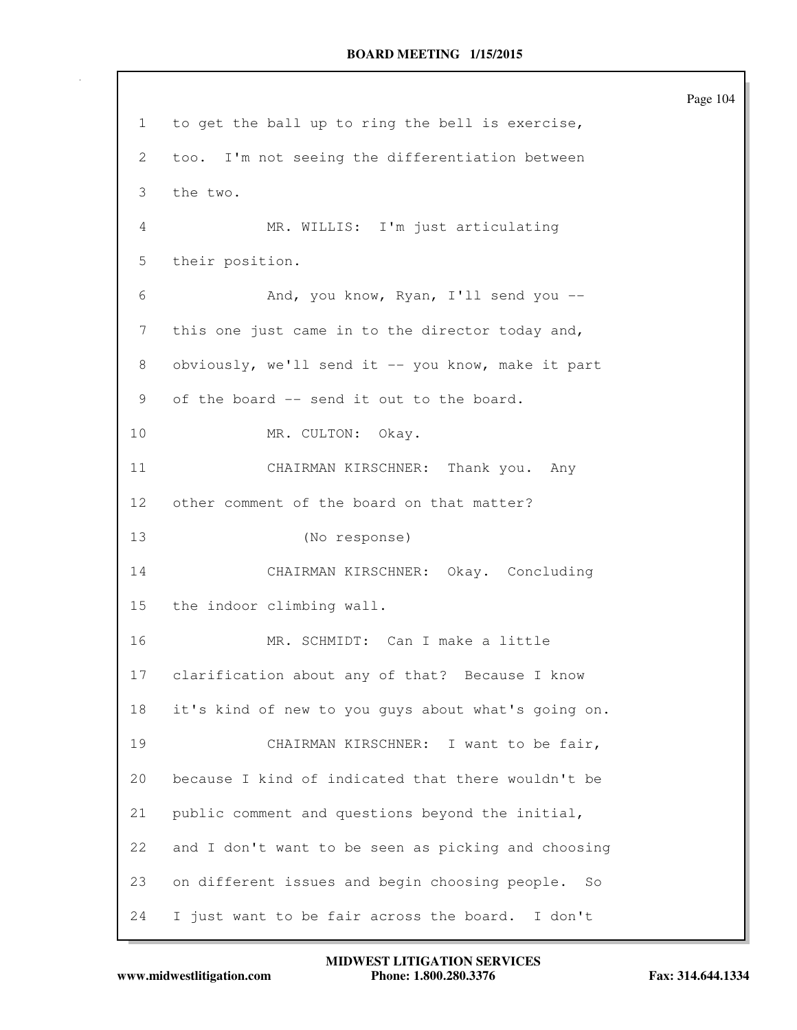Page 104 1 to get the ball up to ring the bell is exercise, 2 too. I'm not seeing the differentiation between 3 the two. 4 MR. WILLIS: I'm just articulating 5 their position. 6 And, you know, Ryan, I'll send you -- 7 this one just came in to the director today and, 8 obviously, we'll send it -- you know, make it part 9 of the board -- send it out to the board. 10 MR. CULTON: Okay. 11 CHAIRMAN KIRSCHNER: Thank you. Any 12 other comment of the board on that matter? 13 (No response) 14 CHAIRMAN KIRSCHNER: Okay. Concluding 15 the indoor climbing wall. 16 MR. SCHMIDT: Can I make a little 17 clarification about any of that? Because I know 18 it's kind of new to you guys about what's going on. 19 CHAIRMAN KIRSCHNER: I want to be fair, 20 because I kind of indicated that there wouldn't be 21 public comment and questions beyond the initial, 22 and I don't want to be seen as picking and choosing 23 on different issues and begin choosing people. So 24 I just want to be fair across the board. I don't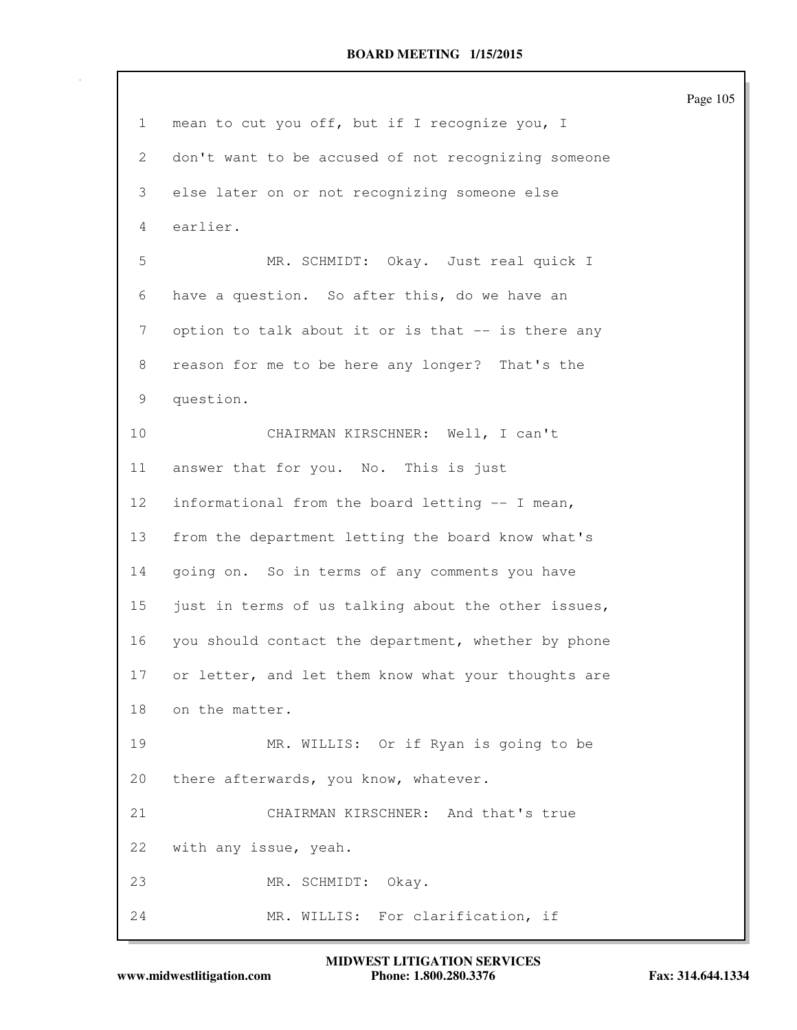1 mean to cut you off, but if I recognize you, I 2 don't want to be accused of not recognizing someone 3 else later on or not recognizing someone else 4 earlier. 5 MR. SCHMIDT: Okay. Just real quick I 6 have a question. So after this, do we have an 7 option to talk about it or is that -- is there any 8 reason for me to be here any longer? That's the 9 question. 10 CHAIRMAN KIRSCHNER: Well, I can't 11 answer that for you. No. This is just 12 informational from the board letting -- I mean, 13 from the department letting the board know what's 14 going on. So in terms of any comments you have 15 just in terms of us talking about the other issues, 16 you should contact the department, whether by phone 17 or letter, and let them know what your thoughts are 18 on the matter. 19 MR. WILLIS: Or if Ryan is going to be 20 there afterwards, you know, whatever. 21 CHAIRMAN KIRSCHNER: And that's true 22 with any issue, yeah. 23 MR. SCHMIDT: Okay. 24 MR. WILLIS: For clarification, if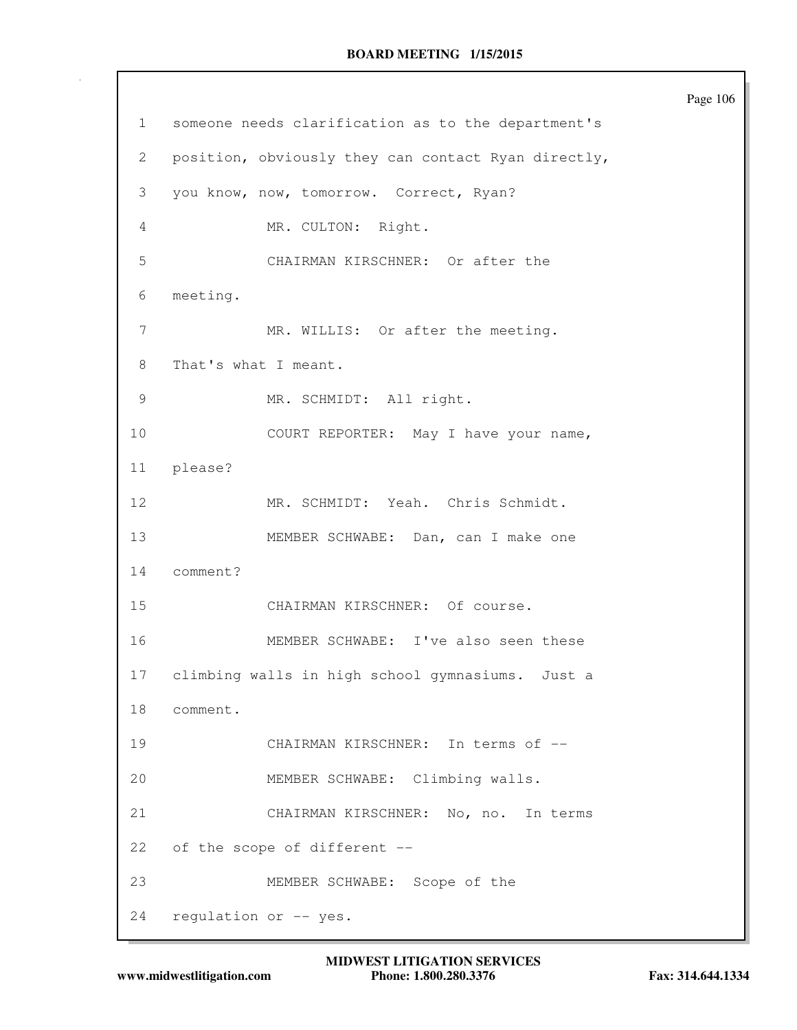1 someone needs clarification as to the department's 2 position, obviously they can contact Ryan directly, 3 you know, now, tomorrow. Correct, Ryan? 4 MR. CULTON: Right. 5 CHAIRMAN KIRSCHNER: Or after the 6 meeting. 7 MR. WILLIS: Or after the meeting. 8 That's what I meant. 9 MR. SCHMIDT: All right. 10 COURT REPORTER: May I have your name, 11 please? 12 MR. SCHMIDT: Yeah. Chris Schmidt. 13 MEMBER SCHWABE: Dan, can I make one 14 comment? 15 CHAIRMAN KIRSCHNER: Of course. 16 MEMBER SCHWABE: I've also seen these 17 climbing walls in high school gymnasiums. Just a 18 comment. 19 CHAIRMAN KIRSCHNER: In terms of -- 20 MEMBER SCHWABE: Climbing walls. 21 CHAIRMAN KIRSCHNER: No, no. In terms 22 of the scope of different -- 23 MEMBER SCHWABE: Scope of the 24 regulation or -- yes.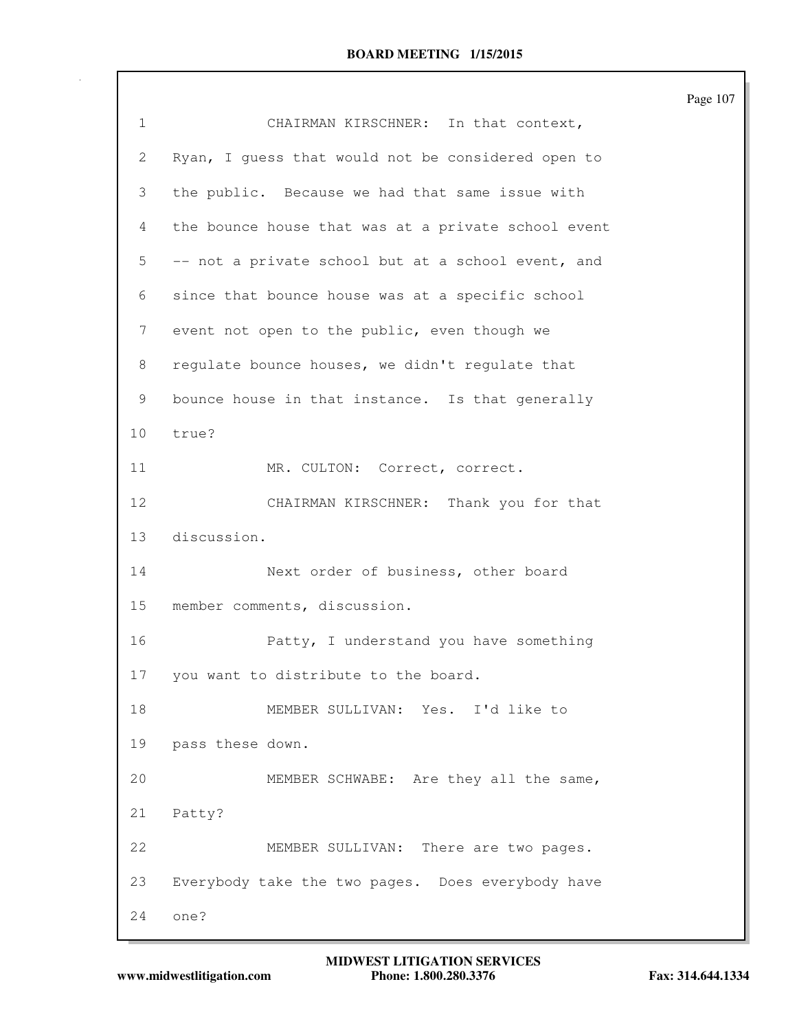|              |                                                     | Page 107 |
|--------------|-----------------------------------------------------|----------|
| $\mathbf{1}$ | CHAIRMAN KIRSCHNER: In that context,                |          |
| 2            | Ryan, I guess that would not be considered open to  |          |
| 3            | the public. Because we had that same issue with     |          |
| 4            | the bounce house that was at a private school event |          |
| 5            | -- not a private school but at a school event, and  |          |
| 6            | since that bounce house was at a specific school    |          |
| 7            | event not open to the public, even though we        |          |
| 8            | regulate bounce houses, we didn't regulate that     |          |
| 9            | bounce house in that instance. Is that generally    |          |
| 10           | true?                                               |          |
| 11           | MR. CULTON: Correct, correct.                       |          |
| 12           | CHAIRMAN KIRSCHNER: Thank you for that              |          |
| 13           | discussion.                                         |          |
| 14           | Next order of business, other board                 |          |
| 15           | member comments, discussion.                        |          |
| 16           | Patty, I understand you have something              |          |
| 17           | you want to distribute to the board.                |          |
| 18           | MEMBER SULLIVAN: Yes. I'd like to                   |          |
| 19           | pass these down.                                    |          |
| 20           | MEMBER SCHWABE: Are they all the same,              |          |
| 21           | Patty?                                              |          |
| 22           | MEMBER SULLIVAN: There are two pages.               |          |
| 23           | Everybody take the two pages. Does everybody have   |          |
| 24           | one?                                                |          |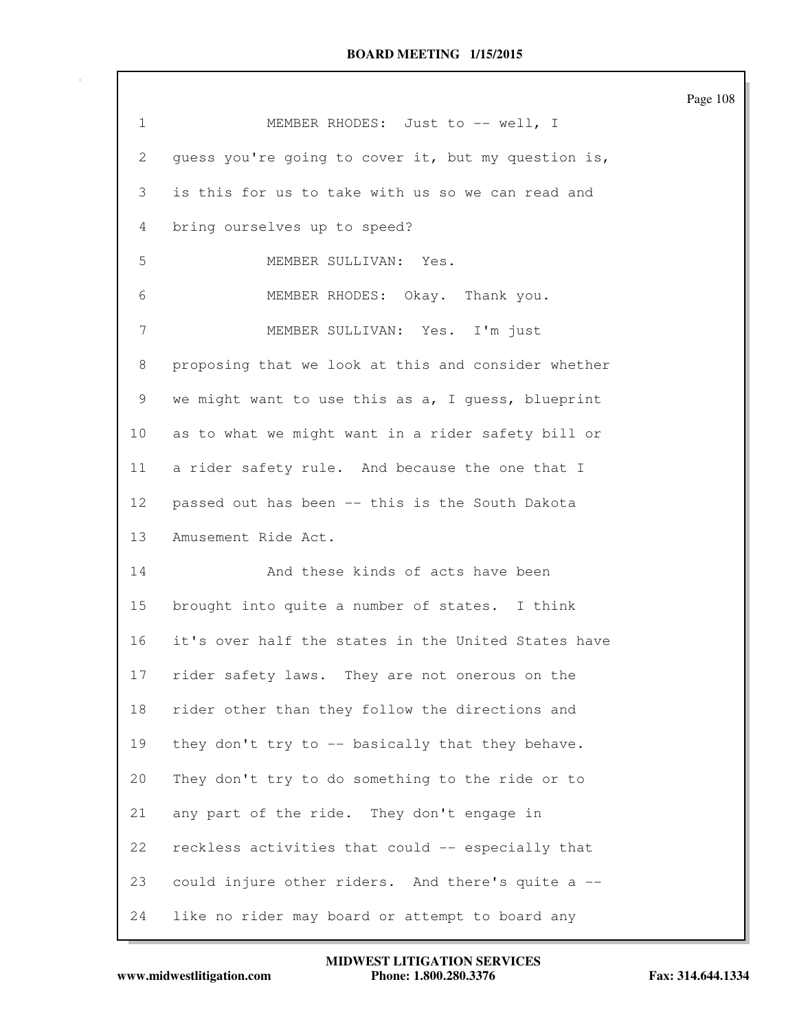|                 |                                                     | Page 108 |
|-----------------|-----------------------------------------------------|----------|
| 1               | MEMBER RHODES: Just to -- well, I                   |          |
| 2               | guess you're going to cover it, but my question is, |          |
| 3               | is this for us to take with us so we can read and   |          |
| 4               | bring ourselves up to speed?                        |          |
| 5               | MEMBER SULLIVAN: Yes.                               |          |
| 6               | MEMBER RHODES: Okay. Thank you.                     |          |
| 7               | MEMBER SULLIVAN: Yes. I'm just                      |          |
| 8               | proposing that we look at this and consider whether |          |
| 9               | we might want to use this as a, I guess, blueprint  |          |
| 10 <sub>o</sub> | as to what we might want in a rider safety bill or  |          |
| 11              | a rider safety rule. And because the one that I     |          |
| 12              | passed out has been -- this is the South Dakota     |          |
| 13              | Amusement Ride Act.                                 |          |
| 14              | And these kinds of acts have been                   |          |
| 15              | brought into quite a number of states. I think      |          |
| 16              | it's over half the states in the United States have |          |
| 17              | rider safety laws. They are not onerous on the      |          |
| 18              | rider other than they follow the directions and     |          |
| 19              | they don't try to -- basically that they behave.    |          |
| 20              | They don't try to do something to the ride or to    |          |
| 21              | any part of the ride. They don't engage in          |          |
| 22              | reckless activities that could -- especially that   |          |
| 23              | could injure other riders. And there's quite a --   |          |
| 24              | like no rider may board or attempt to board any     |          |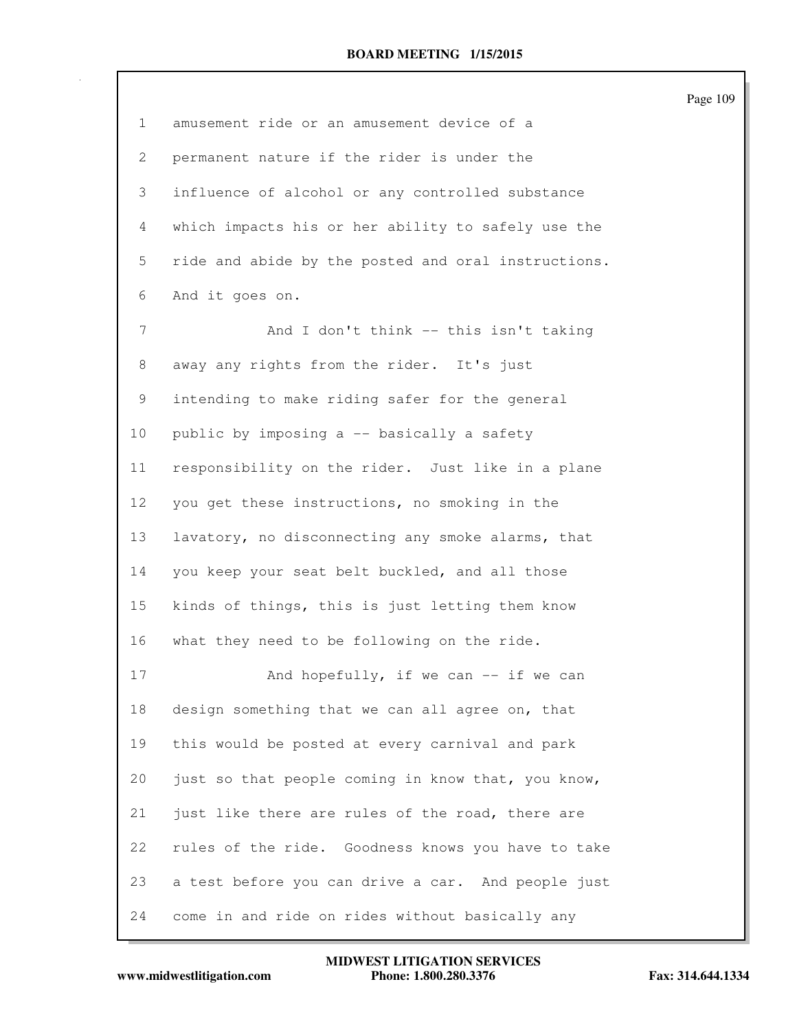|              |                                                     | Page 109 |
|--------------|-----------------------------------------------------|----------|
| $\mathbf{1}$ | amusement ride or an amusement device of a          |          |
| $\mathbf{2}$ | permanent nature if the rider is under the          |          |
| 3            | influence of alcohol or any controlled substance    |          |
| 4            | which impacts his or her ability to safely use the  |          |
| 5            | ride and abide by the posted and oral instructions. |          |
| 6            | And it goes on.                                     |          |
| 7            | And I don't think -- this isn't taking              |          |
| 8            | away any rights from the rider. It's just           |          |
| 9            | intending to make riding safer for the general      |          |
| 10           | public by imposing a -- basically a safety          |          |
| 11           | responsibility on the rider. Just like in a plane   |          |
| 12           | you get these instructions, no smoking in the       |          |
| 13           | lavatory, no disconnecting any smoke alarms, that   |          |
| 14           | you keep your seat belt buckled, and all those      |          |
| 15           | kinds of things, this is just letting them know     |          |
| 16           | what they need to be following on the ride.         |          |
| 17           | And hopefully, if we can -- if we can               |          |
| 18           | design something that we can all agree on, that     |          |
| 19           | this would be posted at every carnival and park     |          |
| 20           | just so that people coming in know that, you know,  |          |
| 21           | just like there are rules of the road, there are    |          |
| 22           | rules of the ride. Goodness knows you have to take  |          |
| 23           | a test before you can drive a car. And people just  |          |
| 24           | come in and ride on rides without basically any     |          |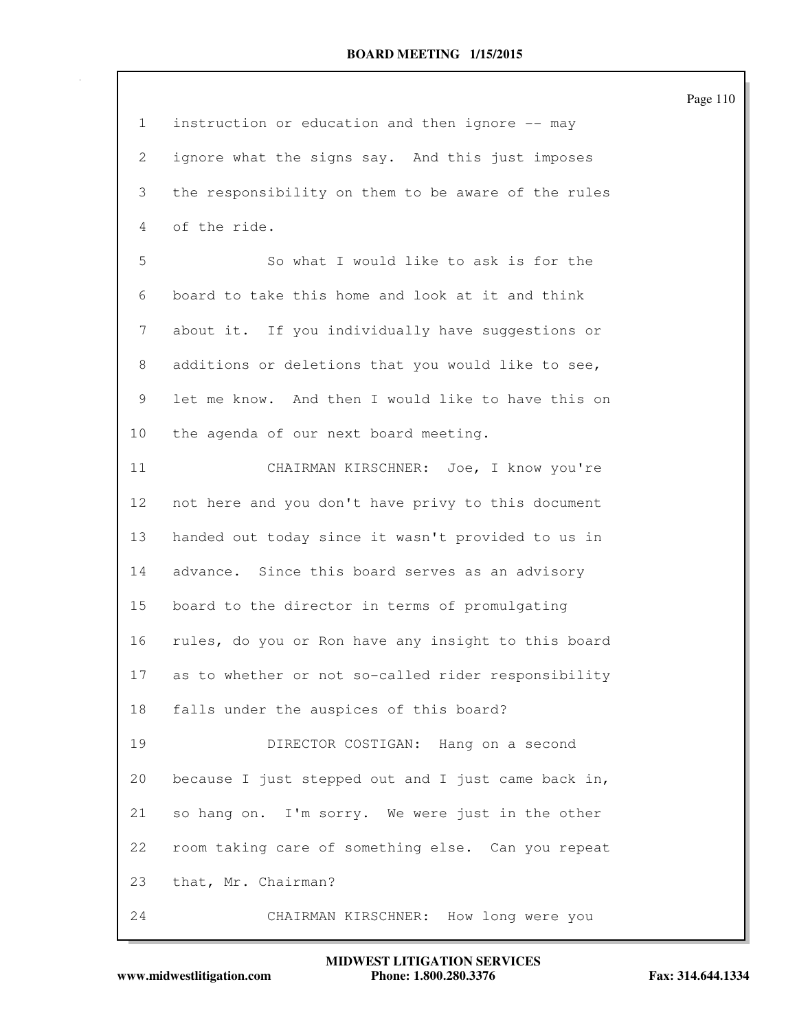| $\mathbf{1}$ | instruction or education and then ignore -- may     |
|--------------|-----------------------------------------------------|
| 2            | ignore what the signs say. And this just imposes    |
| 3            | the responsibility on them to be aware of the rules |
| 4            | of the ride.                                        |
| 5            | So what I would like to ask is for the              |
| 6            | board to take this home and look at it and think    |
| 7            | about it. If you individually have suggestions or   |
| 8            | additions or deletions that you would like to see,  |
| 9            | let me know. And then I would like to have this on  |
| 10           | the agenda of our next board meeting.               |
| 11           | CHAIRMAN KIRSCHNER: Joe, I know you're              |
| 12           | not here and you don't have privy to this document  |
| 13           | handed out today since it wasn't provided to us in  |
| 14           | advance. Since this board serves as an advisory     |
| 15           | board to the director in terms of promulgating      |
| 16           | rules, do you or Ron have any insight to this board |
| 17           | as to whether or not so-called rider responsibility |
| 18           | falls under the auspices of this board?             |
| 19           | DIRECTOR COSTIGAN: Hang on a second                 |
| 20           | because I just stepped out and I just came back in, |
| 21           | so hang on. I'm sorry. We were just in the other    |
| 22           | room taking care of something else. Can you repeat  |
| 23           | that, Mr. Chairman?                                 |
| 24           | CHAIRMAN KIRSCHNER: How long were you               |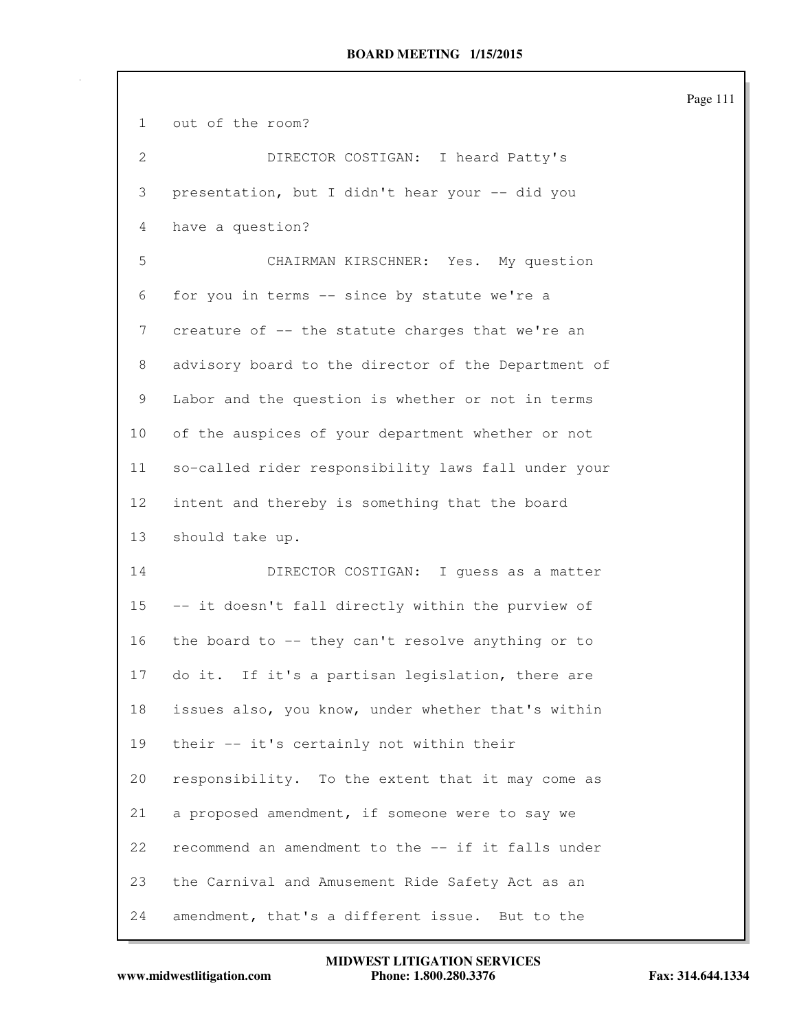| 1            | out of the room?                                    |
|--------------|-----------------------------------------------------|
| $\mathbf{2}$ | DIRECTOR COSTIGAN: I heard Patty's                  |
| 3            | presentation, but I didn't hear your -- did you     |
| 4            | have a question?                                    |
| 5            | CHAIRMAN KIRSCHNER: Yes. My question                |
| 6            | for you in terms -- since by statute we're a        |
| 7            | creature of -- the statute charges that we're an    |
| 8            | advisory board to the director of the Department of |
| 9            | Labor and the question is whether or not in terms   |
| 10           | of the auspices of your department whether or not   |
| 11           | so-called rider responsibility laws fall under your |
| 12           | intent and thereby is something that the board      |
|              |                                                     |
| 13           | should take up.                                     |
| 14           | DIRECTOR COSTIGAN: I quess as a matter              |
| 15           | -- it doesn't fall directly within the purview of   |
| 16           | the board to -- they can't resolve anything or to   |
| 17           | do it. If it's a partisan legislation, there are    |
| 18           | issues also, you know, under whether that's within  |
| 19           | their -- it's certainly not within their            |
| 20           | responsibility. To the extent that it may come as   |
| 21           | a proposed amendment, if someone were to say we     |
| 22           | recommend an amendment to the -- if it falls under  |
| 23           | the Carnival and Amusement Ride Safety Act as an    |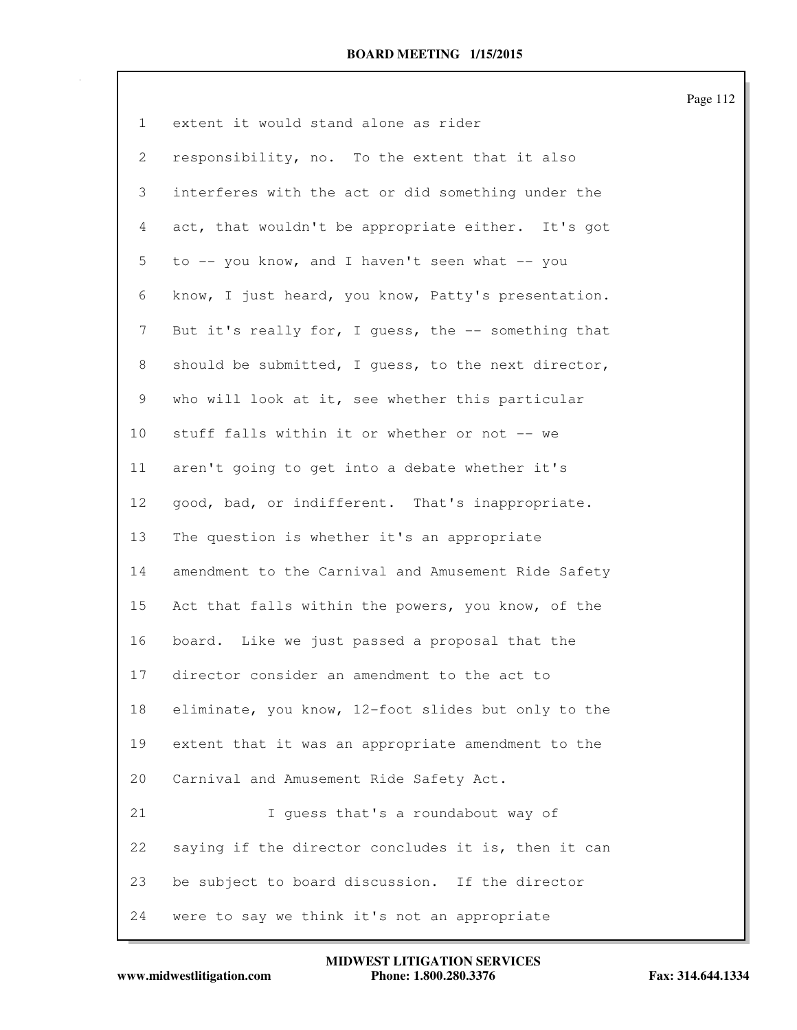| $\mathbf{1}$ | extent it would stand alone as rider                |
|--------------|-----------------------------------------------------|
| 2            | responsibility, no. To the extent that it also      |
| 3            | interferes with the act or did something under the  |
| 4            | act, that wouldn't be appropriate either. It's got  |
| 5            | to -- you know, and I haven't seen what -- you      |
| 6            | know, I just heard, you know, Patty's presentation. |
| 7            | But it's really for, I guess, the -- something that |
| 8            | should be submitted, I guess, to the next director, |
| 9            | who will look at it, see whether this particular    |
| 10           | stuff falls within it or whether or not -- we       |
| 11           | aren't going to get into a debate whether it's      |
| 12           | good, bad, or indifferent. That's inappropriate.    |
| 13           | The question is whether it's an appropriate         |
| 14           | amendment to the Carnival and Amusement Ride Safety |
| 15           | Act that falls within the powers, you know, of the  |
| 16           | board. Like we just passed a proposal that the      |
| 17           | director consider an amendment to the act to        |
| 18           | eliminate, you know, 12-foot slides but only to the |
| 19           | extent that it was an appropriate amendment to the  |
| 20           | Carnival and Amusement Ride Safety Act.             |
| 21           | I guess that's a roundabout way of                  |
| 22           | saying if the director concludes it is, then it can |
| 23           | be subject to board discussion. If the director     |
| 24           | were to say we think it's not an appropriate        |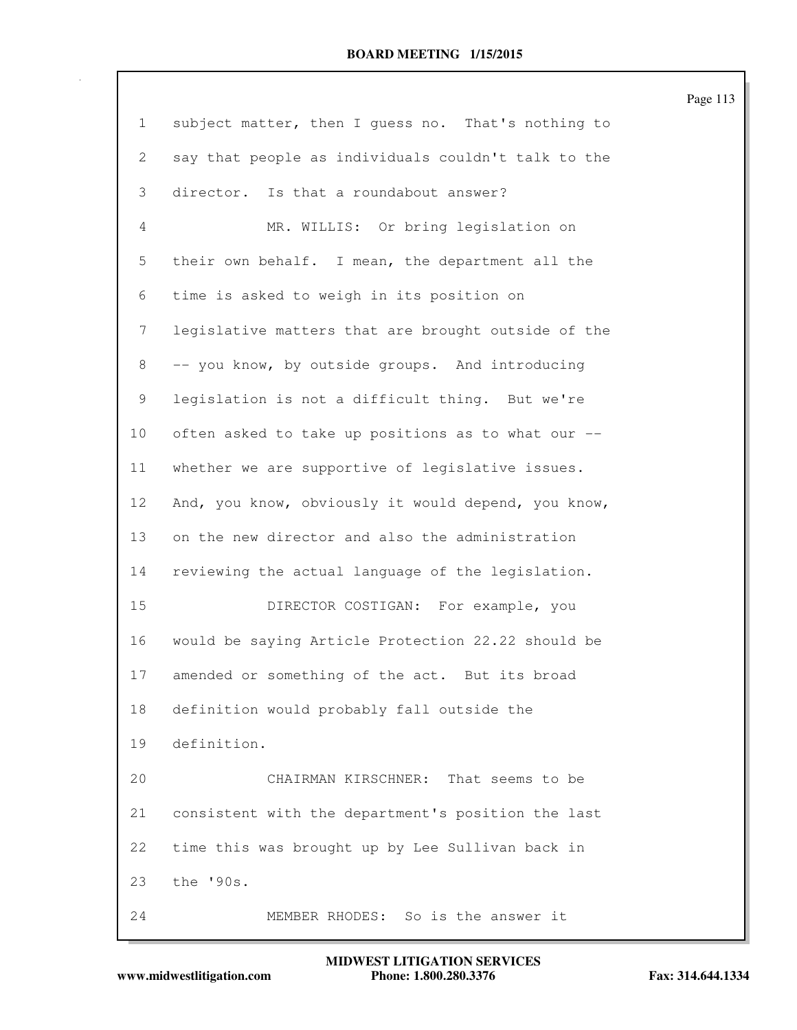| $\mathbf{1}$   | subject matter, then I quess no. That's nothing to  |
|----------------|-----------------------------------------------------|
| $\overline{2}$ | say that people as individuals couldn't talk to the |
| 3              | director. Is that a roundabout answer?              |
| 4              | MR. WILLIS: Or bring legislation on                 |
| 5              | their own behalf. I mean, the department all the    |
| 6              | time is asked to weigh in its position on           |
| $7\phantom{.}$ | legislative matters that are brought outside of the |
| 8              | -- you know, by outside groups. And introducing     |
| 9              | legislation is not a difficult thing. But we're     |
| 10             | often asked to take up positions as to what our --  |
| 11             | whether we are supportive of legislative issues.    |
| 12             | And, you know, obviously it would depend, you know, |
| 13             | on the new director and also the administration     |
| 14             | reviewing the actual language of the legislation.   |
| 15             | DIRECTOR COSTIGAN: For example, you                 |
| 16             | would be saying Article Protection 22.22 should be  |
| 17             | amended or something of the act. But its broad      |
| 18             | definition would probably fall outside the          |
| 19             | definition.                                         |
| 20             | CHAIRMAN KIRSCHNER:<br>That seems to be             |
| 21             | consistent with the department's position the last  |
| 22             | time this was brought up by Lee Sullivan back in    |
| 23             | the '90s.                                           |
| 24             | MEMBER RHODES: So is the answer it                  |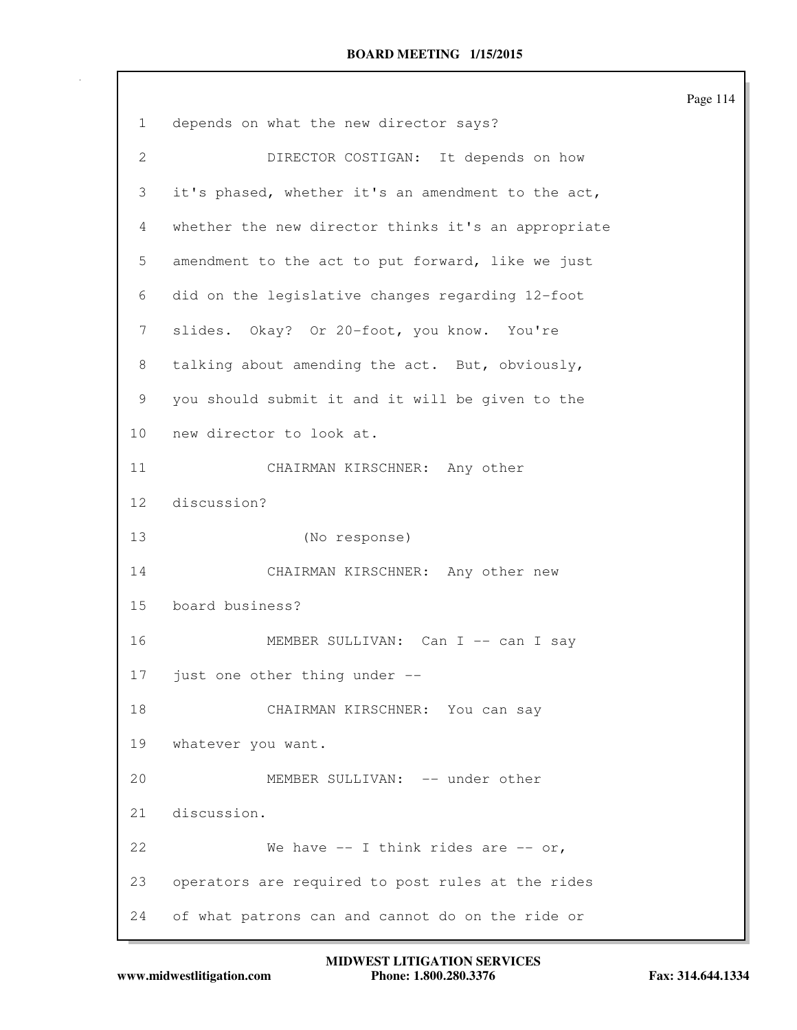|                 |                                                     | Page 114 |
|-----------------|-----------------------------------------------------|----------|
| 1               | depends on what the new director says?              |          |
| $\mathbf{2}$    | DIRECTOR COSTIGAN: It depends on how                |          |
| 3               | it's phased, whether it's an amendment to the act,  |          |
| $\overline{4}$  | whether the new director thinks it's an appropriate |          |
| 5               | amendment to the act to put forward, like we just   |          |
| 6               | did on the legislative changes regarding 12-foot    |          |
| 7               | slides. Okay? Or 20-foot, you know. You're          |          |
| 8               | talking about amending the act. But, obviously,     |          |
| 9               | you should submit it and it will be given to the    |          |
| 10              | new director to look at.                            |          |
| 11              | CHAIRMAN KIRSCHNER: Any other                       |          |
| 12 <sup>°</sup> | discussion?                                         |          |
| 13              | (No response)                                       |          |
| 14              | CHAIRMAN KIRSCHNER: Any other new                   |          |
| 15              | board business?                                     |          |
| 16              | MEMBER SULLIVAN: Can I -- can I say                 |          |
| 17              | just one other thing under --                       |          |
| 18              | CHAIRMAN KIRSCHNER: You can say                     |          |
| 19              | whatever you want.                                  |          |
| 20              | MEMBER SULLIVAN: -- under other                     |          |
| 21              | discussion.                                         |          |
| 22              | We have $-$ I think rides are $-$ or,               |          |
| 23              | operators are required to post rules at the rides   |          |
| 24              | of what patrons can and cannot do on the ride or    |          |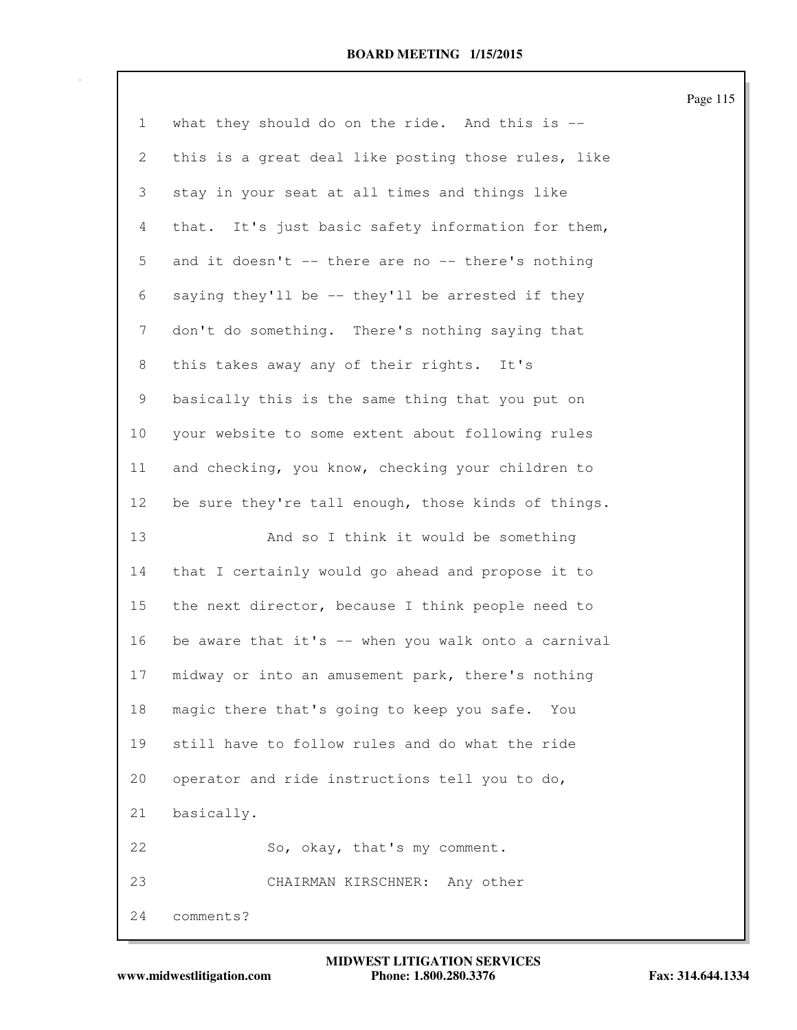| $\mathbf{1}$    | what they should do on the ride. And this is $--$   |
|-----------------|-----------------------------------------------------|
| $\mathbf{2}$    | this is a great deal like posting those rules, like |
| 3               | stay in your seat at all times and things like      |
| $\overline{4}$  | that. It's just basic safety information for them,  |
| 5               | and it doesn't -- there are no -- there's nothing   |
| 6               | saying they'll be -- they'll be arrested if they    |
| 7               | don't do something. There's nothing saying that     |
| 8               | this takes away any of their rights. It's           |
| 9               | basically this is the same thing that you put on    |
| 10              | your website to some extent about following rules   |
| 11              | and checking, you know, checking your children to   |
| 12 <sub>2</sub> | be sure they're tall enough, those kinds of things. |
| 13              | And so I think it would be something                |
| 14              | that I certainly would go ahead and propose it to   |
| 15              | the next director, because I think people need to   |
| 16              | be aware that it's -- when you walk onto a carnival |
| 17              | midway or into an amusement park, there's nothing   |
| 18              | magic there that's going to keep you safe. You      |
| 19              | still have to follow rules and do what the ride     |
| 20              | operator and ride instructions tell you to do,      |
| 21              | basically.                                          |
| 22              | So, okay, that's my comment.                        |
| 23              | CHAIRMAN KIRSCHNER: Any other                       |
| 24              | comments?                                           |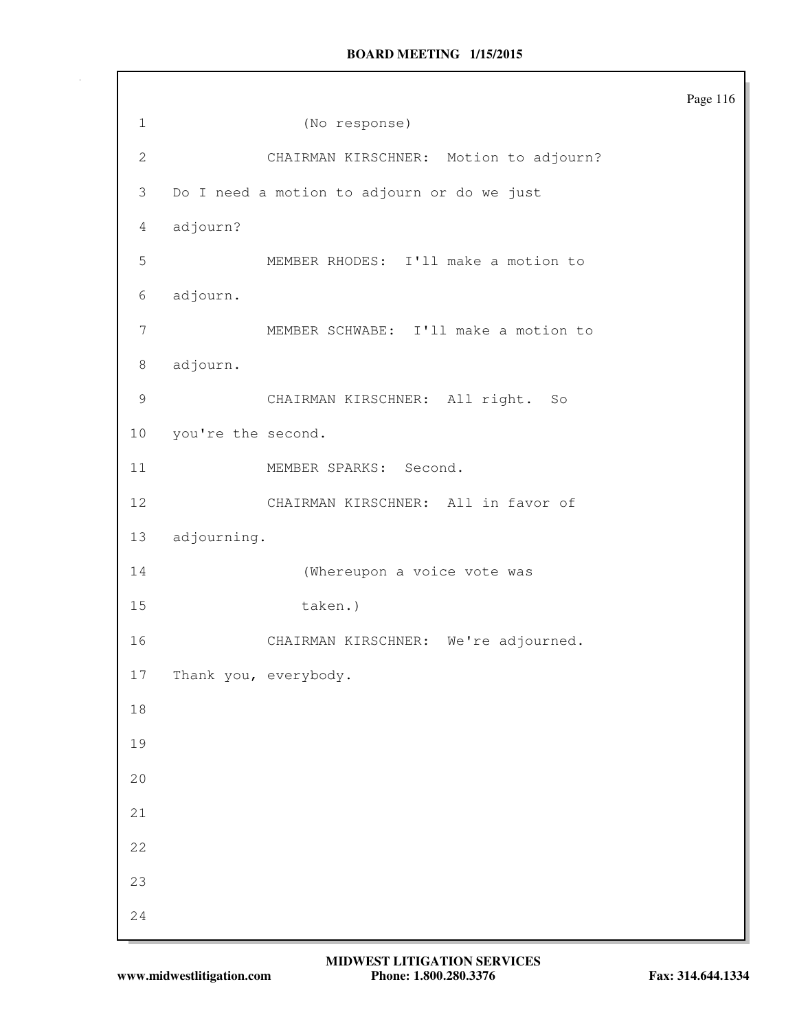1 (No response) 2 CHAIRMAN KIRSCHNER: Motion to adjourn? 3 Do I need a motion to adjourn or do we just 4 adjourn? 5 MEMBER RHODES: I'll make a motion to 6 adjourn. 7 MEMBER SCHWABE: I'll make a motion to 8 adjourn. 9 CHAIRMAN KIRSCHNER: All right. So 10 you're the second. 11 MEMBER SPARKS: Second. 12 CHAIRMAN KIRSCHNER: All in favor of 13 adjourning. 14 (Whereupon a voice vote was 15 taken.) 16 CHAIRMAN KIRSCHNER: We're adjourned. 17 Thank you, everybody. 18 19 20 21 22 23 24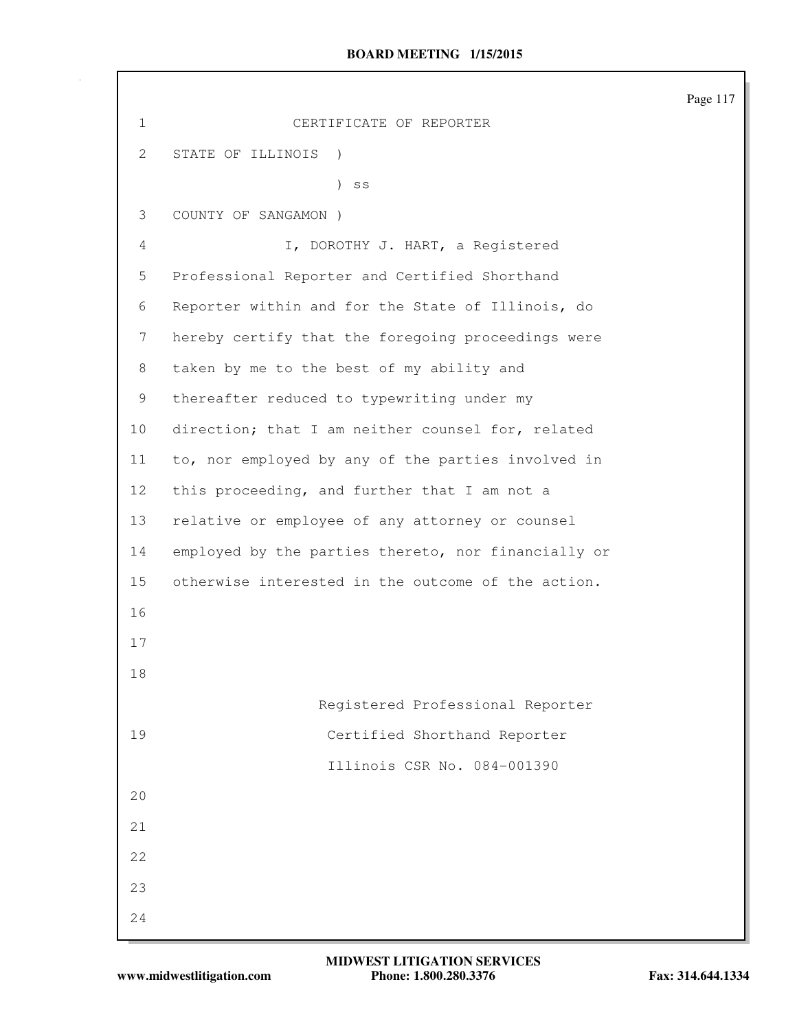|              |                                                     | Page 117 |
|--------------|-----------------------------------------------------|----------|
| $\mathbf{1}$ | CERTIFICATE OF REPORTER                             |          |
| $\mathbf{2}$ | STATE OF ILLINOIS )                                 |          |
|              | $\mathcal{L}$<br>SS                                 |          |
| 3            | COUNTY OF SANGAMON )                                |          |
| 4            | I, DOROTHY J. HART, a Registered                    |          |
| 5            | Professional Reporter and Certified Shorthand       |          |
| 6            | Reporter within and for the State of Illinois, do   |          |
| 7            | hereby certify that the foregoing proceedings were  |          |
| 8            | taken by me to the best of my ability and           |          |
| 9            | thereafter reduced to typewriting under my          |          |
| 10           | direction; that I am neither counsel for, related   |          |
| 11           | to, nor employed by any of the parties involved in  |          |
| 12           | this proceeding, and further that I am not a        |          |
| 13           | relative or employee of any attorney or counsel     |          |
| 14           | employed by the parties thereto, nor financially or |          |
| 15           | otherwise interested in the outcome of the action.  |          |
| 16           |                                                     |          |
| 17           |                                                     |          |
| 18           |                                                     |          |
|              | Registered Professional Reporter                    |          |
| 19           | Certified Shorthand Reporter                        |          |
|              | Illinois CSR No. 084-001390                         |          |
| 20           |                                                     |          |
| 21           |                                                     |          |
| 22           |                                                     |          |
| 23           |                                                     |          |
| 24           |                                                     |          |

 $\mathsf{I}$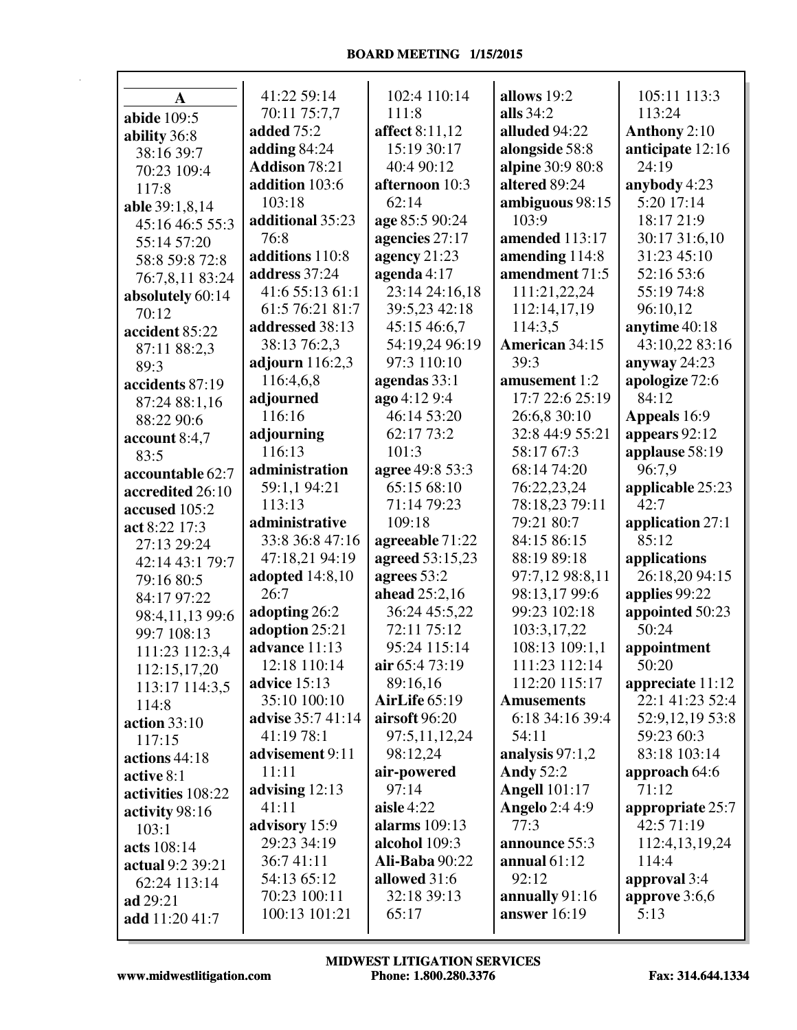| A                 | 41:22 59:14          | 102:4 110:14          | allows 19:2           | 105:11 113:3        |
|-------------------|----------------------|-----------------------|-----------------------|---------------------|
| abide 109:5       | 70:11 75:7,7         | 111:8                 | alls $34:2$           | 113:24              |
| ability 36:8      | added 75:2           | <b>affect</b> 8:11,12 | alluded 94:22         | <b>Anthony 2:10</b> |
| 38:16 39:7        | adding $84:24$       | 15:19 30:17           | alongside 58:8        | anticipate 12:16    |
| 70:23 109:4       | <b>Addison 78:21</b> | 40:4 90:12            | alpine 30:9 80:8      | 24:19               |
| 117:8             | addition 103:6       | afternoon 10:3        | altered 89:24         | anybody 4:23        |
| able 39:1,8,14    | 103:18               | 62:14                 | ambiguous 98:15       | 5:20 17:14          |
| 45:16 46:5 55:3   | additional 35:23     | age 85:5 90:24        | 103:9                 | 18:17 21:9          |
| 55:14 57:20       | 76:8                 | agencies 27:17        | amended 113:17        | 30:17 31:6,10       |
| 58:8 59:8 72:8    | additions 110:8      | agency 21:23          | amending 114:8        | 31:23 45:10         |
| 76:7,8,11 83:24   | address 37:24        | agenda $4:17$         | amendment 71:5        | 52:16 53:6          |
| absolutely 60:14  | 41:6 55:13 61:1      | 23:14 24:16,18        | 111:21,22,24          | 55:19 74:8          |
| 70:12             | 61:5 76:21 81:7      | 39:5,23 42:18         | 112:14,17,19          | 96:10,12            |
| accident 85:22    | addressed 38:13      | 45:15 46:6,7          | 114:3,5               | anytime 40:18       |
| 87:11 88:2,3      | 38:13 76:2,3         | 54:19,24 96:19        | American 34:15        | 43:10,22 83:16      |
| 89:3              | adjourn $116:2,3$    | 97:3 110:10           | 39:3                  | anyway $24:23$      |
| accidents 87:19   | 116:4,6,8            | agendas 33:1          | amusement 1:2         | apologize 72:6      |
| 87:24 88:1,16     | adjourned            | ago 4:12 9:4          | 17:7 22:6 25:19       | 84:12               |
| 88:22 90:6        | 116:16               | 46:14 53:20           | 26:6,8 30:10          | Appeals 16:9        |
| account 8:4,7     | adjourning           | 62:17 73:2            | 32:8 44:9 55:21       | appears 92:12       |
| 83:5              | 116:13               | 101:3                 | 58:17 67:3            | applause 58:19      |
| accountable 62:7  | administration       | agree 49:8 53:3       | 68:14 74:20           | 96:7,9              |
| accredited 26:10  | 59:1,1 94:21         | 65:15 68:10           | 76:22,23,24           | applicable 25:23    |
| accused 105:2     | 113:13               | 71:14 79:23           | 78:18,23 79:11        | 42:7                |
| act 8:22 17:3     | administrative       | 109:18                | 79:21 80:7            | application 27:1    |
| 27:13 29:24       | 33:8 36:8 47:16      | agreeable 71:22       | 84:15 86:15           | 85:12               |
| 42:14 43:1 79:7   | 47:18,21 94:19       | agreed 53:15,23       | 88:19 89:18           | applications        |
| 79:16 80:5        | adopted $14:8,10$    | agrees 53:2           | 97:7,12 98:8,11       | 26:18,20 94:15      |
| 84:17 97:22       | 26:7                 | ahead 25:2,16         | 98:13,17 99:6         | applies 99:22       |
| 98:4,11,13 99:6   | adopting 26:2        | 36:24 45:5,22         | 99:23 102:18          | appointed 50:23     |
| 99:7 108:13       | adoption 25:21       | 72:11 75:12           | 103:3,17,22           | 50:24               |
| 111:23 112:3,4    | advance 11:13        | 95:24 115:14          | 108:13 109:1,1        | appointment         |
| 112:15,17,20      | 12:18 110:14         | air $65:473:19$       | 111:23 112:14         | 50:20               |
| 113:17 114:3,5    | <b>advice</b> 15:13  | 89:16,16              | 112:20 115:17         | appreciate 11:12    |
| 114:8             | 35:10 100:10         | <b>AirLife</b> 65:19  | <b>Amusements</b>     | 22:1 41:23 52:4     |
| action $33:10$    | advise 35:7 41:14    | airsoft 96:20         | 6:18 34:16 39:4       | 52:9,12,19 53:8     |
| 117:15            | 41:19 78:1           | 97:5,11,12,24         | 54:11                 | 59:23 60:3          |
| actions 44:18     | advisement 9:11      | 98:12,24              | analysis 97:1,2       | 83:18 103:14        |
| active 8:1        | 11:11                | air-powered           | <b>Andy 52:2</b>      | approach 64:6       |
| activities 108:22 | advising 12:13       | 97:14                 | <b>Angell</b> 101:17  | 71:12               |
| activity 98:16    | 41:11                | aisle $4:22$          | <b>Angelo</b> 2:4 4:9 | appropriate 25:7    |
| 103:1             | advisory 15:9        | <b>alarms</b> 109:13  | 77:3                  | 42:5 71:19          |
| acts 108:14       | 29:23 34:19          | alcohol 109:3         | announce 55:3         | 112:4,13,19,24      |
| actual 9:2 39:21  | 36:741:11            | <b>Ali-Baba</b> 90:22 | annual $61:12$        | 114:4               |
| 62:24 113:14      | 54:13 65:12          | allowed 31:6          | 92:12                 | approval 3:4        |
| ad 29:21          | 70:23 100:11         | 32:18 39:13           | annually 91:16        | approve $3:6,6$     |
| add 11:20 41:7    | 100:13 101:21        | 65:17                 | answer $16:19$        | 5:13                |
|                   |                      |                       |                       |                     |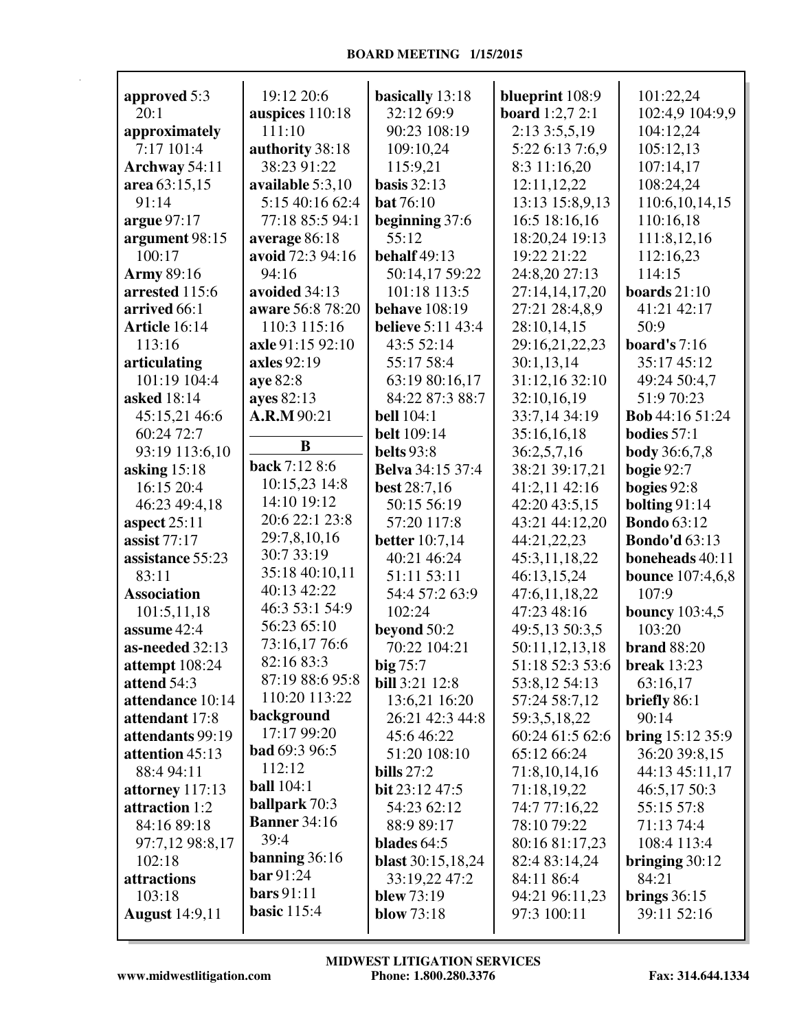| approved 5:3          | 19:12 20:6           | basically 13:18          | blueprint 108:9        | 101:22,24               |
|-----------------------|----------------------|--------------------------|------------------------|-------------------------|
| 20:1                  | auspices 110:18      | 32:12 69:9               | <b>board</b> 1:2,7 2:1 | 102:4,9 104:9,9         |
| approximately         | 111:10               | 90:23 108:19             | 2:13 3:5,5,19          | 104:12,24               |
| 7:17 101:4            | authority 38:18      | 109:10,24                | 5:22 6:13 7:6,9        | 105:12,13               |
| Archway 54:11         | 38:23 91:22          | 115:9,21                 | 8:3 11:16,20           | 107:14,17               |
| area 63:15,15         | available 5:3,10     | basis $32:13$            | 12:11,12,22            | 108:24,24               |
| 91:14                 | 5:15 40:16 62:4      | <b>bat</b> 76:10         | 13:13 15:8,9,13        | 110:6,10,14,15          |
| argue $97:17$         | 77:18 85:5 94:1      | beginning 37:6           | 16:5 18:16,16          | 110:16,18               |
| argument 98:15        | average 86:18        | 55:12                    | 18:20,24 19:13         | 111:8,12,16             |
| 100:17                | avoid 72:3 94:16     | behalf 49:13             | 19:22 21:22            | 112:16,23               |
| <b>Army 89:16</b>     | 94:16                | 50:14,17 59:22           | 24:8,20 27:13          | 114:15                  |
| arrested 115:6        | avoided 34:13        | 101:18 113:5             | 27:14,14,17,20         | boards $21:10$          |
| arrived 66:1          | aware 56:8 78:20     | <b>behave</b> 108:19     | 27:21 28:4,8,9         | 41:21 42:17             |
| Article 16:14         | 110:3 115:16         | <b>believe</b> 5:11 43:4 | 28:10,14,15            | 50:9                    |
| 113:16                | axle 91:15 92:10     | 43:5 52:14               | 29:16,21,22,23         | board's $7:16$          |
| articulating          | axles 92:19          | 55:17 58:4               | 30:1,13,14             | 35:17 45:12             |
| 101:19 104:4          | aye 82:8             | 63:19 80:16,17           | 31:12,16 32:10         | 49:24 50:4,7            |
| asked 18:14           | ayes 82:13           | 84:22 87:3 88:7          | 32:10,16,19            | 51:9 70:23              |
| 45:15,21 46:6         | A.R.M 90:21          | <b>bell</b> 104:1        | 33:7,14 34:19          | Bob 44:16 51:24         |
| 60:24 72:7            |                      | <b>belt</b> 109:14       | 35:16,16,18            | bodies $57:1$           |
| 93:19 113:6,10        | B                    | belts 93:8               | 36:2,5,7,16            | <b>body</b> 36:6,7,8    |
| asking $15:18$        | back 7:12 8:6        | <b>Belva</b> 34:15 37:4  | 38:21 39:17,21         | bogie $92:7$            |
| 16:15 20:4            | 10:15,23 14:8        | <b>best</b> 28:7,16      | 41:2,11 42:16          | bogies 92:8             |
| 46:23 49:4,18         | 14:10 19:12          | 50:15 56:19              | 42:20 43:5,15          | bolting $91:14$         |
| aspect $25:11$        | 20:6 22:1 23:8       | 57:20 117:8              | 43:21 44:12,20         | <b>Bondo</b> 63:12      |
| assist $77:17$        | 29:7,8,10,16         | <b>better</b> 10:7,14    | 44:21,22,23            | <b>Bondo'd 63:13</b>    |
| assistance 55:23      | 30:7 33:19           | 40:21 46:24              | 45:3,11,18,22          | boneheads 40:11         |
| 83:11                 | 35:18 40:10,11       | 51:11 53:11              | 46:13,15,24            | <b>bounce</b> 107:4,6,8 |
| <b>Association</b>    | 40:13 42:22          | 54:4 57:2 63:9           | 47:6,11,18,22          | 107:9                   |
| 101:5,11,18           | 46:3 53:1 54:9       | 102:24                   | 47:23 48:16            | <b>bouncy</b> 103:4,5   |
| assume 42:4           | 56:23 65:10          | beyond 50:2              | 49:5,13 50:3,5         | 103:20                  |
| as-needed 32:13       | 73:16,17 76:6        | 70:22 104:21             | 50:11,12,13,18         | <b>brand 88:20</b>      |
| attempt 108:24        | 82:16 83:3           | $big\,75:7$              | 51:18 52:3 53:6        | break $13:23$           |
| attend 54:3           | 87:19 88:6 95:8      | <b>bill</b> 3:21 12:8    | 53:8,12 54:13          | 63:16,17                |
| attendance 10:14      | 110:20 113:22        | 13:6,21 16:20            | 57:24 58:7,12          | briefly 86:1            |
| attendant 17:8        | background           | 26:21 42:3 44:8          | 59:3,5,18,22           | 90:14                   |
| attendants 99:19      | 17:17 99:20          | 45:646:22                | 60:24 61:5 62:6        | bring $15:12\,35:9$     |
| attention 45:13       | <b>bad</b> 69:3 96:5 | 51:20 108:10             | 65:12 66:24            | 36:20 39:8,15           |
| 88:4 94:11            | 112:12               | bills $27:2$             | 71:8,10,14,16          | 44:13 45:11,17          |
| attorney 117:13       | <b>ball</b> 104:1    | bit 23:12 47:5           | 71:18,19,22            | 46:5,17 50:3            |
| attraction 1:2        | <b>ballpark</b> 70:3 | 54:23 62:12              | 74:7 77:16,22          | 55:15 57:8              |
| 84:16 89:18           | <b>Banner</b> 34:16  | 88:9 89:17               | 78:10 79:22            | 71:13 74:4              |
| 97:7,12 98:8,17       | 39:4                 | blades $64:5$            | 80:16 81:17,23         | 108:4 113:4             |
| 102:18                | banning $36:16$      | <b>blast</b> 30:15,18,24 | 82:4 83:14,24          | bringing $30:12$        |
| attractions           | bar 91:24            | 33:19,22 47:2            | 84:11 86:4             | 84:21                   |
| 103:18                | bars $91:11$         | blew $73:19$             | 94:21 96:11,23         | brings $36:15$          |
| <b>August</b> 14:9,11 | <b>basic</b> 115:4   | <b>blow</b> 73:18        | 97:3 100:11            | 39:11 52:16             |
|                       |                      |                          |                        |                         |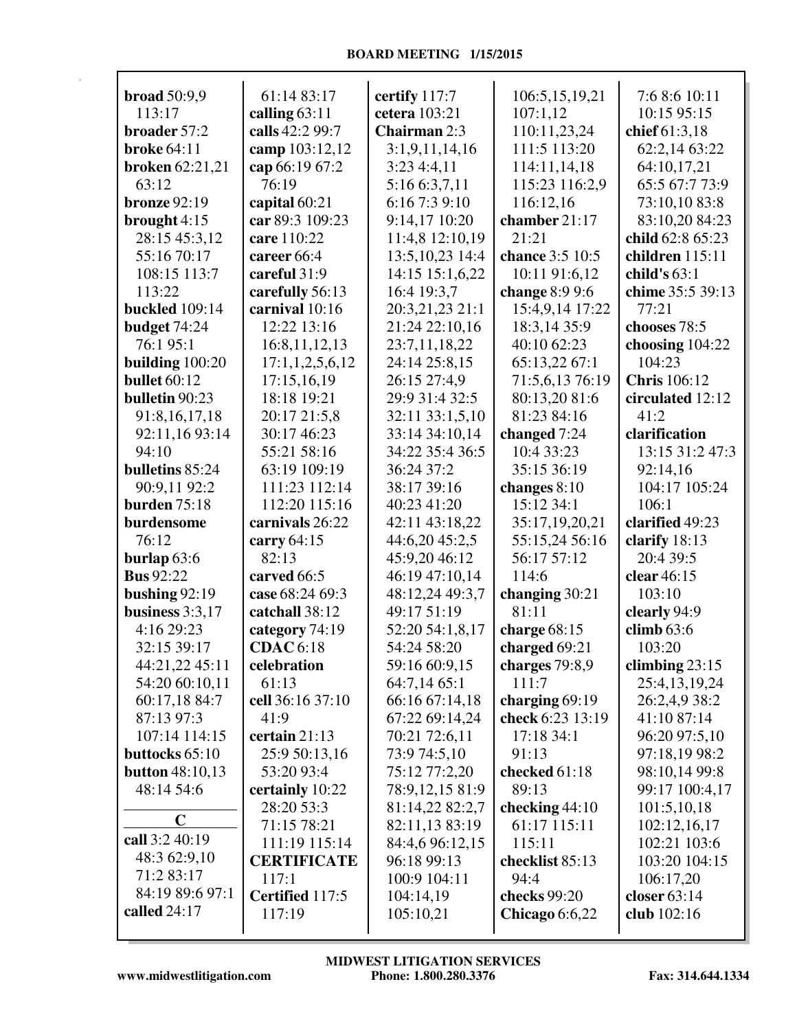| broad $50:9,9$         | 61:14 83:17        | certify 117:7     | 106:5,15,19,21   | 7:6 8:6 10:11       |
|------------------------|--------------------|-------------------|------------------|---------------------|
| 113:17                 | calling $63:11$    | cetera 103:21     | 107:1,12         | 10:15 95:15         |
| broader 57:2           | calls 42:2 99:7    | Chairman 2:3      | 110:11,23,24     | chief 61:3,18       |
| <b>broke</b> 64:11     | camp 103:12,12     | 3:1,9,11,14,16    | 111:5 113:20     | 62:2,14 63:22       |
| <b>broken</b> 62:21,21 | cap 66:19 67:2     | 3:234:4,11        | 114:11,14,18     | 64:10,17,21         |
| 63:12                  | 76:19              | 5:16 6:3,7,11     | 115:23 116:2,9   | 65:5 67:7 73:9      |
| <b>bronze</b> 92:19    | capital 60:21      | 6:16 7:3 9:10     | 116:12,16        | 73:10,10 83:8       |
| brought 4:15           | car 89:3 109:23    | 9:14,17 10:20     | chamber 21:17    | 83:10,20 84:23      |
| 28:15 45:3,12          | care 110:22        | 11:4,8 12:10,19   | 21:21            | child 62:8 65:23    |
| 55:16 70:17            | career 66:4        | 13:5, 10, 23 14:4 | chance 3:5 10:5  | children 115:11     |
| 108:15 113:7           | careful 31:9       | 14:15 15:1,6,22   | 10:11 91:6,12    | child's $63:1$      |
| 113:22                 | carefully 56:13    | 16:4 19:3,7       | change 8:9 9:6   | chime 35:5 39:13    |
| <b>buckled</b> 109:14  | carnival 10:16     | 20:3,21,23 21:1   | 15:4,9,14 17:22  | 77:21               |
| budget 74:24           | 12:22 13:16        | 21:24 22:10,16    | 18:3,14 35:9     | chooses 78:5        |
| 76:1 95:1              | 16:8, 11, 12, 13   | 23:7,11,18,22     | 40:10 62:23      | choosing $104:22$   |
| building $100:20$      | 17:1,1,2,5,6,12    | 24:14 25:8,15     | 65:13,22 67:1    | 104:23              |
| <b>bullet</b> 60:12    | 17:15,16,19        | 26:15 27:4,9      | 71:5,6,13 76:19  | <b>Chris</b> 106:12 |
| bulletin 90:23         | 18:18 19:21        | 29:9 31:4 32:5    | 80:13,20 81:6    | circulated 12:12    |
| 91:8,16,17,18          | 20:17 21:5,8       | 32:11 33:1,5,10   | 81:23 84:16      | 41:2                |
| 92:11,16 93:14         | 30:17 46:23        | 33:14 34:10,14    | changed $7:24$   | clarification       |
| 94:10                  | 55:21 58:16        | 34:22 35:4 36:5   | 10:4 33:23       | 13:15 31:2 47:3     |
| bulletins 85:24        | 63:19 109:19       | 36:24 37:2        | 35:15 36:19      |                     |
|                        |                    |                   |                  | 92:14,16            |
| 90:9,11 92:2           | 111:23 112:14      | 38:17 39:16       | changes $8:10$   | 104:17 105:24       |
| <b>burden</b> 75:18    | 112:20 115:16      | 40:23 41:20       | 15:12 34:1       | 106:1               |
| burdensome             | carnivals 26:22    | 42:11 43:18,22    | 35:17,19,20,21   | clarified 49:23     |
| 76:12                  | carry 64:15        | 44:6,20 45:2,5    | 55:15,24 56:16   | clarify 18:13       |
| burlap $63:6$          | 82:13              | 45:9,20 46:12     | 56:17 57:12      | 20:4 39:5           |
| <b>Bus</b> 92:22       | carved 66:5        | 46:19 47:10,14    | 114:6            | clear 46:15         |
| bushing $92:19$        | case 68:24 69:3    | 48:12,24 49:3,7   | changing 30:21   | 103:10              |
| business $3:3,17$      | catchall 38:12     | 49:17 51:19       | 81:11            | clearly 94:9        |
| 4:16 29:23             | category 74:19     | 52:20 54:1,8,17   | charge $68:15$   | climb $63:6$        |
| 32:15 39:17            | <b>CDAC</b> 6:18   | 54:24 58:20       | charged 69:21    | 103:20              |
| 44:21,22 45:11         | celebration        | 59:16 60:9,15     | charges 79:8,9   | climbing $23:15$    |
| 54:20 60:10,11         | 61:13              | 64:7,14 65:1      | 111:7            | 25:4,13,19,24       |
| 60:17,18 84:7          | cell 36:16 37:10   | 66:16 67:14,18    | charging $69:19$ | 26:2,4,9 38:2       |
| 87:13 97:3             | 41:9               | 67:22 69:14,24    | check 6:23 13:19 | 41:10 87:14         |
| 107:14 114:15          | certain $21:13$    | 70:21 72:6,11     | 17:18 34:1       | 96:20 97:5,10       |
| buttocks 65:10         | 25:9 50:13,16      | 73:9 74:5,10      | 91:13            | 97:18,19 98:2       |
| <b>button</b> 48:10,13 | 53:20 93:4         | 75:12 77:2,20     | checked 61:18    | 98:10,14 99:8       |
| 48:14 54:6             | certainly 10:22    | 78:9,12,15 81:9   | 89:13            | 99:17 100:4,17      |
|                        | 28:20 53:3         | 81:14,22 82:2,7   | checking $44:10$ | 101:5,10,18         |
| $\mathbf C$            | 71:15 78:21        | 82:11,13 83:19    | 61:17 115:11     | 102:12,16,17        |
| call 3:2 40:19         | 111:19 115:14      | 84:4,6 96:12,15   | 115:11           | 102:21 103:6        |
| 48:3 62:9,10           | <b>CERTIFICATE</b> | 96:18 99:13       | checklist 85:13  | 103:20 104:15       |
| 71:2 83:17             | 117:1              | 100:9 104:11      | 94:4             | 106:17,20           |
| 84:19 89:6 97:1        | Certified 117:5    | 104:14,19         | checks 99:20     | closer 63:14        |
| called $24:17$         | 117:19             | 105:10,21         | Chicago $6:6,22$ | club 102:16         |
|                        |                    |                   |                  |                     |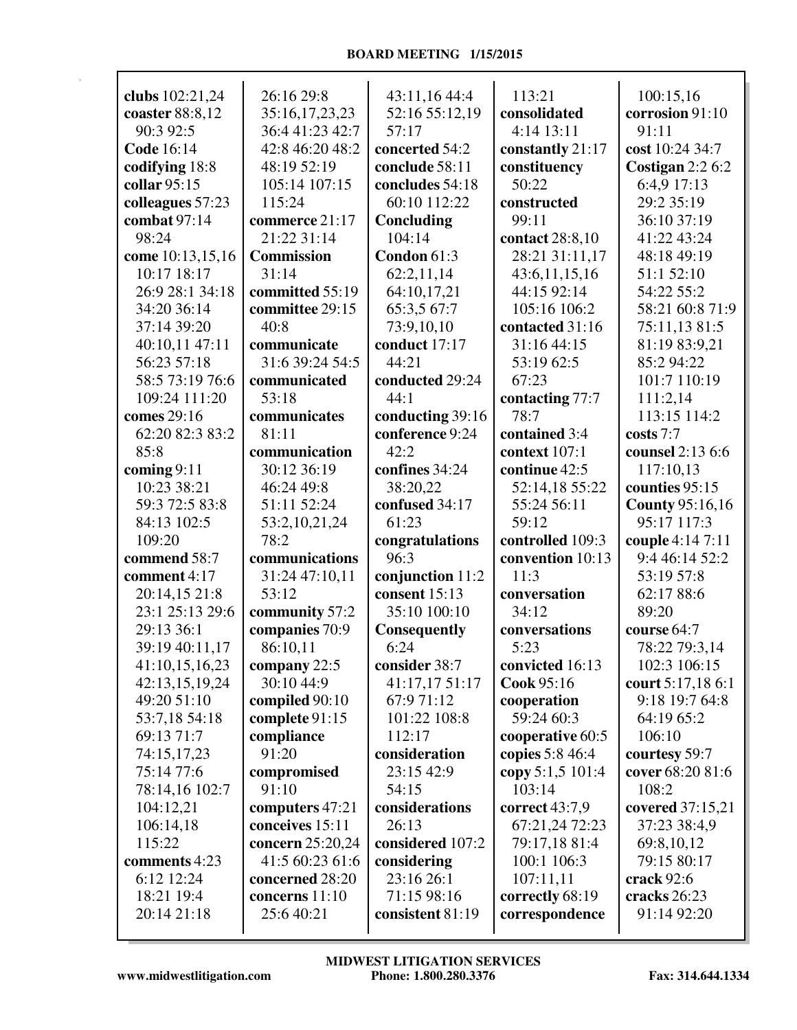| clubs 102:21,24   | 26:16 29:8        | 43:11,16 44:4    | 113:21           | 100:15,16              |
|-------------------|-------------------|------------------|------------------|------------------------|
| coaster 88:8,12   | 35:16,17,23,23    | 52:16 55:12,19   | consolidated     | corrosion 91:10        |
| 90:3 92:5         | 36:4 41:23 42:7   | 57:17            | 4:14 13:11       | 91:11                  |
| <b>Code 16:14</b> | 42:8 46:20 48:2   | concerted 54:2   | constantly 21:17 | cost 10:24 34:7        |
| codifying 18:8    | 48:19 52:19       | conclude 58:11   | constituency     | Costigan $2:26:2$      |
| collar 95:15      | 105:14 107:15     | concludes 54:18  | 50:22            | 6:4,9 17:13            |
| colleagues 57:23  | 115:24            | 60:10 112:22     | constructed      | 29:2 35:19             |
| combat $97:14$    | commerce 21:17    | Concluding       | 99:11            | 36:10 37:19            |
| 98:24             | 21:22 31:14       | 104:14           | contact 28:8,10  | 41:22 43:24            |
| come 10:13,15,16  | <b>Commission</b> | Condon 61:3      | 28:21 31:11,17   | 48:18 49:19            |
| 10:17 18:17       | 31:14             | 62:2,11,14       | 43:6,11,15,16    | 51:1 52:10             |
| 26:9 28:1 34:18   | committed 55:19   | 64:10,17,21      | 44:15 92:14      | 54:22 55:2             |
| 34:20 36:14       | committee 29:15   | 65:3,5 67:7      | 105:16 106:2     | 58:21 60:8 71:9        |
| 37:14 39:20       | 40:8              | 73:9,10,10       | contacted 31:16  | 75:11,13 81:5          |
|                   |                   | conduct 17:17    |                  |                        |
| 40:10,11 47:11    | communicate       |                  | 31:16 44:15      | 81:19 83:9,21          |
| 56:23 57:18       | 31:6 39:24 54:5   | 44:21            | 53:19 62:5       | 85:294:22              |
| 58:5 73:19 76:6   | communicated      | conducted 29:24  | 67:23            | 101:7 110:19           |
| 109:24 111:20     | 53:18             | 44:1             | contacting 77:7  | 111:2,14               |
| comes 29:16       | communicates      | conducting 39:16 | 78:7             | 113:15 114:2           |
| 62:20 82:3 83:2   | 81:11             | conference 9:24  | contained 3:4    | costs 7:7              |
| 85:8              | communication     | 42:2             | context 107:1    | counsel 2:13 6:6       |
| coming $9:11$     | 30:12 36:19       | confines 34:24   | continue 42:5    | 117:10,13              |
| 10:23 38:21       | 46:24 49:8        | 38:20,22         | 52:14,18 55:22   | counties 95:15         |
| 59:3 72:5 83:8    | 51:11 52:24       | confused 34:17   | 55:24 56:11      | <b>County 95:16,16</b> |
| 84:13 102:5       | 53:2,10,21,24     | 61:23            | 59:12            | 95:17 117:3            |
| 109:20            | 78:2              | congratulations  | controlled 109:3 | couple 4:14 7:11       |
| commend 58:7      | communications    | 96:3             | convention 10:13 | 9:4 46:14 52:2         |
| comment 4:17      | 31:24 47:10,11    | conjunction 11:2 | 11:3             | 53:19 57:8             |
| 20:14,15 21:8     | 53:12             | consent 15:13    | conversation     | 62:17 88:6             |
| 23:1 25:13 29:6   | community 57:2    | 35:10 100:10     | 34:12            | 89:20                  |
| 29:13 36:1        | companies 70:9    | Consequently     | conversations    | course 64:7            |
| 39:19 40:11,17    | 86:10,11          | 6:24             | 5:23             | 78:22 79:3,14          |
| 41:10,15,16,23    | company 22:5      | consider 38:7    | convicted 16:13  | 102:3 106:15           |
| 42:13,15,19,24    | 30:10 44:9        | 41:17,17 51:17   | Cook 95:16       | court 5:17,18 6:1      |
| 49:20 51:10       | compiled 90:10    | 67:9 71:12       | cooperation      | 9:18 19:7 64:8         |
| 53:7,18 54:18     | complete 91:15    | 101:22 108:8     | 59:24 60:3       | 64:19 65:2             |
| 69:13 71:7        | compliance        | 112:17           | cooperative 60:5 | 106:10                 |
| 74:15,17,23       | 91:20             | consideration    | copies 5:8 46:4  | courtesy 59:7          |
| 75:14 77:6        | compromised       | 23:15 42:9       | copy 5:1,5 101:4 | cover 68:20 81:6       |
| 78:14,16 102:7    | 91:10             | 54:15            | 103:14           | 108:2                  |
| 104:12,21         | computers 47:21   | considerations   | correct $43:7,9$ | covered 37:15,21       |
| 106:14,18         | conceives 15:11   | 26:13            | 67:21,24 72:23   | 37:23 38:4,9           |
| 115:22            | concern 25:20,24  | considered 107:2 | 79:17,18 81:4    | 69:8,10,12             |
| comments 4:23     | 41:5 60:23 61:6   | considering      | 100:1 106:3      | 79:15 80:17            |
| 6:12 12:24        | concerned 28:20   | 23:16 26:1       | 107:11,11        | crack 92:6             |
| 18:21 19:4        | concerns 11:10    | 71:15 98:16      | correctly 68:19  | cracks 26:23           |
| 20:14 21:18       | 25:6 40:21        | consistent 81:19 | correspondence   | 91:14 92:20            |
|                   |                   |                  |                  |                        |
|                   |                   |                  |                  |                        |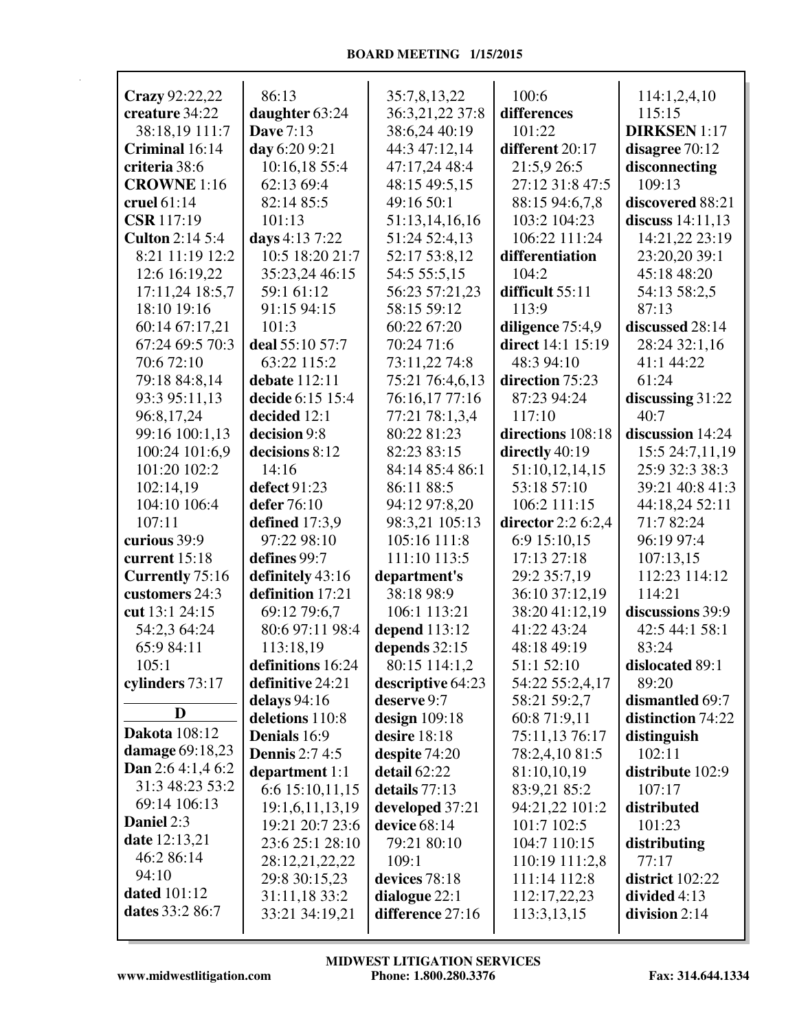| Crazy 92:22,22                       | 86:13                 | 35:7,8,13,22      | 100:6              | 114:1,2,4,10        |
|--------------------------------------|-----------------------|-------------------|--------------------|---------------------|
| creature 34:22                       | daughter 63:24        | 36:3,21,22 37:8   | differences        | 115:15              |
| 38:18,19 111:7                       | <b>Dave 7:13</b>      | 38:6,24 40:19     | 101:22             | <b>DIRKSEN</b> 1:17 |
| Criminal 16:14                       | day 6:20 9:21         | 44:3 47:12,14     | different 20:17    | disagree 70:12      |
| criteria 38:6                        | 10:16,18 55:4         | 47:17,24 48:4     | 21:5,9 26:5        | disconnecting       |
| <b>CROWNE</b> 1:16                   | 62:13 69:4            | 48:15 49:5,15     | 27:12 31:8 47:5    | 109:13              |
| cruel $61:14$                        | 82:14 85:5            | 49:16 50:1        | 88:15 94:6,7,8     | discovered 88:21    |
| <b>CSR</b> 117:19                    | 101:13                | 51:13,14,16,16    | 103:2 104:23       | discuss $14:11,13$  |
| <b>Culton 2:14 5:4</b>               | days 4:13 7:22        | 51:24 52:4,13     | 106:22 111:24      | 14:21,22 23:19      |
| 8:21 11:19 12:2                      | 10:5 18:20 21:7       | 52:17 53:8,12     | differentiation    | 23:20,20 39:1       |
| 12:6 16:19,22                        | 35:23,24 46:15        | 54:5 55:5,15      | 104:2              | 45:18 48:20         |
| 17:11,24 18:5,7                      | 59:1 61:12            | 56:23 57:21,23    | difficult 55:11    | 54:13 58:2,5        |
| 18:10 19:16                          | 91:15 94:15           | 58:15 59:12       | 113:9              | 87:13               |
| 60:14 67:17,21                       | 101:3                 | 60:22 67:20       | diligence 75:4,9   | discussed 28:14     |
| 67:24 69:5 70:3                      | deal 55:10 57:7       | 70:24 71:6        | direct 14:1 15:19  | 28:24 32:1,16       |
| 70:6 72:10                           | 63:22 115:2           | 73:11,22 74:8     | 48:3 94:10         | 41:1 44:22          |
| 79:18 84:8,14                        | debate 112:11         | 75:21 76:4,6,13   | direction 75:23    | 61:24               |
| 93:3 95:11,13                        | decide 6:15 15:4      | 76:16,17 77:16    | 87:23 94:24        | discussing 31:22    |
| 96:8,17,24                           | decided 12:1          | 77:21 78:1,3,4    | 117:10             | 40:7                |
| 99:16 100:1,13                       | decision 9:8          | 80:22 81:23       | directions 108:18  | discussion 14:24    |
| 100:24 101:6,9                       | decisions 8:12        | 82:23 83:15       | directly 40:19     | 15:5 24:7,11,19     |
| 101:20 102:2                         | 14:16                 | 84:14 85:4 86:1   | 51:10,12,14,15     | 25:9 32:3 38:3      |
| 102:14,19                            | defect 91:23          | 86:11 88:5        | 53:18 57:10        | 39:21 40:8 41:3     |
| 104:10 106:4                         | defer 76:10           | 94:12 97:8,20     | 106:2 111:15       | 44:18,24 52:11      |
| 107:11                               | defined 17:3,9        | 98:3,21 105:13    | director 2:2 6:2,4 | 71:7 82:24          |
| curious 39:9                         | 97:22 98:10           | 105:16 111:8      | 6:9 15:10,15       | 96:19 97:4          |
| current 15:18                        | defines 99:7          | 111:10 113:5      | 17:13 27:18        | 107:13,15           |
| <b>Currently</b> 75:16               | definitely 43:16      | department's      | 29:2 35:7,19       | 112:23 114:12       |
| customers 24:3                       | definition 17:21      | 38:18 98:9        | 36:10 37:12,19     | 114:21              |
| cut 13:1 24:15                       | 69:12 79:6,7          | 106:1 113:21      | 38:20 41:12,19     | discussions 39:9    |
| 54:2,3 64:24                         | 80:6 97:11 98:4       | depend $113:12$   | 41:22 43:24        | 42:5 44:1 58:1      |
| 65:9 84:11                           | 113:18,19             | depends $32:15$   | 48:18 49:19        | 83:24               |
| 105:1                                | definitions 16:24     | 80:15 114:1,2     | 51:1 52:10         | dislocated 89:1     |
| cylinders 73:17                      | definitive 24:21      | descriptive 64:23 | 54:22 55:2,4,17    | 89:20               |
| D                                    | delays $94:16$        | deserve 9:7       | 58:21 59:2,7       | dismantled 69:7     |
| <b>Dakota</b> 108:12                 | deletions 110:8       | design 109:18     | 60:8 71:9,11       | distinction 74:22   |
|                                      | Denials 16:9          | desire 18:18      | 75:11,13 76:17     | distinguish         |
| damage 69:18,23                      | <b>Dennis</b> 2:7 4:5 | despite 74:20     | 78:2,4,10 81:5     | 102:11              |
| Dan $2:64:1,46:2$<br>31:3 48:23 53:2 | department 1:1        | detail 62:22      | 81:10,10,19        | distribute 102:9    |
| 69:14 106:13                         | 6:6 15:10,11,15       | details 77:13     | 83:9,21 85:2       | 107:17              |
| Daniel 2:3                           | 19:1,6,11,13,19       | developed 37:21   | 94:21,22 101:2     | distributed         |
| <b>date</b> 12:13,21                 | 19:21 20:7 23:6       | device 68:14      | 101:7 102:5        | 101:23              |
| 46:2 86:14                           | 23:6 25:1 28:10       | 79:21 80:10       | 104:7 110:15       | distributing        |
| 94:10                                | 28:12,21,22,22        | 109:1             | 110:19 111:2,8     | 77:17               |
| <b>dated</b> 101:12                  | 29:8 30:15,23         | devices 78:18     | 111:14 112:8       | district $102:22$   |
| dates 33:2 86:7                      | 31:11,18 33:2         | dialogue 22:1     | 112:17,22,23       | divided 4:13        |
|                                      | 33:21 34:19,21        | difference 27:16  | 113:3,13,15        | division 2:14       |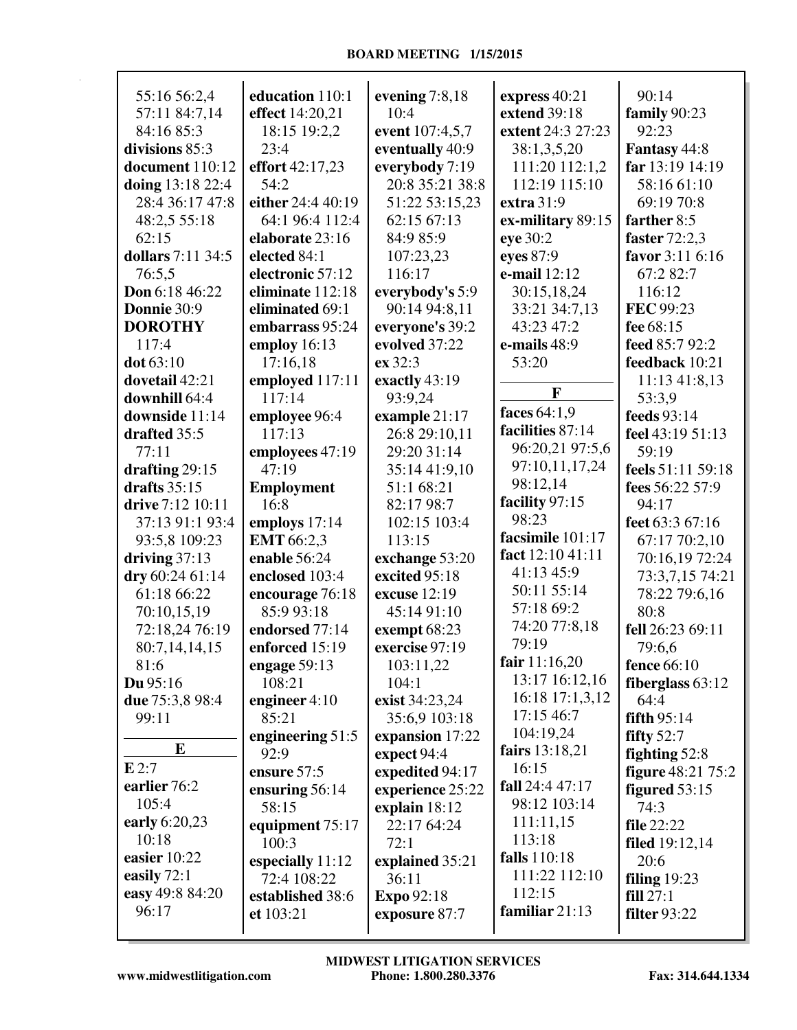| 55:16 56:2,4      | education 110:1   | evening $7:8,18$ | express 40:21     | 90:14                    |
|-------------------|-------------------|------------------|-------------------|--------------------------|
| 57:11 84:7,14     | effect 14:20,21   | 10:4             | extend 39:18      | family 90:23             |
| 84:16 85:3        | 18:15 19:2,2      | event 107:4,5,7  | extent 24:3 27:23 | 92:23                    |
| divisions 85:3    | 23:4              | eventually 40:9  | 38:1,3,5,20       | Fantasy 44:8             |
| document 110:12   | effort 42:17,23   | everybody 7:19   | 111:20 112:1,2    | far 13:19 14:19          |
| doing 13:18 22:4  | 54:2              | 20:8 35:21 38:8  | 112:19 115:10     | 58:16 61:10              |
| 28:4 36:17 47:8   | either 24:4 40:19 | 51:22 53:15,23   | extra 31:9        | 69:19 70:8               |
| 48:2,5 55:18      | 64:1 96:4 112:4   | 62:15 67:13      | ex-military 89:15 | farther 8:5              |
| 62:15             | elaborate 23:16   | 84:9 85:9        | eye 30:2          | faster 72:2,3            |
| dollars 7:11 34:5 | elected 84:1      | 107:23,23        | eyes 87:9         | favor 3:11 6:16          |
| 76:5,5            | electronic 57:12  | 116:17           | e-mail 12:12      | 67:2 82:7                |
| Don 6:18 46:22    | eliminate 112:18  |                  |                   | 116:12                   |
|                   |                   | everybody's 5:9  | 30:15,18,24       |                          |
| Donnie 30:9       | eliminated 69:1   | 90:14 94:8,11    | 33:21 34:7,13     | FEC 99:23                |
| <b>DOROTHY</b>    | embarrass 95:24   | everyone's 39:2  | 43:23 47:2        | fee 68:15                |
| 117:4             | employ 16:13      | evolved 37:22    | e-mails 48:9      | feed 85:7 92:2           |
| dot 63:10         | 17:16,18          | ex 32:3          | 53:20             | feedback 10:21           |
| dovetail 42:21    | employed 117:11   | exactly 43:19    |                   | 11:13 41:8,13            |
| downhill 64:4     | 117:14            | 93:9,24          | F                 | 53:3,9                   |
| downside 11:14    | employee 96:4     | example 21:17    | faces 64:1,9      | feeds 93:14              |
| drafted 35:5      | 117:13            | 26:8 29:10,11    | facilities 87:14  | feel 43:19 51:13         |
| 77:11             | employees 47:19   | 29:20 31:14      | 96:20,21 97:5,6   | 59:19                    |
| drafting $29:15$  | 47:19             | 35:14 41:9,10    | 97:10,11,17,24    | feels 51:11 59:18        |
| drafts $35:15$    | Employment        | 51:1 68:21       | 98:12,14          | fees 56:22 57:9          |
| drive 7:12 10:11  | 16:8              | 82:17 98:7       | facility 97:15    | 94:17                    |
| 37:13 91:1 93:4   | employs 17:14     | 102:15 103:4     | 98:23             | feet 63:3 67:16          |
| 93:5,8 109:23     | EMT 66:2,3        | 113:15           | facsimile 101:17  | 67:17 70:2,10            |
| driving $37:13$   | enable 56:24      | exchange 53:20   | fact 12:10 41:11  | 70:16,19 72:24           |
| dry 60:24 61:14   | enclosed 103:4    | excited 95:18    | 41:13 45:9        | 73:3,7,15 74:21          |
| 61:18 66:22       | encourage 76:18   | excuse 12:19     | 50:11 55:14       | 78:22 79:6,16            |
|                   |                   |                  | 57:18 69:2        | 80:8                     |
| 70:10,15,19       | 85:9 93:18        | 45:14 91:10      | 74:20 77:8,18     |                          |
| 72:18,24 76:19    | endorsed 77:14    | exempt 68:23     | 79:19             | fell 26:23 69:11         |
| 80:7,14,14,15     | enforced 15:19    | exercise 97:19   |                   | 79:6,6                   |
| 81:6              | engage 59:13      | 103:11,22        | fair $11:16,20$   | fence 66:10              |
| $Du$ 95:16        | 108:21            | 104:1            | 13:17 16:12,16    | fiberglass $63:12$       |
| due 75:3,8 98:4   | engineer $4:10$   | exist 34:23,24   | 16:18 17:1,3,12   | 64:4                     |
| 99:11             | 85:21             | 35:6,9 103:18    | 17:15 46:7        | fifth 95:14              |
|                   | engineering 51:5  | expansion 17:22  | 104:19,24         | fifty $52:7$             |
| ${\bf E}$         | 92:9              | expect 94:4      | fairs 13:18,21    | fighting 52:8            |
| E2:7              | ensure 57:5       | expedited 94:17  | 16:15             | <b>figure</b> 48:21 75:2 |
| earlier 76:2      | ensuring 56:14    | experience 25:22 | fall 24:4 47:17   | figured $53:15$          |
| 105:4             | 58:15             | explain 18:12    | 98:12 103:14      | 74:3                     |
| early 6:20,23     | equipment 75:17   | 22:17 64:24      | 111:11,15         | <b>file</b> 22:22        |
| 10:18             | 100:3             | 72:1             | 113:18            | <b>filed</b> 19:12,14    |
| easier 10:22      | especially 11:12  | explained 35:21  | falls 110:18      | 20:6                     |
| easily $72:1$     | 72:4 108:22       | 36:11            | 111:22 112:10     | filing $19:23$           |
| easy 49:8 84:20   | established 38:6  | Expo 92:18       | 112:15            | fill 27:1                |
| 96:17             |                   |                  | familiar 21:13    | <b>filter</b> 93:22      |
|                   | et 103:21         | exposure 87:7    |                   |                          |
|                   |                   |                  |                   |                          |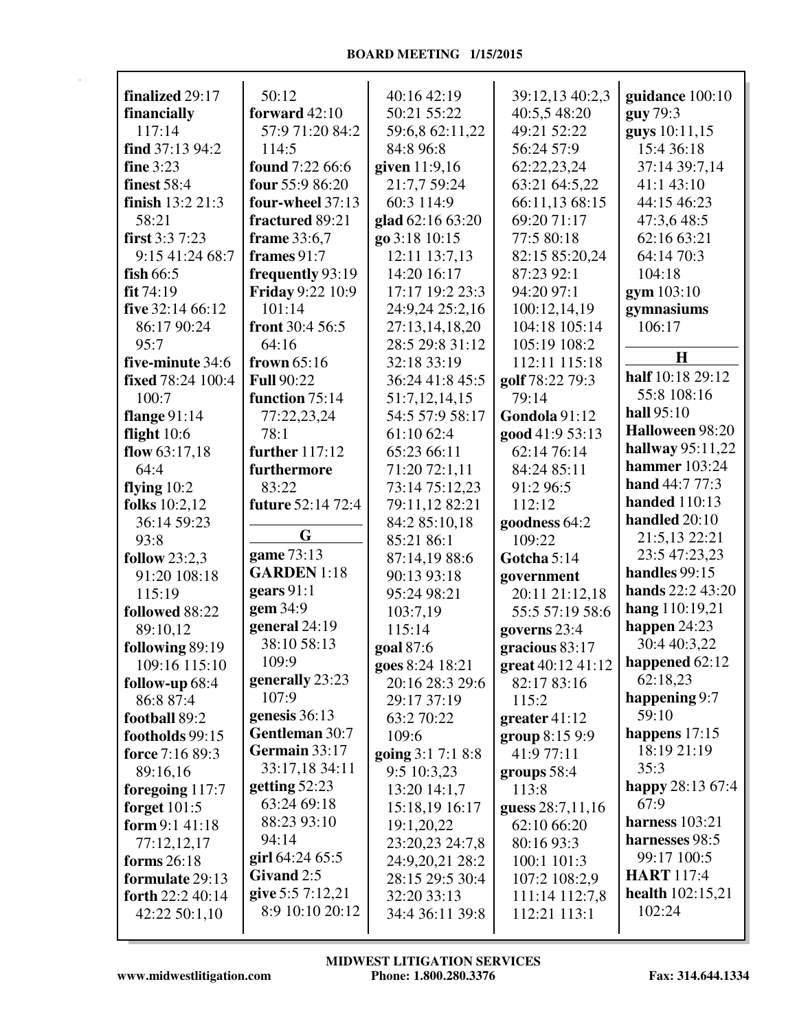| finalized 29:17      | 50:12                   | 40:16 42:19       | 39:12,13 40:2,3   | guidance 100:10           |
|----------------------|-------------------------|-------------------|-------------------|---------------------------|
| financially          | forward $42:10$         | 50:21 55:22       | 40:5,5 48:20      | guy 79:3                  |
| 117:14               | 57:9 71:20 84:2         | 59:6,8 62:11,22   | 49:21 52:22       | guys 10:11,15             |
| find 37:13 94:2      | 114:5                   | 84:8 96:8         | 56:24 57:9        | 15:4 36:18                |
| <b>fine</b> 3:23     | found 7:22 66:6         | given 11:9,16     | 62:22,23,24       | 37:14 39:7,14             |
| <b>finest</b> 58:4   | four 55:9 86:20         | 21:7,7 59:24      | 63:21 64:5,22     | 41:1 43:10                |
| finish 13:2 21:3     | four-wheel 37:13        | 60:3 114:9        | 66:11,13 68:15    | 44:15 46:23               |
| 58:21                | fractured 89:21         | glad 62:16 63:20  | 69:20 71:17       | 47:3,6 48:5               |
| first $3:37:23$      | frame 33:6,7            | go 3:18 10:15     | 77:5 80:18        | 62:16 63:21               |
| 9:15 41:24 68:7      | frames 91:7             | 12:11 13:7,13     | 82:15 85:20,24    | 64:14 70:3                |
| fish $66:5$          | frequently 93:19        | 14:20 16:17       | 87:23 92:1        | 104:18                    |
| fit 74:19            | <b>Friday 9:22 10:9</b> | 17:17 19:2 23:3   | 94:20 97:1        | gym 103:10                |
| five 32:14 66:12     | 101:14                  | 24:9,24 25:2,16   | 100:12,14,19      | gymnasiums                |
| 86:17 90:24          | front 30:4 56:5         | 27:13,14,18,20    | 104:18 105:14     | 106:17                    |
| 95:7                 | 64:16                   | 28:5 29:8 31:12   | 105:19 108:2      |                           |
|                      |                         | 32:18 33:19       |                   | H                         |
| five-minute 34:6     | frown 65:16             |                   | 112:11 115:18     | half 10:18 29:12          |
| fixed 78:24 100:4    | <b>Full 90:22</b>       | 36:24 41:8 45:5   | golf 78:22 79:3   | 55:8 108:16               |
| 100:7                | function 75:14          | 51:7,12,14,15     | 79:14             | hall 95:10                |
| flange $91:14$       | 77:22,23,24             | 54:5 57:9 58:17   | Gondola 91:12     | Halloween 98:20           |
| flight $10:6$        | 78:1                    | 61:10 62:4        | good 41:9 53:13   |                           |
| flow $63:17,18$      | further 117:12          | 65:23 66:11       | 62:14 76:14       | hallway $95:11,22$        |
| 64:4                 | furthermore             | 71:20 72:1,11     | 84:24 85:11       | hammer 103:24             |
| flying $10:2$        | 83:22                   | 73:14 75:12,23    | 91:2 96:5         | hand 44:7 77:3            |
| <b>folks</b> 10:2,12 | future 52:14 72:4       | 79:11,12 82:21    | 112:12            | <b>handed</b> 110:13      |
| 36:14 59:23          |                         | 84:2 85:10,18     | goodness 64:2     | handled 20:10             |
| 93:8                 | G                       | 85:21 86:1        | 109:22            | 21:5,13 22:21             |
| follow $23:2,3$      | game 73:13              | 87:14,19 88:6     | Gotcha 5:14       | 23:5 47:23,23             |
| 91:20 108:18         | <b>GARDEN</b> 1:18      | 90:13 93:18       | government        | handles 99:15             |
| 115:19               | gears $91:1$            | 95:24 98:21       | 20:11 21:12,18    | <b>hands</b> 22:2 43:20   |
| followed 88:22       | gem 34:9                | 103:7,19          | 55:5 57:19 58:6   | hang 110:19,21            |
| 89:10,12             | general 24:19           | 115:14            | governs 23:4      | happen 24:23              |
| following 89:19      | 38:10 58:13             | goal 87:6         | gracious 83:17    | 30:4 40:3,22              |
| 109:16 115:10        | 109:9                   | goes 8:24 18:21   | great 40:12 41:12 | happened 62:12            |
| follow-up 68:4       | generally 23:23         | 20:16 28:3 29:6   | 82:17 83:16       | 62:18,23                  |
| 86:8 87:4            | 107:9                   | 29:17 37:19       | 115:2             | happening 9:7             |
| football 89:2        | genesis 36:13           | 63:2 70:22        | greater $41:12$   | 59:10                     |
| footholds 99:15      | Gentleman 30:7          | 109:6             | group 8:15 9:9    | happens $17:15$           |
| force 7:16 89:3      | Germain 33:17           | going 3:1 7:1 8:8 | 41:9 77:11        | 18:19 21:19               |
| 89:16,16             | 33:17,18 34:11          | 9:5 10:3,23       | groups $58:4$     | 35:3                      |
| foregoing 117:7      | getting $52:23$         | 13:20 14:1,7      | 113:8             | happy 28:13 67:4          |
| forget $101:5$       | 63:24 69:18             | 15:18,19 16:17    | guess 28:7,11,16  | 67:9                      |
| form $9:141:18$      | 88:23 93:10             | 19:1,20,22        | 62:10 66:20       | harness $103:21$          |
| 77:12,12,17          | 94:14                   | 23:20,23 24:7,8   | 80:16 93:3        | harnesses 98:5            |
| forms 26:18          | girl $64:2465:5$        | 24:9,20,21 28:2   | 100:1 101:3       | 99:17 100:5               |
| formulate 29:13      | Givand 2:5              | 28:15 29:5 30:4   | 107:2 108:2,9     | <b>HART</b> 117:4         |
| forth 22:2 40:14     | give 5:5 7:12,21        | 32:20 33:13       | 111:14 112:7,8    | <b>health</b> $102:15,21$ |
| 42:22 50:1,10        | 8:9 10:10 20:12         | 34:4 36:11 39:8   | 112:21 113:1      | 102:24                    |
|                      |                         |                   |                   |                           |
|                      |                         |                   |                   |                           |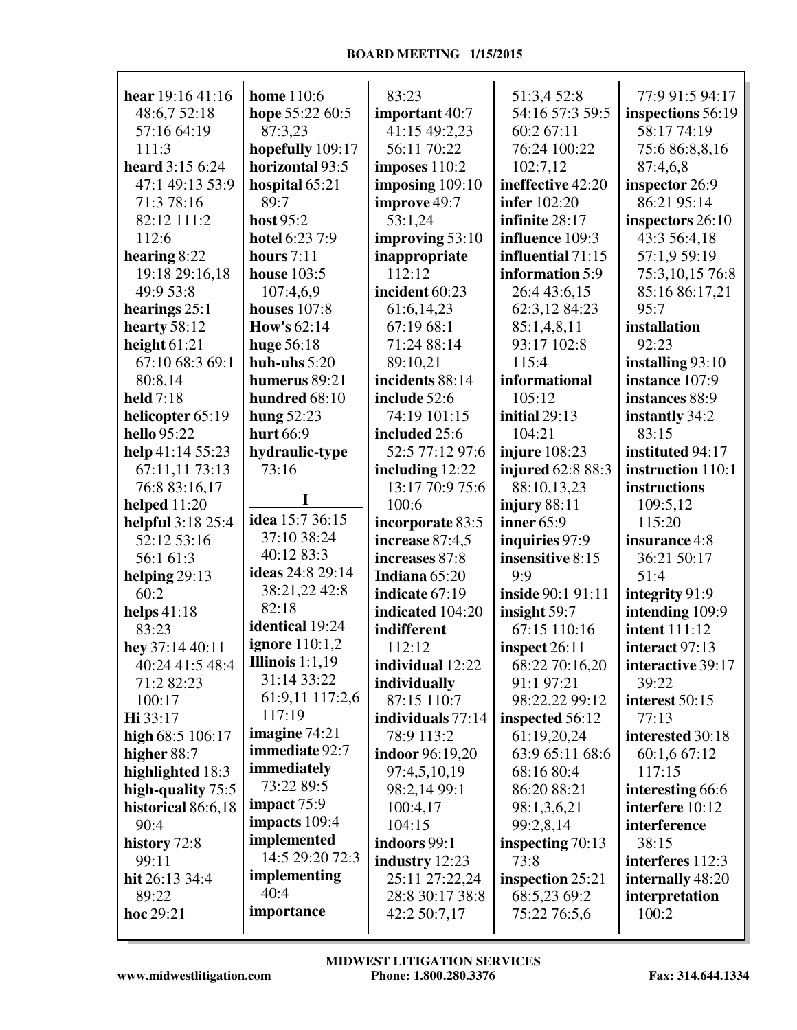| hear 19:16 41:16    | <b>home</b> 110:6  | 83:23                  | 51:3,4 52:8         | 77:9 91:5 94:17      |
|---------------------|--------------------|------------------------|---------------------|----------------------|
| 48:6,7 52:18        | hope 55:22 60:5    | important 40:7         | 54:16 57:3 59:5     | inspections 56:19    |
| 57:16 64:19         | 87:3,23            | 41:15 49:2,23          | 60:2 67:11          | 58:17 74:19          |
| 111:3               | hopefully 109:17   | 56:11 70:22            | 76:24 100:22        | 75:6 86:8,8,16       |
| heard 3:15 6:24     | horizontal 93:5    | imposes 110:2          | 102:7,12            | 87:4,6,8             |
| 47:1 49:13 53:9     | hospital 65:21     | imposing $109:10$      | ineffective 42:20   | inspector 26:9       |
| 71:3 78:16          | 89:7               | improve 49:7           | <b>infer</b> 102:20 | 86:21 95:14          |
| 82:12 111:2         | host 95:2          | 53:1,24                | infinite 28:17      | inspectors 26:10     |
| 112:6               | hotel 6:23 7:9     | improving 53:10        | influence 109:3     | 43:3 56:4,18         |
| hearing $8:22$      | hours $7:11$       | inappropriate          | influential 71:15   | 57:1,9 59:19         |
| 19:18 29:16,18      | <b>house</b> 103:5 | 112:12                 | information 5:9     | 75:3,10,15 76:8      |
| 49:9 53:8           | 107:4,6,9          | incident 60:23         | 26:4 43:6,15        | 85:16 86:17,21       |
| hearings $25:1$     | houses $107:8$     | 61:6,14,23             | 62:3,12 84:23       | 95:7                 |
| hearty $58:12$      | <b>How's 62:14</b> | 67:19 68:1             | 85:1,4,8,11         | installation         |
| height $61:21$      | huge 56:18         | 71:24 88:14            | 93:17 102:8         | 92:23                |
| 67:10 68:3 69:1     | huh-uhs $5:20$     | 89:10,21               | 115:4               | installing 93:10     |
| 80:8,14             | humerus 89:21      | incidents 88:14        | informational       | instance 107:9       |
| held 7:18           | hundred 68:10      | include 52:6           | 105:12              | instances 88:9       |
| helicopter 65:19    | hung $52:23$       | 74:19 101:15           | initial 29:13       | instantly 34:2       |
| hello 95:22         | hurt 66:9          | included 25:6          | 104:21              | 83:15                |
| help 41:14 55:23    | hydraulic-type     | 52:5 77:12 97:6        | injure $108:23$     | instituted 94:17     |
| 67:11,11 73:13      | 73:16              | including $12:22$      | injured 62:8 88:3   | instruction 110:1    |
| 76:8 83:16,17       |                    | 13:17 70:9 75:6        | 88:10,13,23         | instructions         |
| helped $11:20$      | I                  | 100:6                  | injury $88:11$      | 109:5,12             |
| helpful 3:18 25:4   | idea 15:7 36:15    | incorporate 83:5       | inner 65:9          | 115:20               |
| 52:12 53:16         | 37:10 38:24        | increase 87:4,5        | inquiries 97:9      | insurance 4:8        |
| 56:1 61:3           | 40:12 83:3         | increases 87:8         | insensitive 8:15    | 36:21 50:17          |
| helping 29:13       | ideas 24:8 29:14   | Indiana 65:20          | 9:9                 | 51:4                 |
| 60:2                | 38:21,22 42:8      | indicate 67:19         | inside 90:1 91:11   | integrity 91:9       |
| helps $41:18$       | 82:18              | indicated 104:20       | insight 59:7        | intending 109:9      |
| 83:23               | identical 19:24    | indifferent            | 67:15 110:16        | <b>intent</b> 111:12 |
| hey 37:14 40:11     | ignore $110:1,2$   | 112:12                 | inspect $26:11$     | interact 97:13       |
| 40:24 41:5 48:4     | Illinois $1:1,19$  | individual 12:22       | 68:22 70:16,20      | interactive 39:17    |
| 71:2 82:23          | 31:14 33:22        | individually           | 91:1 97:21          | 39:22                |
| 100:17              | 61:9,11 117:2,6    | 87:15 110:7            | 98:22,22 99:12      | interest 50:15       |
| Hi 33:17            | 117:19             | individuals 77:14      | inspected 56:12     | 77:13                |
| high 68:5 106:17    | imagine $74:21$    | 78:9 113:2             | 61:19,20,24         | interested 30:18     |
| higher 88:7         | immediate 92:7     | <b>indoor</b> 96:19,20 | 63:9 65:11 68:6     | 60:1,6 67:12         |
| highlighted 18:3    | immediately        | 97:4,5,10,19           | 68:16 80:4          | 117:15               |
| high-quality $75:5$ | 73:22 89:5         | 98:2,14 99:1           | 86:20 88:21         | interesting 66:6     |
| historical 86:6,18  | impact 75:9        | 100:4,17               | 98:1,3,6,21         | interfere 10:12      |
| 90:4                | impacts 109:4      | 104:15                 | 99:2,8,14           | interference         |
| history 72:8        | implemented        | indoors 99:1           | inspecting 70:13    | 38:15                |
| 99:11               | 14:5 29:20 72:3    | industry 12:23         | 73:8                | interferes 112:3     |
| hit 26:13 34:4      | implementing       | 25:11 27:22,24         | inspection 25:21    | internally 48:20     |
| 89:22               | 40:4               | 28:8 30:17 38:8        | 68:5,23 69:2        | interpretation       |
| hoc 29:21           | importance         | 42:2 50:7,17           | 75:22 76:5,6        | 100:2                |
|                     |                    |                        |                     |                      |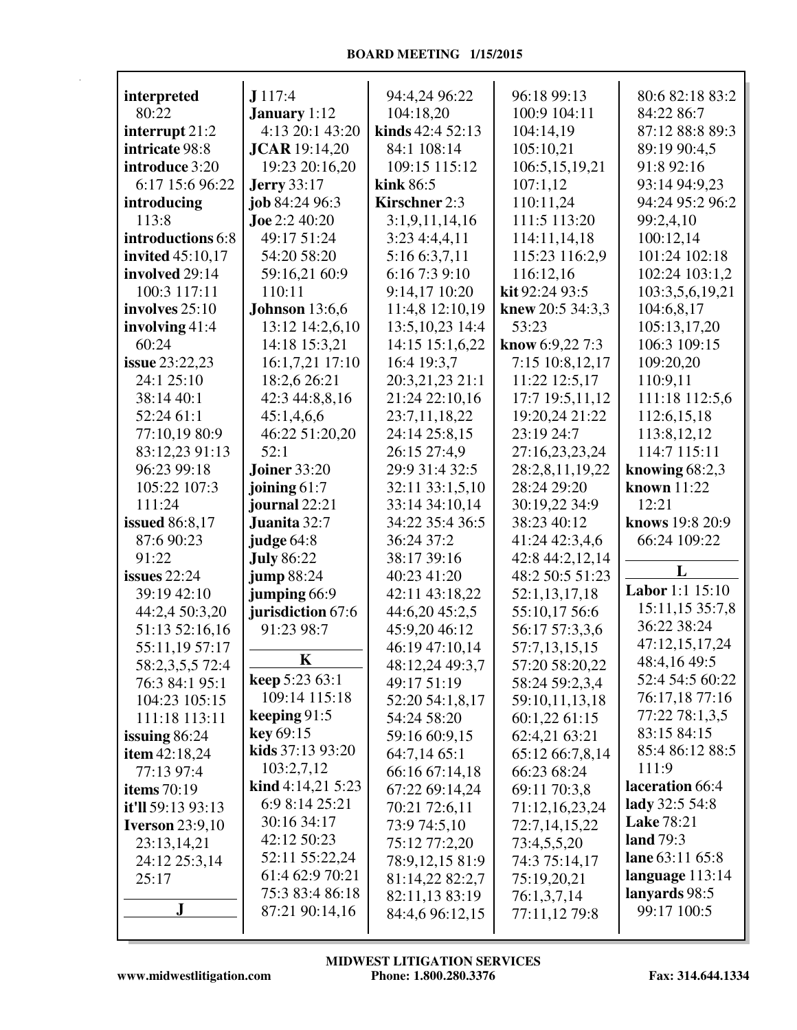| interpreted             | J117:4                 | 94:4,24 96:22        | 96:18 99:13      | 80:6 82:18 83:2            |
|-------------------------|------------------------|----------------------|------------------|----------------------------|
| 80:22                   | <b>January</b> 1:12    | 104:18,20            | 100:9 104:11     | 84:22 86:7                 |
| interrupt 21:2          | 4:13 20:1 43:20        | kinds $42:452:13$    | 104:14,19        | 87:12 88:8 89:3            |
| intricate 98:8          | <b>JCAR</b> 19:14,20   | 84:1 108:14          | 105:10,21        | 89:19 90:4,5               |
| introduce 3:20          | 19:23 20:16,20         | 109:15 115:12        | 106:5,15,19,21   | 91:8 92:16                 |
| 6:17 15:6 96:22         | <b>Jerry</b> 33:17     | kink $86:5$          | 107:1,12         | 93:14 94:9,23              |
| introducing             | job 84:24 96:3         | <b>Kirschner 2:3</b> | 110:11,24        | 94:24 95:2 96:2            |
| 113:8                   | <b>Joe</b> 2:2 40:20   | 3:1,9,11,14,16       | 111:5 113:20     | 99:2,4,10                  |
| introductions 6:8       | 49:17 51:24            | 3:234:4,4,11         |                  |                            |
|                         |                        |                      | 114:11,14,18     | 100:12,14<br>101:24 102:18 |
| <b>invited</b> 45:10,17 | 54:20 58:20            | 5:16 6:3,7,11        | 115:23 116:2,9   |                            |
| involved 29:14          | 59:16,21 60:9          | 6:16 7:3 9:10        | 116:12,16        | 102:24 103:1,2             |
| 100:3 117:11            | 110:11                 | 9:14,17 10:20        | kit 92:24 93:5   | 103:3,5,6,19,21            |
| involves 25:10          | <b>Johnson</b> 13:6,6  | 11:4,8 12:10,19      | knew 20:5 34:3,3 | 104:6,8,17                 |
| involving $41:4$        | 13:12 14:2,6,10        | 13:5, 10, 23 14:4    | 53:23            | 105:13,17,20               |
| 60:24                   | 14:18 15:3,21          | 14:15 15:1,6,22      | know $6:9,227:3$ | 106:3 109:15               |
| issue 23:22,23          | 16:1,7,21 17:10        | 16:4 19:3,7          | 7:15 10:8,12,17  | 109:20,20                  |
| 24:1 25:10              | 18:2,6 26:21           | 20:3,21,23 21:1      | 11:22 12:5,17    | 110:9,11                   |
| 38:14 40:1              | 42:3 44:8,8,16         | 21:24 22:10,16       | 17:7 19:5,11,12  | 111:18 112:5,6             |
| 52:24 61:1              | 45:1,4,6,6             | 23:7,11,18,22        | 19:20,24 21:22   | 112:6,15,18                |
| 77:10,19 80:9           | 46:22 51:20,20         | 24:14 25:8,15        | 23:19 24:7       | 113:8, 12, 12              |
| 83:12,23 91:13          | 52:1                   | 26:15 27:4,9         | 27:16,23,23,24   | 114:7 115:11               |
| 96:23 99:18             | <b>Joiner</b> 33:20    | 29:9 31:4 32:5       | 28:2,8,11,19,22  | knowing $68:2,3$           |
| 105:22 107:3            | joining $61:7$         | 32:11 33:1,5,10      | 28:24 29:20      | <b>known</b> 11:22         |
| 111:24                  | journal 22:21          | 33:14 34:10,14       | 30:19,22 34:9    | 12:21                      |
| <b>issued</b> 86:8,17   | Juanita 32:7           | 34:22 35:4 36:5      | 38:23 40:12      | knows 19:8 20:9            |
| 87:6 90:23              | judge 64:8             | 36:24 37:2           | 41:24 42:3,4,6   | 66:24 109:22               |
| 91:22                   | <b>July 86:22</b>      | 38:17 39:16          | 42:8 44:2,12,14  |                            |
| issues $22:24$          | jump 88:24             | 40:23 41:20          | 48:2 50:5 51:23  | L                          |
| 39:19 42:10             | jumping 66:9           | 42:11 43:18,22       | 52:1,13,17,18    | <b>Labor</b> 1:1 15:10     |
| 44:2,4 50:3,20          | jurisdiction 67:6      | 44:6,20 45:2,5       | 55:10,17 56:6    | 15:11,15 35:7,8            |
| 51:13 52:16,16          | 91:23 98:7             | 45:9,20 46:12        | 56:17 57:3,3,6   | 36:22 38:24                |
| 55:11,19 57:17          |                        | 46:19 47:10,14       | 57:7,13,15,15    | 47:12,15,17,24             |
| 58:2,3,5,5 72:4         | K                      | 48:12,24 49:3,7      | 57:20 58:20,22   | 48:4,16 49:5               |
| 76:3 84:1 95:1          | <b>keep</b> $5:2363:1$ | 49:17 51:19          | 58:24 59:2,3,4   | 52:4 54:5 60:22            |
| 104:23 105:15           | 109:14 115:18          | 52:20 54:1,8,17      | 59:10,11,13,18   | 76:17,18 77:16             |
| 111:18 113:11           | keeping 91:5           | 54:24 58:20          | 60:1,2261:15     | 77:22 78:1,3,5             |
| issuing $86:24$         | key 69:15              | 59:16 60:9,15        | 62:4,21 63:21    | 83:15 84:15                |
| <b>item</b> 42:18,24    | kids 37:13 93:20       | 64:7,14 65:1         | 65:12 66:7,8,14  | 85:4 86:12 88:5            |
| 77:13 97:4              | 103:2,7,12             | 66:16 67:14,18       | 66:23 68:24      | 111:9                      |
| items $70:19$           | kind 4:14,21 5:23      | 67:22 69:14,24       | 69:11 70:3,8     | laceration 66:4            |
| it'll 59:13 93:13       | 6:9 8:14 25:21         | 70:21 72:6,11        | 71:12,16,23,24   | lady 32:5 54:8             |
| <b>Iverson</b> 23:9,10  | 30:16 34:17            | 73:9 74:5,10         | 72:7,14,15,22    | <b>Lake 78:21</b>          |
| 23:13,14,21             | 42:12 50:23            | 75:12 77:2,20        | 73:4,5,5,20      | land 79:3                  |
| 24:12 25:3,14           | 52:11 55:22,24         | 78:9,12,15 81:9      | 74:3 75:14,17    | lane 63:11 65:8            |
| 25:17                   | 61:4 62:9 70:21        | 81:14,22 82:2,7      | 75:19,20,21      | language 113:14            |
|                         | 75:3 83:4 86:18        | 82:11,13 83:19       | 76:1,3,7,14      | lanyards 98:5              |
| J                       | 87:21 90:14,16         | 84:4,6 96:12,15      | 77:11,12 79:8    | 99:17 100:5                |
|                         |                        |                      |                  |                            |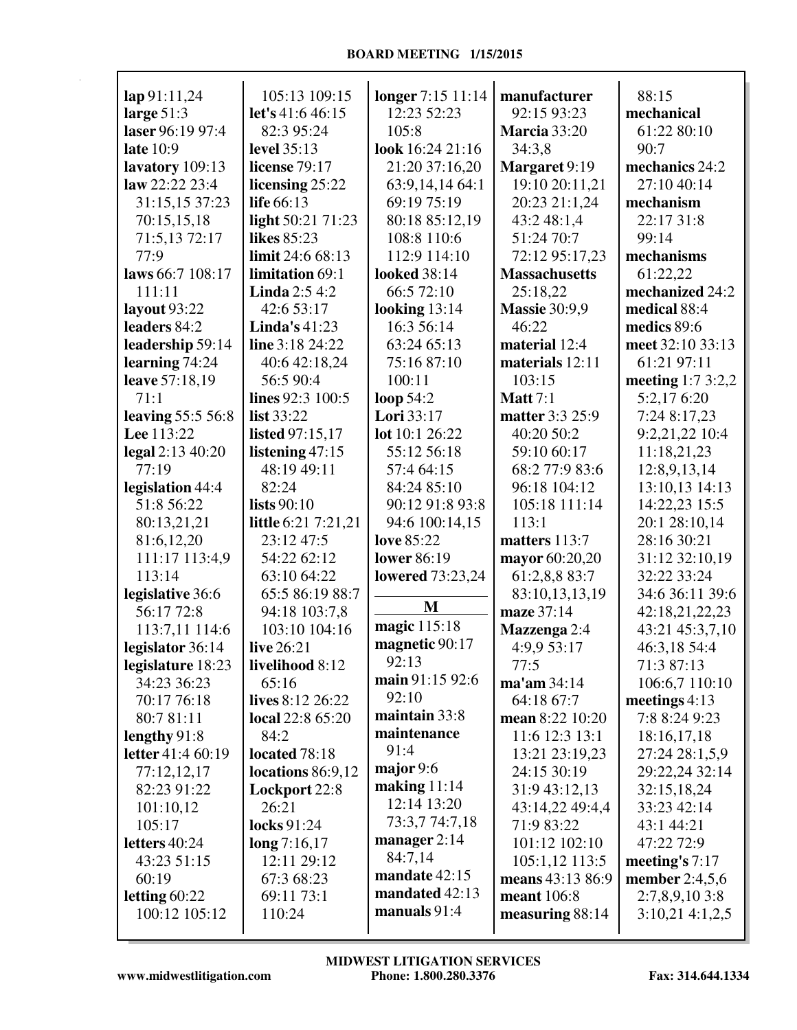| lap 91:11,24             | 105:13 109:15          | longer 7:15 11:14       | manufacturer         | 88:15              |
|--------------------------|------------------------|-------------------------|----------------------|--------------------|
| large $51:3$             | let's 41:6 46:15       | 12:23 52:23             | 92:15 93:23          | mechanical         |
| laser 96:19 97:4         | 82:3 95:24             | 105:8                   | <b>Marcia</b> 33:20  | 61:22 80:10        |
| late 10:9                | level 35:13            | look 16:24 21:16        | 34:3,8               | 90:7               |
| lavatory 109:13          | <b>license</b> 79:17   | 21:20 37:16,20          | Margaret 9:19        | mechanics 24:2     |
| law 22:22 23:4           | licensing 25:22        | 63:9,14,14 64:1         | 19:10 20:11,21       | 27:10 40:14        |
| 31:15,15 37:23           | life 66:13             | 69:19 75:19             | 20:23 21:1,24        | mechanism          |
|                          |                        | 80:18 85:12,19          | 43:2 48:1,4          | 22:17 31:8         |
| 70:15,15,18              | light 50:21 71:23      |                         |                      |                    |
| 71:5,13 72:17            | <b>likes</b> 85:23     | 108:8 110:6             | 51:24 70:7           | 99:14              |
| 77:9                     | limit 24:6 68:13       | 112:9 114:10            | 72:12 95:17,23       | mechanisms         |
| laws 66:7 108:17         | limitation 69:1        | <b>looked</b> 38:14     | <b>Massachusetts</b> | 61:22,22           |
| 111:11                   | <b>Linda</b> $2:54:2$  | 66:5 72:10              | 25:18,22             | mechanized 24:2    |
| layout 93:22             | 42:6 53:17             | looking $13:14$         | <b>Massie 30:9,9</b> | medical 88:4       |
| leaders 84:2             | Linda's $41:23$        | 16:3 56:14              | 46:22                | medics 89:6        |
| leadership 59:14         | line 3:18 24:22        | 63:24 65:13             | material 12:4        | meet 32:10 33:13   |
| learning 74:24           | 40:6 42:18,24          | 75:16 87:10             | materials 12:11      | 61:21 97:11        |
| leave 57:18,19           | 56:5 90:4              | 100:11                  | 103:15               | meeting $1:73:2,2$ |
| 71:1                     | lines 92:3 100:5       | loop $54:2$             | <b>Matt</b> 7:1      | 5:2,17 6:20        |
| leaving 55:5 56:8        | list $33:22$           | Lori 33:17              | matter 3:3 25:9      | 7:24 8:17,23       |
| Lee 113:22               | <b>listed</b> 97:15,17 | lot 10:1 26:22          | 40:20 50:2           | 9:2,21,22 10:4     |
| legal 2:13 40:20         | listening $47:15$      | 55:12 56:18             | 59:10 60:17          | 11:18,21,23        |
| 77:19                    | 48:19 49:11            | 57:4 64:15              | 68:2 77:9 83:6       | 12:8,9,13,14       |
| legislation 44:4         | 82:24                  | 84:24 85:10             | 96:18 104:12         | 13:10,13 14:13     |
| 51:8 56:22               | lists $90:10$          | 90:12 91:8 93:8         | 105:18 111:14        | 14:22,23 15:5      |
| 80:13,21,21              | little 6:21 7:21,21    | 94:6 100:14,15          | 113:1                | 20:1 28:10,14      |
| 81:6,12,20               | 23:12 47:5             | love 85:22              | matters 113:7        | 28:16 30:21        |
| 111:17 113:4,9           | 54:22 62:12            | lower 86:19             | mayor 60:20,20       | 31:12 32:10,19     |
| 113:14                   | 63:10 64:22            | <b>lowered</b> 73:23,24 | 61:2,8,8 83:7        | 32:22 33:24        |
| legislative 36:6         | 65:5 86:19 88:7        |                         | 83:10,13,13,19       | 34:6 36:11 39:6    |
| 56:17 72:8               | 94:18 103:7,8          | M                       | maze 37:14           | 42:18,21,22,23     |
| 113:7,11 114:6           | 103:10 104:16          | magic 115:18            | Mazzenga 2:4         | 43:21 45:3,7,10    |
| legislator 36:14         | live 26:21             | magnetic 90:17          | 4:9,9 53:17          | 46:3,18 54:4       |
| legislature 18:23        | livelihood 8:12        | 92:13                   | 77:5                 | 71:3 87:13         |
| 34:23 36:23              | 65:16                  | main 91:15 92:6         | $ma'$ am 34:14       | 106:6,7 110:10     |
| 70:17 76:18              | lives 8:12 26:22       | 92:10                   | 64:18 67:7           | meetings $4:13$    |
| 80:7 81:11               | local 22:8 65:20       | maintain 33:8           | mean 8:22 10:20      | 7:8 8:24 9:23      |
| lengthy $91:8$           | 84:2                   | maintenance             | 11:6 12:3 13:1       | 18:16,17,18        |
| <b>letter</b> 41:4 60:19 | located 78:18          | 91:4                    | 13:21 23:19,23       | 27:24 28:1,5,9     |
| 77:12,12,17              | locations 86:9,12      | major $9:6$             | 24:15 30:19          | 29:22,24 32:14     |
| 82:23 91:22              | Lockport 22:8          | making $11:14$          | 31:9 43:12,13        | 32:15,18,24        |
| 101:10,12                | 26:21                  | 12:14 13:20             | 43:14,22 49:4,4      | 33:23 42:14        |
| 105:17                   | <b>locks</b> 91:24     | 73:3,7 74:7,18          | 71:9 83:22           | 43:1 44:21         |
| letters 40:24            | long 7:16,17           | manager $2:14$          | 101:12 102:10        | 47:22 72:9         |
| 43:23 51:15              | 12:11 29:12            | 84:7,14                 | 105:1,12 113:5       | meeting's $7:17$   |
| 60:19                    | 67:3 68:23             | mandate 42:15           | means 43:13 86:9     | member 2:4,5,6     |
| letting $60:22$          | 69:11 73:1             | mandated 42:13          | meant 106:8          | $2:7,8,9,10$ 3:8   |
| 100:12 105:12            | 110:24                 | manuals $91:4$          | measuring 88:14      | 3:10,214:1,2,5     |
|                          |                        |                         |                      |                    |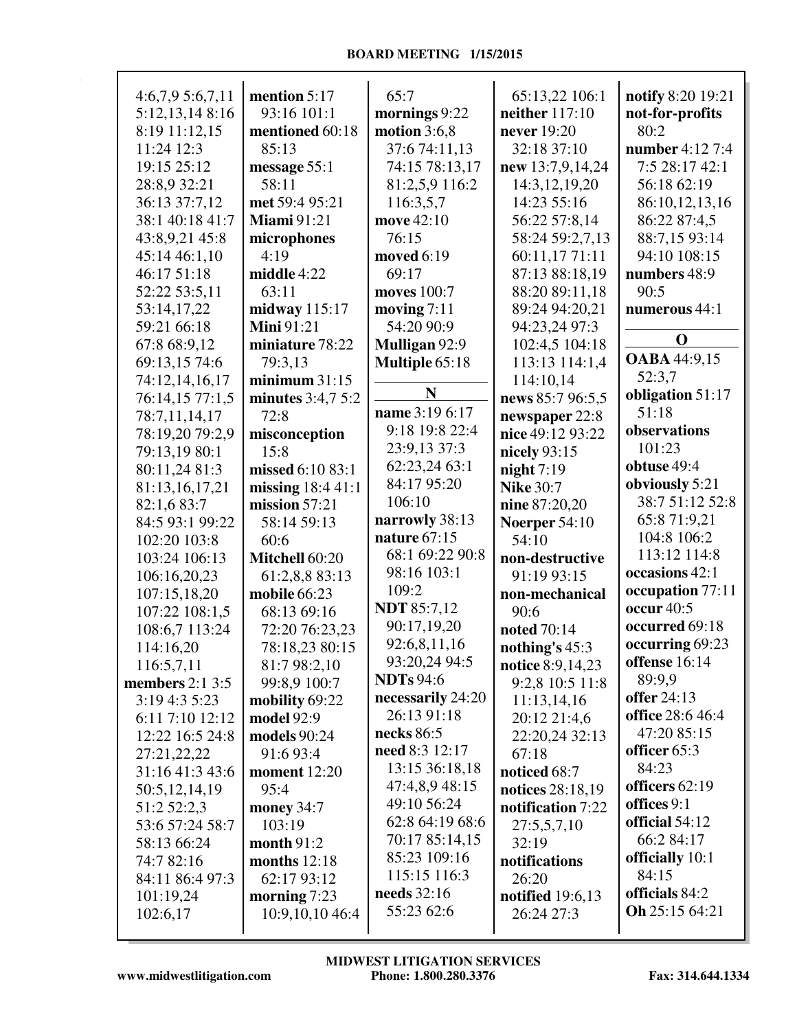| 4:6,7,95:6,7,11<br>5:12,13,14 8:16<br>8:19 11:12,15<br>11:24 12:3<br>19:15 25:12<br>28:8,9 32:21<br>36:13 37:7,12<br>38:1 40:18 41:7<br>43:8,9,21 45:8<br>45:14 46:1,10<br>46:17 51:18<br>52:22 53:5,11<br>53:14,17,22<br>59:21 66:18 | mention $5:17$<br>93:16 101:1<br>mentioned 60:18<br>85:13<br>message 55:1<br>58:11<br>met 59:4 95:21<br><b>Miami</b> 91:21<br>microphones<br>4:19<br>middle 4:22<br>63:11<br>midway $115:17$<br><b>Mini</b> 91:21 | 65:7<br>mornings 9:22<br>motion $3:6,8$<br>37:6 74:11,13<br>74:15 78:13,17<br>81:2,5,9 116:2<br>116:3,5,7<br>move 42:10<br>76:15<br>moved 6:19<br>69:17<br><b>moves</b> 100:7<br>moving $7:11$<br>54:20 90:9 | 65:13,22 106:1<br>neither 117:10<br>never 19:20<br>32:18 37:10<br>new 13:7,9,14,24<br>14:3, 12, 19, 20<br>14:23 55:16<br>56:22 57:8,14<br>58:24 59:2,7,13<br>60:11,1771:11<br>87:13 88:18,19<br>88:20 89:11,18<br>89:24 94:20,21<br>94:23,24 97:3 | notify 8:20 19:21<br>not-for-profits<br>80:2<br>number 4:12 7:4<br>7:5 28:17 42:1<br>56:18 62:19<br>86:10,12,13,16<br>86:22 87:4,5<br>88:7,15 93:14<br>94:10 108:15<br>numbers 48:9<br>90:5<br>numerous 44:1 |
|---------------------------------------------------------------------------------------------------------------------------------------------------------------------------------------------------------------------------------------|-------------------------------------------------------------------------------------------------------------------------------------------------------------------------------------------------------------------|--------------------------------------------------------------------------------------------------------------------------------------------------------------------------------------------------------------|---------------------------------------------------------------------------------------------------------------------------------------------------------------------------------------------------------------------------------------------------|--------------------------------------------------------------------------------------------------------------------------------------------------------------------------------------------------------------|
| 67:8 68:9,12                                                                                                                                                                                                                          | miniature 78:22                                                                                                                                                                                                   | Mulligan 92:9                                                                                                                                                                                                | 102:4,5 104:18                                                                                                                                                                                                                                    | $\mathbf 0$                                                                                                                                                                                                  |
| 69:13,15 74:6                                                                                                                                                                                                                         | 79:3,13                                                                                                                                                                                                           | Multiple 65:18                                                                                                                                                                                               | 113:13 114:1,4                                                                                                                                                                                                                                    | <b>OABA</b> 44:9,15<br>52:3,7                                                                                                                                                                                |
| 74:12,14,16,17<br>76:14,15 77:1,5                                                                                                                                                                                                     | minimum $31:15$<br>minutes $3:4,7,5:2$                                                                                                                                                                            | N                                                                                                                                                                                                            | 114:10,14<br>news 85:7 96:5,5                                                                                                                                                                                                                     | obligation 51:17                                                                                                                                                                                             |
| 78:7,11,14,17                                                                                                                                                                                                                         | 72:8                                                                                                                                                                                                              | name 3:19 6:17                                                                                                                                                                                               | newspaper 22:8                                                                                                                                                                                                                                    | 51:18                                                                                                                                                                                                        |
| 78:19,20 79:2,9                                                                                                                                                                                                                       | misconception                                                                                                                                                                                                     | 9:18 19:8 22:4                                                                                                                                                                                               | nice 49:12 93:22                                                                                                                                                                                                                                  | observations                                                                                                                                                                                                 |
| 79:13,19 80:1                                                                                                                                                                                                                         | 15:8                                                                                                                                                                                                              | 23:9,13 37:3                                                                                                                                                                                                 | nicely 93:15                                                                                                                                                                                                                                      | 101:23                                                                                                                                                                                                       |
| 80:11,24 81:3                                                                                                                                                                                                                         | missed 6:10 83:1                                                                                                                                                                                                  | 62:23,24 63:1                                                                                                                                                                                                | night $7:19$                                                                                                                                                                                                                                      | obtuse 49:4                                                                                                                                                                                                  |
| 81:13,16,17,21                                                                                                                                                                                                                        | missing $18:441:1$                                                                                                                                                                                                | 84:17 95:20                                                                                                                                                                                                  | <b>Nike 30:7</b>                                                                                                                                                                                                                                  | obviously 5:21                                                                                                                                                                                               |
| 82:1,6 83:7                                                                                                                                                                                                                           | mission $57:21$                                                                                                                                                                                                   | 106:10                                                                                                                                                                                                       | nine 87:20,20                                                                                                                                                                                                                                     | 38:7 51:12 52:8                                                                                                                                                                                              |
| 84:5 93:1 99:22                                                                                                                                                                                                                       | 58:14 59:13                                                                                                                                                                                                       | narrowly 38:13                                                                                                                                                                                               | Noerper 54:10                                                                                                                                                                                                                                     | 65:8 71:9,21                                                                                                                                                                                                 |
| 102:20 103:8                                                                                                                                                                                                                          | 60:6                                                                                                                                                                                                              | nature 67:15                                                                                                                                                                                                 | 54:10                                                                                                                                                                                                                                             | 104:8 106:2                                                                                                                                                                                                  |
| 103:24 106:13                                                                                                                                                                                                                         | Mitchell 60:20                                                                                                                                                                                                    | 68:1 69:22 90:8                                                                                                                                                                                              | non-destructive                                                                                                                                                                                                                                   | 113:12 114:8                                                                                                                                                                                                 |
| 106:16,20,23                                                                                                                                                                                                                          | 61:2,8,8 83:13                                                                                                                                                                                                    | 98:16 103:1                                                                                                                                                                                                  | 91:19 93:15                                                                                                                                                                                                                                       | occasions 42:1                                                                                                                                                                                               |
| 107:15,18,20                                                                                                                                                                                                                          | mobile 66:23                                                                                                                                                                                                      | 109:2                                                                                                                                                                                                        | non-mechanical                                                                                                                                                                                                                                    | occupation 77:11                                                                                                                                                                                             |
| 107:22 108:1,5                                                                                                                                                                                                                        | 68:13 69:16                                                                                                                                                                                                       | <b>NDT</b> 85:7,12                                                                                                                                                                                           | 90:6                                                                                                                                                                                                                                              | occur 40:5                                                                                                                                                                                                   |
| 108:6,7 113:24                                                                                                                                                                                                                        | 72:20 76:23,23                                                                                                                                                                                                    | 90:17,19,20                                                                                                                                                                                                  | noted 70:14                                                                                                                                                                                                                                       | occurred 69:18                                                                                                                                                                                               |
| 114:16,20                                                                                                                                                                                                                             | 78:18,23 80:15                                                                                                                                                                                                    | 92:6,8,11,16                                                                                                                                                                                                 | nothing's $45:3$                                                                                                                                                                                                                                  | occurring 69:23                                                                                                                                                                                              |
| 116:5,7,11                                                                                                                                                                                                                            | 81:7 98:2,10                                                                                                                                                                                                      | 93:20,24 94:5                                                                                                                                                                                                | notice 8:9,14,23                                                                                                                                                                                                                                  | offense 16:14                                                                                                                                                                                                |
| members $2:1\,3:5$                                                                                                                                                                                                                    | 99:8,9 100:7                                                                                                                                                                                                      | <b>NDTs</b> 94:6                                                                                                                                                                                             | 9:2,8 10:5 11:8                                                                                                                                                                                                                                   | 89:9,9                                                                                                                                                                                                       |
| 3:19 4:3 5:23                                                                                                                                                                                                                         | mobility 69:22                                                                                                                                                                                                    | necessarily 24:20                                                                                                                                                                                            | 11:13,14,16                                                                                                                                                                                                                                       | offer 24:13                                                                                                                                                                                                  |
| 6:11 7:10 12:12                                                                                                                                                                                                                       | model 92:9                                                                                                                                                                                                        | 26:13 91:18                                                                                                                                                                                                  | 20:12 21:4,6                                                                                                                                                                                                                                      | office 28:6 46:4                                                                                                                                                                                             |
| 12:22 16:5 24:8                                                                                                                                                                                                                       | models 90:24                                                                                                                                                                                                      | necks $86:5$                                                                                                                                                                                                 | 22:20,24 32:13                                                                                                                                                                                                                                    | 47:20 85:15                                                                                                                                                                                                  |
| 27:21,22,22                                                                                                                                                                                                                           | 91:6 93:4                                                                                                                                                                                                         | need 8:3 12:17                                                                                                                                                                                               | 67:18                                                                                                                                                                                                                                             | officer 65:3                                                                                                                                                                                                 |
| 31:16 41:3 43:6                                                                                                                                                                                                                       | moment $12:20$                                                                                                                                                                                                    | 13:15 36:18,18                                                                                                                                                                                               | noticed 68:7                                                                                                                                                                                                                                      | 84:23                                                                                                                                                                                                        |
| 50:5,12,14,19                                                                                                                                                                                                                         | 95:4                                                                                                                                                                                                              | 47:4,8,9 48:15                                                                                                                                                                                               | notices 28:18,19                                                                                                                                                                                                                                  | officers 62:19                                                                                                                                                                                               |
| 51:2 52:2,3                                                                                                                                                                                                                           | money 34:7                                                                                                                                                                                                        | 49:10 56:24                                                                                                                                                                                                  | notification 7:22                                                                                                                                                                                                                                 | offices 9:1                                                                                                                                                                                                  |
| 53:6 57:24 58:7                                                                                                                                                                                                                       | 103:19                                                                                                                                                                                                            | 62:8 64:19 68:6                                                                                                                                                                                              | 27:5,5,7,10                                                                                                                                                                                                                                       | official 54:12                                                                                                                                                                                               |
| 58:13 66:24                                                                                                                                                                                                                           | month $91:2$                                                                                                                                                                                                      | 70:17 85:14,15                                                                                                                                                                                               | 32:19                                                                                                                                                                                                                                             | 66:2 84:17                                                                                                                                                                                                   |
| 74:7 82:16                                                                                                                                                                                                                            | months $12:18$                                                                                                                                                                                                    | 85:23 109:16                                                                                                                                                                                                 | notifications                                                                                                                                                                                                                                     | officially 10:1                                                                                                                                                                                              |
| 84:11 86:4 97:3                                                                                                                                                                                                                       | 62:17 93:12                                                                                                                                                                                                       | 115:15 116:3                                                                                                                                                                                                 | 26:20                                                                                                                                                                                                                                             | 84:15                                                                                                                                                                                                        |
| 101:19,24                                                                                                                                                                                                                             | morning $7:23$                                                                                                                                                                                                    | <b>needs</b> 32:16                                                                                                                                                                                           | <b>notified</b> 19:6,13                                                                                                                                                                                                                           | officials 84:2                                                                                                                                                                                               |
| 102:6,17                                                                                                                                                                                                                              | 10:9,10,10 46:4                                                                                                                                                                                                   | 55:23 62:6                                                                                                                                                                                                   | 26:24 27:3                                                                                                                                                                                                                                        | Oh 25:15 64:21                                                                                                                                                                                               |
|                                                                                                                                                                                                                                       |                                                                                                                                                                                                                   |                                                                                                                                                                                                              |                                                                                                                                                                                                                                                   |                                                                                                                                                                                                              |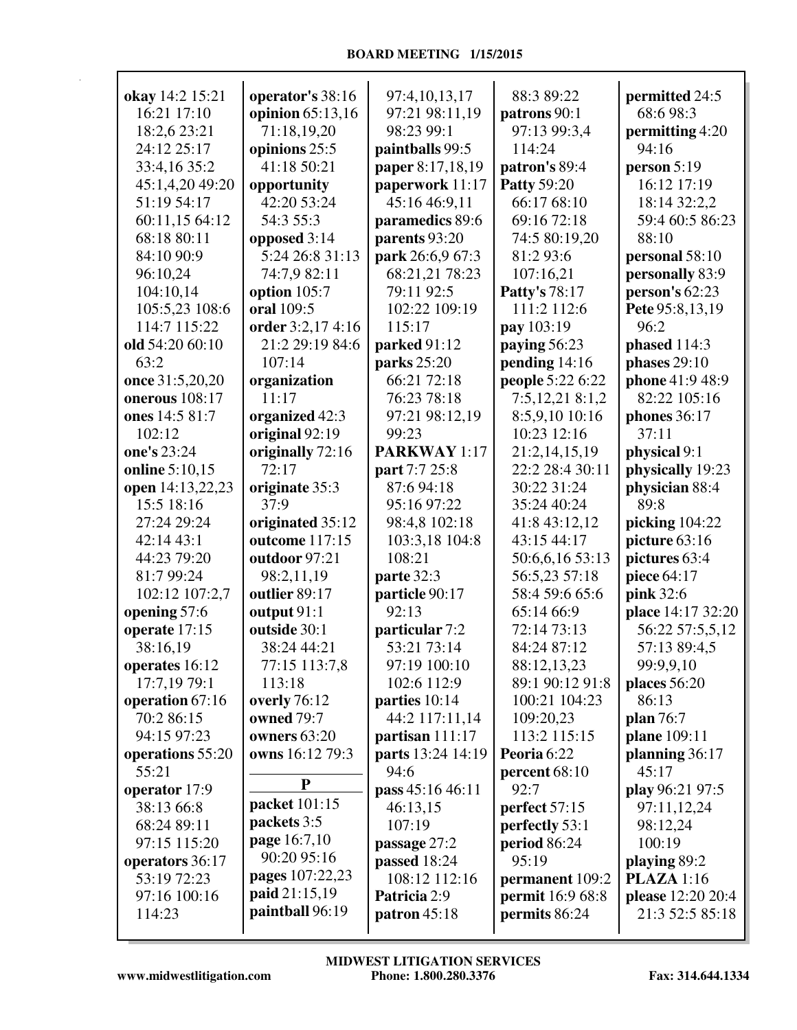| okay 14:2 15:21  | operator's 38:16  | 97:4,10,13,17       | 88:3 89:22           | permitted 24:5    |
|------------------|-------------------|---------------------|----------------------|-------------------|
| 16:21 17:10      | opinion 65:13,16  | 97:21 98:11,19      | patrons 90:1         | 68:6 98:3         |
| 18:2,6 23:21     | 71:18,19,20       | 98:23 99:1          | 97:13 99:3,4         | permitting 4:20   |
| 24:12 25:17      | opinions 25:5     | paintballs 99:5     | 114:24               | 94:16             |
| 33:4,16 35:2     | 41:18 50:21       | paper 8:17,18,19    | patron's 89:4        | person $5:19$     |
| 45:1,4,20 49:20  | opportunity       | paperwork 11:17     | <b>Patty 59:20</b>   | 16:12 17:19       |
| 51:19 54:17      | 42:20 53:24       | 45:16 46:9,11       | 66:17 68:10          | 18:14 32:2,2      |
| 60:11,15 64:12   | 54:3 55:3         | paramedics 89:6     | 69:16 72:18          | 59:4 60:5 86:23   |
| 68:18 80:11      | opposed 3:14      | parents 93:20       | 74:5 80:19,20        | 88:10             |
| 84:10 90:9       | 5:24 26:8 31:13   | park 26:6,9 67:3    | 81:2 93:6            | personal 58:10    |
| 96:10,24         | 74:7,9 82:11      | 68:21,21 78:23      | 107:16,21            | personally 83:9   |
| 104:10,14        | option 105:7      | 79:11 92:5          | <b>Patty's 78:17</b> | person's $62:23$  |
| 105:5,23 108:6   | oral 109:5        | 102:22 109:19       | 111:2 112:6          | Pete 95:8,13,19   |
| 114:7 115:22     | order 3:2,17 4:16 | 115:17              | pay 103:19           | 96:2              |
| old 54:20 60:10  | 21:2 29:19 84:6   | parked 91:12        | paying 56:23         | phased 114:3      |
| 63:2             | 107:14            | parks 25:20         | pending 14:16        | phases $29:10$    |
| once 31:5,20,20  | organization      | 66:21 72:18         | people 5:22 6:22     | phone 41:9 48:9   |
| onerous 108:17   | 11:17             | 76:23 78:18         | 7:5,12,21 8:1,2      | 82:22 105:16      |
| ones 14:5 81:7   | organized 42:3    | 97:21 98:12,19      | 8:5,9,10 10:16       | phones 36:17      |
| 102:12           | original 92:19    | 99:23               | 10:23 12:16          | 37:11             |
| one's 23:24      | originally 72:16  | <b>PARKWAY</b> 1:17 | 21:2,14,15,19        | physical 9:1      |
| online 5:10,15   | 72:17             | part 7:7 25:8       | 22:2 28:4 30:11      | physically 19:23  |
| open 14:13,22,23 | originate 35:3    | 87:6 94:18          | 30:22 31:24          | physician 88:4    |
| 15:5 18:16       | 37:9              | 95:16 97:22         | 35:24 40:24          | 89:8              |
| 27:24 29:24      | originated 35:12  | 98:4,8 102:18       | 41:8 43:12,12        | picking 104:22    |
| 42:14 43:1       | outcome 117:15    | 103:3,18 104:8      | 43:15 44:17          | picture 63:16     |
| 44:23 79:20      | outdoor 97:21     | 108:21              | 50:6,6,16 53:13      | pictures 63:4     |
| 81:7 99:24       | 98:2,11,19        | parte 32:3          | 56:5,23 57:18        | piece 64:17       |
| 102:12 107:2,7   | outlier 89:17     | particle 90:17      | 58:4 59:6 65:6       | pink 32:6         |
| opening 57:6     | output 91:1       | 92:13               | 65:14 66:9           | place 14:17 32:20 |
| operate 17:15    | outside 30:1      | particular 7:2      | 72:14 73:13          | 56:22 57:5,5,12   |
| 38:16,19         | 38:24 44:21       | 53:21 73:14         | 84:24 87:12          | 57:13 89:4,5      |
| operates 16:12   | 77:15 113:7,8     | 97:19 100:10        | 88:12,13,23          | 99:9,9,10         |
| 17:7,19 79:1     | 113:18            | 102:6 112:9         | 89:1 90:12 91:8      | places 56:20      |
| operation 67:16  | overly 76:12      | parties 10:14       | 100:21 104:23        | 86:13             |
| 70:2 86:15       | owned 79:7        | 44:2 117:11,14      | 109:20,23            | plan 76:7         |
| 94:15 97:23      | owners 63:20      | partisan $111:17$   | 113:2 115:15         | plane 109:11      |
| operations 55:20 | owns 16:12 79:3   | parts 13:24 14:19   | Peoria 6:22          | planning 36:17    |
| 55:21            |                   | 94:6                | percent 68:10        | 45:17             |
| operator 17:9    | ${\bf P}$         | pass 45:16 46:11    | 92:7                 | play 96:21 97:5   |
| 38:13 66:8       | packet 101:15     | 46:13,15            | perfect 57:15        | 97:11,12,24       |
| 68:24 89:11      | packets 3:5       | 107:19              | perfectly 53:1       | 98:12,24          |
| 97:15 115:20     | page 16:7,10      | passage 27:2        | period 86:24         | 100:19            |
| operators 36:17  | 90:20 95:16       | passed 18:24        | 95:19                | playing 89:2      |
| 53:19 72:23      | pages 107:22,23   | 108:12 112:16       | permanent 109:2      | <b>PLAZA</b> 1:16 |
| 97:16 100:16     | paid 21:15,19     | Patricia 2:9        | permit 16:9 68:8     | please 12:20 20:4 |
| 114:23           | paintball 96:19   | patron $45:18$      | permits 86:24        | 21:3 52:5 85:18   |
|                  |                   |                     |                      |                   |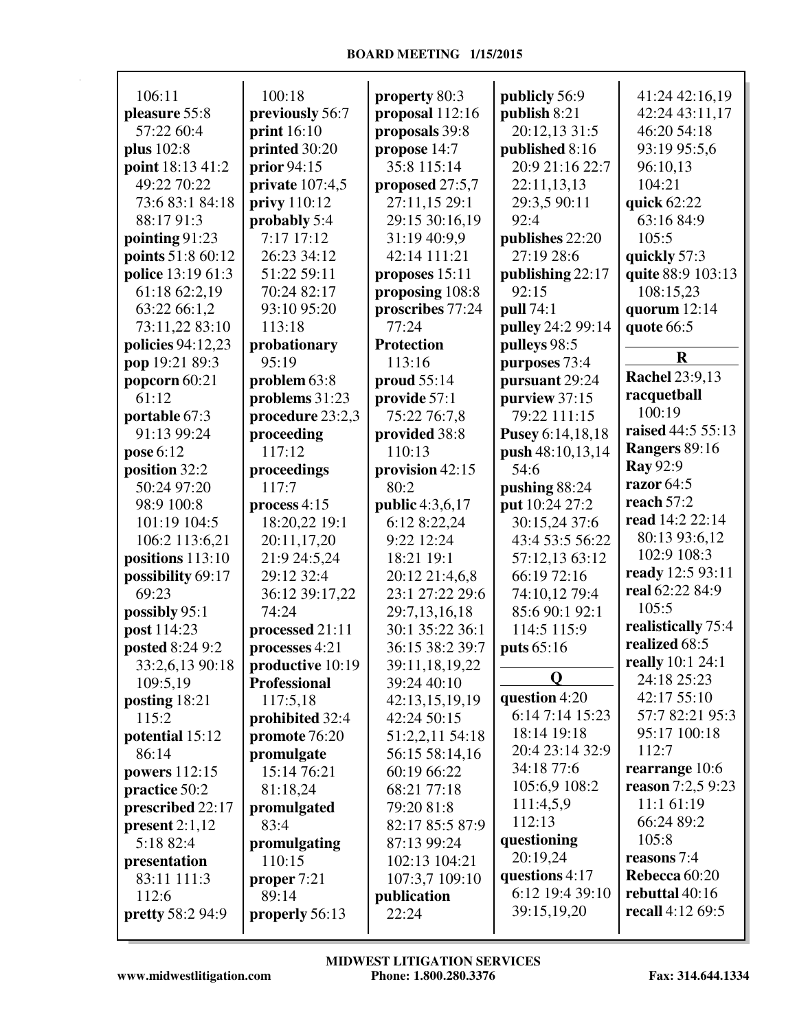| 106:11                  | 100:18              |                   |                   |                          |
|-------------------------|---------------------|-------------------|-------------------|--------------------------|
|                         |                     | property 80:3     | publicly 56:9     | 41:24 42:16,19           |
| pleasure 55:8           | previously 56:7     | proposal $112:16$ | publish 8:21      | 42:24 43:11,17           |
| 57:22 60:4              | <b>print</b> 16:10  | proposals 39:8    | 20:12,13 31:5     | 46:20 54:18              |
| plus 102:8              | printed 30:20       | propose 14:7      | published 8:16    | 93:19 95:5,6             |
| point 18:13 41:2        | prior $94:15$       | 35:8 115:14       | 20:9 21:16 22:7   | 96:10,13                 |
| 49:22 70:22             | private $107:4,5$   | proposed 27:5,7   | 22:11,13,13       | 104:21                   |
| 73:6 83:1 84:18         | privy 110:12        | 27:11,15 29:1     | 29:3,5 90:11      | quick 62:22              |
| 88:17 91:3              | probably 5:4        | 29:15 30:16,19    | 92:4              | 63:16 84:9               |
| pointing 91:23          | 7:17 17:12          | 31:19 40:9,9      | publishes 22:20   | 105:5                    |
| points 51:8 60:12       | 26:23 34:12         | 42:14 111:21      | 27:19 28:6        | quickly 57:3             |
| police 13:19 61:3       | 51:22 59:11         | proposes $15:11$  | publishing 22:17  | quite 88:9 103:13        |
| 61:18 62:2,19           | 70:24 82:17         | proposing 108:8   | 92:15             | 108:15,23                |
| 63:22 66:1,2            | 93:10 95:20         | proscribes 77:24  | pull 74:1         | quorum $12:14$           |
| 73:11,22 83:10          | 113:18              | 77:24             | pulley 24:2 99:14 | quote 66:5               |
| policies 94:12,23       | probationary        | <b>Protection</b> | pulleys 98:5      |                          |
| pop 19:21 89:3          | 95:19               | 113:16            | purposes 73:4     | $\bf R$                  |
| popcorn 60:21           | problem 63:8        | proud 55:14       | pursuant 29:24    | <b>Rachel 23:9,13</b>    |
| 61:12                   | problems 31:23      | provide 57:1      | purview 37:15     | racquetball              |
| portable 67:3           | procedure 23:2,3    | 75:22 76:7,8      | 79:22 111:15      | 100:19                   |
| 91:13 99:24             | proceeding          | provided 38:8     | Pusey 6:14,18,18  | raised 44:5 55:13        |
| pose 6:12               | 117:12              | 110:13            | push 48:10,13,14  | Rangers 89:16            |
| position 32:2           | proceedings         | provision 42:15   | 54:6              | <b>Ray 92:9</b>          |
| 50:24 97:20             | 117:7               | 80:2              | pushing 88:24     | razor 64:5               |
| 98:9 100:8              | process $4:15$      | public 4:3,6,17   | put 10:24 27:2    | reach 57:2               |
| 101:19 104:5            | 18:20,22 19:1       | 6:12 8:22,24      | 30:15,24 37:6     | read 14:2 22:14          |
| 106:2 113:6,21          | 20:11,17,20         | 9:22 12:24        | 43:4 53:5 56:22   | 80:13 93:6,12            |
| positions 113:10        | 21:9 24:5,24        | 18:21 19:1        | 57:12,13 63:12    | 102:9 108:3              |
| possibility 69:17       | 29:12 32:4          | 20:12 21:4,6,8    | 66:19 72:16       | ready 12:5 93:11         |
| 69:23                   | 36:12 39:17,22      | 23:1 27:22 29:6   | 74:10,12 79:4     | real 62:22 84:9          |
| possibly 95:1           | 74:24               | 29:7,13,16,18     | 85:6 90:1 92:1    | 105:5                    |
| post 114:23             | processed 21:11     | 30:1 35:22 36:1   | 114:5 115:9       | realistically 75:4       |
| posted 8:24 9:2         | processes 4:21      | 36:15 38:2 39:7   | <b>puts</b> 65:16 | realized 68:5            |
| 33:2,6,13 90:18         | productive 10:19    | 39:11,18,19,22    |                   | <b>really</b> 10:1 24:1  |
| 109:5,19                | <b>Professional</b> | 39:24 40:10       | Q                 | 24:18 25:23              |
| posting 18:21           | 117:5,18            | 42:13,15,19,19    | question 4:20     | 42:17 55:10              |
| 115:2                   | prohibited 32:4     | 42:24 50:15       | 6:14 7:14 15:23   | 57:7 82:21 95:3          |
| potential 15:12         | promote 76:20       | 51:2,2,11 54:18   | 18:14 19:18       | 95:17 100:18             |
| 86:14                   | promulgate          |                   | 20:4 23:14 32:9   | 112:7                    |
|                         | 15:14 76:21         | 56:15 58:14,16    | 34:18 77:6        | rearrange 10:6           |
| powers 112:15           |                     | 60:19 66:22       | 105:6,9 108:2     | <b>reason</b> 7:2,5 9:23 |
| practice 50:2           | 81:18,24            | 68:21 77:18       | 111:4,5,9         | 11:1 61:19               |
| prescribed 22:17        | promulgated         | 79:20 81:8        | 112:13            | 66:24 89:2               |
| present $2:1,12$        | 83:4                | 82:17 85:5 87:9   | questioning       | 105:8                    |
| 5:18 82:4               | promulgating        | 87:13 99:24       | 20:19,24          | reasons 7:4              |
| presentation            | 110:15              | 102:13 104:21     | questions 4:17    | Rebecca 60:20            |
| 83:11 111:3             | proper 7:21         | 107:3,7 109:10    | 6:12 19:4 39:10   | rebuttal 40:16           |
| 112:6                   | 89:14               | publication       |                   | recall 4:12 69:5         |
| <b>pretty</b> 58:2 94:9 | properly 56:13      | 22:24             | 39:15,19,20       |                          |
|                         |                     |                   |                   |                          |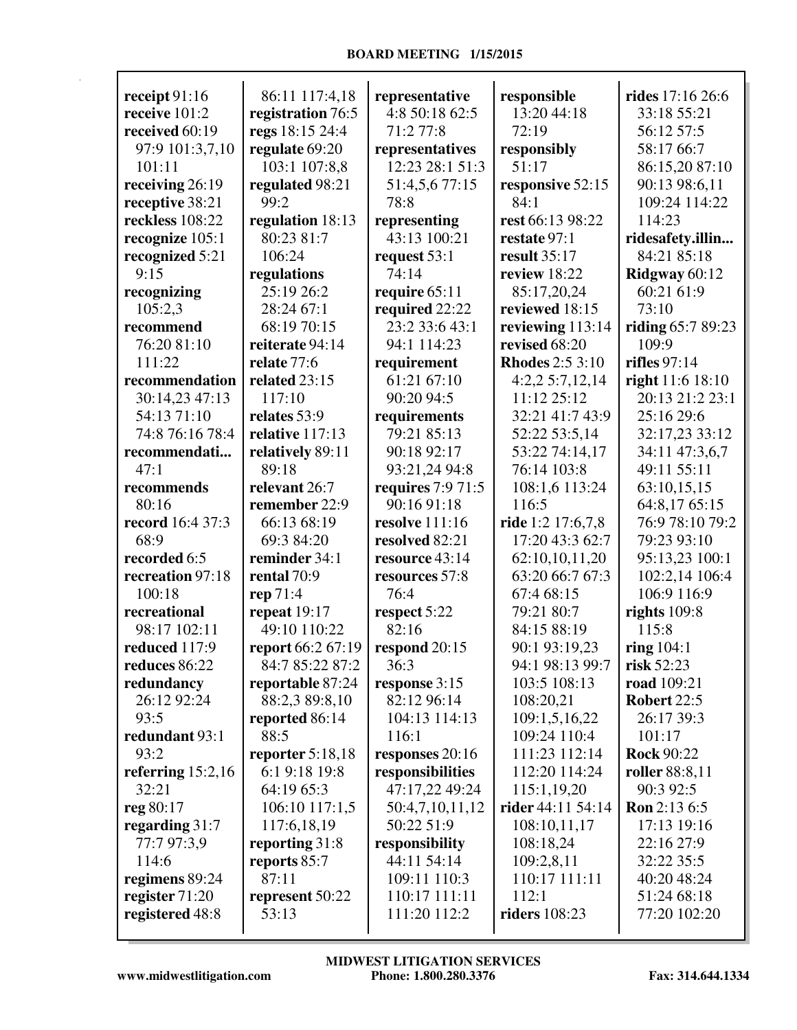| receipt $91:16$     | 86:11 117:4,18     | representative           | responsible            | rides 17:16 26:6     |
|---------------------|--------------------|--------------------------|------------------------|----------------------|
| receive 101:2       | registration 76:5  | 4:8 50:18 62:5           | 13:20 44:18            | 33:18 55:21          |
| received 60:19      | regs 18:15 24:4    | 71:2 77:8                | 72:19                  | 56:12 57:5           |
| 97:9 101:3,7,10     | regulate 69:20     | representatives          | responsibly            | 58:17 66:7           |
| 101:11              | 103:1 107:8,8      | 12:23 28:1 51:3          | 51:17                  | 86:15,20 87:10       |
| receiving 26:19     | regulated 98:21    | 51:4,5,6 77:15           | responsive 52:15       | 90:13 98:6,11        |
| receptive 38:21     | 99:2               | 78:8                     | 84:1                   | 109:24 114:22        |
| reckless 108:22     | regulation 18:13   | representing             | rest 66:13 98:22       | 114:23               |
| recognize 105:1     | 80:23 81:7         | 43:13 100:21             | restate 97:1           | ridesafety.illin     |
| recognized 5:21     | 106:24             | request 53:1             | result 35:17           | 84:21 85:18          |
| 9:15                | regulations        | 74:14                    | review 18:22           | Ridgway 60:12        |
| recognizing         | 25:19 26:2         | require 65:11            | 85:17,20,24            | 60:21 61:9           |
| 105:2,3             | 28:24 67:1         | required 22:22           | reviewed 18:15         | 73:10                |
| recommend           | 68:19 70:15        | 23:2 33:6 43:1           | reviewing 113:14       | riding $65:789:23$   |
| 76:20 81:10         | reiterate 94:14    | 94:1 114:23              | revised 68:20          | 109:9                |
| 111:22              | relate 77:6        | requirement              | <b>Rhodes</b> 2:5 3:10 | rifles $97:14$       |
| recommendation      | related 23:15      | 61:21 67:10              | 4:2,25:7,12,14         | right $11:6$ $18:10$ |
| 30:14,23 47:13      | 117:10             | 90:20 94:5               | 11:12 25:12            | 20:13 21:2 23:1      |
| 54:13 71:10         | relates 53:9       | requirements             | 32:21 41:7 43:9        | 25:16 29:6           |
| 74:8 76:16 78:4     | relative 117:13    | 79:21 85:13              | 52:22 53:5,14          | 32:17,23 33:12       |
| recommendati        | relatively 89:11   | 90:18 92:17              | 53:22 74:14,17         | 34:11 47:3,6,7       |
| 47:1                | 89:18              | 93:21,24 94:8            | 76:14 103:8            | 49:11 55:11          |
| recommends          | relevant 26:7      | <b>requires</b> 7:9 71:5 | 108:1,6 113:24         | 63:10,15,15          |
| 80:16               | remember 22:9      | 90:16 91:18              | 116:5                  | 64:8,17 65:15        |
| record 16:4 37:3    | 66:13 68:19        | <b>resolve</b> 111:16    | ride 1:2 17:6,7,8      | 76:9 78:10 79:2      |
| 68:9                | 69:3 84:20         | resolved 82:21           | 17:20 43:3 62:7        | 79:23 93:10          |
| recorded 6:5        | reminder 34:1      | resource 43:14           | 62:10,10,11,20         | 95:13,23 100:1       |
| recreation 97:18    | rental 70:9        | resources 57:8           | 63:20 66:7 67:3        | 102:2,14 106:4       |
| 100:18              | rep 71:4           | 76:4                     | 67:4 68:15             | 106:9 116:9          |
| recreational        | repeat $19:17$     | respect 5:22             | 79:21 80:7             | rights $109:8$       |
| 98:17 102:11        | 49:10 110:22       | 82:16                    | 84:15 88:19            | 115:8                |
| reduced 117:9       | report 66:2 67:19  | respond 20:15            | 90:1 93:19,23          | ring $104:1$         |
| reduces 86:22       | 84:7 85:22 87:2    | 36:3                     | 94:1 98:13 99:7        | risk $52:23$         |
| redundancy          | reportable 87:24   | response 3:15            | 103:5 108:13           | road 109:21          |
| 26:12 92:24         | 88:2,3 89:8,10     | 82:12 96:14              | 108:20,21              | <b>Robert 22:5</b>   |
| 93:5                | reported 86:14     | 104:13 114:13            | 109:1,5,16,22          | 26:17 39:3           |
| redundant 93:1      | 88:5               | 116:1                    | 109:24 110:4           | 101:17               |
| 93:2                | reporter $5:18,18$ | responses 20:16          | 111:23 112:14          | <b>Rock 90:22</b>    |
| referring $15:2,16$ | 6:1 9:18 19:8      | responsibilities         | 112:20 114:24          | roller 88:8,11       |
| 32:21               | 64:19 65:3         | 47:17,22 49:24           | 115:1,19,20            | 90:3 92:5            |
| reg 80:17           | 106:10 117:1,5     | 50:4,7,10,11,12          | rider 44:11 54:14      | <b>Ron</b> 2:13 6:5  |
| regarding 31:7      | 117:6,18,19        | 50:22 51:9               | 108:10,11,17           | 17:13 19:16          |
| 77:7 97:3,9         | reporting 31:8     | responsibility           | 108:18,24              | 22:16 27:9           |
| 114:6               | reports 85:7       | 44:11 54:14              | 109:2,8,11             | 32:22 35:5           |
| regimens 89:24      | 87:11              | 109:11 110:3             | 110:17 111:11          | 40:20 48:24          |
| register 71:20      | represent 50:22    | 110:17 111:11            | 112:1                  | 51:24 68:18          |
| registered 48:8     | 53:13              | 111:20 112:2             | <b>riders</b> 108:23   | 77:20 102:20         |
|                     |                    |                          |                        |                      |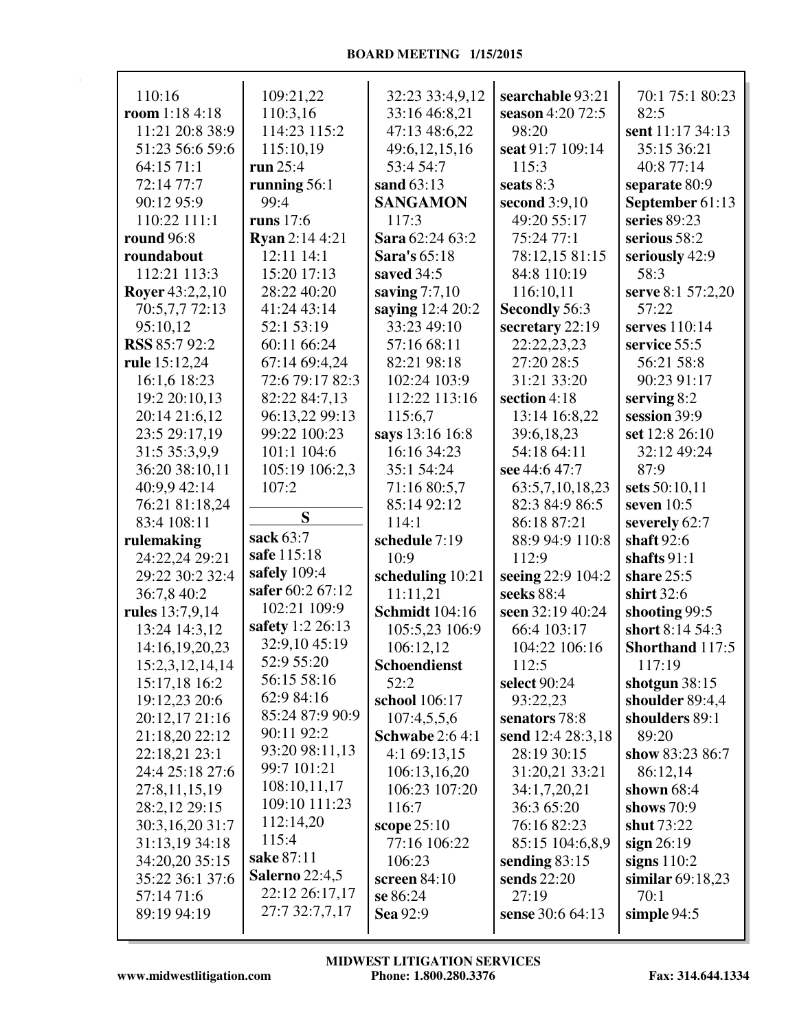| 110:16                          | 109:21,22             | 32:23 33:4,9,12           | searchable 93:21  | 70:1 75:1 80:23    |
|---------------------------------|-----------------------|---------------------------|-------------------|--------------------|
| room $1:184:18$                 | 110:3,16              | 33:16 46:8,21             | season 4:20 72:5  | 82:5               |
| 11:21 20:8 38:9                 | 114:23 115:2          | 47:13 48:6,22             | 98:20             | sent 11:17 34:13   |
| 51:23 56:6 59:6                 | 115:10,19             | 49:6,12,15,16             | seat 91:7 109:14  | 35:15 36:21        |
| 64:15 71:1                      | run 25:4              | 53:4 54:7                 | 115:3             | 40:8 77:14         |
| 72:14 77:7                      | running 56:1          | sand 63:13                | seats 8:3         | separate 80:9      |
| 90:12 95:9                      | 99:4                  | <b>SANGAMON</b>           | second 3:9,10     | September 61:13    |
| 110:22 111:1                    | runs $17:6$           | 117:3                     | 49:20 55:17       | series 89:23       |
| <b>round</b> 96:8               | <b>Ryan</b> 2:14 4:21 | Sara 62:24 63:2           | 75:24 77:1        | serious 58:2       |
| roundabout                      | 12:11 14:1            | Sara's 65:18              | 78:12,15 81:15    | seriously 42:9     |
| 112:21 113:3                    | 15:20 17:13           | saved 34:5                | 84:8 110:19       | 58:3               |
| <b>Royer</b> 43:2,2,10          | 28:22 40:20           | saving $7:7,10$           | 116:10,11         | serve 8:1 57:2,20  |
| 70:5,7,7 72:13                  | 41:24 43:14           | saying 12:4 20:2          | Secondly 56:3     | 57:22              |
| 95:10,12                        | 52:1 53:19            | 33:23 49:10               | secretary 22:19   | serves 110:14      |
| <b>RSS</b> 85:7 92:2            | 60:11 66:24           | 57:16 68:11               | 22:22,23,23       | service 55:5       |
| rule 15:12,24                   | 67:14 69:4,24         | 82:21 98:18               | 27:20 28:5        | 56:21 58:8         |
| 16:1,6 18:23                    | 72:6 79:17 82:3       | 102:24 103:9              | 31:21 33:20       | 90:23 91:17        |
| 19:2 20:10,13                   | 82:22 84:7,13         | 112:22 113:16             | section 4:18      | serving $8:2$      |
| 20:14 21:6,12                   | 96:13,22 99:13        | 115:6,7                   | 13:14 16:8,22     | session 39:9       |
| 23:5 29:17,19                   | 99:22 100:23          | says 13:16 16:8           | 39:6,18,23        | set 12:8 26:10     |
| 31:5 35:3,9,9                   | 101:1 104:6           | 16:16 34:23               | 54:18 64:11       | 32:12 49:24        |
| 36:20 38:10,11                  | 105:19 106:2,3        | 35:1 54:24                | see 44:6 47:7     | 87:9               |
| 40:9,9 42:14                    | 107:2                 | 71:16 80:5,7              | 63:5,7,10,18,23   | sets 50:10,11      |
| 76:21 81:18,24                  |                       | 85:14 92:12               | 82:3 84:9 86:5    | seven $10:5$       |
| 83:4 108:11                     | S                     | 114:1                     | 86:18 87:21       | severely 62:7      |
| rulemaking                      | sack 63:7             | schedule 7:19             | 88:9 94:9 110:8   | shaft $92:6$       |
| 24:22,24 29:21                  | safe 115:18           | 10:9                      | 112:9             | shafts $91:1$      |
| 29:22 30:2 32:4                 | safely 109:4          | scheduling 10:21          | seeing 22:9 104:2 | share 25:5         |
| 36:7,8 40:2                     | safer 60:2 67:12      | 11:11,21                  | seeks 88:4        | shirt 32:6         |
| rules 13:7,9,14                 | 102:21 109:9          | <b>Schmidt</b> 104:16     | seen 32:19 40:24  | shooting 99:5      |
|                                 | safety 1:2 26:13      |                           | 66:4 103:17       | short 8:14 54:3    |
| 13:24 14:3,12<br>14:16,19,20,23 | 32:9,10 45:19         | 105:5,23 106:9            |                   |                    |
|                                 | 52:9 55:20            | 106:12,12<br>Schoendienst | 104:22 106:16     | Shorthand 117:5    |
| 15:2,3,12,14,14                 | 56:15 58:16           |                           | 112:5             | 117:19             |
| 15:17,18 16:2                   | 62:9 84:16            | 52:2                      | select 90:24      | shotgun $38:15$    |
| 19:12,23 20:6                   | 85:24 87:9 90:9       | school 106:17             | 93:22,23          | shoulder 89:4,4    |
| 20:12,17 21:16                  | 90:11 92:2            | 107:4,5,5,6               | senators 78:8     | shoulders 89:1     |
| 21:18,20 22:12                  | 93:20 98:11,13        | <b>Schwabe</b> 2:6 4:1    | send 12:4 28:3,18 | 89:20              |
| 22:18,21 23:1                   | 99:7 101:21           | 4:169:13,15               | 28:19 30:15       | show 83:23 86:7    |
| 24:4 25:18 27:6                 | 108:10,11,17          | 106:13,16,20              | 31:20,21 33:21    | 86:12,14           |
| 27:8,11,15,19                   |                       | 106:23 107:20             | 34:1,7,20,21      | shown $68:4$       |
| 28:2,12 29:15                   | 109:10 111:23         | 116:7                     | 36:3 65:20        | shows $70:9$       |
| 30:3,16,20 31:7                 | 112:14,20             | scope 25:10               | 76:16 82:23       | shut 73:22         |
| 31:13,19 34:18                  | 115:4                 | 77:16 106:22              | 85:15 104:6,8,9   | sign $26:19$       |
| 34:20,20 35:15                  | sake 87:11            | 106:23                    | sending $83:15$   | signs $110:2$      |
| 35:22 36:1 37:6                 | <b>Salerno</b> 22:4,5 | screen $84:10$            | sends 22:20       | similar $69:18,23$ |
| 57:14 71:6                      | 22:12 26:17,17        | se 86:24                  | 27:19             | 70:1               |
| 89:19 94:19                     | 27:7 32:7,7,17        | Sea 92:9                  | sense 30:6 64:13  | simple $94:5$      |
|                                 |                       |                           |                   |                    |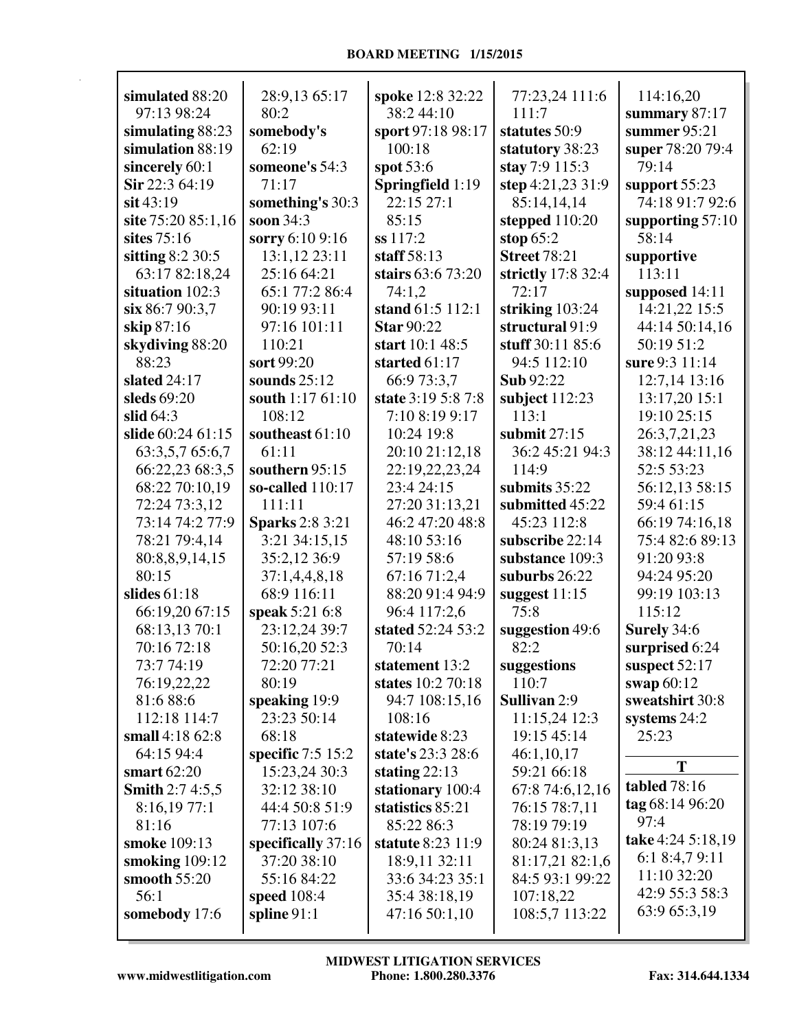| simulated 88:20            | 28:9,13 65:17                 | spoke 12:8 32:22                      | 77:23,24 111:6                     | 114:16,20                      |
|----------------------------|-------------------------------|---------------------------------------|------------------------------------|--------------------------------|
| 97:13 98:24                | 80:2                          | 38:2 44:10                            | 111:7                              | summary 87:17                  |
| simulating 88:23           | somebody's<br>62:19           | sport 97:18 98:17                     | statutes 50:9                      | summer $95:21$                 |
| simulation 88:19           |                               | 100:18                                | statutory 38:23                    | super 78:20 79:4<br>79:14      |
| sincerely 60:1             | someone's 54:3                | spot 53:6                             | stay 7:9 115:3                     |                                |
| Sir 22:3 64:19             | 71:17                         | Springfield 1:19                      | step 4:21,23 31:9                  | support 55:23                  |
| $s$ it 43:19               | something's 30:3<br>soon 34:3 | 22:15 27:1                            | 85:14,14,14                        | 74:18 91:7 92:6                |
| site 75:20 85:1,16         |                               | 85:15                                 | stepped 110:20                     | supporting $57:10$             |
| sites 75:16                | sorry 6:10 9:16               | ss 117:2                              | stop $65:2$                        | 58:14                          |
| sitting $8:2$ 30:5         | 13:1,12 23:11                 | staff $58:13$                         | <b>Street 78:21</b>                | supportive                     |
| 63:17 82:18,24             | 25:16 64:21                   | stairs 63:6 73:20                     | strictly 17:8 32:4                 | 113:11                         |
| situation 102:3            | 65:1 77:2 86:4                | 74:1,2                                | 72:17                              | supposed 14:11                 |
| six 86:7 90:3,7            | 90:19 93:11                   | stand 61:5 112:1<br><b>Star 90:22</b> | striking 103:24<br>structural 91:9 | 14:21,22 15:5                  |
| skip 87:16                 | 97:16 101:11                  |                                       |                                    | 44:14 50:14,16                 |
| skydiving 88:20            | 110:21                        | start 10:1 48:5<br>started 61:17      | stuff 30:11 85:6<br>94:5 112:10    | 50:19 51:2<br>sure 9:3 11:14   |
| 88:23                      | sort 99:20                    | 66:9 73:3,7                           | <b>Sub</b> 92:22                   |                                |
| slated 24:17               | sounds $25:12$                | state 3:19 5:8 7:8                    |                                    | 12:7,14 13:16                  |
| sleds 69:20<br>slid $64:3$ | south 1:17 61:10              |                                       | subject 112:23<br>113:1            | 13:17,20 15:1<br>19:10 25:15   |
| slide 60:24 61:15          | 108:12<br>southeast 61:10     | 7:10 8:19 9:17<br>10:24 19:8          | submit $27:15$                     |                                |
| 63:3,5,7 65:6,7            | 61:11                         | 20:10 21:12,18                        | 36:2 45:21 94:3                    | 26:3,7,21,23<br>38:12 44:11,16 |
| 66:22,23 68:3,5            | southern 95:15                | 22:19,22,23,24                        | 114:9                              | 52:5 53:23                     |
| 68:22 70:10,19             | so-called 110:17              | 23:4 24:15                            | submits $35:22$                    | 56:12,13 58:15                 |
| 72:24 73:3,12              | 111:11                        | 27:20 31:13,21                        | submitted 45:22                    | 59:4 61:15                     |
| 73:14 74:2 77:9            | <b>Sparks</b> 2:8 3:21        | 46:2 47:20 48:8                       | 45:23 112:8                        | 66:19 74:16,18                 |
| 78:21 79:4,14              | 3:21 34:15,15                 | 48:10 53:16                           | subscribe 22:14                    | 75:4 82:6 89:13                |
| 80:8,8,9,14,15             | 35:2,12 36:9                  | 57:19 58:6                            | substance 109:3                    | 91:20 93:8                     |
| 80:15                      | 37:1,4,4,8,18                 | 67:16 71:2,4                          | suburbs 26:22                      | 94:24 95:20                    |
| slides $61:18$             | 68:9 116:11                   | 88:20 91:4 94:9                       | suggest $11:15$                    | 99:19 103:13                   |
| 66:19,20 67:15             | speak 5:21 6:8                | 96:4 117:2,6                          | 75:8                               | 115:12                         |
| 68:13,13 70:1              | 23:12,24 39:7                 | stated 52:24 53:2                     | suggestion 49:6                    | Surely 34:6                    |
| 70:16 72:18                | 50:16,20 52:3                 | 70:14                                 | 82:2                               | surprised 6:24                 |
| 73:774:19                  | 72:20 77:21                   | statement 13:2                        | suggestions                        | suspect $52:17$                |
| 76:19,22,22                | 80:19                         | states 10:2 70:18                     | 110:7                              | swap 60:12                     |
| 81:6 88:6                  | speaking 19:9                 | 94:7 108:15,16                        | Sullivan 2:9                       | sweatshirt 30:8                |
| 112:18 114:7               | 23:23 50:14                   | 108:16                                | 11:15,24 12:3                      | systems 24:2                   |
| small $4:1862:8$           | 68:18                         | statewide 8:23                        | 19:15 45:14                        | 25:23                          |
| 64:15 94:4                 | specific $7:5$ 15:2           | state's 23:3 28:6                     | 46:1,10,17                         |                                |
| smart $62:20$              | 15:23,24 30:3                 | stating $22:13$                       | 59:21 66:18                        | T                              |
| <b>Smith 2:7 4:5,5</b>     | 32:12 38:10                   | stationary 100:4                      | 67:8 74:6,12,16                    | tabled 78:16                   |
| 8:16,1977:1                | 44:4 50:8 51:9                | statistics 85:21                      | 76:15 78:7,11                      | tag 68:14 96:20                |
| 81:16                      | 77:13 107:6                   | 85:22 86:3                            | 78:19 79:19                        | 97:4                           |
| smoke 109:13               | specifically 37:16            | <b>statute</b> 8:23 11:9              | 80:24 81:3,13                      | take 4:24 5:18,19              |
| smoking $109:12$           | 37:20 38:10                   | 18:9,11 32:11                         | 81:17,21 82:1,6                    | 6:1 8:4,7 9:11                 |
| smooth 55:20               | 55:16 84:22                   | 33:6 34:23 35:1                       | 84:5 93:1 99:22                    | 11:10 32:20                    |
| 56:1                       | speed 108:4                   | 35:4 38:18,19                         | 107:18,22                          | 42:9 55:3 58:3                 |
| somebody 17:6              | spline $91:1$                 | 47:16 50:1,10                         | 108:5,7 113:22                     | 63:9 65:3,19                   |
|                            |                               |                                       |                                    |                                |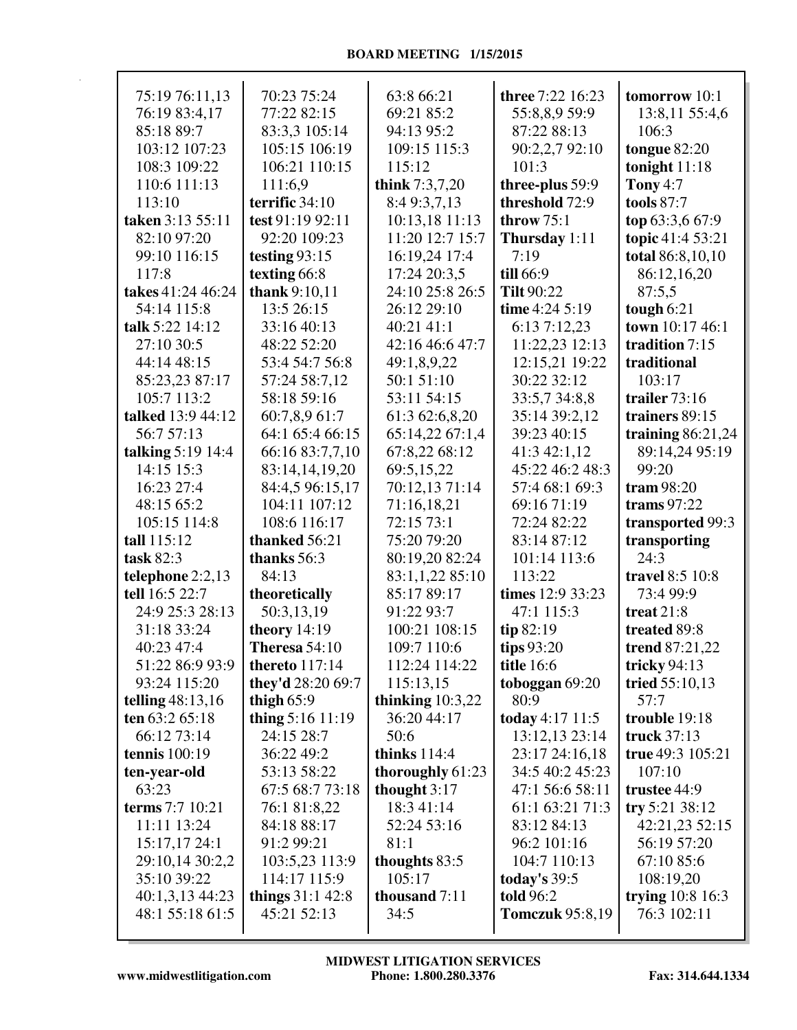| 75:19 76:11,13       | 70:23 75:24           | 63:8 66:21         | <b>three</b> 7:22 16:23 | tomorrow 10:1       |
|----------------------|-----------------------|--------------------|-------------------------|---------------------|
| 76:19 83:4,17        | 77:22 82:15           | 69:21 85:2         | 55:8,8,9 59:9           | 13:8,11 55:4,6      |
| 85:18 89:7           | 83:3,3 105:14         | 94:13 95:2         | 87:22 88:13             | 106:3               |
| 103:12 107:23        | 105:15 106:19         | 109:15 115:3       | 90:2,2,7 92:10          | tongue 82:20        |
| 108:3 109:22         | 106:21 110:15         | 115:12             | 101:3                   | tonight $11:18$     |
| 110:6 111:13         | 111:6,9               | think 7:3,7,20     | three-plus 59:9         | <b>Tony 4:7</b>     |
| 113:10               | terrific 34:10        | 8:4 9:3,7,13       | threshold 72:9          | tools 87:7          |
| taken 3:13 55:11     | test 91:19 92:11      | 10:13,18 11:13     | throw $75:1$            | top 63:3,6 67:9     |
| 82:10 97:20          | 92:20 109:23          | 11:20 12:7 15:7    | Thursday 1:11           | topic 41:4 53:21    |
| 99:10 116:15         | testing $93:15$       | 16:19,24 17:4      | 7:19                    | total 86:8,10,10    |
| 117:8                | texting 66:8          | 17:24 20:3,5       | till 66:9               | 86:12,16,20         |
| takes 41:24 46:24    | thank 9:10,11         | 24:10 25:8 26:5    | <b>Tilt 90:22</b>       | 87:5,5              |
| 54:14 115:8          | 13:5 26:15            | 26:12 29:10        | time $4:24$ 5:19        | tough 6:21          |
| talk 5:22 14:12      | 33:16 40:13           | 40:21 41:1         | 6:13 7:12,23            | town 10:17 46:1     |
| 27:10 30:5           | 48:22 52:20           | 42:16 46:6 47:7    | 11:22,23 12:13          | tradition 7:15      |
| 44:14 48:15          | 53:4 54:7 56:8        | 49:1,8,9,22        | 12:15,21 19:22          | traditional         |
| 85:23,23 87:17       | 57:24 58:7,12         | 50:1 51:10         | 30:22 32:12             | 103:17              |
| 105:7 113:2          | 58:18 59:16           | 53:11 54:15        | 33:5,7 34:8,8           | trailer 73:16       |
| talked 13:9 44:12    | 60:7,8,9 61:7         | 61:3 62:6,8,20     | 35:14 39:2,12           | trainers 89:15      |
| 56:7 57:13           | 64:1 65:4 66:15       | 65:14,22 67:1,4    | 39:23 40:15             | training $86:21,24$ |
| talking $5:19$ 14:4  | 66:16 83:7,7,10       | 67:8,22 68:12      | 41:3 42:1,12            | 89:14,24 95:19      |
| 14:15 15:3           | 83:14,14,19,20        | 69:5,15,22         | 45:22 46:2 48:3         | 99:20               |
| 16:23 27:4           | 84:4,5 96:15,17       | 70:12,13 71:14     | 57:4 68:1 69:3          | tram 98:20          |
| 48:15 65:2           | 104:11 107:12         | 71:16,18,21        | 69:16 71:19             | trams $97:22$       |
| 105:15 114:8         | 108:6 116:17          | 72:15 73:1         | 72:24 82:22             | transported 99:3    |
| tall 115:12          | thanked 56:21         | 75:20 79:20        | 83:14 87:12             | transporting        |
| task 82:3            | thanks 56:3           | 80:19,20 82:24     | 101:14 113:6            | 24:3                |
| telephone 2:2,13     | 84:13                 | 83:1,1,22 85:10    | 113:22                  | travel 8:5 10:8     |
| tell 16:5 22:7       | theoretically         | 85:17 89:17        | times 12:9 33:23        | 73:4 99:9           |
| 24:9 25:3 28:13      | 50:3,13,19            | 91:22 93:7         | 47:1 115:3              | treat $21:8$        |
| 31:18 33:24          | theory 14:19          | 100:21 108:15      | tip 82:19               | treated 89:8        |
| 40:23 47:4           | Theresa 54:10         | 109:7 110:6        | tips $93:20$            | trend 87:21,22      |
| 51:22 86:9 93:9      | <b>thereto</b> 117:14 | 112:24 114:22      | <b>title</b> 16:6       | tricky $94:13$      |
| 93:24 115:20         | they'd 28:20 69:7     | 115:13,15          | toboggan 69:20          | tried 55:10,13      |
| telling $48:13,16$   | thigh $65:9$          | thinking $10:3,22$ | 80:9                    | 57:7                |
| ten $63:265:18$      | thing 5:16 11:19      | 36:20 44:17        | today 4:17 11:5         | trouble 19:18       |
| 66:12 73:14          | 24:15 28:7            | 50:6               | 13:12,13 23:14          | truck 37:13         |
| <b>tennis</b> 100:19 | 36:22 49:2            | thinks $114:4$     | 23:17 24:16,18          | true 49:3 105:21    |
| ten-year-old         | 53:13 58:22           | thoroughly 61:23   | 34:5 40:2 45:23         | 107:10              |
| 63:23                | 67:5 68:7 73:18       | thought $3:17$     | 47:1 56:6 58:11         | trustee 44:9        |
| terms 7:7 10:21      | 76:1 81:8,22          | 18:3 41:14         | 61:1 63:21 71:3         | try 5:21 38:12      |
| 11:11 13:24          | 84:18 88:17           | 52:24 53:16        | 83:12 84:13             | 42:21,23 52:15      |
| 15:17,17 24:1        | 91:2 99:21            | 81:1               | 96:2 101:16             | 56:19 57:20         |
| 29:10,14 30:2,2      | 103:5,23 113:9        | thoughts 83:5      | 104:7 110:13            | 67:10 85:6          |
| 35:10 39:22          | 114:17 115:9          | 105:17             | today's $39:5$          | 108:19,20           |
| 40:1,3,13 44:23      | things $31:1\,42:8$   | thousand 7:11      | told 96:2               | trying 10:8 16:3    |
| 48:1 55:18 61:5      | 45:21 52:13           | 34:5               | <b>Tomczuk</b> 95:8,19  | 76:3 102:11         |
|                      |                       |                    |                         |                     |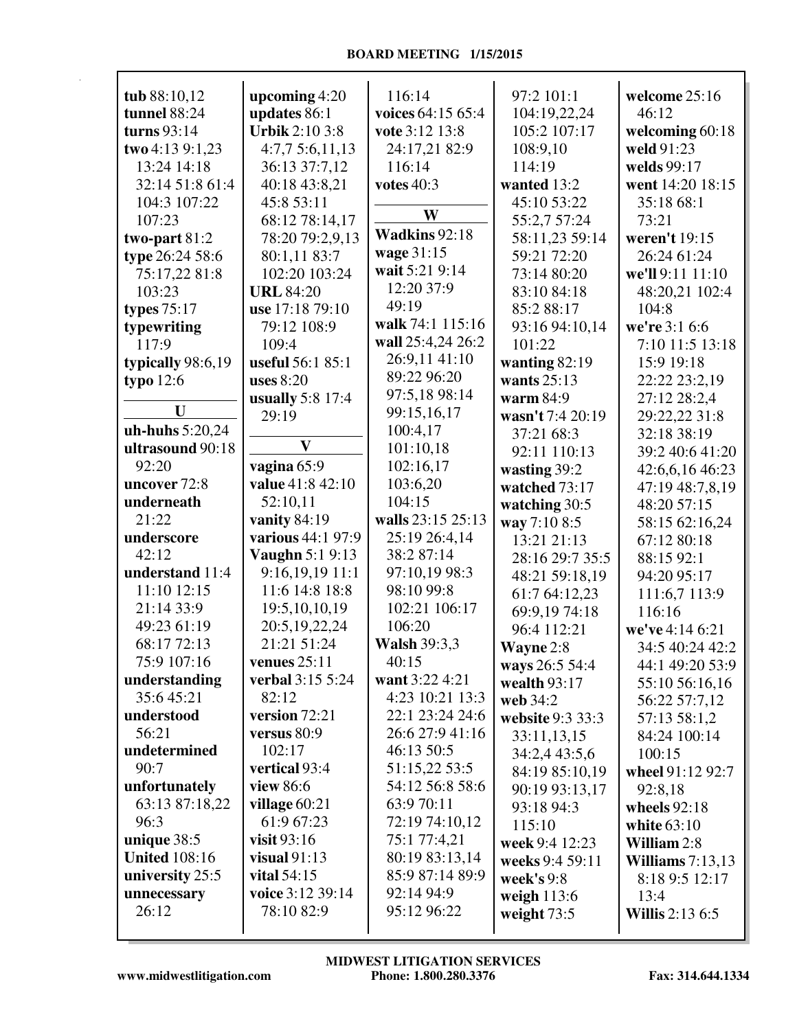| tub 88:10,12         | upcoming $4:20$         | 116:14              | 97:2 101:1       | welcome 25:16          |
|----------------------|-------------------------|---------------------|------------------|------------------------|
| tunnel 88:24         | updates 86:1            | voices 64:15 65:4   | 104:19,22,24     | 46:12                  |
| turns $93:14$        | <b>Urbik 2:10 3:8</b>   | vote 3:12 13:8      | 105:2 107:17     | welcoming 60:18        |
| two 4:13 9:1,23      | 4:7,75:6,11,13          | 24:17,21 82:9       | 108:9,10         | weld 91:23             |
| 13:24 14:18          | 36:13 37:7,12           | 116:14              | 114:19           | welds 99:17            |
| 32:14 51:8 61:4      | 40:18 43:8,21           | votes $40:3$        | wanted 13:2      | went 14:20 18:15       |
| 104:3 107:22         | 45:8 53:11              |                     | 45:10 53:22      | 35:18 68:1             |
| 107:23               | 68:12 78:14,17          | W                   | 55:2,7 57:24     | 73:21                  |
| two-part $81:2$      | 78:20 79:2,9,13         | Wadkins 92:18       | 58:11,23 59:14   | weren't 19:15          |
| type 26:24 58:6      | 80:1,11 83:7            | wage 31:15          | 59:21 72:20      | 26:24 61:24            |
| 75:17,22 81:8        | 102:20 103:24           | wait 5:21 9:14      | 73:14 80:20      | we'll 9:11 11:10       |
| 103:23               | <b>URL 84:20</b>        | 12:20 37:9          | 83:10 84:18      | 48:20,21 102:4         |
| types $75:17$        | use 17:18 79:10         | 49:19               | 85:2 88:17       | 104:8                  |
| typewriting          | 79:12 108:9             | walk 74:1 115:16    | 93:16 94:10,14   | we're 3:1 6:6          |
| 117:9                | 109:4                   | wall 25:4,24 26:2   | 101:22           | 7:10 11:5 13:18        |
| typically 98:6,19    | useful 56:1 85:1        | 26:9,11 41:10       | wanting $82:19$  | 15:9 19:18             |
| typo $12:6$          | uses $8:20$             | 89:22 96:20         | wants $25:13$    | 22:22 23:2,19          |
|                      | <b>usually</b> 5:8 17:4 | 97:5,18 98:14       | warm 84:9        | 27:12 28:2,4           |
| U                    | 29:19                   | 99:15,16,17         | wasn't 7:4 20:19 | 29:22,22 31:8          |
| uh-huhs 5:20,24      |                         | 100:4,17            | 37:21 68:3       | 32:18 38:19            |
| ultrasound 90:18     | $\mathbf{V}$            | 101:10,18           | 92:11 110:13     | 39:2 40:6 41:20        |
| 92:20                | vagina 65:9             | 102:16,17           | wasting 39:2     | 42:6,6,16 46:23        |
| uncover 72:8         | value 41:8 42:10        | 103:6,20            | watched 73:17    | 47:19 48:7,8,19        |
| underneath           | 52:10,11                | 104:15              | watching 30:5    | 48:20 57:15            |
| 21:22                | vanity 84:19            | walls 23:15 25:13   | way 7:10 8:5     | 58:15 62:16,24         |
| underscore           | various 44:1 97:9       | 25:19 26:4,14       | 13:21 21:13      | 67:12 80:18            |
| 42:12                | <b>Vaughn 5:1 9:13</b>  | 38:2 87:14          | 28:16 29:7 35:5  | 88:15 92:1             |
| understand 11:4      | $9:16,19,19$ 11:1       | 97:10,19 98:3       | 48:21 59:18,19   | 94:20 95:17            |
| 11:10 12:15          | 11:6 14:8 18:8          | 98:10 99:8          | 61:7 64:12,23    | 111:6,7 113:9          |
| 21:14 33:9           | 19:5, 10, 10, 19        | 102:21 106:17       | 69:9,19 74:18    | 116:16                 |
| 49:23 61:19          | 20:5,19,22,24           | 106:20              | 96:4 112:21      | we've 4:14 6:21        |
| 68:17 72:13          | 21:21 51:24             | <b>Walsh 39:3,3</b> | Wayne 2:8        | 34:5 40:24 42:2        |
| 75:9 107:16          | venues $25:11$          | 40:15               | ways 26:5 54:4   | 44:1 49:20 53:9        |
| understanding        | <b>verbal</b> 3:15 5:24 | want 3:22 4:21      | wealth $93:17$   | 55:10 56:16,16         |
| 35:645:21            | 82:12                   | 4:23 10:21 13:3     | web 34:2         | 56:22 57:7,12          |
| understood           | version 72:21           | 22:1 23:24 24:6     | website 9:3 33:3 | 57:13 58:1,2           |
| 56:21                | versus 80:9             | 26:6 27:9 41:16     | 33:11,13,15      | 84:24 100:14           |
| undetermined         | 102:17                  | 46:13 50:5          | 34:2,4 43:5,6    | 100:15                 |
| 90:7                 | vertical 93:4           | 51:15,22 53:5       | 84:19 85:10,19   | wheel 91:12 92:7       |
| unfortunately        | view 86:6               | 54:12 56:8 58:6     | 90:19 93:13,17   | 92:8,18                |
| 63:13 87:18,22       | village $60:21$         | 63:9 70:11          | 93:18 94:3       | wheels 92:18           |
| 96:3                 | 61:9 67:23              | 72:19 74:10,12      | 115:10           | white $63:10$          |
| unique 38:5          | visit $93:16$           | 75:1 77:4,21        | week 9:4 12:23   | William 2:8            |
| <b>United 108:16</b> | visual $91:13$          | 80:19 83:13,14      | weeks 9:4 59:11  | Williams $7:13,13$     |
| university 25:5      | vital $54:15$           | 85:9 87:14 89:9     | week's $9:8$     | 8:18 9:5 12:17         |
| unnecessary          | voice 3:12 39:14        | 92:14 94:9          | weigh $113:6$    | 13:4                   |
| 26:12                | 78:10 82:9              | 95:12 96:22         | weight $73:5$    | <b>Willis</b> 2:13 6:5 |
|                      |                         |                     |                  |                        |